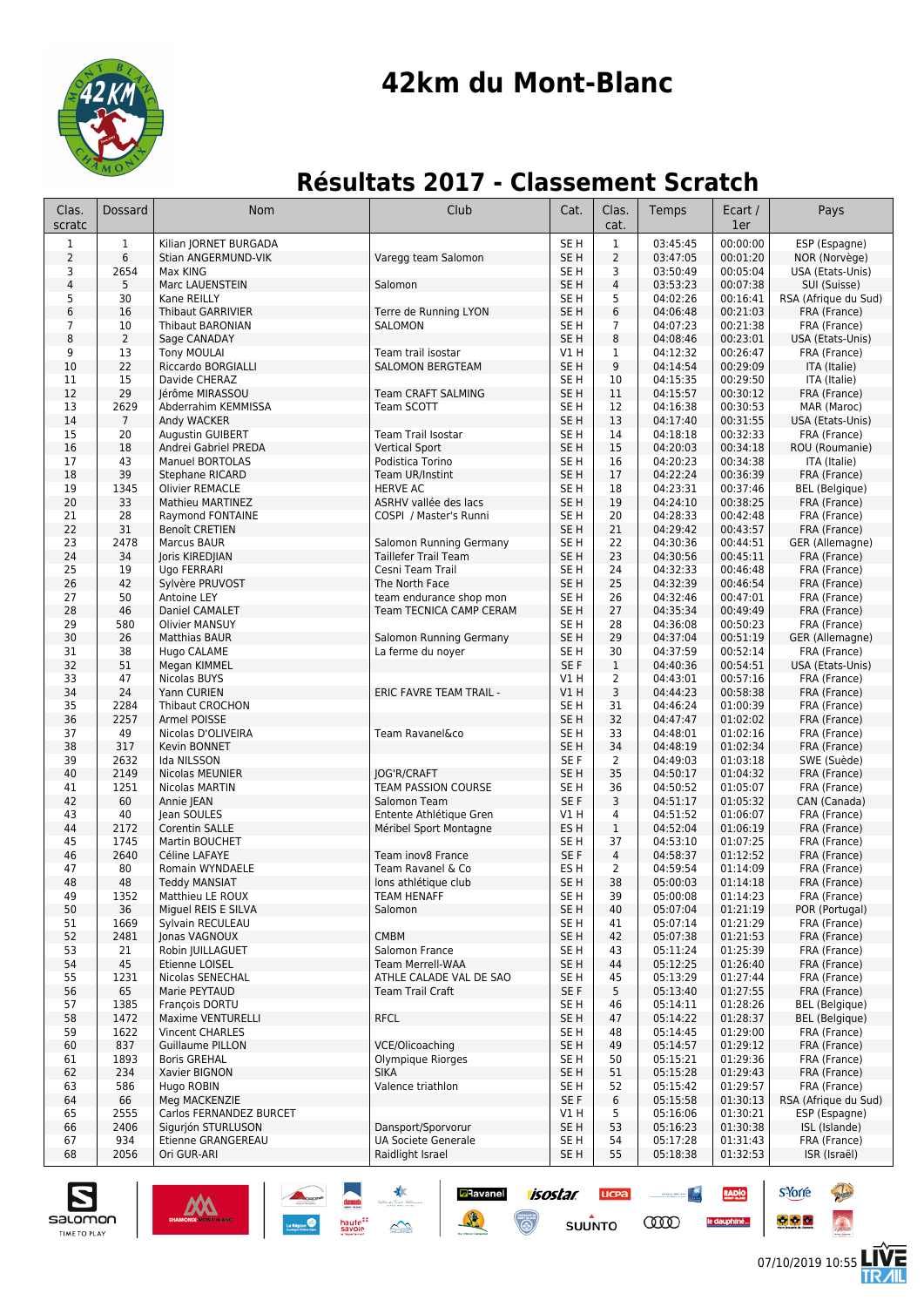

# **42km du Mont-Blanc**

## **Résultats 2017 - Classement Scratch**

| Clas.<br>scratc         | Dossard        | Nom                                    | Club                                         | Cat.                               | Clas.<br>cat.  | Temps                | Ecart /<br>1er       | Pays                             |
|-------------------------|----------------|----------------------------------------|----------------------------------------------|------------------------------------|----------------|----------------------|----------------------|----------------------------------|
| 1                       | $\mathbf 1$    | Kilian JORNET BURGADA                  |                                              | SE <sub>H</sub>                    | $\mathbf{1}$   | 03:45:45             | 00:00:00             | ESP (Espagne)                    |
| $\mathsf{2}$            | 6              | Stian ANGERMUND-VIK                    | Varegg team Salomon                          | SE H                               | $\overline{2}$ | 03:47:05             | 00:01:20             | NOR (Norvège)                    |
| 3                       | 2654           | Max KING                               |                                              | SE H                               | 3              | 03:50:49             | 00:05:04             | USA (Etats-Unis)                 |
| $\overline{\mathbf{4}}$ | 5              | Marc LAUENSTEIN                        | Salomon                                      | SE <sub>H</sub>                    | 4              | 03:53:23             | 00:07:38             | SUI (Suisse)                     |
| 5<br>6                  | 30             | Kane REILLY                            | Terre de Running LYON                        | SE H<br>SE <sub>H</sub>            | 5<br>6         | 04:02:26             | 00:16:41<br>00:21:03 | RSA (Afrique du Sud)             |
| 7                       | 16<br>10       | Thibaut GARRIVIER<br>Thibaut BARONIAN  | SALOMON                                      | SE H                               | 7              | 04:06:48<br>04:07:23 | 00:21:38             | FRA (France)<br>FRA (France)     |
| 8                       | $\overline{2}$ | Sage CANADAY                           |                                              | SE <sub>H</sub>                    | 8              | 04:08:46             | 00:23:01             | USA (Etats-Unis)                 |
| 9                       | 13             | <b>Tony MOULAI</b>                     | Team trail isostar                           | V1 H                               | 1              | 04:12:32             | 00:26:47             | FRA (France)                     |
| 10                      | 22             | Riccardo BORGIALLI                     | <b>SALOMON BERGTEAM</b>                      | SE <sub>H</sub>                    | 9              | 04:14:54             | 00:29:09             | ITA (Italie)                     |
| 11                      | 15             | Davide CHERAZ                          |                                              | SE H                               | 10             | 04:15:35             | 00:29:50             | ITA (Italie)                     |
| 12                      | 29             | Jérôme MIRASSOU                        | <b>Team CRAFT SALMING</b>                    | SE <sub>H</sub>                    | 11             | 04:15:57             | 00:30:12             | FRA (France)                     |
| 13<br>14                | 2629           | Abderrahim KEMMISSA                    | Team SCOTT                                   | SE H<br>SE <sub>H</sub>            | 12<br>13       | 04:16:38<br>04:17:40 | 00:30:53<br>00:31:55 | MAR (Maroc)                      |
| 15                      | 7<br>20        | Andy WACKER<br><b>Augustin GUIBERT</b> | Team Trail Isostar                           | SE H                               | 14             | 04:18:18             | 00:32:33             | USA (Etats-Unis)<br>FRA (France) |
| 16                      | 18             | Andrei Gabriel PREDA                   | <b>Vertical Sport</b>                        | SE <sub>H</sub>                    | 15             | 04:20:03             | 00:34:18             | ROU (Roumanie)                   |
| 17                      | 43             | <b>Manuel BORTOLAS</b>                 | Podistica Torino                             | SE H                               | 16             | 04:20:23             | 00:34:38             | ITA (Italie)                     |
| 18                      | 39             | <b>Stephane RICARD</b>                 | Team UR/Instint                              | SE <sub>H</sub>                    | 17             | 04:22:24             | 00:36:39             | FRA (France)                     |
| 19                      | 1345           | <b>Olivier REMACLE</b>                 | <b>HERVE AC</b>                              | SE H                               | 18             | 04:23:31             | 00:37:46             | <b>BEL</b> (Belgique)            |
| 20                      | 33             | Mathieu MARTINEZ                       | ASRHV vallée des lacs                        | SE <sub>H</sub>                    | 19             | 04:24:10             | 00:38:25             | FRA (France)                     |
| 21                      | 28             | Raymond FONTAINE                       | COSPI / Master's Runni                       | SE <sub>H</sub>                    | 20             | 04:28:33<br>04:29:42 | 00:42:48             | FRA (France)                     |
| 22<br>23                | 31<br>2478     | <b>Benoît CRETIEN</b><br>Marcus BAUR   | Salomon Running Germany                      | SE <sub>H</sub><br>SE <sub>H</sub> | 21<br>22       | 04:30:36             | 00:43:57<br>00:44:51 | FRA (France)<br>GER (Allemagne)  |
| 24                      | 34             | Joris KIREDJIAN                        | <b>Taillefer Trail Team</b>                  | SE <sub>H</sub>                    | 23             | 04:30:56             | 00:45:11             | FRA (France)                     |
| 25                      | 19             | Ugo FERRARI                            | Cesni Team Trail                             | SE H                               | 24             | 04:32:33             | 00:46:48             | FRA (France)                     |
| 26                      | 42             | Sylvère PRUVOST                        | The North Face                               | SE H                               | 25             | 04:32:39             | 00:46:54             | FRA (France)                     |
| 27                      | 50             | Antoine LEY                            | team endurance shop mon                      | SE H                               | 26             | 04:32:46             | 00:47:01             | FRA (France)                     |
| 28                      | 46             | Daniel CAMALET                         | Team TECNICA CAMP CERAM                      | SE <sub>H</sub>                    | 27             | 04:35:34             | 00:49:49             | FRA (France)                     |
| 29                      | 580            | <b>Olivier MANSUY</b>                  |                                              | SE H                               | 28             | 04:36:08             | 00:50:23             | FRA (France)                     |
| 30<br>31                | 26<br>38       | <b>Matthias BAUR</b><br>Hugo CALAME    | Salomon Running Germany<br>La ferme du noyer | SE H<br>SE <sub>H</sub>            | 29<br>30       | 04:37:04<br>04:37:59 | 00:51:19<br>00:52:14 | GER (Allemagne)<br>FRA (France)  |
| 32                      | 51             | Megan KIMMEL                           |                                              | SE F                               | $\mathbf{1}$   | 04:40:36             | 00:54:51             | USA (Etats-Unis)                 |
| 33                      | 47             | Nicolas BUYS                           |                                              | V1 H                               | $\overline{2}$ | 04:43:01             | 00:57:16             | FRA (France)                     |
| 34                      | 24             | Yann CURIEN                            | ERIC FAVRE TEAM TRAIL -                      | V1H                                | 3              | 04:44:23             | 00:58:38             | FRA (France)                     |
| 35                      | 2284           | Thibaut CROCHON                        |                                              | SE <sub>H</sub>                    | 31             | 04:46:24             | 01:00:39             | FRA (France)                     |
| 36                      | 2257           | Armel POISSE                           |                                              | SE <sub>H</sub>                    | 32             | 04:47:47             | 01:02:02             | FRA (France)                     |
| 37                      | 49             | Nicolas D'OLIVEIRA                     | Team Ravanel&co                              | SE H                               | 33             | 04:48:01             | 01:02:16             | FRA (France)                     |
| 38<br>39                | 317<br>2632    | Kevin BONNET<br>Ida NILSSON            |                                              | SE <sub>H</sub><br>SE F            | 34<br>2        | 04:48:19<br>04:49:03 | 01:02:34<br>01:03:18 | FRA (France)<br>SWE (Suède)      |
| 40                      | 2149           | Nicolas MEUNIER                        | <b>JOG'R/CRAFT</b>                           | SE <sub>H</sub>                    | 35             | 04:50:17             | 01:04:32             | FRA (France)                     |
| 41                      | 1251           | Nicolas MARTIN                         | TEAM PASSION COURSE                          | SE H                               | 36             | 04:50:52             | 01:05:07             | FRA (France)                     |
| 42                      | 60             | Annie JEAN                             | Salomon Team                                 | SE F                               | 3              | 04:51:17             | 01:05:32             | CAN (Canada)                     |
| 43                      | 40             | Jean SOULES                            | Entente Athlétique Gren                      | V1 H                               | 4              | 04:51:52             | 01:06:07             | FRA (France)                     |
| 44                      | 2172           | Corentin SALLE                         | Méribel Sport Montagne                       | ES <sub>H</sub>                    | $\mathbf 1$    | 04:52:04             | 01:06:19             | FRA (France)                     |
| 45<br>46                | 1745<br>2640   | Martin BOUCHET                         | Team inov8 France                            | SE H<br>SE F                       | 37             | 04:53:10             | 01:07:25             | FRA (France)                     |
| 47                      | 80             | Céline LAFAYE<br>Romain WYNDAELE       | Team Ravanel & Co                            | ES H                               | 4<br>2         | 04:58:37<br>04:59:54 | 01:12:52<br>01:14:09 | FRA (France)<br>FRA (France)     |
| 48                      | 48             | <b>Teddy MANSIAT</b>                   | lons athlétique club                         | SE <sub>H</sub>                    | 38             | 05:00:03             | 01:14:18             | FRA (France)                     |
| 49                      | 1352           | Matthieu LE ROUX                       | <b>TEAM HENAFF</b>                           | SE H                               | 39             | 05:00:08             | 01:14:23             | FRA (France)                     |
| 50                      | 36             | Miguel REIS E SILVA                    | Salomon                                      | SE H                               | 40             | 05:07:04             | 01:21:19             | POR (Portugal)                   |
| 51                      | 1669           | Sylvain RECULEAU                       |                                              | SE H                               | 41             | 05:07:14             | 01:21:29             | FRA (France)                     |
| 52                      | 2481           | Jonas VAGNOUX                          | <b>CMBM</b>                                  | SE H                               | 42             | 05:07:38             | 01:21:53             | FRA (France)                     |
| 53<br>54                | 21             | Robin JUILLAGUET                       | Salomon France<br><b>Team Merrell-WAA</b>    | SE <sub>H</sub><br>SE <sub>H</sub> | 43             | 05:11:24             | 01:25:39             | FRA (France)<br>FRA (France)     |
| 55                      | 45<br>1231     | Etienne LOISEL<br>Nicolas SENECHAL     | ATHLE CALADE VAL DE SAO                      | SE H                               | 44<br>45       | 05:12:25<br>05:13:29 | 01:26:40<br>01:27:44 | FRA (France)                     |
| 56                      | 65             | Marie PEYTAUD                          | <b>Team Trail Craft</b>                      | SE F                               | 5              | 05:13:40             | 01:27:55             | FRA (France)                     |
| 57                      | 1385           | François DORTU                         |                                              | SE H                               | 46             | 05:14:11             | 01:28:26             | <b>BEL</b> (Belgique)            |
| 58                      | 1472           | Maxime VENTURELLI                      | <b>RFCL</b>                                  | SE H                               | 47             | 05:14:22             | 01:28:37             | <b>BEL</b> (Belgique)            |
| 59                      | 1622           | Vincent CHARLES                        |                                              | SE H                               | 48             | 05:14:45             | 01:29:00             | FRA (France)                     |
| 60                      | 837            | Guillaume PILLON                       | VCE/Olicoaching                              | SE <sub>H</sub>                    | 49             | 05:14:57             | 01:29:12             | FRA (France)                     |
| 61                      | 1893<br>234    | <b>Boris GREHAL</b>                    | Olympique Riorges<br><b>SIKA</b>             | SE H                               | 50             | 05:15:21<br>05:15:28 | 01:29:36<br>01:29:43 | FRA (France)<br>FRA (France)     |
| 62<br>63                | 586            | Xavier BIGNON<br>Hugo ROBIN            | Valence triathlon                            | SE H<br>SE H                       | 51<br>52       | 05:15:42             | 01:29:57             | FRA (France)                     |
| 64                      | 66             | Meg MACKENZIE                          |                                              | SE F                               | 6              | 05:15:58             | 01:30:13             | RSA (Afrique du Sud)             |
| 65                      | 2555           | Carlos FERNANDEZ BURCET                |                                              | V1 H                               | 5              | 05:16:06             | 01:30:21             | ESP (Espagne)                    |
| 66                      | 2406           | Sigurjón STURLUSON                     | Dansport/Sporvorur                           | SE <sub>H</sub>                    | 53             | 05:16:23             | 01:30:38             | ISL (Islande)                    |
| 67                      | 934            | Etienne GRANGEREAU                     | <b>UA Societe Generale</b>                   | SE H                               | 54             | 05:17:28             | 01:31:43             | FRA (France)                     |
| 68                      | 2056           | Ori GUR-ARI                            | Raidlight Israel                             | SE H                               | 55             | 05:18:38             | 01:32:53             | ISR (Israël)                     |

**BRavanel isostar** 

 $\binom{2}{\binom{n}{2}}$ 

**SUUNTO** 

**COOD** 

增



s'Yorre

 $\bullet$   $\bullet$   $\bullet$ 

**RADIO** 

le dauphiné...

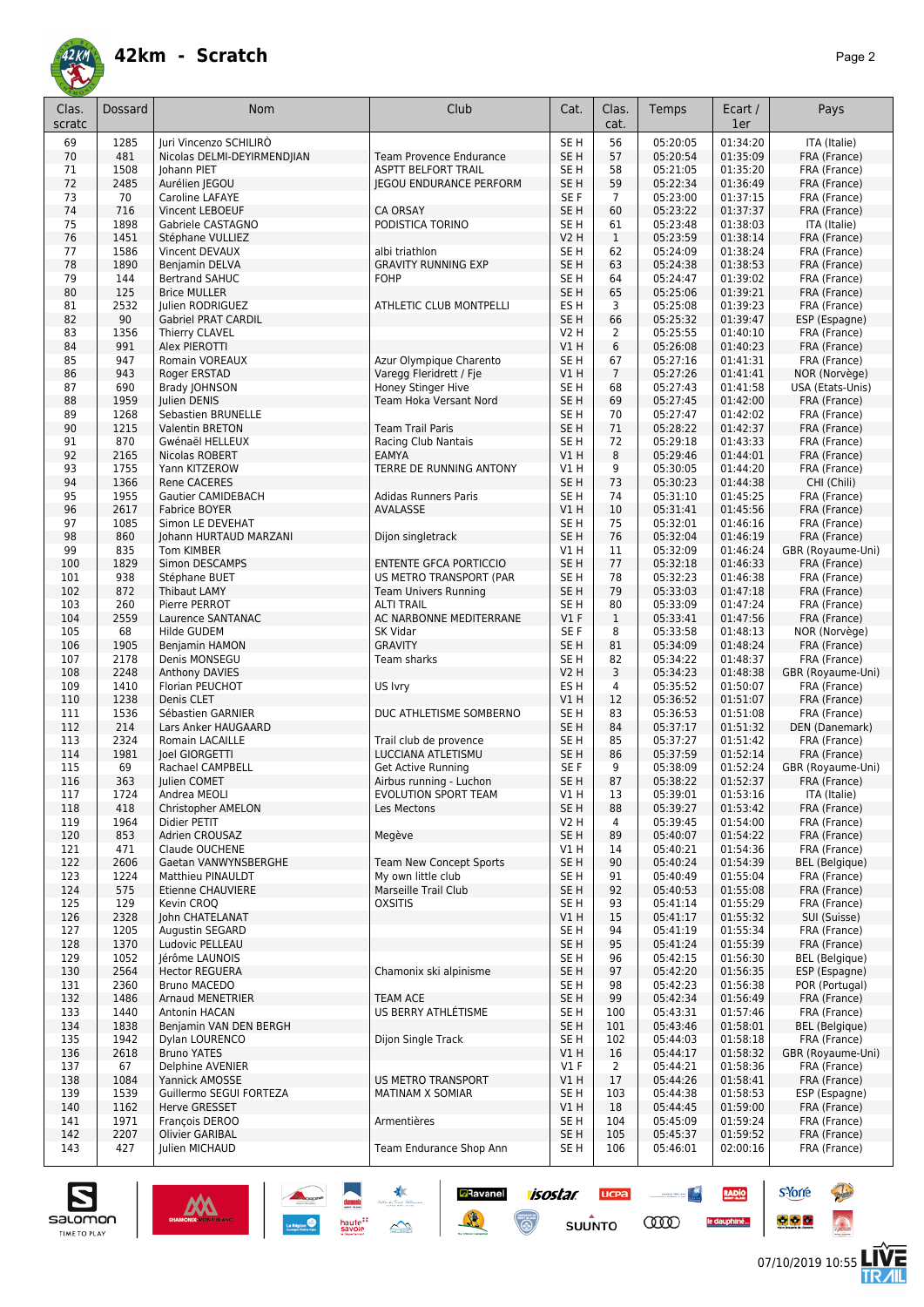

| 56<br>69<br>1285<br>Juri Vincenzo SCHILIRÒ<br>SE <sub>H</sub><br>05:20:05<br>01:34:20<br>ITA (Italie)<br>481<br>05:20:54<br>01:35:09<br>SE <sub>H</sub><br>57<br>FRA (France)<br>70<br>Nicolas DELMI-DEYIRMEND IAN<br><b>Team Provence Endurance</b><br>01:35:20<br>1508<br>58<br>05:21:05<br>FRA (France)<br>71<br>Johann PIET<br><b>ASPTT BELFORT TRAIL</b><br>SE H<br>72<br>2485<br>SE <sub>H</sub><br>59<br>05:22:34<br>01:36:49<br>Aurélien JEGOU<br><b>JEGOU ENDURANCE PERFORM</b><br>FRA (France)<br>70<br>Caroline LAFAYE<br>SE F<br>$\overline{7}$<br>05:23:00<br>01:37:15<br>73<br>FRA (France)<br>74<br>716<br>SE <sub>H</sub><br>60<br>05:23:22<br>01:37:37<br><b>Vincent LEBOEUF</b><br><b>CA ORSAY</b><br>FRA (France)<br>75<br>1898<br>PODISTICA TORINO<br>SE <sub>H</sub><br>05:23:48<br>01:38:03<br>Gabriele CASTAGNO<br>61<br>ITA (Italie)<br>1451<br>01:38:14<br>76<br>Stéphane VULLIEZ<br><b>V2 H</b><br>$\mathbf{1}$<br>05:23:59<br>FRA (France)<br>77<br>1586<br>62<br>01:38:24<br>Vincent DEVAUX<br>albi triathlon<br>SE H<br>05:24:09<br>FRA (France)<br>78<br>1890<br><b>GRAVITY RUNNING EXP</b><br>SE <sub>H</sub><br>63<br>01:38:53<br>Benjamin DELVA<br>05:24:38<br>FRA (France)<br>79<br>144<br>SE <sub>H</sub><br>64<br>05:24:47<br>01:39:02<br><b>Bertrand SAHUC</b><br><b>FOHP</b><br>FRA (France)<br>80<br>125<br>SE <sub>H</sub><br>65<br>05:25:06<br>01:39:21<br><b>Brice MULLER</b><br>FRA (France)<br>2532<br><b>ATHLETIC CLUB MONTPELLI</b><br>ES <sub>H</sub><br>3<br>05:25:08<br>01:39:23<br>FRA (France)<br>81<br>Julien RODRIGUEZ<br>90<br>SE <sub>H</sub><br>66<br>05:25:32<br>01:39:47<br>ESP (Espagne)<br>82<br><b>Gabriel PRAT CARDIL</b><br>1356<br>$\overline{2}$<br>05:25:55<br>01:40:10<br>FRA (France)<br>83<br>Thierry CLAVEL<br><b>V2 H</b><br>991<br>6<br>84<br>V1H<br>05:26:08<br>01:40:23<br>FRA (France)<br>Alex PIEROTTI<br>85<br>947<br>Azur Olympique Charento<br>SE <sub>H</sub><br>67<br>05:27:16<br>01:41:31<br>Romain VOREAUX<br>FRA (France)<br>943<br>$\overline{7}$<br>05:27:26<br>01:41:41<br>86<br>Roger ERSTAD<br>Varegg Fleridrett / Fje<br>VIH<br>NOR (Norvège)<br>690<br>Honey Stinger Hive<br>SE <sub>H</sub><br>68<br>05:27:43<br>01:41:58<br>USA (Etats-Unis)<br>87<br>Brady JOHNSON<br>1959<br>69<br>01:42:00<br>FRA (France)<br>88<br><b>Iulien DENIS</b><br>Team Hoka Versant Nord<br>SE <sub>H</sub><br>05:27:45<br>1268<br>70<br>89<br>Sebastien BRUNELLE<br>SE H<br>05:27:47<br>01:42:02<br>FRA (France)<br>1215<br>71<br>01:42:37<br>90<br>Valentin BRETON<br><b>Team Trail Paris</b><br>SE <sub>H</sub><br>05:28:22<br>FRA (France)<br>870<br>SE <sub>H</sub><br>72<br>01:43:33<br>91<br>Racing Club Nantais<br>05:29:18<br>FRA (France)<br>Gwénaël HELLEUX<br>92<br>2165<br>V1H<br>8<br>05:29:46<br>01:44:01<br>Nicolas ROBERT<br><b>EAMYA</b><br>FRA (France)<br>1755<br>93<br>TERRE DE RUNNING ANTONY<br>9<br>05:30:05<br>01:44:20<br>Yann KITZEROW<br>V1 H<br>FRA (France)<br>94<br>1366<br>SE <sub>H</sub><br>73<br>05:30:23<br>01:44:38<br><b>Rene CACERES</b><br>CHI (Chili)<br>1955<br>SE <sub>H</sub><br>74<br>05:31:10<br>01:45:25<br>95<br>Gautier CAMIDEBACH<br><b>Adidas Runners Paris</b><br>FRA (France)<br>2617<br>AVALASSE<br>VIH<br>10<br>05:31:41<br>01:45:56<br>FRA (France)<br>96<br><b>Fabrice BOYER</b><br>1085<br>SE <sub>H</sub><br>75<br>05:32:01<br>01:46:16<br>97<br>Simon LE DEVEHAT<br>FRA (France)<br>98<br>860<br>SE <sub>H</sub><br>76<br>05:32:04<br>01:46:19<br>Johann HURTAUD MARZANI<br>Dijon singletrack<br>FRA (France)<br>99<br>835<br>05:32:09<br>01:46:24<br><b>Tom KIMBER</b><br>V1 H<br>11<br>GBR (Royaume-Uni)<br>1829<br>SE <sub>H</sub><br>77<br>100<br>Simon DESCAMPS<br><b>ENTENTE GFCA PORTICCIO</b><br>05:32:18<br>01:46:33<br>FRA (France)<br>938<br>78<br>05:32:23<br>01:46:38<br>101<br>Stéphane BUET<br>US METRO TRANSPORT (PAR<br>SE H<br>FRA (France)<br>872<br>79<br>05:33:03<br>102<br><b>Thibaut LAMY</b><br><b>Team Univers Running</b><br>SE <sub>H</sub><br>01:47:18<br>FRA (France)<br>260<br>80<br>01:47:24<br>103<br>Pierre PERROT<br><b>ALTI TRAIL</b><br>SE H<br>05:33:09<br>FRA (France)<br>104<br>2559<br>Laurence SANTANAC<br>$VI$ F<br>$\mathbf{1}$<br>05:33:41<br>01:47:56<br>AC NARBONNE MEDITERRANE<br>FRA (France)<br>68<br>SE F<br>8<br>05:33:58<br>01:48:13<br>105<br>Hilde GUDEM<br><b>SK Vidar</b><br>NOR (Norvège)<br>1905<br><b>GRAVITY</b><br>SE <sub>H</sub><br>81<br>05:34:09<br>01:48:24<br>106<br>Benjamin HAMON<br>FRA (France)<br>2178<br>SE <sub>H</sub><br>82<br>05:34:22<br>01:48:37<br>FRA (France)<br>107<br>Denis MONSEGU<br>Team sharks<br>2248<br>3<br>05:34:23<br>01:48:38<br>GBR (Royaume-Uni)<br>108<br>Anthony DAVIES<br>V2 H<br>1410<br>Florian PEUCHOT<br>ES H<br>4<br>05:35:52<br>01:50:07<br>109<br>US lvry<br>FRA (France)<br>1238<br>V1H<br>12<br>05:36:52<br>01:51:07<br>FRA (France)<br>110<br>Denis CLET<br>1536<br>DUC ATHLETISME SOMBERNO<br>SE <sub>H</sub><br>83<br>111<br>Sébastien GARNIER<br>05:36:53<br>01:51:08<br>FRA (France)<br>84<br>112<br>214<br>Lars Anker HAUGAARD<br>SE <sub>H</sub><br>05:37:17<br>01:51:32<br>DEN (Danemark)<br>2324<br>85<br>113<br>Romain LACAILLE<br>Trail club de provence<br>SE H<br>05:37:27<br>01:51:42<br>FRA (France)<br>1981<br>86<br>114<br>loel GIORGETTI<br>LUCCIANA ATLETISMU<br>SE <sub>H</sub><br>05:37:59<br>01:52:14<br>FRA (France)<br>69<br>9<br>115<br>SE F<br>Rachael CAMPBELL<br><b>Get Active Running</b><br>05:38:09<br>01:52:24<br>GBR (Royaume-Uni)<br>87<br>01:52:37<br>116<br>363<br>Julien COMET<br>Airbus running - Luchon<br>SE <sub>H</sub><br>05:38:22<br>FRA (France)<br>11/<br>1/24<br>Andrea MEOLI<br>EVOLUTION SPORT TEAM<br>V1 H<br>13<br>05:39:01<br>01:53:16<br>TTA (Italie)<br>01:53:42<br>118<br>418<br>SE H<br>88<br>05:39:27<br>FRA (France)<br>Christopher AMELON<br>Les Mectons<br>1964<br>V <sub>2</sub> H<br>05:39:45<br>01:54:00<br>FRA (France)<br>119<br>Didier PETIT<br>4<br>01:54:22<br>120<br>853<br>Adrien CROUSAZ<br>Megève<br>SE <sub>H</sub><br>89<br>05:40:07<br>FRA (France)<br>01:54:36<br>121<br>471<br>Claude OUCHENE<br>V1 H<br>14<br>05:40:21<br>FRA (France)<br>122<br>2606<br>SE <sub>H</sub><br>90<br>Gaetan VANWYNSBERGHE<br><b>Team New Concept Sports</b><br>05:40:24<br>01:54:39<br><b>BEL</b> (Belgique)<br>My own little club<br>01:55:04<br>123<br>1224<br>Matthieu PINAULDT<br>SE H<br>91<br>05:40:49<br>FRA (France)<br>124<br>575<br>Etienne CHAUVIERE<br>Marseille Trail Club<br>SE H<br>92<br>05:40:53<br>01:55:08<br>FRA (France)<br>125<br>129<br>Kevin CROQ<br><b>OXSITIS</b><br>SE H<br>93<br>05:41:14<br>01:55:29<br>FRA (France)<br>126<br>2328<br>John CHATELANAT<br>15<br>05:41:17<br>01:55:32<br>SUI (Suisse)<br>V1 H<br>127<br>1205<br>Augustin SEGARD<br>SE H<br>94<br>05:41:19<br>01:55:34<br>FRA (France)<br>1370<br>SE <sub>H</sub><br>95<br>128<br>Ludovic PELLEAU<br>05:41:24<br>01:55:39<br>FRA (France)<br>1052<br>05:42:15<br>01:56:30<br>129<br>Jérôme LAUNOIS<br>SE H<br>96<br><b>BEL</b> (Belgique)<br>130<br>2564<br>Chamonix ski alpinisme<br>SE <sub>H</sub><br>97<br>05:42:20<br>01:56:35<br>ESP (Espagne)<br><b>Hector REGUERA</b><br>01:56:38<br>POR (Portugal)<br>131<br>2360<br><b>Bruno MACEDO</b><br>SE H<br>98<br>05:42:23<br>05:42:34<br>01:56:49<br>132<br>1486<br>Arnaud MENETRIER<br><b>TEAM ACE</b><br>SE H<br>99<br>FRA (France)<br>US BERRY ATHLÉTISME<br>133<br>1440<br>Antonin HACAN<br>SE H<br>100<br>05:43:31<br>01:57:46<br>FRA (France)<br>1838<br>05:43:46<br>01:58:01<br>134<br>Benjamin VAN DEN BERGH<br>SE <sub>H</sub><br>101<br><b>BEL</b> (Belgique)<br>135<br>1942<br>Dylan LOURENCO<br>Dijon Single Track<br>SE H<br>102<br>05:44:03<br>01:58:18<br>FRA (France)<br>2618<br>01:58:32<br>136<br><b>Bruno YATES</b><br>VIH<br>16<br>05:44:17<br>GBR (Royaume-Uni)<br>137<br>67<br>Delphine AVENIER<br>$VI$ F<br>$\overline{2}$<br>05:44:21<br>01:58:36<br>FRA (France)<br><b>US METRO TRANSPORT</b><br>1084<br>V1 H<br>17<br>05:44:26<br>01:58:41<br>FRA (France)<br>138<br>Yannick AMOSSE<br>139<br>1539<br>Guillermo SEGUI FORTEZA<br>MATINAM X SOMIAR<br>SE H<br>103<br>05:44:38<br>01:58:53<br>ESP (Espagne)<br>01:59:00<br>140<br>1162<br>V1H<br>18<br>05:44:45<br>FRA (France)<br>Herve GRESSET<br>141<br>1971<br>François DEROO<br>Armentières<br>SE <sub>H</sub><br>104<br>05:45:09<br>01:59:24<br>FRA (France)<br>2207<br>SE <sub>H</sub><br>05:45:37<br>01:59:52<br>142<br>Olivier GARIBAL<br>105<br>FRA (France)<br>Team Endurance Shop Ann<br>143<br>427<br>Julien MICHAUD<br>SE H<br>106<br>05:46:01<br>02:00:16<br>FRA (France) | Clas.<br>scratc | Dossard | Nom | Club | Cat. | Clas.<br>cat. | Temps | Ecart /<br>1er | Pays |
|---------------------------------------------------------------------------------------------------------------------------------------------------------------------------------------------------------------------------------------------------------------------------------------------------------------------------------------------------------------------------------------------------------------------------------------------------------------------------------------------------------------------------------------------------------------------------------------------------------------------------------------------------------------------------------------------------------------------------------------------------------------------------------------------------------------------------------------------------------------------------------------------------------------------------------------------------------------------------------------------------------------------------------------------------------------------------------------------------------------------------------------------------------------------------------------------------------------------------------------------------------------------------------------------------------------------------------------------------------------------------------------------------------------------------------------------------------------------------------------------------------------------------------------------------------------------------------------------------------------------------------------------------------------------------------------------------------------------------------------------------------------------------------------------------------------------------------------------------------------------------------------------------------------------------------------------------------------------------------------------------------------------------------------------------------------------------------------------------------------------------------------------------------------------------------------------------------------------------------------------------------------------------------------------------------------------------------------------------------------------------------------------------------------------------------------------------------------------------------------------------------------------------------------------------------------------------------------------------------------------------------------------------------------------------------------------------------------------------------------------------------------------------------------------------------------------------------------------------------------------------------------------------------------------------------------------------------------------------------------------------------------------------------------------------------------------------------------------------------------------------------------------------------------------------------------------------------------------------------------------------------------------------------------------------------------------------------------------------------------------------------------------------------------------------------------------------------------------------------------------------------------------------------------------------------------------------------------------------------------------------------------------------------------------------------------------------------------------------------------------------------------------------------------------------------------------------------------------------------------------------------------------------------------------------------------------------------------------------------------------------------------------------------------------------------------------------------------------------------------------------------------------------------------------------------------------------------------------------------------------------------------------------------------------------------------------------------------------------------------------------------------------------------------------------------------------------------------------------------------------------------------------------------------------------------------------------------------------------------------------------------------------------------------------------------------------------------------------------------------------------------------------------------------------------------------------------------------------------------------------------------------------------------------------------------------------------------------------------------------------------------------------------------------------------------------------------------------------------------------------------------------------------------------------------------------------------------------------------------------------------------------------------------------------------------------------------------------------------------------------------------------------------------------------------------------------------------------------------------------------------------------------------------------------------------------------------------------------------------------------------------------------------------------------------------------------------------------------------------------------------------------------------------------------------------------------------------------------------------------------------------------------------------------------------------------------------------------------------------------------------------------------------------------------------------------------------------------------------------------------------------------------------------------------------------------------------------------------------------------------------------------------------------------------------------------------------------------------------------------------------------------------------------------------------------------------------------------------------------------------------------------------------------------------------------------------------------------------------------------------------------------------------------------------------------------------------------------------------------------------------------------------------------------------------------------------------------------------------------------------------------------------------------------------------------------------------------------------------------------------------------------------------------------------------------------------------------------------------------------------------------------------------------------------------------------------------------------------------------------------------------------------------------------------------------------------------------------------------------------------------------------------------------------------------------------------------------------------------------------------------------------------------------------------------------------------------------------------------------------------------------------------------------------------------------------------------------------------------------------------------------------------------------------------------------------------------------------------------------------------------------------------------------------------------------------------------------------------------------------------------------------------------------------------------------------------------------------------------------------------------------------------------------------------------------------------------------------------------------------------------------------------------------------------------------------------------------------------------------------------------------------------------------------------------------------------------------------------------------------------------------------------------------------------------------------------------------------------------------------------------|-----------------|---------|-----|------|------|---------------|-------|----------------|------|
|                                                                                                                                                                                                                                                                                                                                                                                                                                                                                                                                                                                                                                                                                                                                                                                                                                                                                                                                                                                                                                                                                                                                                                                                                                                                                                                                                                                                                                                                                                                                                                                                                                                                                                                                                                                                                                                                                                                                                                                                                                                                                                                                                                                                                                                                                                                                                                                                                                                                                                                                                                                                                                                                                                                                                                                                                                                                                                                                                                                                                                                                                                                                                                                                                                                                                                                                                                                                                                                                                                                                                                                                                                                                                                                                                                                                                                                                                                                                                                                                                                                                                                                                                                                                                                                                                                                                                                                                                                                                                                                                                                                                                                                                                                                                                                                                                                                                                                                                                                                                                                                                                                                                                                                                                                                                                                                                                                                                                                                                                                                                                                                                                                                                                                                                                                                                                                                                                                                                                                                                                                                                                                                                                                                                                                                                                                                                                                                                                                                                                                                                                                                                                                                                                                                                                                                                                                                                                                                                                                                                                                                                                                                                                                                                                                                                                                                                                                                                                                                                                                                                                                                                                                                                                                                                                                                                                                                                                                                                                                                                                                                                                                                                                                                                                                                                                                                                                                                                                                                                                                                                                                                                                           |                 |         |     |      |      |               |       |                |      |
|                                                                                                                                                                                                                                                                                                                                                                                                                                                                                                                                                                                                                                                                                                                                                                                                                                                                                                                                                                                                                                                                                                                                                                                                                                                                                                                                                                                                                                                                                                                                                                                                                                                                                                                                                                                                                                                                                                                                                                                                                                                                                                                                                                                                                                                                                                                                                                                                                                                                                                                                                                                                                                                                                                                                                                                                                                                                                                                                                                                                                                                                                                                                                                                                                                                                                                                                                                                                                                                                                                                                                                                                                                                                                                                                                                                                                                                                                                                                                                                                                                                                                                                                                                                                                                                                                                                                                                                                                                                                                                                                                                                                                                                                                                                                                                                                                                                                                                                                                                                                                                                                                                                                                                                                                                                                                                                                                                                                                                                                                                                                                                                                                                                                                                                                                                                                                                                                                                                                                                                                                                                                                                                                                                                                                                                                                                                                                                                                                                                                                                                                                                                                                                                                                                                                                                                                                                                                                                                                                                                                                                                                                                                                                                                                                                                                                                                                                                                                                                                                                                                                                                                                                                                                                                                                                                                                                                                                                                                                                                                                                                                                                                                                                                                                                                                                                                                                                                                                                                                                                                                                                                                                                           |                 |         |     |      |      |               |       |                |      |
|                                                                                                                                                                                                                                                                                                                                                                                                                                                                                                                                                                                                                                                                                                                                                                                                                                                                                                                                                                                                                                                                                                                                                                                                                                                                                                                                                                                                                                                                                                                                                                                                                                                                                                                                                                                                                                                                                                                                                                                                                                                                                                                                                                                                                                                                                                                                                                                                                                                                                                                                                                                                                                                                                                                                                                                                                                                                                                                                                                                                                                                                                                                                                                                                                                                                                                                                                                                                                                                                                                                                                                                                                                                                                                                                                                                                                                                                                                                                                                                                                                                                                                                                                                                                                                                                                                                                                                                                                                                                                                                                                                                                                                                                                                                                                                                                                                                                                                                                                                                                                                                                                                                                                                                                                                                                                                                                                                                                                                                                                                                                                                                                                                                                                                                                                                                                                                                                                                                                                                                                                                                                                                                                                                                                                                                                                                                                                                                                                                                                                                                                                                                                                                                                                                                                                                                                                                                                                                                                                                                                                                                                                                                                                                                                                                                                                                                                                                                                                                                                                                                                                                                                                                                                                                                                                                                                                                                                                                                                                                                                                                                                                                                                                                                                                                                                                                                                                                                                                                                                                                                                                                                                                           |                 |         |     |      |      |               |       |                |      |
|                                                                                                                                                                                                                                                                                                                                                                                                                                                                                                                                                                                                                                                                                                                                                                                                                                                                                                                                                                                                                                                                                                                                                                                                                                                                                                                                                                                                                                                                                                                                                                                                                                                                                                                                                                                                                                                                                                                                                                                                                                                                                                                                                                                                                                                                                                                                                                                                                                                                                                                                                                                                                                                                                                                                                                                                                                                                                                                                                                                                                                                                                                                                                                                                                                                                                                                                                                                                                                                                                                                                                                                                                                                                                                                                                                                                                                                                                                                                                                                                                                                                                                                                                                                                                                                                                                                                                                                                                                                                                                                                                                                                                                                                                                                                                                                                                                                                                                                                                                                                                                                                                                                                                                                                                                                                                                                                                                                                                                                                                                                                                                                                                                                                                                                                                                                                                                                                                                                                                                                                                                                                                                                                                                                                                                                                                                                                                                                                                                                                                                                                                                                                                                                                                                                                                                                                                                                                                                                                                                                                                                                                                                                                                                                                                                                                                                                                                                                                                                                                                                                                                                                                                                                                                                                                                                                                                                                                                                                                                                                                                                                                                                                                                                                                                                                                                                                                                                                                                                                                                                                                                                                                                           |                 |         |     |      |      |               |       |                |      |
|                                                                                                                                                                                                                                                                                                                                                                                                                                                                                                                                                                                                                                                                                                                                                                                                                                                                                                                                                                                                                                                                                                                                                                                                                                                                                                                                                                                                                                                                                                                                                                                                                                                                                                                                                                                                                                                                                                                                                                                                                                                                                                                                                                                                                                                                                                                                                                                                                                                                                                                                                                                                                                                                                                                                                                                                                                                                                                                                                                                                                                                                                                                                                                                                                                                                                                                                                                                                                                                                                                                                                                                                                                                                                                                                                                                                                                                                                                                                                                                                                                                                                                                                                                                                                                                                                                                                                                                                                                                                                                                                                                                                                                                                                                                                                                                                                                                                                                                                                                                                                                                                                                                                                                                                                                                                                                                                                                                                                                                                                                                                                                                                                                                                                                                                                                                                                                                                                                                                                                                                                                                                                                                                                                                                                                                                                                                                                                                                                                                                                                                                                                                                                                                                                                                                                                                                                                                                                                                                                                                                                                                                                                                                                                                                                                                                                                                                                                                                                                                                                                                                                                                                                                                                                                                                                                                                                                                                                                                                                                                                                                                                                                                                                                                                                                                                                                                                                                                                                                                                                                                                                                                                                           |                 |         |     |      |      |               |       |                |      |
|                                                                                                                                                                                                                                                                                                                                                                                                                                                                                                                                                                                                                                                                                                                                                                                                                                                                                                                                                                                                                                                                                                                                                                                                                                                                                                                                                                                                                                                                                                                                                                                                                                                                                                                                                                                                                                                                                                                                                                                                                                                                                                                                                                                                                                                                                                                                                                                                                                                                                                                                                                                                                                                                                                                                                                                                                                                                                                                                                                                                                                                                                                                                                                                                                                                                                                                                                                                                                                                                                                                                                                                                                                                                                                                                                                                                                                                                                                                                                                                                                                                                                                                                                                                                                                                                                                                                                                                                                                                                                                                                                                                                                                                                                                                                                                                                                                                                                                                                                                                                                                                                                                                                                                                                                                                                                                                                                                                                                                                                                                                                                                                                                                                                                                                                                                                                                                                                                                                                                                                                                                                                                                                                                                                                                                                                                                                                                                                                                                                                                                                                                                                                                                                                                                                                                                                                                                                                                                                                                                                                                                                                                                                                                                                                                                                                                                                                                                                                                                                                                                                                                                                                                                                                                                                                                                                                                                                                                                                                                                                                                                                                                                                                                                                                                                                                                                                                                                                                                                                                                                                                                                                                                           |                 |         |     |      |      |               |       |                |      |
|                                                                                                                                                                                                                                                                                                                                                                                                                                                                                                                                                                                                                                                                                                                                                                                                                                                                                                                                                                                                                                                                                                                                                                                                                                                                                                                                                                                                                                                                                                                                                                                                                                                                                                                                                                                                                                                                                                                                                                                                                                                                                                                                                                                                                                                                                                                                                                                                                                                                                                                                                                                                                                                                                                                                                                                                                                                                                                                                                                                                                                                                                                                                                                                                                                                                                                                                                                                                                                                                                                                                                                                                                                                                                                                                                                                                                                                                                                                                                                                                                                                                                                                                                                                                                                                                                                                                                                                                                                                                                                                                                                                                                                                                                                                                                                                                                                                                                                                                                                                                                                                                                                                                                                                                                                                                                                                                                                                                                                                                                                                                                                                                                                                                                                                                                                                                                                                                                                                                                                                                                                                                                                                                                                                                                                                                                                                                                                                                                                                                                                                                                                                                                                                                                                                                                                                                                                                                                                                                                                                                                                                                                                                                                                                                                                                                                                                                                                                                                                                                                                                                                                                                                                                                                                                                                                                                                                                                                                                                                                                                                                                                                                                                                                                                                                                                                                                                                                                                                                                                                                                                                                                                                           |                 |         |     |      |      |               |       |                |      |
|                                                                                                                                                                                                                                                                                                                                                                                                                                                                                                                                                                                                                                                                                                                                                                                                                                                                                                                                                                                                                                                                                                                                                                                                                                                                                                                                                                                                                                                                                                                                                                                                                                                                                                                                                                                                                                                                                                                                                                                                                                                                                                                                                                                                                                                                                                                                                                                                                                                                                                                                                                                                                                                                                                                                                                                                                                                                                                                                                                                                                                                                                                                                                                                                                                                                                                                                                                                                                                                                                                                                                                                                                                                                                                                                                                                                                                                                                                                                                                                                                                                                                                                                                                                                                                                                                                                                                                                                                                                                                                                                                                                                                                                                                                                                                                                                                                                                                                                                                                                                                                                                                                                                                                                                                                                                                                                                                                                                                                                                                                                                                                                                                                                                                                                                                                                                                                                                                                                                                                                                                                                                                                                                                                                                                                                                                                                                                                                                                                                                                                                                                                                                                                                                                                                                                                                                                                                                                                                                                                                                                                                                                                                                                                                                                                                                                                                                                                                                                                                                                                                                                                                                                                                                                                                                                                                                                                                                                                                                                                                                                                                                                                                                                                                                                                                                                                                                                                                                                                                                                                                                                                                                                           |                 |         |     |      |      |               |       |                |      |
|                                                                                                                                                                                                                                                                                                                                                                                                                                                                                                                                                                                                                                                                                                                                                                                                                                                                                                                                                                                                                                                                                                                                                                                                                                                                                                                                                                                                                                                                                                                                                                                                                                                                                                                                                                                                                                                                                                                                                                                                                                                                                                                                                                                                                                                                                                                                                                                                                                                                                                                                                                                                                                                                                                                                                                                                                                                                                                                                                                                                                                                                                                                                                                                                                                                                                                                                                                                                                                                                                                                                                                                                                                                                                                                                                                                                                                                                                                                                                                                                                                                                                                                                                                                                                                                                                                                                                                                                                                                                                                                                                                                                                                                                                                                                                                                                                                                                                                                                                                                                                                                                                                                                                                                                                                                                                                                                                                                                                                                                                                                                                                                                                                                                                                                                                                                                                                                                                                                                                                                                                                                                                                                                                                                                                                                                                                                                                                                                                                                                                                                                                                                                                                                                                                                                                                                                                                                                                                                                                                                                                                                                                                                                                                                                                                                                                                                                                                                                                                                                                                                                                                                                                                                                                                                                                                                                                                                                                                                                                                                                                                                                                                                                                                                                                                                                                                                                                                                                                                                                                                                                                                                                                           |                 |         |     |      |      |               |       |                |      |
|                                                                                                                                                                                                                                                                                                                                                                                                                                                                                                                                                                                                                                                                                                                                                                                                                                                                                                                                                                                                                                                                                                                                                                                                                                                                                                                                                                                                                                                                                                                                                                                                                                                                                                                                                                                                                                                                                                                                                                                                                                                                                                                                                                                                                                                                                                                                                                                                                                                                                                                                                                                                                                                                                                                                                                                                                                                                                                                                                                                                                                                                                                                                                                                                                                                                                                                                                                                                                                                                                                                                                                                                                                                                                                                                                                                                                                                                                                                                                                                                                                                                                                                                                                                                                                                                                                                                                                                                                                                                                                                                                                                                                                                                                                                                                                                                                                                                                                                                                                                                                                                                                                                                                                                                                                                                                                                                                                                                                                                                                                                                                                                                                                                                                                                                                                                                                                                                                                                                                                                                                                                                                                                                                                                                                                                                                                                                                                                                                                                                                                                                                                                                                                                                                                                                                                                                                                                                                                                                                                                                                                                                                                                                                                                                                                                                                                                                                                                                                                                                                                                                                                                                                                                                                                                                                                                                                                                                                                                                                                                                                                                                                                                                                                                                                                                                                                                                                                                                                                                                                                                                                                                                                           |                 |         |     |      |      |               |       |                |      |
|                                                                                                                                                                                                                                                                                                                                                                                                                                                                                                                                                                                                                                                                                                                                                                                                                                                                                                                                                                                                                                                                                                                                                                                                                                                                                                                                                                                                                                                                                                                                                                                                                                                                                                                                                                                                                                                                                                                                                                                                                                                                                                                                                                                                                                                                                                                                                                                                                                                                                                                                                                                                                                                                                                                                                                                                                                                                                                                                                                                                                                                                                                                                                                                                                                                                                                                                                                                                                                                                                                                                                                                                                                                                                                                                                                                                                                                                                                                                                                                                                                                                                                                                                                                                                                                                                                                                                                                                                                                                                                                                                                                                                                                                                                                                                                                                                                                                                                                                                                                                                                                                                                                                                                                                                                                                                                                                                                                                                                                                                                                                                                                                                                                                                                                                                                                                                                                                                                                                                                                                                                                                                                                                                                                                                                                                                                                                                                                                                                                                                                                                                                                                                                                                                                                                                                                                                                                                                                                                                                                                                                                                                                                                                                                                                                                                                                                                                                                                                                                                                                                                                                                                                                                                                                                                                                                                                                                                                                                                                                                                                                                                                                                                                                                                                                                                                                                                                                                                                                                                                                                                                                                                                           |                 |         |     |      |      |               |       |                |      |
|                                                                                                                                                                                                                                                                                                                                                                                                                                                                                                                                                                                                                                                                                                                                                                                                                                                                                                                                                                                                                                                                                                                                                                                                                                                                                                                                                                                                                                                                                                                                                                                                                                                                                                                                                                                                                                                                                                                                                                                                                                                                                                                                                                                                                                                                                                                                                                                                                                                                                                                                                                                                                                                                                                                                                                                                                                                                                                                                                                                                                                                                                                                                                                                                                                                                                                                                                                                                                                                                                                                                                                                                                                                                                                                                                                                                                                                                                                                                                                                                                                                                                                                                                                                                                                                                                                                                                                                                                                                                                                                                                                                                                                                                                                                                                                                                                                                                                                                                                                                                                                                                                                                                                                                                                                                                                                                                                                                                                                                                                                                                                                                                                                                                                                                                                                                                                                                                                                                                                                                                                                                                                                                                                                                                                                                                                                                                                                                                                                                                                                                                                                                                                                                                                                                                                                                                                                                                                                                                                                                                                                                                                                                                                                                                                                                                                                                                                                                                                                                                                                                                                                                                                                                                                                                                                                                                                                                                                                                                                                                                                                                                                                                                                                                                                                                                                                                                                                                                                                                                                                                                                                                                                           |                 |         |     |      |      |               |       |                |      |
|                                                                                                                                                                                                                                                                                                                                                                                                                                                                                                                                                                                                                                                                                                                                                                                                                                                                                                                                                                                                                                                                                                                                                                                                                                                                                                                                                                                                                                                                                                                                                                                                                                                                                                                                                                                                                                                                                                                                                                                                                                                                                                                                                                                                                                                                                                                                                                                                                                                                                                                                                                                                                                                                                                                                                                                                                                                                                                                                                                                                                                                                                                                                                                                                                                                                                                                                                                                                                                                                                                                                                                                                                                                                                                                                                                                                                                                                                                                                                                                                                                                                                                                                                                                                                                                                                                                                                                                                                                                                                                                                                                                                                                                                                                                                                                                                                                                                                                                                                                                                                                                                                                                                                                                                                                                                                                                                                                                                                                                                                                                                                                                                                                                                                                                                                                                                                                                                                                                                                                                                                                                                                                                                                                                                                                                                                                                                                                                                                                                                                                                                                                                                                                                                                                                                                                                                                                                                                                                                                                                                                                                                                                                                                                                                                                                                                                                                                                                                                                                                                                                                                                                                                                                                                                                                                                                                                                                                                                                                                                                                                                                                                                                                                                                                                                                                                                                                                                                                                                                                                                                                                                                                                           |                 |         |     |      |      |               |       |                |      |
|                                                                                                                                                                                                                                                                                                                                                                                                                                                                                                                                                                                                                                                                                                                                                                                                                                                                                                                                                                                                                                                                                                                                                                                                                                                                                                                                                                                                                                                                                                                                                                                                                                                                                                                                                                                                                                                                                                                                                                                                                                                                                                                                                                                                                                                                                                                                                                                                                                                                                                                                                                                                                                                                                                                                                                                                                                                                                                                                                                                                                                                                                                                                                                                                                                                                                                                                                                                                                                                                                                                                                                                                                                                                                                                                                                                                                                                                                                                                                                                                                                                                                                                                                                                                                                                                                                                                                                                                                                                                                                                                                                                                                                                                                                                                                                                                                                                                                                                                                                                                                                                                                                                                                                                                                                                                                                                                                                                                                                                                                                                                                                                                                                                                                                                                                                                                                                                                                                                                                                                                                                                                                                                                                                                                                                                                                                                                                                                                                                                                                                                                                                                                                                                                                                                                                                                                                                                                                                                                                                                                                                                                                                                                                                                                                                                                                                                                                                                                                                                                                                                                                                                                                                                                                                                                                                                                                                                                                                                                                                                                                                                                                                                                                                                                                                                                                                                                                                                                                                                                                                                                                                                                                           |                 |         |     |      |      |               |       |                |      |
|                                                                                                                                                                                                                                                                                                                                                                                                                                                                                                                                                                                                                                                                                                                                                                                                                                                                                                                                                                                                                                                                                                                                                                                                                                                                                                                                                                                                                                                                                                                                                                                                                                                                                                                                                                                                                                                                                                                                                                                                                                                                                                                                                                                                                                                                                                                                                                                                                                                                                                                                                                                                                                                                                                                                                                                                                                                                                                                                                                                                                                                                                                                                                                                                                                                                                                                                                                                                                                                                                                                                                                                                                                                                                                                                                                                                                                                                                                                                                                                                                                                                                                                                                                                                                                                                                                                                                                                                                                                                                                                                                                                                                                                                                                                                                                                                                                                                                                                                                                                                                                                                                                                                                                                                                                                                                                                                                                                                                                                                                                                                                                                                                                                                                                                                                                                                                                                                                                                                                                                                                                                                                                                                                                                                                                                                                                                                                                                                                                                                                                                                                                                                                                                                                                                                                                                                                                                                                                                                                                                                                                                                                                                                                                                                                                                                                                                                                                                                                                                                                                                                                                                                                                                                                                                                                                                                                                                                                                                                                                                                                                                                                                                                                                                                                                                                                                                                                                                                                                                                                                                                                                                                                           |                 |         |     |      |      |               |       |                |      |
|                                                                                                                                                                                                                                                                                                                                                                                                                                                                                                                                                                                                                                                                                                                                                                                                                                                                                                                                                                                                                                                                                                                                                                                                                                                                                                                                                                                                                                                                                                                                                                                                                                                                                                                                                                                                                                                                                                                                                                                                                                                                                                                                                                                                                                                                                                                                                                                                                                                                                                                                                                                                                                                                                                                                                                                                                                                                                                                                                                                                                                                                                                                                                                                                                                                                                                                                                                                                                                                                                                                                                                                                                                                                                                                                                                                                                                                                                                                                                                                                                                                                                                                                                                                                                                                                                                                                                                                                                                                                                                                                                                                                                                                                                                                                                                                                                                                                                                                                                                                                                                                                                                                                                                                                                                                                                                                                                                                                                                                                                                                                                                                                                                                                                                                                                                                                                                                                                                                                                                                                                                                                                                                                                                                                                                                                                                                                                                                                                                                                                                                                                                                                                                                                                                                                                                                                                                                                                                                                                                                                                                                                                                                                                                                                                                                                                                                                                                                                                                                                                                                                                                                                                                                                                                                                                                                                                                                                                                                                                                                                                                                                                                                                                                                                                                                                                                                                                                                                                                                                                                                                                                                                                           |                 |         |     |      |      |               |       |                |      |
|                                                                                                                                                                                                                                                                                                                                                                                                                                                                                                                                                                                                                                                                                                                                                                                                                                                                                                                                                                                                                                                                                                                                                                                                                                                                                                                                                                                                                                                                                                                                                                                                                                                                                                                                                                                                                                                                                                                                                                                                                                                                                                                                                                                                                                                                                                                                                                                                                                                                                                                                                                                                                                                                                                                                                                                                                                                                                                                                                                                                                                                                                                                                                                                                                                                                                                                                                                                                                                                                                                                                                                                                                                                                                                                                                                                                                                                                                                                                                                                                                                                                                                                                                                                                                                                                                                                                                                                                                                                                                                                                                                                                                                                                                                                                                                                                                                                                                                                                                                                                                                                                                                                                                                                                                                                                                                                                                                                                                                                                                                                                                                                                                                                                                                                                                                                                                                                                                                                                                                                                                                                                                                                                                                                                                                                                                                                                                                                                                                                                                                                                                                                                                                                                                                                                                                                                                                                                                                                                                                                                                                                                                                                                                                                                                                                                                                                                                                                                                                                                                                                                                                                                                                                                                                                                                                                                                                                                                                                                                                                                                                                                                                                                                                                                                                                                                                                                                                                                                                                                                                                                                                                                                           |                 |         |     |      |      |               |       |                |      |
|                                                                                                                                                                                                                                                                                                                                                                                                                                                                                                                                                                                                                                                                                                                                                                                                                                                                                                                                                                                                                                                                                                                                                                                                                                                                                                                                                                                                                                                                                                                                                                                                                                                                                                                                                                                                                                                                                                                                                                                                                                                                                                                                                                                                                                                                                                                                                                                                                                                                                                                                                                                                                                                                                                                                                                                                                                                                                                                                                                                                                                                                                                                                                                                                                                                                                                                                                                                                                                                                                                                                                                                                                                                                                                                                                                                                                                                                                                                                                                                                                                                                                                                                                                                                                                                                                                                                                                                                                                                                                                                                                                                                                                                                                                                                                                                                                                                                                                                                                                                                                                                                                                                                                                                                                                                                                                                                                                                                                                                                                                                                                                                                                                                                                                                                                                                                                                                                                                                                                                                                                                                                                                                                                                                                                                                                                                                                                                                                                                                                                                                                                                                                                                                                                                                                                                                                                                                                                                                                                                                                                                                                                                                                                                                                                                                                                                                                                                                                                                                                                                                                                                                                                                                                                                                                                                                                                                                                                                                                                                                                                                                                                                                                                                                                                                                                                                                                                                                                                                                                                                                                                                                                                           |                 |         |     |      |      |               |       |                |      |
|                                                                                                                                                                                                                                                                                                                                                                                                                                                                                                                                                                                                                                                                                                                                                                                                                                                                                                                                                                                                                                                                                                                                                                                                                                                                                                                                                                                                                                                                                                                                                                                                                                                                                                                                                                                                                                                                                                                                                                                                                                                                                                                                                                                                                                                                                                                                                                                                                                                                                                                                                                                                                                                                                                                                                                                                                                                                                                                                                                                                                                                                                                                                                                                                                                                                                                                                                                                                                                                                                                                                                                                                                                                                                                                                                                                                                                                                                                                                                                                                                                                                                                                                                                                                                                                                                                                                                                                                                                                                                                                                                                                                                                                                                                                                                                                                                                                                                                                                                                                                                                                                                                                                                                                                                                                                                                                                                                                                                                                                                                                                                                                                                                                                                                                                                                                                                                                                                                                                                                                                                                                                                                                                                                                                                                                                                                                                                                                                                                                                                                                                                                                                                                                                                                                                                                                                                                                                                                                                                                                                                                                                                                                                                                                                                                                                                                                                                                                                                                                                                                                                                                                                                                                                                                                                                                                                                                                                                                                                                                                                                                                                                                                                                                                                                                                                                                                                                                                                                                                                                                                                                                                                                           |                 |         |     |      |      |               |       |                |      |
|                                                                                                                                                                                                                                                                                                                                                                                                                                                                                                                                                                                                                                                                                                                                                                                                                                                                                                                                                                                                                                                                                                                                                                                                                                                                                                                                                                                                                                                                                                                                                                                                                                                                                                                                                                                                                                                                                                                                                                                                                                                                                                                                                                                                                                                                                                                                                                                                                                                                                                                                                                                                                                                                                                                                                                                                                                                                                                                                                                                                                                                                                                                                                                                                                                                                                                                                                                                                                                                                                                                                                                                                                                                                                                                                                                                                                                                                                                                                                                                                                                                                                                                                                                                                                                                                                                                                                                                                                                                                                                                                                                                                                                                                                                                                                                                                                                                                                                                                                                                                                                                                                                                                                                                                                                                                                                                                                                                                                                                                                                                                                                                                                                                                                                                                                                                                                                                                                                                                                                                                                                                                                                                                                                                                                                                                                                                                                                                                                                                                                                                                                                                                                                                                                                                                                                                                                                                                                                                                                                                                                                                                                                                                                                                                                                                                                                                                                                                                                                                                                                                                                                                                                                                                                                                                                                                                                                                                                                                                                                                                                                                                                                                                                                                                                                                                                                                                                                                                                                                                                                                                                                                                                           |                 |         |     |      |      |               |       |                |      |
|                                                                                                                                                                                                                                                                                                                                                                                                                                                                                                                                                                                                                                                                                                                                                                                                                                                                                                                                                                                                                                                                                                                                                                                                                                                                                                                                                                                                                                                                                                                                                                                                                                                                                                                                                                                                                                                                                                                                                                                                                                                                                                                                                                                                                                                                                                                                                                                                                                                                                                                                                                                                                                                                                                                                                                                                                                                                                                                                                                                                                                                                                                                                                                                                                                                                                                                                                                                                                                                                                                                                                                                                                                                                                                                                                                                                                                                                                                                                                                                                                                                                                                                                                                                                                                                                                                                                                                                                                                                                                                                                                                                                                                                                                                                                                                                                                                                                                                                                                                                                                                                                                                                                                                                                                                                                                                                                                                                                                                                                                                                                                                                                                                                                                                                                                                                                                                                                                                                                                                                                                                                                                                                                                                                                                                                                                                                                                                                                                                                                                                                                                                                                                                                                                                                                                                                                                                                                                                                                                                                                                                                                                                                                                                                                                                                                                                                                                                                                                                                                                                                                                                                                                                                                                                                                                                                                                                                                                                                                                                                                                                                                                                                                                                                                                                                                                                                                                                                                                                                                                                                                                                                                                           |                 |         |     |      |      |               |       |                |      |
|                                                                                                                                                                                                                                                                                                                                                                                                                                                                                                                                                                                                                                                                                                                                                                                                                                                                                                                                                                                                                                                                                                                                                                                                                                                                                                                                                                                                                                                                                                                                                                                                                                                                                                                                                                                                                                                                                                                                                                                                                                                                                                                                                                                                                                                                                                                                                                                                                                                                                                                                                                                                                                                                                                                                                                                                                                                                                                                                                                                                                                                                                                                                                                                                                                                                                                                                                                                                                                                                                                                                                                                                                                                                                                                                                                                                                                                                                                                                                                                                                                                                                                                                                                                                                                                                                                                                                                                                                                                                                                                                                                                                                                                                                                                                                                                                                                                                                                                                                                                                                                                                                                                                                                                                                                                                                                                                                                                                                                                                                                                                                                                                                                                                                                                                                                                                                                                                                                                                                                                                                                                                                                                                                                                                                                                                                                                                                                                                                                                                                                                                                                                                                                                                                                                                                                                                                                                                                                                                                                                                                                                                                                                                                                                                                                                                                                                                                                                                                                                                                                                                                                                                                                                                                                                                                                                                                                                                                                                                                                                                                                                                                                                                                                                                                                                                                                                                                                                                                                                                                                                                                                                                                           |                 |         |     |      |      |               |       |                |      |
|                                                                                                                                                                                                                                                                                                                                                                                                                                                                                                                                                                                                                                                                                                                                                                                                                                                                                                                                                                                                                                                                                                                                                                                                                                                                                                                                                                                                                                                                                                                                                                                                                                                                                                                                                                                                                                                                                                                                                                                                                                                                                                                                                                                                                                                                                                                                                                                                                                                                                                                                                                                                                                                                                                                                                                                                                                                                                                                                                                                                                                                                                                                                                                                                                                                                                                                                                                                                                                                                                                                                                                                                                                                                                                                                                                                                                                                                                                                                                                                                                                                                                                                                                                                                                                                                                                                                                                                                                                                                                                                                                                                                                                                                                                                                                                                                                                                                                                                                                                                                                                                                                                                                                                                                                                                                                                                                                                                                                                                                                                                                                                                                                                                                                                                                                                                                                                                                                                                                                                                                                                                                                                                                                                                                                                                                                                                                                                                                                                                                                                                                                                                                                                                                                                                                                                                                                                                                                                                                                                                                                                                                                                                                                                                                                                                                                                                                                                                                                                                                                                                                                                                                                                                                                                                                                                                                                                                                                                                                                                                                                                                                                                                                                                                                                                                                                                                                                                                                                                                                                                                                                                                                                           |                 |         |     |      |      |               |       |                |      |
|                                                                                                                                                                                                                                                                                                                                                                                                                                                                                                                                                                                                                                                                                                                                                                                                                                                                                                                                                                                                                                                                                                                                                                                                                                                                                                                                                                                                                                                                                                                                                                                                                                                                                                                                                                                                                                                                                                                                                                                                                                                                                                                                                                                                                                                                                                                                                                                                                                                                                                                                                                                                                                                                                                                                                                                                                                                                                                                                                                                                                                                                                                                                                                                                                                                                                                                                                                                                                                                                                                                                                                                                                                                                                                                                                                                                                                                                                                                                                                                                                                                                                                                                                                                                                                                                                                                                                                                                                                                                                                                                                                                                                                                                                                                                                                                                                                                                                                                                                                                                                                                                                                                                                                                                                                                                                                                                                                                                                                                                                                                                                                                                                                                                                                                                                                                                                                                                                                                                                                                                                                                                                                                                                                                                                                                                                                                                                                                                                                                                                                                                                                                                                                                                                                                                                                                                                                                                                                                                                                                                                                                                                                                                                                                                                                                                                                                                                                                                                                                                                                                                                                                                                                                                                                                                                                                                                                                                                                                                                                                                                                                                                                                                                                                                                                                                                                                                                                                                                                                                                                                                                                                                                           |                 |         |     |      |      |               |       |                |      |
|                                                                                                                                                                                                                                                                                                                                                                                                                                                                                                                                                                                                                                                                                                                                                                                                                                                                                                                                                                                                                                                                                                                                                                                                                                                                                                                                                                                                                                                                                                                                                                                                                                                                                                                                                                                                                                                                                                                                                                                                                                                                                                                                                                                                                                                                                                                                                                                                                                                                                                                                                                                                                                                                                                                                                                                                                                                                                                                                                                                                                                                                                                                                                                                                                                                                                                                                                                                                                                                                                                                                                                                                                                                                                                                                                                                                                                                                                                                                                                                                                                                                                                                                                                                                                                                                                                                                                                                                                                                                                                                                                                                                                                                                                                                                                                                                                                                                                                                                                                                                                                                                                                                                                                                                                                                                                                                                                                                                                                                                                                                                                                                                                                                                                                                                                                                                                                                                                                                                                                                                                                                                                                                                                                                                                                                                                                                                                                                                                                                                                                                                                                                                                                                                                                                                                                                                                                                                                                                                                                                                                                                                                                                                                                                                                                                                                                                                                                                                                                                                                                                                                                                                                                                                                                                                                                                                                                                                                                                                                                                                                                                                                                                                                                                                                                                                                                                                                                                                                                                                                                                                                                                                                           |                 |         |     |      |      |               |       |                |      |
|                                                                                                                                                                                                                                                                                                                                                                                                                                                                                                                                                                                                                                                                                                                                                                                                                                                                                                                                                                                                                                                                                                                                                                                                                                                                                                                                                                                                                                                                                                                                                                                                                                                                                                                                                                                                                                                                                                                                                                                                                                                                                                                                                                                                                                                                                                                                                                                                                                                                                                                                                                                                                                                                                                                                                                                                                                                                                                                                                                                                                                                                                                                                                                                                                                                                                                                                                                                                                                                                                                                                                                                                                                                                                                                                                                                                                                                                                                                                                                                                                                                                                                                                                                                                                                                                                                                                                                                                                                                                                                                                                                                                                                                                                                                                                                                                                                                                                                                                                                                                                                                                                                                                                                                                                                                                                                                                                                                                                                                                                                                                                                                                                                                                                                                                                                                                                                                                                                                                                                                                                                                                                                                                                                                                                                                                                                                                                                                                                                                                                                                                                                                                                                                                                                                                                                                                                                                                                                                                                                                                                                                                                                                                                                                                                                                                                                                                                                                                                                                                                                                                                                                                                                                                                                                                                                                                                                                                                                                                                                                                                                                                                                                                                                                                                                                                                                                                                                                                                                                                                                                                                                                                                           |                 |         |     |      |      |               |       |                |      |
|                                                                                                                                                                                                                                                                                                                                                                                                                                                                                                                                                                                                                                                                                                                                                                                                                                                                                                                                                                                                                                                                                                                                                                                                                                                                                                                                                                                                                                                                                                                                                                                                                                                                                                                                                                                                                                                                                                                                                                                                                                                                                                                                                                                                                                                                                                                                                                                                                                                                                                                                                                                                                                                                                                                                                                                                                                                                                                                                                                                                                                                                                                                                                                                                                                                                                                                                                                                                                                                                                                                                                                                                                                                                                                                                                                                                                                                                                                                                                                                                                                                                                                                                                                                                                                                                                                                                                                                                                                                                                                                                                                                                                                                                                                                                                                                                                                                                                                                                                                                                                                                                                                                                                                                                                                                                                                                                                                                                                                                                                                                                                                                                                                                                                                                                                                                                                                                                                                                                                                                                                                                                                                                                                                                                                                                                                                                                                                                                                                                                                                                                                                                                                                                                                                                                                                                                                                                                                                                                                                                                                                                                                                                                                                                                                                                                                                                                                                                                                                                                                                                                                                                                                                                                                                                                                                                                                                                                                                                                                                                                                                                                                                                                                                                                                                                                                                                                                                                                                                                                                                                                                                                                                           |                 |         |     |      |      |               |       |                |      |
|                                                                                                                                                                                                                                                                                                                                                                                                                                                                                                                                                                                                                                                                                                                                                                                                                                                                                                                                                                                                                                                                                                                                                                                                                                                                                                                                                                                                                                                                                                                                                                                                                                                                                                                                                                                                                                                                                                                                                                                                                                                                                                                                                                                                                                                                                                                                                                                                                                                                                                                                                                                                                                                                                                                                                                                                                                                                                                                                                                                                                                                                                                                                                                                                                                                                                                                                                                                                                                                                                                                                                                                                                                                                                                                                                                                                                                                                                                                                                                                                                                                                                                                                                                                                                                                                                                                                                                                                                                                                                                                                                                                                                                                                                                                                                                                                                                                                                                                                                                                                                                                                                                                                                                                                                                                                                                                                                                                                                                                                                                                                                                                                                                                                                                                                                                                                                                                                                                                                                                                                                                                                                                                                                                                                                                                                                                                                                                                                                                                                                                                                                                                                                                                                                                                                                                                                                                                                                                                                                                                                                                                                                                                                                                                                                                                                                                                                                                                                                                                                                                                                                                                                                                                                                                                                                                                                                                                                                                                                                                                                                                                                                                                                                                                                                                                                                                                                                                                                                                                                                                                                                                                                                           |                 |         |     |      |      |               |       |                |      |
|                                                                                                                                                                                                                                                                                                                                                                                                                                                                                                                                                                                                                                                                                                                                                                                                                                                                                                                                                                                                                                                                                                                                                                                                                                                                                                                                                                                                                                                                                                                                                                                                                                                                                                                                                                                                                                                                                                                                                                                                                                                                                                                                                                                                                                                                                                                                                                                                                                                                                                                                                                                                                                                                                                                                                                                                                                                                                                                                                                                                                                                                                                                                                                                                                                                                                                                                                                                                                                                                                                                                                                                                                                                                                                                                                                                                                                                                                                                                                                                                                                                                                                                                                                                                                                                                                                                                                                                                                                                                                                                                                                                                                                                                                                                                                                                                                                                                                                                                                                                                                                                                                                                                                                                                                                                                                                                                                                                                                                                                                                                                                                                                                                                                                                                                                                                                                                                                                                                                                                                                                                                                                                                                                                                                                                                                                                                                                                                                                                                                                                                                                                                                                                                                                                                                                                                                                                                                                                                                                                                                                                                                                                                                                                                                                                                                                                                                                                                                                                                                                                                                                                                                                                                                                                                                                                                                                                                                                                                                                                                                                                                                                                                                                                                                                                                                                                                                                                                                                                                                                                                                                                                                                           |                 |         |     |      |      |               |       |                |      |
|                                                                                                                                                                                                                                                                                                                                                                                                                                                                                                                                                                                                                                                                                                                                                                                                                                                                                                                                                                                                                                                                                                                                                                                                                                                                                                                                                                                                                                                                                                                                                                                                                                                                                                                                                                                                                                                                                                                                                                                                                                                                                                                                                                                                                                                                                                                                                                                                                                                                                                                                                                                                                                                                                                                                                                                                                                                                                                                                                                                                                                                                                                                                                                                                                                                                                                                                                                                                                                                                                                                                                                                                                                                                                                                                                                                                                                                                                                                                                                                                                                                                                                                                                                                                                                                                                                                                                                                                                                                                                                                                                                                                                                                                                                                                                                                                                                                                                                                                                                                                                                                                                                                                                                                                                                                                                                                                                                                                                                                                                                                                                                                                                                                                                                                                                                                                                                                                                                                                                                                                                                                                                                                                                                                                                                                                                                                                                                                                                                                                                                                                                                                                                                                                                                                                                                                                                                                                                                                                                                                                                                                                                                                                                                                                                                                                                                                                                                                                                                                                                                                                                                                                                                                                                                                                                                                                                                                                                                                                                                                                                                                                                                                                                                                                                                                                                                                                                                                                                                                                                                                                                                                                                           |                 |         |     |      |      |               |       |                |      |
|                                                                                                                                                                                                                                                                                                                                                                                                                                                                                                                                                                                                                                                                                                                                                                                                                                                                                                                                                                                                                                                                                                                                                                                                                                                                                                                                                                                                                                                                                                                                                                                                                                                                                                                                                                                                                                                                                                                                                                                                                                                                                                                                                                                                                                                                                                                                                                                                                                                                                                                                                                                                                                                                                                                                                                                                                                                                                                                                                                                                                                                                                                                                                                                                                                                                                                                                                                                                                                                                                                                                                                                                                                                                                                                                                                                                                                                                                                                                                                                                                                                                                                                                                                                                                                                                                                                                                                                                                                                                                                                                                                                                                                                                                                                                                                                                                                                                                                                                                                                                                                                                                                                                                                                                                                                                                                                                                                                                                                                                                                                                                                                                                                                                                                                                                                                                                                                                                                                                                                                                                                                                                                                                                                                                                                                                                                                                                                                                                                                                                                                                                                                                                                                                                                                                                                                                                                                                                                                                                                                                                                                                                                                                                                                                                                                                                                                                                                                                                                                                                                                                                                                                                                                                                                                                                                                                                                                                                                                                                                                                                                                                                                                                                                                                                                                                                                                                                                                                                                                                                                                                                                                                                           |                 |         |     |      |      |               |       |                |      |
|                                                                                                                                                                                                                                                                                                                                                                                                                                                                                                                                                                                                                                                                                                                                                                                                                                                                                                                                                                                                                                                                                                                                                                                                                                                                                                                                                                                                                                                                                                                                                                                                                                                                                                                                                                                                                                                                                                                                                                                                                                                                                                                                                                                                                                                                                                                                                                                                                                                                                                                                                                                                                                                                                                                                                                                                                                                                                                                                                                                                                                                                                                                                                                                                                                                                                                                                                                                                                                                                                                                                                                                                                                                                                                                                                                                                                                                                                                                                                                                                                                                                                                                                                                                                                                                                                                                                                                                                                                                                                                                                                                                                                                                                                                                                                                                                                                                                                                                                                                                                                                                                                                                                                                                                                                                                                                                                                                                                                                                                                                                                                                                                                                                                                                                                                                                                                                                                                                                                                                                                                                                                                                                                                                                                                                                                                                                                                                                                                                                                                                                                                                                                                                                                                                                                                                                                                                                                                                                                                                                                                                                                                                                                                                                                                                                                                                                                                                                                                                                                                                                                                                                                                                                                                                                                                                                                                                                                                                                                                                                                                                                                                                                                                                                                                                                                                                                                                                                                                                                                                                                                                                                                                           |                 |         |     |      |      |               |       |                |      |
|                                                                                                                                                                                                                                                                                                                                                                                                                                                                                                                                                                                                                                                                                                                                                                                                                                                                                                                                                                                                                                                                                                                                                                                                                                                                                                                                                                                                                                                                                                                                                                                                                                                                                                                                                                                                                                                                                                                                                                                                                                                                                                                                                                                                                                                                                                                                                                                                                                                                                                                                                                                                                                                                                                                                                                                                                                                                                                                                                                                                                                                                                                                                                                                                                                                                                                                                                                                                                                                                                                                                                                                                                                                                                                                                                                                                                                                                                                                                                                                                                                                                                                                                                                                                                                                                                                                                                                                                                                                                                                                                                                                                                                                                                                                                                                                                                                                                                                                                                                                                                                                                                                                                                                                                                                                                                                                                                                                                                                                                                                                                                                                                                                                                                                                                                                                                                                                                                                                                                                                                                                                                                                                                                                                                                                                                                                                                                                                                                                                                                                                                                                                                                                                                                                                                                                                                                                                                                                                                                                                                                                                                                                                                                                                                                                                                                                                                                                                                                                                                                                                                                                                                                                                                                                                                                                                                                                                                                                                                                                                                                                                                                                                                                                                                                                                                                                                                                                                                                                                                                                                                                                                                                           |                 |         |     |      |      |               |       |                |      |
|                                                                                                                                                                                                                                                                                                                                                                                                                                                                                                                                                                                                                                                                                                                                                                                                                                                                                                                                                                                                                                                                                                                                                                                                                                                                                                                                                                                                                                                                                                                                                                                                                                                                                                                                                                                                                                                                                                                                                                                                                                                                                                                                                                                                                                                                                                                                                                                                                                                                                                                                                                                                                                                                                                                                                                                                                                                                                                                                                                                                                                                                                                                                                                                                                                                                                                                                                                                                                                                                                                                                                                                                                                                                                                                                                                                                                                                                                                                                                                                                                                                                                                                                                                                                                                                                                                                                                                                                                                                                                                                                                                                                                                                                                                                                                                                                                                                                                                                                                                                                                                                                                                                                                                                                                                                                                                                                                                                                                                                                                                                                                                                                                                                                                                                                                                                                                                                                                                                                                                                                                                                                                                                                                                                                                                                                                                                                                                                                                                                                                                                                                                                                                                                                                                                                                                                                                                                                                                                                                                                                                                                                                                                                                                                                                                                                                                                                                                                                                                                                                                                                                                                                                                                                                                                                                                                                                                                                                                                                                                                                                                                                                                                                                                                                                                                                                                                                                                                                                                                                                                                                                                                                                           |                 |         |     |      |      |               |       |                |      |
|                                                                                                                                                                                                                                                                                                                                                                                                                                                                                                                                                                                                                                                                                                                                                                                                                                                                                                                                                                                                                                                                                                                                                                                                                                                                                                                                                                                                                                                                                                                                                                                                                                                                                                                                                                                                                                                                                                                                                                                                                                                                                                                                                                                                                                                                                                                                                                                                                                                                                                                                                                                                                                                                                                                                                                                                                                                                                                                                                                                                                                                                                                                                                                                                                                                                                                                                                                                                                                                                                                                                                                                                                                                                                                                                                                                                                                                                                                                                                                                                                                                                                                                                                                                                                                                                                                                                                                                                                                                                                                                                                                                                                                                                                                                                                                                                                                                                                                                                                                                                                                                                                                                                                                                                                                                                                                                                                                                                                                                                                                                                                                                                                                                                                                                                                                                                                                                                                                                                                                                                                                                                                                                                                                                                                                                                                                                                                                                                                                                                                                                                                                                                                                                                                                                                                                                                                                                                                                                                                                                                                                                                                                                                                                                                                                                                                                                                                                                                                                                                                                                                                                                                                                                                                                                                                                                                                                                                                                                                                                                                                                                                                                                                                                                                                                                                                                                                                                                                                                                                                                                                                                                                                           |                 |         |     |      |      |               |       |                |      |
|                                                                                                                                                                                                                                                                                                                                                                                                                                                                                                                                                                                                                                                                                                                                                                                                                                                                                                                                                                                                                                                                                                                                                                                                                                                                                                                                                                                                                                                                                                                                                                                                                                                                                                                                                                                                                                                                                                                                                                                                                                                                                                                                                                                                                                                                                                                                                                                                                                                                                                                                                                                                                                                                                                                                                                                                                                                                                                                                                                                                                                                                                                                                                                                                                                                                                                                                                                                                                                                                                                                                                                                                                                                                                                                                                                                                                                                                                                                                                                                                                                                                                                                                                                                                                                                                                                                                                                                                                                                                                                                                                                                                                                                                                                                                                                                                                                                                                                                                                                                                                                                                                                                                                                                                                                                                                                                                                                                                                                                                                                                                                                                                                                                                                                                                                                                                                                                                                                                                                                                                                                                                                                                                                                                                                                                                                                                                                                                                                                                                                                                                                                                                                                                                                                                                                                                                                                                                                                                                                                                                                                                                                                                                                                                                                                                                                                                                                                                                                                                                                                                                                                                                                                                                                                                                                                                                                                                                                                                                                                                                                                                                                                                                                                                                                                                                                                                                                                                                                                                                                                                                                                                                                           |                 |         |     |      |      |               |       |                |      |
|                                                                                                                                                                                                                                                                                                                                                                                                                                                                                                                                                                                                                                                                                                                                                                                                                                                                                                                                                                                                                                                                                                                                                                                                                                                                                                                                                                                                                                                                                                                                                                                                                                                                                                                                                                                                                                                                                                                                                                                                                                                                                                                                                                                                                                                                                                                                                                                                                                                                                                                                                                                                                                                                                                                                                                                                                                                                                                                                                                                                                                                                                                                                                                                                                                                                                                                                                                                                                                                                                                                                                                                                                                                                                                                                                                                                                                                                                                                                                                                                                                                                                                                                                                                                                                                                                                                                                                                                                                                                                                                                                                                                                                                                                                                                                                                                                                                                                                                                                                                                                                                                                                                                                                                                                                                                                                                                                                                                                                                                                                                                                                                                                                                                                                                                                                                                                                                                                                                                                                                                                                                                                                                                                                                                                                                                                                                                                                                                                                                                                                                                                                                                                                                                                                                                                                                                                                                                                                                                                                                                                                                                                                                                                                                                                                                                                                                                                                                                                                                                                                                                                                                                                                                                                                                                                                                                                                                                                                                                                                                                                                                                                                                                                                                                                                                                                                                                                                                                                                                                                                                                                                                                                           |                 |         |     |      |      |               |       |                |      |
|                                                                                                                                                                                                                                                                                                                                                                                                                                                                                                                                                                                                                                                                                                                                                                                                                                                                                                                                                                                                                                                                                                                                                                                                                                                                                                                                                                                                                                                                                                                                                                                                                                                                                                                                                                                                                                                                                                                                                                                                                                                                                                                                                                                                                                                                                                                                                                                                                                                                                                                                                                                                                                                                                                                                                                                                                                                                                                                                                                                                                                                                                                                                                                                                                                                                                                                                                                                                                                                                                                                                                                                                                                                                                                                                                                                                                                                                                                                                                                                                                                                                                                                                                                                                                                                                                                                                                                                                                                                                                                                                                                                                                                                                                                                                                                                                                                                                                                                                                                                                                                                                                                                                                                                                                                                                                                                                                                                                                                                                                                                                                                                                                                                                                                                                                                                                                                                                                                                                                                                                                                                                                                                                                                                                                                                                                                                                                                                                                                                                                                                                                                                                                                                                                                                                                                                                                                                                                                                                                                                                                                                                                                                                                                                                                                                                                                                                                                                                                                                                                                                                                                                                                                                                                                                                                                                                                                                                                                                                                                                                                                                                                                                                                                                                                                                                                                                                                                                                                                                                                                                                                                                                                           |                 |         |     |      |      |               |       |                |      |
|                                                                                                                                                                                                                                                                                                                                                                                                                                                                                                                                                                                                                                                                                                                                                                                                                                                                                                                                                                                                                                                                                                                                                                                                                                                                                                                                                                                                                                                                                                                                                                                                                                                                                                                                                                                                                                                                                                                                                                                                                                                                                                                                                                                                                                                                                                                                                                                                                                                                                                                                                                                                                                                                                                                                                                                                                                                                                                                                                                                                                                                                                                                                                                                                                                                                                                                                                                                                                                                                                                                                                                                                                                                                                                                                                                                                                                                                                                                                                                                                                                                                                                                                                                                                                                                                                                                                                                                                                                                                                                                                                                                                                                                                                                                                                                                                                                                                                                                                                                                                                                                                                                                                                                                                                                                                                                                                                                                                                                                                                                                                                                                                                                                                                                                                                                                                                                                                                                                                                                                                                                                                                                                                                                                                                                                                                                                                                                                                                                                                                                                                                                                                                                                                                                                                                                                                                                                                                                                                                                                                                                                                                                                                                                                                                                                                                                                                                                                                                                                                                                                                                                                                                                                                                                                                                                                                                                                                                                                                                                                                                                                                                                                                                                                                                                                                                                                                                                                                                                                                                                                                                                                                                           |                 |         |     |      |      |               |       |                |      |
|                                                                                                                                                                                                                                                                                                                                                                                                                                                                                                                                                                                                                                                                                                                                                                                                                                                                                                                                                                                                                                                                                                                                                                                                                                                                                                                                                                                                                                                                                                                                                                                                                                                                                                                                                                                                                                                                                                                                                                                                                                                                                                                                                                                                                                                                                                                                                                                                                                                                                                                                                                                                                                                                                                                                                                                                                                                                                                                                                                                                                                                                                                                                                                                                                                                                                                                                                                                                                                                                                                                                                                                                                                                                                                                                                                                                                                                                                                                                                                                                                                                                                                                                                                                                                                                                                                                                                                                                                                                                                                                                                                                                                                                                                                                                                                                                                                                                                                                                                                                                                                                                                                                                                                                                                                                                                                                                                                                                                                                                                                                                                                                                                                                                                                                                                                                                                                                                                                                                                                                                                                                                                                                                                                                                                                                                                                                                                                                                                                                                                                                                                                                                                                                                                                                                                                                                                                                                                                                                                                                                                                                                                                                                                                                                                                                                                                                                                                                                                                                                                                                                                                                                                                                                                                                                                                                                                                                                                                                                                                                                                                                                                                                                                                                                                                                                                                                                                                                                                                                                                                                                                                                                                           |                 |         |     |      |      |               |       |                |      |
|                                                                                                                                                                                                                                                                                                                                                                                                                                                                                                                                                                                                                                                                                                                                                                                                                                                                                                                                                                                                                                                                                                                                                                                                                                                                                                                                                                                                                                                                                                                                                                                                                                                                                                                                                                                                                                                                                                                                                                                                                                                                                                                                                                                                                                                                                                                                                                                                                                                                                                                                                                                                                                                                                                                                                                                                                                                                                                                                                                                                                                                                                                                                                                                                                                                                                                                                                                                                                                                                                                                                                                                                                                                                                                                                                                                                                                                                                                                                                                                                                                                                                                                                                                                                                                                                                                                                                                                                                                                                                                                                                                                                                                                                                                                                                                                                                                                                                                                                                                                                                                                                                                                                                                                                                                                                                                                                                                                                                                                                                                                                                                                                                                                                                                                                                                                                                                                                                                                                                                                                                                                                                                                                                                                                                                                                                                                                                                                                                                                                                                                                                                                                                                                                                                                                                                                                                                                                                                                                                                                                                                                                                                                                                                                                                                                                                                                                                                                                                                                                                                                                                                                                                                                                                                                                                                                                                                                                                                                                                                                                                                                                                                                                                                                                                                                                                                                                                                                                                                                                                                                                                                                                                           |                 |         |     |      |      |               |       |                |      |
|                                                                                                                                                                                                                                                                                                                                                                                                                                                                                                                                                                                                                                                                                                                                                                                                                                                                                                                                                                                                                                                                                                                                                                                                                                                                                                                                                                                                                                                                                                                                                                                                                                                                                                                                                                                                                                                                                                                                                                                                                                                                                                                                                                                                                                                                                                                                                                                                                                                                                                                                                                                                                                                                                                                                                                                                                                                                                                                                                                                                                                                                                                                                                                                                                                                                                                                                                                                                                                                                                                                                                                                                                                                                                                                                                                                                                                                                                                                                                                                                                                                                                                                                                                                                                                                                                                                                                                                                                                                                                                                                                                                                                                                                                                                                                                                                                                                                                                                                                                                                                                                                                                                                                                                                                                                                                                                                                                                                                                                                                                                                                                                                                                                                                                                                                                                                                                                                                                                                                                                                                                                                                                                                                                                                                                                                                                                                                                                                                                                                                                                                                                                                                                                                                                                                                                                                                                                                                                                                                                                                                                                                                                                                                                                                                                                                                                                                                                                                                                                                                                                                                                                                                                                                                                                                                                                                                                                                                                                                                                                                                                                                                                                                                                                                                                                                                                                                                                                                                                                                                                                                                                                                                           |                 |         |     |      |      |               |       |                |      |
|                                                                                                                                                                                                                                                                                                                                                                                                                                                                                                                                                                                                                                                                                                                                                                                                                                                                                                                                                                                                                                                                                                                                                                                                                                                                                                                                                                                                                                                                                                                                                                                                                                                                                                                                                                                                                                                                                                                                                                                                                                                                                                                                                                                                                                                                                                                                                                                                                                                                                                                                                                                                                                                                                                                                                                                                                                                                                                                                                                                                                                                                                                                                                                                                                                                                                                                                                                                                                                                                                                                                                                                                                                                                                                                                                                                                                                                                                                                                                                                                                                                                                                                                                                                                                                                                                                                                                                                                                                                                                                                                                                                                                                                                                                                                                                                                                                                                                                                                                                                                                                                                                                                                                                                                                                                                                                                                                                                                                                                                                                                                                                                                                                                                                                                                                                                                                                                                                                                                                                                                                                                                                                                                                                                                                                                                                                                                                                                                                                                                                                                                                                                                                                                                                                                                                                                                                                                                                                                                                                                                                                                                                                                                                                                                                                                                                                                                                                                                                                                                                                                                                                                                                                                                                                                                                                                                                                                                                                                                                                                                                                                                                                                                                                                                                                                                                                                                                                                                                                                                                                                                                                                                                           |                 |         |     |      |      |               |       |                |      |
|                                                                                                                                                                                                                                                                                                                                                                                                                                                                                                                                                                                                                                                                                                                                                                                                                                                                                                                                                                                                                                                                                                                                                                                                                                                                                                                                                                                                                                                                                                                                                                                                                                                                                                                                                                                                                                                                                                                                                                                                                                                                                                                                                                                                                                                                                                                                                                                                                                                                                                                                                                                                                                                                                                                                                                                                                                                                                                                                                                                                                                                                                                                                                                                                                                                                                                                                                                                                                                                                                                                                                                                                                                                                                                                                                                                                                                                                                                                                                                                                                                                                                                                                                                                                                                                                                                                                                                                                                                                                                                                                                                                                                                                                                                                                                                                                                                                                                                                                                                                                                                                                                                                                                                                                                                                                                                                                                                                                                                                                                                                                                                                                                                                                                                                                                                                                                                                                                                                                                                                                                                                                                                                                                                                                                                                                                                                                                                                                                                                                                                                                                                                                                                                                                                                                                                                                                                                                                                                                                                                                                                                                                                                                                                                                                                                                                                                                                                                                                                                                                                                                                                                                                                                                                                                                                                                                                                                                                                                                                                                                                                                                                                                                                                                                                                                                                                                                                                                                                                                                                                                                                                                                                           |                 |         |     |      |      |               |       |                |      |
|                                                                                                                                                                                                                                                                                                                                                                                                                                                                                                                                                                                                                                                                                                                                                                                                                                                                                                                                                                                                                                                                                                                                                                                                                                                                                                                                                                                                                                                                                                                                                                                                                                                                                                                                                                                                                                                                                                                                                                                                                                                                                                                                                                                                                                                                                                                                                                                                                                                                                                                                                                                                                                                                                                                                                                                                                                                                                                                                                                                                                                                                                                                                                                                                                                                                                                                                                                                                                                                                                                                                                                                                                                                                                                                                                                                                                                                                                                                                                                                                                                                                                                                                                                                                                                                                                                                                                                                                                                                                                                                                                                                                                                                                                                                                                                                                                                                                                                                                                                                                                                                                                                                                                                                                                                                                                                                                                                                                                                                                                                                                                                                                                                                                                                                                                                                                                                                                                                                                                                                                                                                                                                                                                                                                                                                                                                                                                                                                                                                                                                                                                                                                                                                                                                                                                                                                                                                                                                                                                                                                                                                                                                                                                                                                                                                                                                                                                                                                                                                                                                                                                                                                                                                                                                                                                                                                                                                                                                                                                                                                                                                                                                                                                                                                                                                                                                                                                                                                                                                                                                                                                                                                                           |                 |         |     |      |      |               |       |                |      |
|                                                                                                                                                                                                                                                                                                                                                                                                                                                                                                                                                                                                                                                                                                                                                                                                                                                                                                                                                                                                                                                                                                                                                                                                                                                                                                                                                                                                                                                                                                                                                                                                                                                                                                                                                                                                                                                                                                                                                                                                                                                                                                                                                                                                                                                                                                                                                                                                                                                                                                                                                                                                                                                                                                                                                                                                                                                                                                                                                                                                                                                                                                                                                                                                                                                                                                                                                                                                                                                                                                                                                                                                                                                                                                                                                                                                                                                                                                                                                                                                                                                                                                                                                                                                                                                                                                                                                                                                                                                                                                                                                                                                                                                                                                                                                                                                                                                                                                                                                                                                                                                                                                                                                                                                                                                                                                                                                                                                                                                                                                                                                                                                                                                                                                                                                                                                                                                                                                                                                                                                                                                                                                                                                                                                                                                                                                                                                                                                                                                                                                                                                                                                                                                                                                                                                                                                                                                                                                                                                                                                                                                                                                                                                                                                                                                                                                                                                                                                                                                                                                                                                                                                                                                                                                                                                                                                                                                                                                                                                                                                                                                                                                                                                                                                                                                                                                                                                                                                                                                                                                                                                                                                                           |                 |         |     |      |      |               |       |                |      |
|                                                                                                                                                                                                                                                                                                                                                                                                                                                                                                                                                                                                                                                                                                                                                                                                                                                                                                                                                                                                                                                                                                                                                                                                                                                                                                                                                                                                                                                                                                                                                                                                                                                                                                                                                                                                                                                                                                                                                                                                                                                                                                                                                                                                                                                                                                                                                                                                                                                                                                                                                                                                                                                                                                                                                                                                                                                                                                                                                                                                                                                                                                                                                                                                                                                                                                                                                                                                                                                                                                                                                                                                                                                                                                                                                                                                                                                                                                                                                                                                                                                                                                                                                                                                                                                                                                                                                                                                                                                                                                                                                                                                                                                                                                                                                                                                                                                                                                                                                                                                                                                                                                                                                                                                                                                                                                                                                                                                                                                                                                                                                                                                                                                                                                                                                                                                                                                                                                                                                                                                                                                                                                                                                                                                                                                                                                                                                                                                                                                                                                                                                                                                                                                                                                                                                                                                                                                                                                                                                                                                                                                                                                                                                                                                                                                                                                                                                                                                                                                                                                                                                                                                                                                                                                                                                                                                                                                                                                                                                                                                                                                                                                                                                                                                                                                                                                                                                                                                                                                                                                                                                                                                                           |                 |         |     |      |      |               |       |                |      |
|                                                                                                                                                                                                                                                                                                                                                                                                                                                                                                                                                                                                                                                                                                                                                                                                                                                                                                                                                                                                                                                                                                                                                                                                                                                                                                                                                                                                                                                                                                                                                                                                                                                                                                                                                                                                                                                                                                                                                                                                                                                                                                                                                                                                                                                                                                                                                                                                                                                                                                                                                                                                                                                                                                                                                                                                                                                                                                                                                                                                                                                                                                                                                                                                                                                                                                                                                                                                                                                                                                                                                                                                                                                                                                                                                                                                                                                                                                                                                                                                                                                                                                                                                                                                                                                                                                                                                                                                                                                                                                                                                                                                                                                                                                                                                                                                                                                                                                                                                                                                                                                                                                                                                                                                                                                                                                                                                                                                                                                                                                                                                                                                                                                                                                                                                                                                                                                                                                                                                                                                                                                                                                                                                                                                                                                                                                                                                                                                                                                                                                                                                                                                                                                                                                                                                                                                                                                                                                                                                                                                                                                                                                                                                                                                                                                                                                                                                                                                                                                                                                                                                                                                                                                                                                                                                                                                                                                                                                                                                                                                                                                                                                                                                                                                                                                                                                                                                                                                                                                                                                                                                                                                                           |                 |         |     |      |      |               |       |                |      |
|                                                                                                                                                                                                                                                                                                                                                                                                                                                                                                                                                                                                                                                                                                                                                                                                                                                                                                                                                                                                                                                                                                                                                                                                                                                                                                                                                                                                                                                                                                                                                                                                                                                                                                                                                                                                                                                                                                                                                                                                                                                                                                                                                                                                                                                                                                                                                                                                                                                                                                                                                                                                                                                                                                                                                                                                                                                                                                                                                                                                                                                                                                                                                                                                                                                                                                                                                                                                                                                                                                                                                                                                                                                                                                                                                                                                                                                                                                                                                                                                                                                                                                                                                                                                                                                                                                                                                                                                                                                                                                                                                                                                                                                                                                                                                                                                                                                                                                                                                                                                                                                                                                                                                                                                                                                                                                                                                                                                                                                                                                                                                                                                                                                                                                                                                                                                                                                                                                                                                                                                                                                                                                                                                                                                                                                                                                                                                                                                                                                                                                                                                                                                                                                                                                                                                                                                                                                                                                                                                                                                                                                                                                                                                                                                                                                                                                                                                                                                                                                                                                                                                                                                                                                                                                                                                                                                                                                                                                                                                                                                                                                                                                                                                                                                                                                                                                                                                                                                                                                                                                                                                                                                                           |                 |         |     |      |      |               |       |                |      |
|                                                                                                                                                                                                                                                                                                                                                                                                                                                                                                                                                                                                                                                                                                                                                                                                                                                                                                                                                                                                                                                                                                                                                                                                                                                                                                                                                                                                                                                                                                                                                                                                                                                                                                                                                                                                                                                                                                                                                                                                                                                                                                                                                                                                                                                                                                                                                                                                                                                                                                                                                                                                                                                                                                                                                                                                                                                                                                                                                                                                                                                                                                                                                                                                                                                                                                                                                                                                                                                                                                                                                                                                                                                                                                                                                                                                                                                                                                                                                                                                                                                                                                                                                                                                                                                                                                                                                                                                                                                                                                                                                                                                                                                                                                                                                                                                                                                                                                                                                                                                                                                                                                                                                                                                                                                                                                                                                                                                                                                                                                                                                                                                                                                                                                                                                                                                                                                                                                                                                                                                                                                                                                                                                                                                                                                                                                                                                                                                                                                                                                                                                                                                                                                                                                                                                                                                                                                                                                                                                                                                                                                                                                                                                                                                                                                                                                                                                                                                                                                                                                                                                                                                                                                                                                                                                                                                                                                                                                                                                                                                                                                                                                                                                                                                                                                                                                                                                                                                                                                                                                                                                                                                                           |                 |         |     |      |      |               |       |                |      |
|                                                                                                                                                                                                                                                                                                                                                                                                                                                                                                                                                                                                                                                                                                                                                                                                                                                                                                                                                                                                                                                                                                                                                                                                                                                                                                                                                                                                                                                                                                                                                                                                                                                                                                                                                                                                                                                                                                                                                                                                                                                                                                                                                                                                                                                                                                                                                                                                                                                                                                                                                                                                                                                                                                                                                                                                                                                                                                                                                                                                                                                                                                                                                                                                                                                                                                                                                                                                                                                                                                                                                                                                                                                                                                                                                                                                                                                                                                                                                                                                                                                                                                                                                                                                                                                                                                                                                                                                                                                                                                                                                                                                                                                                                                                                                                                                                                                                                                                                                                                                                                                                                                                                                                                                                                                                                                                                                                                                                                                                                                                                                                                                                                                                                                                                                                                                                                                                                                                                                                                                                                                                                                                                                                                                                                                                                                                                                                                                                                                                                                                                                                                                                                                                                                                                                                                                                                                                                                                                                                                                                                                                                                                                                                                                                                                                                                                                                                                                                                                                                                                                                                                                                                                                                                                                                                                                                                                                                                                                                                                                                                                                                                                                                                                                                                                                                                                                                                                                                                                                                                                                                                                                                           |                 |         |     |      |      |               |       |                |      |
|                                                                                                                                                                                                                                                                                                                                                                                                                                                                                                                                                                                                                                                                                                                                                                                                                                                                                                                                                                                                                                                                                                                                                                                                                                                                                                                                                                                                                                                                                                                                                                                                                                                                                                                                                                                                                                                                                                                                                                                                                                                                                                                                                                                                                                                                                                                                                                                                                                                                                                                                                                                                                                                                                                                                                                                                                                                                                                                                                                                                                                                                                                                                                                                                                                                                                                                                                                                                                                                                                                                                                                                                                                                                                                                                                                                                                                                                                                                                                                                                                                                                                                                                                                                                                                                                                                                                                                                                                                                                                                                                                                                                                                                                                                                                                                                                                                                                                                                                                                                                                                                                                                                                                                                                                                                                                                                                                                                                                                                                                                                                                                                                                                                                                                                                                                                                                                                                                                                                                                                                                                                                                                                                                                                                                                                                                                                                                                                                                                                                                                                                                                                                                                                                                                                                                                                                                                                                                                                                                                                                                                                                                                                                                                                                                                                                                                                                                                                                                                                                                                                                                                                                                                                                                                                                                                                                                                                                                                                                                                                                                                                                                                                                                                                                                                                                                                                                                                                                                                                                                                                                                                                                                           |                 |         |     |      |      |               |       |                |      |
|                                                                                                                                                                                                                                                                                                                                                                                                                                                                                                                                                                                                                                                                                                                                                                                                                                                                                                                                                                                                                                                                                                                                                                                                                                                                                                                                                                                                                                                                                                                                                                                                                                                                                                                                                                                                                                                                                                                                                                                                                                                                                                                                                                                                                                                                                                                                                                                                                                                                                                                                                                                                                                                                                                                                                                                                                                                                                                                                                                                                                                                                                                                                                                                                                                                                                                                                                                                                                                                                                                                                                                                                                                                                                                                                                                                                                                                                                                                                                                                                                                                                                                                                                                                                                                                                                                                                                                                                                                                                                                                                                                                                                                                                                                                                                                                                                                                                                                                                                                                                                                                                                                                                                                                                                                                                                                                                                                                                                                                                                                                                                                                                                                                                                                                                                                                                                                                                                                                                                                                                                                                                                                                                                                                                                                                                                                                                                                                                                                                                                                                                                                                                                                                                                                                                                                                                                                                                                                                                                                                                                                                                                                                                                                                                                                                                                                                                                                                                                                                                                                                                                                                                                                                                                                                                                                                                                                                                                                                                                                                                                                                                                                                                                                                                                                                                                                                                                                                                                                                                                                                                                                                                                           |                 |         |     |      |      |               |       |                |      |
|                                                                                                                                                                                                                                                                                                                                                                                                                                                                                                                                                                                                                                                                                                                                                                                                                                                                                                                                                                                                                                                                                                                                                                                                                                                                                                                                                                                                                                                                                                                                                                                                                                                                                                                                                                                                                                                                                                                                                                                                                                                                                                                                                                                                                                                                                                                                                                                                                                                                                                                                                                                                                                                                                                                                                                                                                                                                                                                                                                                                                                                                                                                                                                                                                                                                                                                                                                                                                                                                                                                                                                                                                                                                                                                                                                                                                                                                                                                                                                                                                                                                                                                                                                                                                                                                                                                                                                                                                                                                                                                                                                                                                                                                                                                                                                                                                                                                                                                                                                                                                                                                                                                                                                                                                                                                                                                                                                                                                                                                                                                                                                                                                                                                                                                                                                                                                                                                                                                                                                                                                                                                                                                                                                                                                                                                                                                                                                                                                                                                                                                                                                                                                                                                                                                                                                                                                                                                                                                                                                                                                                                                                                                                                                                                                                                                                                                                                                                                                                                                                                                                                                                                                                                                                                                                                                                                                                                                                                                                                                                                                                                                                                                                                                                                                                                                                                                                                                                                                                                                                                                                                                                                                           |                 |         |     |      |      |               |       |                |      |
|                                                                                                                                                                                                                                                                                                                                                                                                                                                                                                                                                                                                                                                                                                                                                                                                                                                                                                                                                                                                                                                                                                                                                                                                                                                                                                                                                                                                                                                                                                                                                                                                                                                                                                                                                                                                                                                                                                                                                                                                                                                                                                                                                                                                                                                                                                                                                                                                                                                                                                                                                                                                                                                                                                                                                                                                                                                                                                                                                                                                                                                                                                                                                                                                                                                                                                                                                                                                                                                                                                                                                                                                                                                                                                                                                                                                                                                                                                                                                                                                                                                                                                                                                                                                                                                                                                                                                                                                                                                                                                                                                                                                                                                                                                                                                                                                                                                                                                                                                                                                                                                                                                                                                                                                                                                                                                                                                                                                                                                                                                                                                                                                                                                                                                                                                                                                                                                                                                                                                                                                                                                                                                                                                                                                                                                                                                                                                                                                                                                                                                                                                                                                                                                                                                                                                                                                                                                                                                                                                                                                                                                                                                                                                                                                                                                                                                                                                                                                                                                                                                                                                                                                                                                                                                                                                                                                                                                                                                                                                                                                                                                                                                                                                                                                                                                                                                                                                                                                                                                                                                                                                                                                                           |                 |         |     |      |      |               |       |                |      |
|                                                                                                                                                                                                                                                                                                                                                                                                                                                                                                                                                                                                                                                                                                                                                                                                                                                                                                                                                                                                                                                                                                                                                                                                                                                                                                                                                                                                                                                                                                                                                                                                                                                                                                                                                                                                                                                                                                                                                                                                                                                                                                                                                                                                                                                                                                                                                                                                                                                                                                                                                                                                                                                                                                                                                                                                                                                                                                                                                                                                                                                                                                                                                                                                                                                                                                                                                                                                                                                                                                                                                                                                                                                                                                                                                                                                                                                                                                                                                                                                                                                                                                                                                                                                                                                                                                                                                                                                                                                                                                                                                                                                                                                                                                                                                                                                                                                                                                                                                                                                                                                                                                                                                                                                                                                                                                                                                                                                                                                                                                                                                                                                                                                                                                                                                                                                                                                                                                                                                                                                                                                                                                                                                                                                                                                                                                                                                                                                                                                                                                                                                                                                                                                                                                                                                                                                                                                                                                                                                                                                                                                                                                                                                                                                                                                                                                                                                                                                                                                                                                                                                                                                                                                                                                                                                                                                                                                                                                                                                                                                                                                                                                                                                                                                                                                                                                                                                                                                                                                                                                                                                                                                                           |                 |         |     |      |      |               |       |                |      |
|                                                                                                                                                                                                                                                                                                                                                                                                                                                                                                                                                                                                                                                                                                                                                                                                                                                                                                                                                                                                                                                                                                                                                                                                                                                                                                                                                                                                                                                                                                                                                                                                                                                                                                                                                                                                                                                                                                                                                                                                                                                                                                                                                                                                                                                                                                                                                                                                                                                                                                                                                                                                                                                                                                                                                                                                                                                                                                                                                                                                                                                                                                                                                                                                                                                                                                                                                                                                                                                                                                                                                                                                                                                                                                                                                                                                                                                                                                                                                                                                                                                                                                                                                                                                                                                                                                                                                                                                                                                                                                                                                                                                                                                                                                                                                                                                                                                                                                                                                                                                                                                                                                                                                                                                                                                                                                                                                                                                                                                                                                                                                                                                                                                                                                                                                                                                                                                                                                                                                                                                                                                                                                                                                                                                                                                                                                                                                                                                                                                                                                                                                                                                                                                                                                                                                                                                                                                                                                                                                                                                                                                                                                                                                                                                                                                                                                                                                                                                                                                                                                                                                                                                                                                                                                                                                                                                                                                                                                                                                                                                                                                                                                                                                                                                                                                                                                                                                                                                                                                                                                                                                                                                                           |                 |         |     |      |      |               |       |                |      |
|                                                                                                                                                                                                                                                                                                                                                                                                                                                                                                                                                                                                                                                                                                                                                                                                                                                                                                                                                                                                                                                                                                                                                                                                                                                                                                                                                                                                                                                                                                                                                                                                                                                                                                                                                                                                                                                                                                                                                                                                                                                                                                                                                                                                                                                                                                                                                                                                                                                                                                                                                                                                                                                                                                                                                                                                                                                                                                                                                                                                                                                                                                                                                                                                                                                                                                                                                                                                                                                                                                                                                                                                                                                                                                                                                                                                                                                                                                                                                                                                                                                                                                                                                                                                                                                                                                                                                                                                                                                                                                                                                                                                                                                                                                                                                                                                                                                                                                                                                                                                                                                                                                                                                                                                                                                                                                                                                                                                                                                                                                                                                                                                                                                                                                                                                                                                                                                                                                                                                                                                                                                                                                                                                                                                                                                                                                                                                                                                                                                                                                                                                                                                                                                                                                                                                                                                                                                                                                                                                                                                                                                                                                                                                                                                                                                                                                                                                                                                                                                                                                                                                                                                                                                                                                                                                                                                                                                                                                                                                                                                                                                                                                                                                                                                                                                                                                                                                                                                                                                                                                                                                                                                                           |                 |         |     |      |      |               |       |                |      |
|                                                                                                                                                                                                                                                                                                                                                                                                                                                                                                                                                                                                                                                                                                                                                                                                                                                                                                                                                                                                                                                                                                                                                                                                                                                                                                                                                                                                                                                                                                                                                                                                                                                                                                                                                                                                                                                                                                                                                                                                                                                                                                                                                                                                                                                                                                                                                                                                                                                                                                                                                                                                                                                                                                                                                                                                                                                                                                                                                                                                                                                                                                                                                                                                                                                                                                                                                                                                                                                                                                                                                                                                                                                                                                                                                                                                                                                                                                                                                                                                                                                                                                                                                                                                                                                                                                                                                                                                                                                                                                                                                                                                                                                                                                                                                                                                                                                                                                                                                                                                                                                                                                                                                                                                                                                                                                                                                                                                                                                                                                                                                                                                                                                                                                                                                                                                                                                                                                                                                                                                                                                                                                                                                                                                                                                                                                                                                                                                                                                                                                                                                                                                                                                                                                                                                                                                                                                                                                                                                                                                                                                                                                                                                                                                                                                                                                                                                                                                                                                                                                                                                                                                                                                                                                                                                                                                                                                                                                                                                                                                                                                                                                                                                                                                                                                                                                                                                                                                                                                                                                                                                                                                                           |                 |         |     |      |      |               |       |                |      |
|                                                                                                                                                                                                                                                                                                                                                                                                                                                                                                                                                                                                                                                                                                                                                                                                                                                                                                                                                                                                                                                                                                                                                                                                                                                                                                                                                                                                                                                                                                                                                                                                                                                                                                                                                                                                                                                                                                                                                                                                                                                                                                                                                                                                                                                                                                                                                                                                                                                                                                                                                                                                                                                                                                                                                                                                                                                                                                                                                                                                                                                                                                                                                                                                                                                                                                                                                                                                                                                                                                                                                                                                                                                                                                                                                                                                                                                                                                                                                                                                                                                                                                                                                                                                                                                                                                                                                                                                                                                                                                                                                                                                                                                                                                                                                                                                                                                                                                                                                                                                                                                                                                                                                                                                                                                                                                                                                                                                                                                                                                                                                                                                                                                                                                                                                                                                                                                                                                                                                                                                                                                                                                                                                                                                                                                                                                                                                                                                                                                                                                                                                                                                                                                                                                                                                                                                                                                                                                                                                                                                                                                                                                                                                                                                                                                                                                                                                                                                                                                                                                                                                                                                                                                                                                                                                                                                                                                                                                                                                                                                                                                                                                                                                                                                                                                                                                                                                                                                                                                                                                                                                                                                                           |                 |         |     |      |      |               |       |                |      |
|                                                                                                                                                                                                                                                                                                                                                                                                                                                                                                                                                                                                                                                                                                                                                                                                                                                                                                                                                                                                                                                                                                                                                                                                                                                                                                                                                                                                                                                                                                                                                                                                                                                                                                                                                                                                                                                                                                                                                                                                                                                                                                                                                                                                                                                                                                                                                                                                                                                                                                                                                                                                                                                                                                                                                                                                                                                                                                                                                                                                                                                                                                                                                                                                                                                                                                                                                                                                                                                                                                                                                                                                                                                                                                                                                                                                                                                                                                                                                                                                                                                                                                                                                                                                                                                                                                                                                                                                                                                                                                                                                                                                                                                                                                                                                                                                                                                                                                                                                                                                                                                                                                                                                                                                                                                                                                                                                                                                                                                                                                                                                                                                                                                                                                                                                                                                                                                                                                                                                                                                                                                                                                                                                                                                                                                                                                                                                                                                                                                                                                                                                                                                                                                                                                                                                                                                                                                                                                                                                                                                                                                                                                                                                                                                                                                                                                                                                                                                                                                                                                                                                                                                                                                                                                                                                                                                                                                                                                                                                                                                                                                                                                                                                                                                                                                                                                                                                                                                                                                                                                                                                                                                                           |                 |         |     |      |      |               |       |                |      |
|                                                                                                                                                                                                                                                                                                                                                                                                                                                                                                                                                                                                                                                                                                                                                                                                                                                                                                                                                                                                                                                                                                                                                                                                                                                                                                                                                                                                                                                                                                                                                                                                                                                                                                                                                                                                                                                                                                                                                                                                                                                                                                                                                                                                                                                                                                                                                                                                                                                                                                                                                                                                                                                                                                                                                                                                                                                                                                                                                                                                                                                                                                                                                                                                                                                                                                                                                                                                                                                                                                                                                                                                                                                                                                                                                                                                                                                                                                                                                                                                                                                                                                                                                                                                                                                                                                                                                                                                                                                                                                                                                                                                                                                                                                                                                                                                                                                                                                                                                                                                                                                                                                                                                                                                                                                                                                                                                                                                                                                                                                                                                                                                                                                                                                                                                                                                                                                                                                                                                                                                                                                                                                                                                                                                                                                                                                                                                                                                                                                                                                                                                                                                                                                                                                                                                                                                                                                                                                                                                                                                                                                                                                                                                                                                                                                                                                                                                                                                                                                                                                                                                                                                                                                                                                                                                                                                                                                                                                                                                                                                                                                                                                                                                                                                                                                                                                                                                                                                                                                                                                                                                                                                                           |                 |         |     |      |      |               |       |                |      |
|                                                                                                                                                                                                                                                                                                                                                                                                                                                                                                                                                                                                                                                                                                                                                                                                                                                                                                                                                                                                                                                                                                                                                                                                                                                                                                                                                                                                                                                                                                                                                                                                                                                                                                                                                                                                                                                                                                                                                                                                                                                                                                                                                                                                                                                                                                                                                                                                                                                                                                                                                                                                                                                                                                                                                                                                                                                                                                                                                                                                                                                                                                                                                                                                                                                                                                                                                                                                                                                                                                                                                                                                                                                                                                                                                                                                                                                                                                                                                                                                                                                                                                                                                                                                                                                                                                                                                                                                                                                                                                                                                                                                                                                                                                                                                                                                                                                                                                                                                                                                                                                                                                                                                                                                                                                                                                                                                                                                                                                                                                                                                                                                                                                                                                                                                                                                                                                                                                                                                                                                                                                                                                                                                                                                                                                                                                                                                                                                                                                                                                                                                                                                                                                                                                                                                                                                                                                                                                                                                                                                                                                                                                                                                                                                                                                                                                                                                                                                                                                                                                                                                                                                                                                                                                                                                                                                                                                                                                                                                                                                                                                                                                                                                                                                                                                                                                                                                                                                                                                                                                                                                                                                                           |                 |         |     |      |      |               |       |                |      |
|                                                                                                                                                                                                                                                                                                                                                                                                                                                                                                                                                                                                                                                                                                                                                                                                                                                                                                                                                                                                                                                                                                                                                                                                                                                                                                                                                                                                                                                                                                                                                                                                                                                                                                                                                                                                                                                                                                                                                                                                                                                                                                                                                                                                                                                                                                                                                                                                                                                                                                                                                                                                                                                                                                                                                                                                                                                                                                                                                                                                                                                                                                                                                                                                                                                                                                                                                                                                                                                                                                                                                                                                                                                                                                                                                                                                                                                                                                                                                                                                                                                                                                                                                                                                                                                                                                                                                                                                                                                                                                                                                                                                                                                                                                                                                                                                                                                                                                                                                                                                                                                                                                                                                                                                                                                                                                                                                                                                                                                                                                                                                                                                                                                                                                                                                                                                                                                                                                                                                                                                                                                                                                                                                                                                                                                                                                                                                                                                                                                                                                                                                                                                                                                                                                                                                                                                                                                                                                                                                                                                                                                                                                                                                                                                                                                                                                                                                                                                                                                                                                                                                                                                                                                                                                                                                                                                                                                                                                                                                                                                                                                                                                                                                                                                                                                                                                                                                                                                                                                                                                                                                                                                                           |                 |         |     |      |      |               |       |                |      |
|                                                                                                                                                                                                                                                                                                                                                                                                                                                                                                                                                                                                                                                                                                                                                                                                                                                                                                                                                                                                                                                                                                                                                                                                                                                                                                                                                                                                                                                                                                                                                                                                                                                                                                                                                                                                                                                                                                                                                                                                                                                                                                                                                                                                                                                                                                                                                                                                                                                                                                                                                                                                                                                                                                                                                                                                                                                                                                                                                                                                                                                                                                                                                                                                                                                                                                                                                                                                                                                                                                                                                                                                                                                                                                                                                                                                                                                                                                                                                                                                                                                                                                                                                                                                                                                                                                                                                                                                                                                                                                                                                                                                                                                                                                                                                                                                                                                                                                                                                                                                                                                                                                                                                                                                                                                                                                                                                                                                                                                                                                                                                                                                                                                                                                                                                                                                                                                                                                                                                                                                                                                                                                                                                                                                                                                                                                                                                                                                                                                                                                                                                                                                                                                                                                                                                                                                                                                                                                                                                                                                                                                                                                                                                                                                                                                                                                                                                                                                                                                                                                                                                                                                                                                                                                                                                                                                                                                                                                                                                                                                                                                                                                                                                                                                                                                                                                                                                                                                                                                                                                                                                                                                                           |                 |         |     |      |      |               |       |                |      |
|                                                                                                                                                                                                                                                                                                                                                                                                                                                                                                                                                                                                                                                                                                                                                                                                                                                                                                                                                                                                                                                                                                                                                                                                                                                                                                                                                                                                                                                                                                                                                                                                                                                                                                                                                                                                                                                                                                                                                                                                                                                                                                                                                                                                                                                                                                                                                                                                                                                                                                                                                                                                                                                                                                                                                                                                                                                                                                                                                                                                                                                                                                                                                                                                                                                                                                                                                                                                                                                                                                                                                                                                                                                                                                                                                                                                                                                                                                                                                                                                                                                                                                                                                                                                                                                                                                                                                                                                                                                                                                                                                                                                                                                                                                                                                                                                                                                                                                                                                                                                                                                                                                                                                                                                                                                                                                                                                                                                                                                                                                                                                                                                                                                                                                                                                                                                                                                                                                                                                                                                                                                                                                                                                                                                                                                                                                                                                                                                                                                                                                                                                                                                                                                                                                                                                                                                                                                                                                                                                                                                                                                                                                                                                                                                                                                                                                                                                                                                                                                                                                                                                                                                                                                                                                                                                                                                                                                                                                                                                                                                                                                                                                                                                                                                                                                                                                                                                                                                                                                                                                                                                                                                                           |                 |         |     |      |      |               |       |                |      |

**Exavanel** *isostar*<br>A su

**UCPA** 

 $s$ UUNTO

**COO** 

RADIO

le dauphiné...



**s**Yorre

 $\bullet$   $\bullet$   $\bullet$ 

**There** 

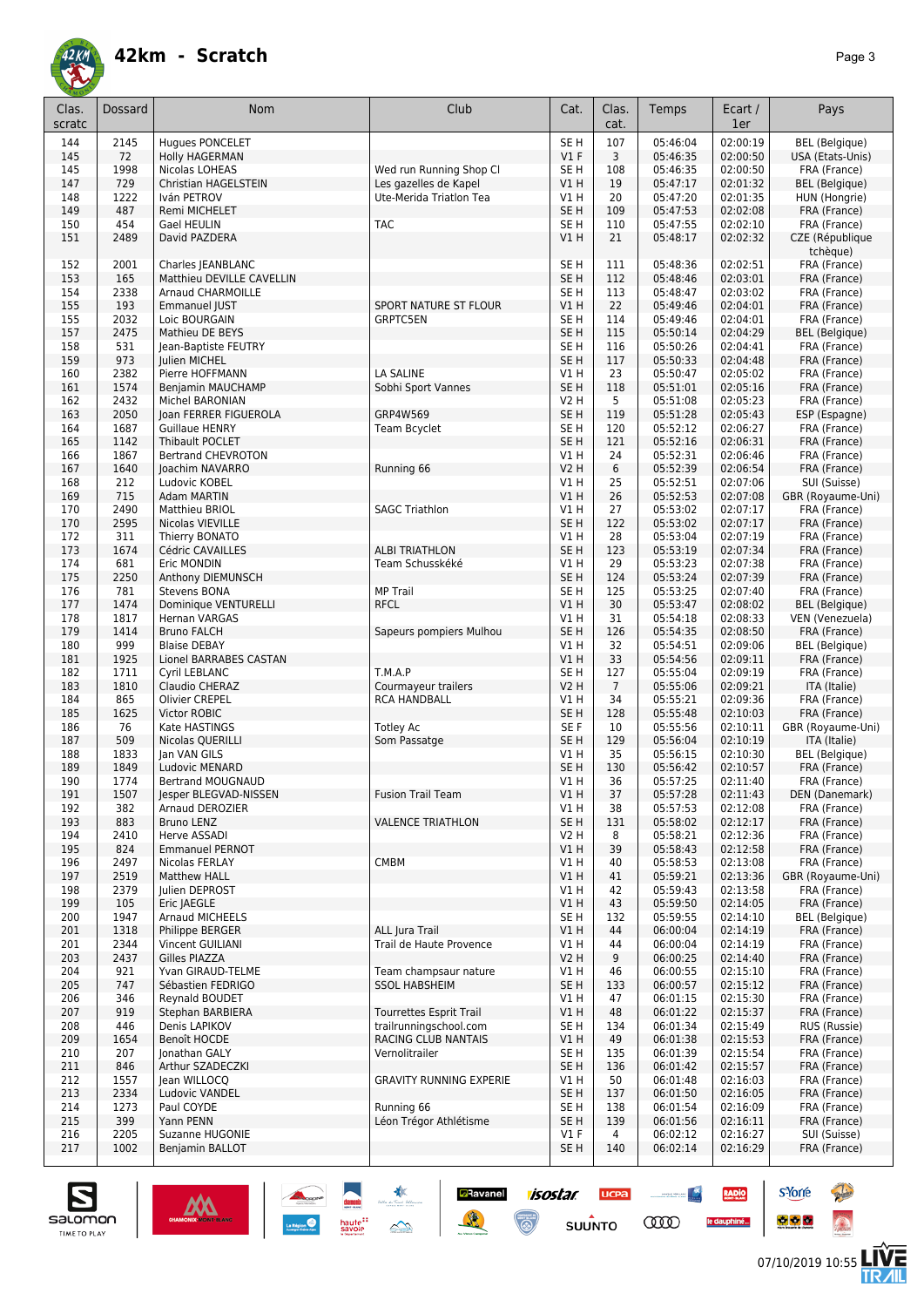

| Clas.<br>scratc | Dossard      | <b>Nom</b>                                        | Club                                          | Cat.                      | Clas.<br>cat.  | Temps                | Ecart /<br>1er       | Pays                                     |
|-----------------|--------------|---------------------------------------------------|-----------------------------------------------|---------------------------|----------------|----------------------|----------------------|------------------------------------------|
|                 |              |                                                   |                                               |                           |                |                      |                      |                                          |
| 144             | 2145         | <b>Hugues PONCELET</b>                            |                                               | SE <sub>H</sub><br>$VI$ F | 107            | 05:46:04<br>05:46:35 | 02:00:19<br>02:00:50 | <b>BEL</b> (Belgique)                    |
| 145<br>145      | 72<br>1998   | Holly HAGERMAN<br>Nicolas LOHEAS                  | Wed run Running Shop Cl                       | SE <sub>H</sub>           | 3<br>108       | 05:46:35             | 02:00:50             | USA (Etats-Unis)<br>FRA (France)         |
| 147             | 729          | <b>Christian HAGELSTEIN</b>                       | Les gazelles de Kapel                         | VIH                       | 19             | 05:47:17             | 02:01:32             | <b>BEL</b> (Belgique)                    |
| 148             | 1222         | Iván PETROV                                       | Ute-Merida Triatlon Tea                       | V1H                       | 20             | 05:47:20             | 02:01:35             | HUN (Hongrie)                            |
| 149             | 487          | Remi MICHELET                                     |                                               | SE <sub>H</sub>           | 109            | 05:47:53             | 02:02:08             | FRA (France)                             |
| 150             | 454          | Gael HEULIN                                       | <b>TAC</b>                                    | SE <sub>H</sub>           | 110            | 05:47:55             | 02:02:10             | FRA (France)                             |
| 151             | 2489         | David PAZDERA                                     |                                               | V1H                       | 21             | 05:48:17             | 02:02:32             | CZE (République<br>tchèque)              |
| 152             | 2001         | Charles JEANBLANC                                 |                                               | SE <sub>H</sub>           | 111            | 05:48:36             | 02:02:51             | FRA (France)                             |
| 153             | 165          | Matthieu DEVILLE CAVELLIN                         |                                               | SE <sub>H</sub>           | 112            | 05:48:46             | 02:03:01             | FRA (France)                             |
| 154             | 2338         | Arnaud CHARMOILLE                                 |                                               | SE <sub>H</sub>           | 113            | 05:48:47             | 02:03:02             | FRA (France)                             |
| 155             | 193          | <b>Emmanuel IUST</b>                              | <b>SPORT NATURE ST FLOUR</b>                  | VIH                       | 22             | 05:49:46             | 02:04:01             | FRA (France)                             |
| 155             | 2032         | Loic BOURGAIN                                     | <b>GRPTC5EN</b>                               | SE H                      | 114            | 05:49:46             | 02:04:01             | FRA (France)                             |
| 157             | 2475         | Mathieu DE BEYS                                   |                                               | SE <sub>H</sub>           | 115            | 05:50:14             | 02:04:29             | <b>BEL</b> (Belgique)                    |
| 158             | 531          | Jean-Baptiste FEUTRY                              |                                               | SE <sub>H</sub>           | 116            | 05:50:26             | 02:04:41             | FRA (France)                             |
| 159             | 973          | Julien MICHEL                                     |                                               | SE <sub>H</sub>           | 117            | 05:50:33             | 02:04:48             | FRA (France)                             |
| 160             | 2382         | Pierre HOFFMANN                                   | LA SALINE                                     | V1 H                      | 23             | 05:50:47             | 02:05:02             | FRA (France)                             |
| 161             | 1574<br>2432 | Benjamin MAUCHAMP                                 | Sobhi Sport Vannes                            | SE <sub>H</sub>           | 118<br>5       | 05:51:01<br>05:51:08 | 02:05:16<br>02:05:23 | FRA (France)                             |
| 162<br>163      | 2050         | Michel BARONIAN<br>Joan FERRER FIGUEROLA          | GRP4W569                                      | V2 H<br>SE <sub>H</sub>   | 119            | 05:51:28             | 02:05:43             | FRA (France)<br>ESP (Espagne)            |
| 164             | 1687         | <b>Guillaue HENRY</b>                             | Team Bcyclet                                  | SE <sub>H</sub>           | 120            | 05:52:12             | 02:06:27             | FRA (France)                             |
| 165             | 1142         | Thibault POCLET                                   |                                               | SE <sub>H</sub>           | 121            | 05:52:16             | 02:06:31             | FRA (France)                             |
| 166             | 1867         | <b>Bertrand CHEVROTON</b>                         |                                               | V1 H                      | 24             | 05:52:31             | 02:06:46             | FRA (France)                             |
| 167             | 1640         | Joachim NAVARRO                                   | Running 66                                    | <b>V2 H</b>               | 6              | 05:52:39             | 02:06:54             | FRA (France)                             |
| 168             | 212          | Ludovic KOBEL                                     |                                               | V1 H                      | 25             | 05:52:51             | 02:07:06             | SUI (Suisse)                             |
| 169             | 715          | Adam MARTIN                                       |                                               | VIH                       | 26             | 05:52:53             | 02:07:08             | GBR (Royaume-Uni)                        |
| 170             | 2490         | Matthieu BRIOL                                    | <b>SAGC Triathlon</b>                         | V1 H                      | 27             | 05:53:02             | 02:07:17             | FRA (France)                             |
| 170             | 2595         | Nicolas VIEVILLE                                  |                                               | SE <sub>H</sub>           | 122            | 05:53:02             | 02:07:17             | FRA (France)                             |
| 172             | 311          | Thierry BONATO                                    |                                               | V1 H                      | 28             | 05:53:04             | 02:07:19             | FRA (France)                             |
| 173             | 1674         | Cédric CAVAILLES                                  | <b>ALBI TRIATHLON</b>                         | SE <sub>H</sub>           | 123            | 05:53:19             | 02:07:34             | FRA (France)                             |
| 174             | 681          | Eric MONDIN                                       | Team Schusskéké                               | V1 H                      | 29             | 05:53:23             | 02:07:38             | FRA (France)                             |
| 175             | 2250         | Anthony DIEMUNSCH                                 |                                               | SE <sub>H</sub>           | 124            | 05:53:24             | 02:07:39             | FRA (France)                             |
| 176             | 781          | Stevens BONA                                      | <b>MP Trail</b>                               | SE <sub>H</sub>           | 125            | 05:53:25             | 02:07:40             | FRA (France)                             |
| 177<br>178      | 1474<br>1817 | Dominique VENTURELLI<br>Hernan VARGAS             | <b>RFCL</b>                                   | VIH<br>V1 H               | 30<br>31       | 05:53:47<br>05:54:18 | 02:08:02<br>02:08:33 | <b>BEL</b> (Belgique)<br>VEN (Venezuela) |
| 179             | 1414         | <b>Bruno FALCH</b>                                | Sapeurs pompiers Mulhou                       | SE <sub>H</sub>           | 126            | 05:54:35             | 02:08:50             | FRA (France)                             |
| 180             | 999          | <b>Blaise DEBAY</b>                               |                                               | V1 H                      | 32             | 05:54:51             | 02:09:06             | <b>BEL</b> (Belgique)                    |
| 181             | 1925         | Lionel BARRABES CASTAN                            |                                               | V1H                       | 33             | 05:54:56             | 02:09:11             | FRA (France)                             |
| 182             | 1711         | Cyril LEBLANC                                     | T.M.A.P                                       | SE <sub>H</sub>           | 127            | 05:55:04             | 02:09:19             | FRA (France)                             |
| 183             | 1810         | Claudio CHERAZ                                    | Courmayeur trailers                           | <b>V2 H</b>               | $\overline{7}$ | 05:55:06             | 02:09:21             | ITA (Italie)                             |
| 184             | 865          | Olivier CREPEL                                    | <b>RCA HANDBALL</b>                           | V1H                       | 34             | 05:55:21             | 02:09:36             | FRA (France)                             |
| 185             | 1625         | <b>Victor ROBIC</b>                               |                                               | SE <sub>H</sub>           | 128            | 05:55:48             | 02:10:03             | FRA (France)                             |
| 186             | 76           | Kate HASTINGS                                     | <b>Totley Ac</b>                              | SE F                      | 10             | 05:55:56             | 02:10:11             | GBR (Royaume-Uni)                        |
| 187             | 509          | Nicolas QUERILLI                                  | Som Passatge                                  | SE <sub>H</sub>           | 129            | 05:56:04             | 02:10:19             | ITA (Italie)                             |
| 188             | 1833         | Jan VAN GILS                                      |                                               | V1 H                      | 35             | 05:56:15             | 02:10:30             | BEL (Belgique)                           |
| 189             | 1849         | Ludovic MENARD                                    |                                               | SE <sub>H</sub>           | 130            | 05:56:42             | 02:10:57             | FRA (France)                             |
| 190             | 1774         | <b>Bertrand MOUGNAUD</b><br>Jesper BLEGVAD-NISSEN |                                               | V1H                       | 36             | 05:57:25             | 02:11:40             | FRA (France)                             |
| 191<br>192      | 1507<br>382  | Arnaud DEROZIER                                   | <b>Fusion Trail Team</b>                      | V1H<br>V1 H               | 37<br>38       | 05:57:28<br>05:57:53 | 02:11:43<br>02:12:08 | DEN (Danemark)<br>FRA (France)           |
| 193             | 883          | Bruno LENZ                                        | <b>VALENCE TRIATHLON</b>                      | SE <sub>H</sub>           | 131            | 05:58:02             | 02:12:17             | FRA (France)                             |
| 194             | 2410         | Herve ASSADI                                      |                                               | V <sub>2</sub> H          | 8              | 05:58:21             | 02:12:36             | FRA (France)                             |
| 195             | 824          | <b>Emmanuel PERNOT</b>                            |                                               | V1H                       | 39             | 05:58:43             | 02:12:58             | FRA (France)                             |
| 196             | 2497         | Nicolas FERLAY                                    | CMBM                                          | V1 H                      | 40             | 05:58:53             | 02:13:08             | FRA (France)                             |
| 197             | 2519         | <b>Matthew HALL</b>                               |                                               | V1H                       | 41             | 05:59:21             | 02:13:36             | GBR (Royaume-Uni)                        |
| 198             | 2379         | Julien DEPROST                                    |                                               | V1 H                      | 42             | 05:59:43             | 02:13:58             | FRA (France)                             |
| 199             | 105          | Eric JAEGLE                                       |                                               | V1H                       | 43             | 05:59:50             | 02:14:05             | FRA (France)                             |
| 200             | 1947         | Arnaud MICHEELS                                   |                                               | SE <sub>H</sub>           | 132            | 05:59:55             | 02:14:10             | <b>BEL</b> (Belgique)                    |
| 201             | 1318         | Philippe BERGER                                   | ALL Jura Trail                                | V1H                       | 44             | 06:00:04             | 02:14:19             | FRA (France)                             |
| 201             | 2344         | Vincent GUILIANI                                  | Trail de Haute Provence                       | V1 H                      | 44             | 06:00:04             | 02:14:19             | FRA (France)                             |
| 203             | 2437         | Gilles PIAZZA                                     |                                               | <b>V2 H</b>               | 9              | 06:00:25             | 02:14:40             | FRA (France)                             |
| 204             | 921          | Yvan GIRAUD-TELME                                 | Team champsaur nature<br><b>SSOL HABSHEIM</b> | V1 H                      | 46             | 06:00:55             | 02:15:10             | FRA (France)                             |
| 205             | 747          | Sébastien FEDRIGO                                 |                                               | SE <sub>H</sub>           | 133<br>47      | 06:00:57             | 02:15:12             | FRA (France)                             |
| 206<br>207      | 346<br>919   | Reynald BOUDET<br>Stephan BARBIERA                | Tourrettes Esprit Trail                       | V1 H<br>V1H               | 48             | 06:01:15<br>06:01:22 | 02:15:30<br>02:15:37 | FRA (France)<br>FRA (France)             |
| 208             | 446          | Denis LAPIKOV                                     | trailrunningschool.com                        | SE <sub>H</sub>           | 134            | 06:01:34             | 02:15:49             | RUS (Russie)                             |
| 209             | 1654         | Benoît HOCDE                                      | RACING CLUB NANTAIS                           | V1H                       | 49             | 06:01:38             | 02:15:53             | FRA (France)                             |
| 210             | 207          | Jonathan GALY                                     | Vernolitrailer                                | SE <sub>H</sub>           | 135            | 06:01:39             | 02:15:54             | FRA (France)                             |
| 211             | 846          | Arthur SZADECZKI                                  |                                               | SE <sub>H</sub>           | 136            | 06:01:42             | 02:15:57             | FRA (France)                             |
| 212             | 1557         | Jean WILLOCQ                                      | GRAVITY RUNNING EXPERIE                       | V1 H                      | 50             | 06:01:48             | 02:16:03             | FRA (France)                             |
| 213             | 2334         | Ludovic VANDEL                                    |                                               | SE <sub>H</sub>           | 137            | 06:01:50             | 02:16:05             | FRA (France)                             |
| 214             | 1273         | Paul COYDE                                        | Running 66                                    | SE <sub>H</sub>           | 138            | 06:01:54             | 02:16:09             | FRA (France)                             |
| 215             | 399          | Yann PENN                                         | Léon Trégor Athlétisme                        | SE <sub>H</sub>           | 139            | 06:01:56             | 02:16:11             | FRA (France)                             |
| 216             | 2205         | Suzanne HUGONIE                                   |                                               | $VI$ F                    | $\overline{4}$ | 06:02:12             | 02:16:27             | SUI (Suisse)                             |
| 217             | 1002         | Benjamin BALLOT                                   |                                               | SE H                      | 140            | 06:02:14             | 02:16:29             | FRA (France)                             |

**Ravanel 1505tar** 

 $\odot$ 

**UCPA** 

 $s$ UUNTO

 $\begin{array}{c|c} \multicolumn{3}{c|}{\textbf{1}} & \multicolumn{2}{c|}{\textbf{1}} \\ \multicolumn{2}{c|}{\textbf{1}} & \multicolumn{2}{c|}{\textbf{1}} \\ \multicolumn{2}{c|}{\textbf{1}} & \multicolumn{2}{c|}{\textbf{1}} \\ \multicolumn{2}{c|}{\textbf{1}} & \multicolumn{2}{c|}{\textbf{1}} \\ \multicolumn{2}{c|}{\textbf{1}} & \multicolumn{2}{c|}{\textbf{1}} \\ \multicolumn{2}{c|}{\textbf{1}} & \multicolumn{2}{c|}{\textbf{1}} \\ \multicolumn{2}{$ 

**COO** 

RADIO

le dauphiné...



**s**Yorre

 $\bullet$   $\bullet$   $\bullet$ 



**Reine**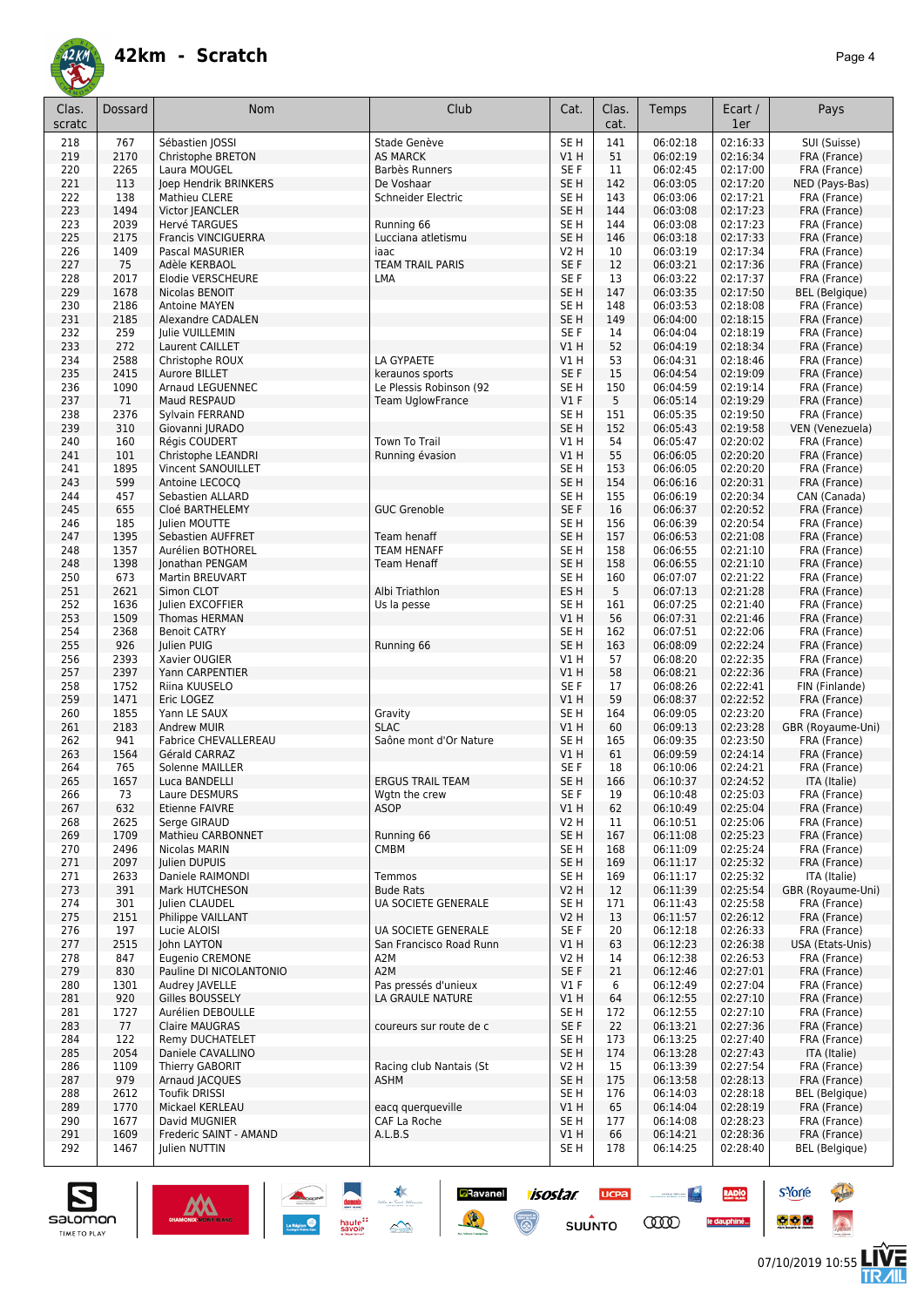

| Clas.<br>scratc | Dossard      | <b>Nom</b>                           | Club                                       | Cat.                    | Clas.<br>cat. | Temps                | Ecart /<br>1er       | Pays                         |
|-----------------|--------------|--------------------------------------|--------------------------------------------|-------------------------|---------------|----------------------|----------------------|------------------------------|
| 218             | 767          | Sébastien JOSSI                      | Stade Genève                               | SE <sub>H</sub>         | 141           | 06:02:18             | 02:16:33             | SUI (Suisse)                 |
| 219             | 2170         | <b>Christophe BRETON</b>             | <b>AS MARCK</b>                            | V1 H                    | 51            | 06:02:19             | 02:16:34             | FRA (France)                 |
| 220             | 2265         | Laura MOUGEL                         | Barbès Runners                             | SE F                    | 11            | 06:02:45             | 02:17:00             | FRA (France)                 |
| 221             | 113          | Joep Hendrik BRINKERS                | De Voshaar                                 | SE H                    | 142           | 06:03:05             | 02:17:20             | NED (Pays-Bas)               |
| 222             | 138          | Mathieu CLERE                        | Schneider Electric                         | SE H                    | 143           | 06:03:06             | 02:17:21             | FRA (France)                 |
| 223             | 1494         | Victor JEANCLER                      |                                            | SE <sub>H</sub>         | 144           | 06:03:08             | 02:17:23             | FRA (France)                 |
| 223             | 2039         | Hervé TARGUES                        | Running 66                                 | SE H                    | 144           | 06:03:08             | 02:17:23             | FRA (France)                 |
| 225<br>226      | 2175<br>1409 | <b>Francis VINCIGUERRA</b>           | Lucciana atletismu<br>iaac                 | SE <sub>H</sub><br>V2 H | 146<br>10     | 06:03:18<br>06:03:19 | 02:17:33<br>02:17:34 | FRA (France)<br>FRA (France) |
| 227             | 75           | Pascal MASURIER<br>Adèle KERBAOL     | <b>TEAM TRAIL PARIS</b>                    | SE <sub>F</sub>         | 12            | 06:03:21             | 02:17:36             | FRA (France)                 |
| 228             | 2017         | Elodie VERSCHEURE                    | LMA                                        | SE F                    | 13            | 06:03:22             | 02:17:37             | FRA (France)                 |
| 229             | 1678         | Nicolas BENOIT                       |                                            | SE <sub>H</sub>         | 147           | 06:03:35             | 02:17:50             | <b>BEL</b> (Belgique)        |
| 230             | 2186         | Antoine MAYEN                        |                                            | SE H                    | 148           | 06:03:53             | 02:18:08             | FRA (France)                 |
| 231             | 2185         | Alexandre CADALEN                    |                                            | SE <sub>H</sub>         | 149           | 06:04:00             | 02:18:15             | FRA (France)                 |
| 232             | 259          | Julie VUILLEMIN                      |                                            | SE F                    | 14            | 06:04:04             | 02:18:19             | FRA (France)                 |
| 233             | 272          | Laurent CAILLET                      |                                            | V1 H                    | 52            | 06:04:19             | 02:18:34             | FRA (France)                 |
| 234             | 2588<br>2415 | Christophe ROUX                      | LA GYPAETE                                 | V1 H                    | 53<br>15      | 06:04:31             | 02:18:46             | FRA (France)                 |
| 235<br>236      | 1090         | Aurore BILLET<br>Arnaud LEGUENNEC    | keraunos sports<br>Le Plessis Robinson (92 | SE <sub>F</sub><br>SE H | 150           | 06:04:54<br>06:04:59 | 02:19:09<br>02:19:14 | FRA (France)<br>FRA (France) |
| 237             | 71           | Maud RESPAUD                         | <b>Team UglowFrance</b>                    | $VI$ F                  | 5             | 06:05:14             | 02:19:29             | FRA (France)                 |
| 238             | 2376         | Sylvain FERRAND                      |                                            | SE H                    | 151           | 06:05:35             | 02:19:50             | FRA (France)                 |
| 239             | 310          | Giovanni JURADO                      |                                            | SE <sub>H</sub>         | 152           | 06:05:43             | 02:19:58             | VEN (Venezuela)              |
| 240             | 160          | Régis COUDERT                        | Town To Trail                              | V1 H                    | 54            | 06:05:47             | 02:20:02             | FRA (France)                 |
| 241             | 101          | Christophe LEANDRI                   | Running évasion                            | V1 H                    | 55            | 06:06:05             | 02:20:20             | FRA (France)                 |
| 241             | 1895         | Vincent SANOUILLET                   |                                            | SE H                    | 153           | 06:06:05             | 02:20:20             | FRA (France)                 |
| 243             | 599          | Antoine LECOCQ                       |                                            | SE H                    | 154           | 06:06:16             | 02:20:31             | FRA (France)                 |
| 244             | 457          | Sebastien ALLARD                     |                                            | SE H                    | 155           | 06:06:19             | 02:20:34             | CAN (Canada)                 |
| 245             | 655<br>185   | Cloé BARTHELEMY                      | <b>GUC Grenoble</b>                        | SE F                    | 16            | 06:06:37             | 02:20:52             | FRA (France)<br>FRA (France) |
| 246<br>247      | 1395         | Julien MOUTTE<br>Sebastien AUFFRET   | Team henaff                                | SE H<br>SE <sub>H</sub> | 156<br>157    | 06:06:39<br>06:06:53 | 02:20:54<br>02:21:08 | FRA (France)                 |
| 248             | 1357         | Aurélien BOTHOREL                    | <b>TEAM HENAFF</b>                         | SE H                    | 158           | 06:06:55             | 02:21:10             | FRA (France)                 |
| 248             | 1398         | Jonathan PENGAM                      | Team Henaff                                | SE <sub>H</sub>         | 158           | 06:06:55             | 02:21:10             | FRA (France)                 |
| 250             | 673          | Martin BREUVART                      |                                            | SE H                    | 160           | 06:07:07             | 02:21:22             | FRA (France)                 |
| 251             | 2621         | Simon CLOT                           | Albi Triathlon                             | ES <sub>H</sub>         | 5             | 06:07:13             | 02:21:28             | FRA (France)                 |
| 252             | 1636         | Julien EXCOFFIER                     | Us la pesse                                | SE H                    | 161           | 06:07:25             | 02:21:40             | FRA (France)                 |
| 253             | 1509         | Thomas HERMAN                        |                                            | V1H                     | 56            | 06:07:31             | 02:21:46             | FRA (France)                 |
| 254             | 2368         | <b>Benoit CATRY</b>                  |                                            | SE H                    | 162           | 06:07:51             | 02:22:06             | FRA (France)                 |
| 255<br>256      | 926<br>2393  | Julien PUIG<br>Xavier OUGIER         | Running 66                                 | SE H<br>V1 H            | 163<br>57     | 06:08:09<br>06:08:20 | 02:22:24             | FRA (France)<br>FRA (France) |
| 257             | 2397         | Yann CARPENTIER                      |                                            | V1 H                    | 58            | 06:08:21             | 02:22:35<br>02:22:36 | FRA (France)                 |
| 258             | 1752         | Riina KUUSELO                        |                                            | SE F                    | 17            | 06:08:26             | 02:22:41             | FIN (Finlande)               |
| 259             | 1471         | Eric LOGEZ                           |                                            | V1 H                    | 59            | 06:08:37             | 02:22:52             | FRA (France)                 |
| 260             | 1855         | Yann LE SAUX                         | Gravity                                    | SE H                    | 164           | 06:09:05             | 02:23:20             | FRA (France)                 |
| 261             | 2183         | <b>Andrew MUIR</b>                   | <b>SLAC</b>                                | V1 H                    | 60            | 06:09:13             | 02:23:28             | GBR (Royaume-Uni)            |
| 262             | 941          | <b>Fabrice CHEVALLEREAU</b>          | Saône mont d'Or Nature                     | SE <sub>H</sub>         | 165           | 06:09:35             | 02:23:50             | FRA (France)                 |
| 263             | 1564         | Gérald CARRAZ                        |                                            | V1 H                    | 61            | 06:09:59             | 02:24:14             | FRA (France)                 |
| 264<br>265      | 765<br>1657  | Solenne MAILLER                      |                                            | SE F<br>SE <sub>H</sub> | 18            | 06:10:06             | 02:24:21             | FRA (France)                 |
| 266             | 73           | Luca BANDELLI<br>Laure DESMURS       | <b>ERGUS TRAIL TEAM</b><br>Wgtn the crew   | SE F                    | 166<br>19     | 06:10:37<br>06:10:48 | 02:24:52<br>02:25:03 | ITA (Italie)<br>FRA (France) |
| 267             | 632          | Etienne FAIVRE                       | <b>ASOP</b>                                | V1 H                    | 62            | 06:10:49             | 02:25:04             | FRA (France)                 |
| 268             | 2625         | Serge GIRAUD                         |                                            | V2 H                    | 11            | 06:10:51             | 02:25:06             | FRA (France)                 |
| 269             | 1709         | Mathieu CARBONNET                    | Running 66                                 | SE H                    | 167           | 06:11:08             | 02:25:23             | FRA (France)                 |
| 270             | 2496         | Nicolas MARIN                        | <b>CMBM</b>                                | SE H                    | 168           | 06:11:09             | 02:25:24             | FRA (France)                 |
| 271             | 2097         | Julien DUPUIS                        |                                            | SE H                    | 169           | 06:11:17             | 02:25:32             | FRA (France)                 |
| 271             | 2633         | Daniele RAIMONDI                     | Temmos                                     | SE H                    | 169           | 06:11:17             | 02:25:32             | ITA (Italie)                 |
| 273             | 391          | Mark HUTCHESON                       | <b>Bude Rats</b>                           | V2 H                    | 12            | 06:11:39             | 02:25:54             | GBR (Royaume-Uni)            |
| 274<br>275      | 301<br>2151  | Julien CLAUDEL<br>Philippe VAILLANT  | UA SOCIETE GENERALE                        | SE H<br>V2 H            | 171<br>13     | 06:11:43<br>06:11:57 | 02:25:58<br>02:26:12 | FRA (France)<br>FRA (France) |
| 276             | 197          | Lucie ALOISI                         | UA SOCIETE GENERALE                        | SE F                    | 20            | 06:12:18             | 02:26:33             | FRA (France)                 |
| 277             | 2515         | John LAYTON                          | San Francisco Road Runn                    | V1 H                    | 63            | 06:12:23             | 02:26:38             | USA (Etats-Unis)             |
| 278             | 847          | Eugenio CREMONE                      | A2M                                        | V2 H                    | 14            | 06:12:38             | 02:26:53             | FRA (France)                 |
| 279             | 830          | Pauline DI NICOLANTONIO              | A2M                                        | SE F                    | 21            | 06:12:46             | 02:27:01             | FRA (France)                 |
| 280             | 1301         | Audrey IAVELLE                       | Pas pressés d'unieux                       | $VI$ F                  | 6             | 06:12:49             | 02:27:04             | FRA (France)                 |
| 281             | 920          | Gilles BOUSSELY                      | LA GRAULE NATURE                           | V1 H                    | 64            | 06:12:55             | 02:27:10             | FRA (France)                 |
| 281             | 1727         | Aurélien DEBOULLE                    |                                            | SE H                    | 172           | 06:12:55             | 02:27:10             | FRA (France)                 |
| 283             | 77           | Claire MAUGRAS                       | coureurs sur route de c                    | SE F                    | 22            | 06:13:21             | 02:27:36             | FRA (France)                 |
| 284<br>285      | 122<br>2054  | Remy DUCHATELET<br>Daniele CAVALLINO |                                            | SE H<br>SE H            | 173<br>174    | 06:13:25<br>06:13:28 | 02:27:40<br>02:27:43 | FRA (France)<br>ITA (Italie) |
| 286             | 1109         | Thierry GABORIT                      | Racing club Nantais (St                    | V2 H                    | 15            | 06:13:39             | 02:27:54             | FRA (France)                 |
| 287             | 979          | Arnaud JACQUES                       | ASHM                                       | SE H                    | 175           | 06:13:58             | 02:28:13             | FRA (France)                 |
| 288             | 2612         | <b>Toufik DRISSI</b>                 |                                            | SE H                    | 176           | 06:14:03             | 02:28:18             | <b>BEL</b> (Belgique)        |
| 289             | 1770         | Mickael KERLEAU                      | eacq querqueville                          | V1 H                    | 65            | 06:14:04             | 02:28:19             | FRA (France)                 |
| 290             | 1677         | David MUGNIER                        | CAF La Roche                               | SE H                    | 177           | 06:14:08             | 02:28:23             | FRA (France)                 |
| 291             | 1609         | Frederic SAINT - AMAND               | A.L.B.S                                    | V1 H                    | 66            | 06:14:21             | 02:28:36             | FRA (France)                 |
| 292             | 1467         | Julien NUTTIN                        |                                            | SE H                    | 178           | 06:14:25             | 02:28:40             | BEL (Belgique)               |

 $\frac{1}{2}$ 

**Ravanel 1505tar** 

 $\odot$ 

**UCPA** 

 $s$ UUNTO

**COO** 

**RADIO** 

le dauphiné...

danum<br>haute::<br>savoie

 $M$ 



**s**Yorre

 $\bullet$   $\bullet$   $\bullet$ 

**Reine** 

 $\hat{\Omega}$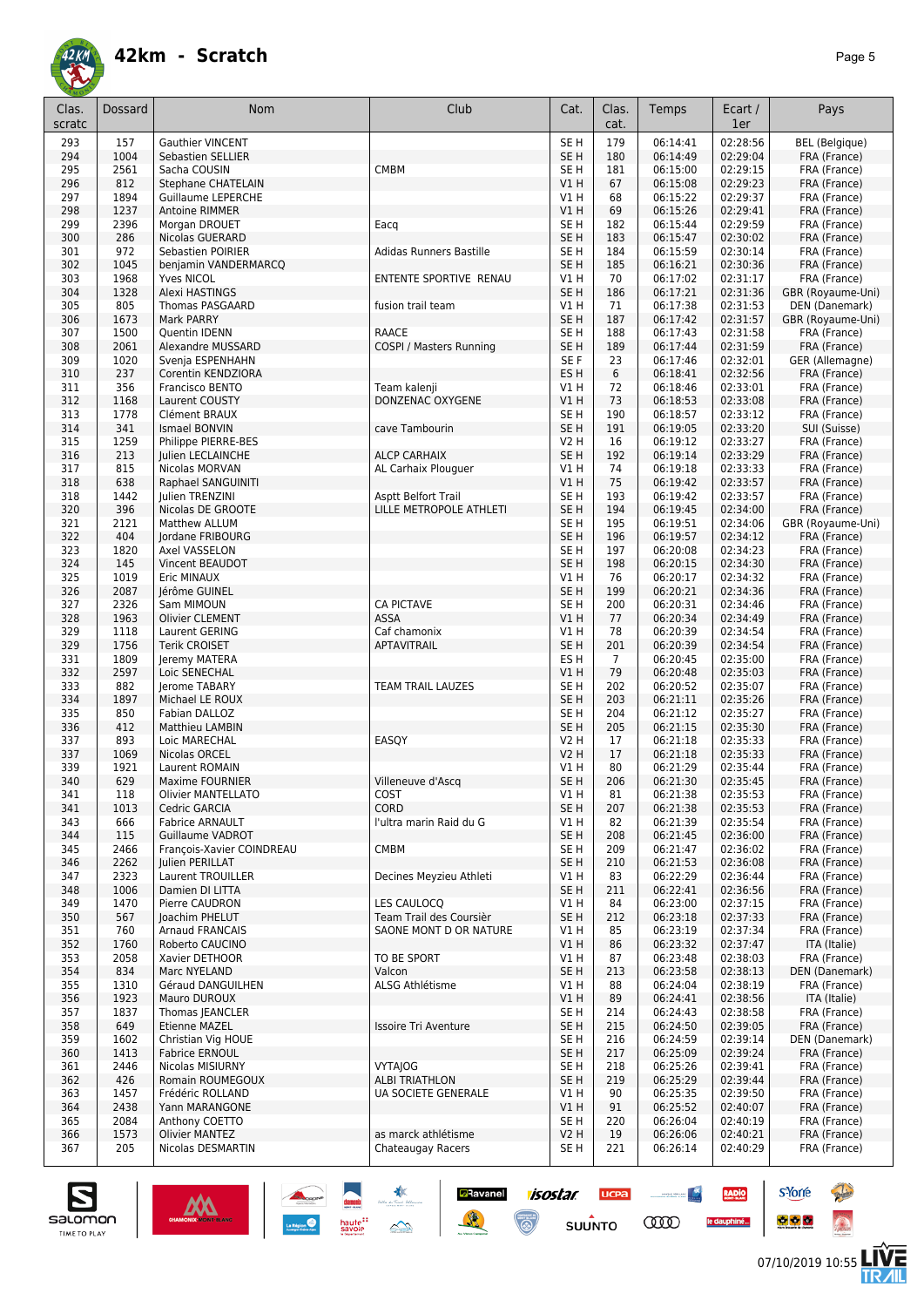

| Clas.      | Dossard      | <b>Nom</b>                                 | Club                                     | Cat.                               | Clas.          | Temps                | Ecart /              | Pays                              |
|------------|--------------|--------------------------------------------|------------------------------------------|------------------------------------|----------------|----------------------|----------------------|-----------------------------------|
| scratc     |              |                                            |                                          |                                    | cat.           |                      | 1er                  |                                   |
| 293        | 157          | <b>Gauthier VINCENT</b>                    |                                          | SE <sub>H</sub>                    | 179            | 06:14:41             | 02:28:56             | <b>BEL</b> (Belgique)             |
| 294        | 1004         | Sebastien SELLIER                          |                                          | SE <sub>H</sub>                    | 180            | 06:14:49             | 02:29:04             | FRA (France)                      |
| 295        | 2561         | Sacha COUSIN<br><b>Stephane CHATELAIN</b>  | <b>CMBM</b>                              | SE <sub>H</sub>                    | 181            | 06:15:00             | 02:29:15             | FRA (France)                      |
| 296<br>297 | 812<br>1894  | <b>Guillaume LEPERCHE</b>                  |                                          | VIH<br>V1 H                        | 67<br>68       | 06:15:08<br>06:15:22 | 02:29:23<br>02:29:37 | FRA (France)<br>FRA (France)      |
| 298        | 1237         | Antoine RIMMER                             |                                          | V1H                                | 69             | 06:15:26             | 02:29:41             | FRA (France)                      |
| 299        | 2396         | Morgan DROUET                              | Eacq                                     | SE <sub>H</sub>                    | 182            | 06:15:44             | 02:29:59             | FRA (France)                      |
| 300        | 286          | Nicolas GUERARD                            |                                          | SE <sub>H</sub>                    | 183            | 06:15:47             | 02:30:02             | FRA (France)                      |
| 301        | 972          | Sebastien POIRIER                          | Adidas Runners Bastille                  | SE <sub>H</sub>                    | 184            | 06:15:59             | 02:30:14             | FRA (France)                      |
| 302        | 1045         | benjamin VANDERMARCQ                       |                                          | SE <sub>H</sub>                    | 185            | 06:16:21             | 02:30:36             | FRA (France)                      |
| 303<br>304 | 1968<br>1328 | Yves NICOL<br><b>Alexi HASTINGS</b>        | ENTENTE SPORTIVE RENAU                   | V1 H<br>SE <sub>H</sub>            | 70<br>186      | 06:17:02<br>06:17:21 | 02:31:17<br>02:31:36 | FRA (France)<br>GBR (Royaume-Uni) |
| 305        | 805          | <b>Thomas PASGAARD</b>                     | fusion trail team                        | V1 H                               | 71             | 06:17:38             | 02:31:53             | DEN (Danemark)                    |
| 306        | 1673         | Mark PARRY                                 |                                          | SE <sub>H</sub>                    | 187            | 06:17:42             | 02:31:57             | GBR (Royaume-Uni)                 |
| 307        | 1500         | Quentin IDENN                              | <b>RAACE</b>                             | SE <sub>H</sub>                    | 188            | 06:17:43             | 02:31:58             | FRA (France)                      |
| 308        | 2061         | Alexandre MUSSARD                          | COSPI / Masters Running                  | SE <sub>H</sub>                    | 189            | 06:17:44             | 02:31:59             | FRA (France)                      |
| 309        | 1020         | Svenja ESPENHAHN                           |                                          | SE F                               | 23             | 06:17:46             | 02:32:01             | GER (Allemagne)                   |
| 310<br>311 | 237<br>356   | Corentin KENDZIORA<br>Francisco BENTO      | Team kalenji                             | ES <sub>H</sub><br>V1 H            | 6<br>72        | 06:18:41<br>06:18:46 | 02:32:56<br>02:33:01 | FRA (France)<br>FRA (France)      |
| 312        | 1168         | Laurent COUSTY                             | DONZENAC OXYGENE                         | V1H                                | 73             | 06:18:53             | 02:33:08             | FRA (France)                      |
| 313        | 1778         | Clément BRAUX                              |                                          | SE <sub>H</sub>                    | 190            | 06:18:57             | 02:33:12             | FRA (France)                      |
| 314        | 341          | Ismael BONVIN                              | cave Tambourin                           | SE <sub>H</sub>                    | 191            | 06:19:05             | 02:33:20             | SUI (Suisse)                      |
| 315        | 1259         | Philippe PIERRE-BES                        |                                          | <b>V2 H</b>                        | 16             | 06:19:12             | 02:33:27             | FRA (France)                      |
| 316        | 213          | Julien LECLAINCHE                          | <b>ALCP CARHAIX</b>                      | SE <sub>H</sub>                    | 192            | 06:19:14             | 02:33:29             | FRA (France)                      |
| 317        | 815          | Nicolas MORVAN                             | AL Carhaix Plouguer                      | V1 H                               | 74             | 06:19:18             | 02:33:33             | FRA (France)                      |
| 318<br>318 | 638<br>1442  | Raphael SANGUINITI<br>Julien TRENZINI      | <b>Asptt Belfort Trail</b>               | VIH<br>SE <sub>H</sub>             | 75<br>193      | 06:19:42<br>06:19:42 | 02:33:57<br>02:33:57 | FRA (France)<br>FRA (France)      |
| 320        | 396          | Nicolas DE GROOTE                          | LILLE METROPOLE ATHLETI                  | SE <sub>H</sub>                    | 194            | 06:19:45             | 02:34:00             | FRA (France)                      |
| 321        | 2121         | <b>Matthew ALLUM</b>                       |                                          | SE <sub>H</sub>                    | 195            | 06:19:51             | 02:34:06             | GBR (Royaume-Uni)                 |
| 322        | 404          | Jordane FRIBOURG                           |                                          | SE <sub>H</sub>                    | 196            | 06:19:57             | 02:34:12             | FRA (France)                      |
| 323        | 1820         | Axel VASSELON                              |                                          | SE <sub>H</sub>                    | 197            | 06:20:08             | 02:34:23             | FRA (France)                      |
| 324        | 145          | Vincent BEAUDOT                            |                                          | SE <sub>H</sub>                    | 198            | 06:20:15             | 02:34:30             | FRA (France)                      |
| 325        | 1019         | Eric MINAUX                                |                                          | V1 H                               | 76             | 06:20:17             | 02:34:32             | FRA (France)                      |
| 326<br>327 | 2087<br>2326 | Jérôme GUINEL<br>Sam MIMOUN                | <b>CA PICTAVE</b>                        | SE <sub>H</sub><br>SE <sub>H</sub> | 199<br>200     | 06:20:21<br>06:20:31 | 02:34:36<br>02:34:46 | FRA (France)<br>FRA (France)      |
| 328        | 1963         | <b>Olivier CLEMENT</b>                     | ASSA                                     | VIH                                | 77             | 06:20:34             | 02:34:49             | FRA (France)                      |
| 329        | 1118         | Laurent GERING                             | Caf chamonix                             | V1 H                               | 78             | 06:20:39             | 02:34:54             | FRA (France)                      |
| 329        | 1756         | <b>Terik CROISET</b>                       | APTAVITRAIL                              | SE <sub>H</sub>                    | 201            | 06:20:39             | 02:34:54             | FRA (France)                      |
| 331        | 1809         | Jeremy MATERA                              |                                          | ES <sub>H</sub>                    | $\overline{7}$ | 06:20:45             | 02:35:00             | FRA (France)                      |
| 332        | 2597         | Loic SENECHAL                              |                                          | VIH                                | 79             | 06:20:48             | 02:35:03             | FRA (France)                      |
| 333        | 882          | Jerome TABARY                              | TEAM TRAIL LAUZES                        | SE H                               | 202            | 06:20:52             | 02:35:07             | FRA (France)                      |
| 334<br>335 | 1897<br>850  | Michael LE ROUX<br>Fabian DALLOZ           |                                          | SE <sub>H</sub><br>SE H            | 203<br>204     | 06:21:11<br>06:21:12 | 02:35:26<br>02:35:27 | FRA (France)<br>FRA (France)      |
| 336        | 412          | Matthieu LAMBIN                            |                                          | SE <sub>H</sub>                    | 205            | 06:21:15             | 02:35:30             | FRA (France)                      |
| 337        | 893          | Loic MARECHAL                              | EASOY                                    | <b>V2 H</b>                        | 17             | 06:21:18             | 02:35:33             | FRA (France)                      |
| 337        | 1069         | Nicolas ORCEL                              |                                          | <b>V2 H</b>                        | 17             | 06:21:18             | 02:35:33             | FRA (France)                      |
| 339        | 1921         | Laurent ROMAIN                             |                                          | V1 H                               | 80             | 06:21:29             | 02:35:44             | FRA (France)                      |
| 340        | 629          | <b>Maxime FOURNIER</b>                     | Villeneuve d'Ascq                        | SE <sub>H</sub>                    | 206            | 06:21:30             | 02:35:45             | FRA (France)                      |
| 341        | 118          | Olivier MANTELLATO                         | COST<br><b>CORD</b>                      | V1 H                               | 81             | 06:21:38             | 02:35:53             | FRA (France)                      |
| 341<br>343 | 1013<br>666  | Cedric GARCIA<br><b>Fabrice ARNAULT</b>    | l'ultra marin Raid du G                  | SE <sub>H</sub><br>V1 H            | 207<br>82      | 06:21:38<br>06:21:39 | 02:35:53<br>02:35:54 | FRA (France)<br>FRA (France)      |
| 344        | 115          | Guillaume VADROT                           |                                          | SE <sub>H</sub>                    | 208            | 06:21:45             | 02:36:00             | FRA (France)                      |
| 345        | 2466         | François-Xavier COINDREAU                  | <b>CMBM</b>                              | SE <sub>H</sub>                    | 209            | 06:21:47             | 02:36:02             | FRA (France)                      |
| 346        | 2262         | Julien PERILLAT                            |                                          | SE <sub>H</sub>                    | 210            | 06:21:53             | 02:36:08             | FRA (France)                      |
| 347        | 2323         | Laurent TROUILLER                          | Decines Meyzieu Athleti                  | V1 H                               | 83             | 06:22:29             | 02:36:44             | FRA (France)                      |
| 348        | 1006         | Damien DI LITTA                            |                                          | SE <sub>H</sub>                    | 211            | 06:22:41             | 02:36:56             | FRA (France)                      |
| 349        | 1470         | Pierre CAUDRON                             | LES CAULOCO<br>Team Trail des Coursièr   | V1 H                               | 84             | 06:23:00             | 02:37:15<br>02:37:33 | FRA (France)                      |
| 350<br>351 | 567<br>760   | Joachim PHELUT<br><b>Arnaud FRANCAIS</b>   | SAONE MONT D OR NATURE                   | SE <sub>H</sub><br>V1 H            | 212<br>85      | 06:23:18<br>06:23:19 | 02:37:34             | FRA (France)<br>FRA (France)      |
| 352        | 1760         | Roberto CAUCINO                            |                                          | V1H                                | 86             | 06:23:32             | 02:37:47             | ITA (Italie)                      |
| 353        | 2058         | Xavier DETHOOR                             | TO BE SPORT                              | V1 H                               | 87             | 06:23:48             | 02:38:03             | FRA (France)                      |
| 354        | 834          | Marc NYELAND                               | Valcon                                   | SE <sub>H</sub>                    | 213            | 06:23:58             | 02:38:13             | DEN (Danemark)                    |
| 355        | 1310         | Géraud DANGUILHEN                          | ALSG Athlétisme                          | V1 H                               | 88             | 06:24:04             | 02:38:19             | FRA (France)                      |
| 356        | 1923         | Mauro DUROUX                               |                                          | VIH                                | 89             | 06:24:41             | 02:38:56             | ITA (Italie)                      |
| 357        | 1837         | Thomas JEANCLER                            |                                          | SE <sub>H</sub>                    | 214            | 06:24:43             | 02:38:58             | FRA (France)                      |
| 358<br>359 | 649<br>1602  | Etienne MAZEL<br>Christian Vig HOUE        | <b>Issoire Tri Aventure</b>              | SE <sub>H</sub><br>SE <sub>H</sub> | 215<br>216     | 06:24:50<br>06:24:59 | 02:39:05<br>02:39:14 | FRA (France)<br>DEN (Danemark)    |
| 360        | 1413         | <b>Fabrice ERNOUL</b>                      |                                          | SE <sub>H</sub>                    | 217            | 06:25:09             | 02:39:24             | FRA (France)                      |
| 361        | 2446         | Nicolas MISIURNY                           | <b>VYTAJOG</b>                           | SE <sub>H</sub>                    | 218            | 06:25:26             | 02:39:41             | FRA (France)                      |
| 362        | 426          | Romain ROUMEGOUX                           | <b>ALBI TRIATHLON</b>                    | SE <sub>H</sub>                    | 219            | 06:25:29             | 02:39:44             | FRA (France)                      |
| 363        | 1457         | Frédéric ROLLAND                           | UA SOCIETE GENERALE                      | V1 H                               | 90             | 06:25:35             | 02:39:50             | FRA (France)                      |
| 364        | 2438         | Yann MARANGONE                             |                                          | V1 H                               | 91             | 06:25:52             | 02:40:07             | FRA (France)                      |
| 365        | 2084         | Anthony COETTO                             |                                          | SE H                               | 220            | 06:26:04             | 02:40:19             | FRA (France)                      |
| 366<br>367 | 1573<br>205  | <b>Olivier MANTEZ</b><br>Nicolas DESMARTIN | as marck athlétisme<br>Chateaugay Racers | V2H<br>SE H                        | 19<br>221      | 06:26:06<br>06:26:14 | 02:40:21<br>02:40:29 | FRA (France)<br>FRA (France)      |
|            |              |                                            |                                          |                                    |                |                      |                      |                                   |

**Ravanel 1505tar** 

 $\odot$ 

**UCPA** 

 $s$ UUNTO

<u>and the second second</u>

**COO** 

RADIO

le dauphiné...



**s**Yorre

 $\bullet$   $\bullet$   $\bullet$ 

**Reine** 

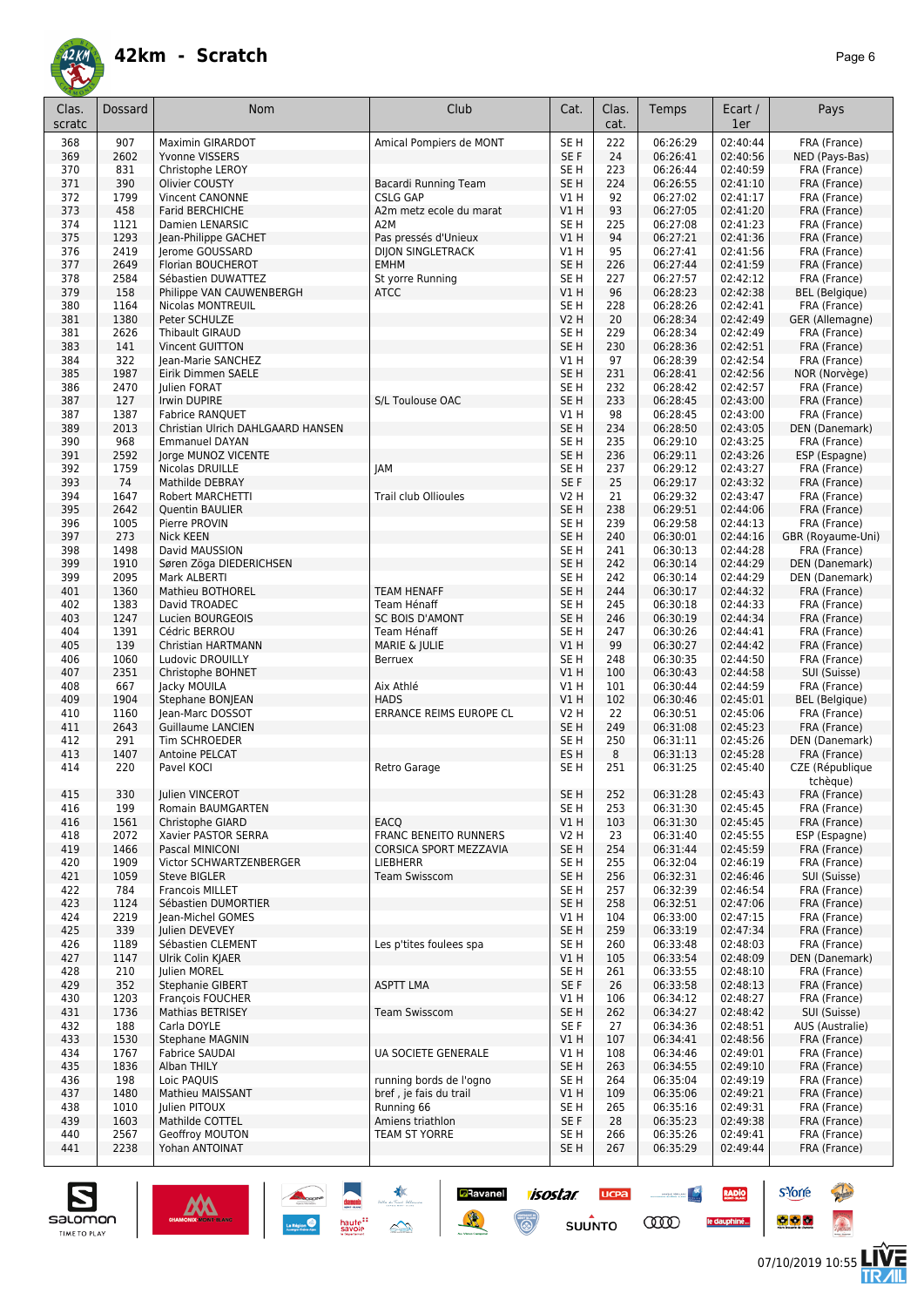

| Clas.<br>scratc | <b>Dossard</b> | <b>Nom</b>                                 | Club                                      | Cat.                               | Clas.<br>cat. | Temps                | Ecart /<br>1er       | Pays                                  |
|-----------------|----------------|--------------------------------------------|-------------------------------------------|------------------------------------|---------------|----------------------|----------------------|---------------------------------------|
| 368             | 907            | <b>Maximin GIRARDOT</b>                    | Amical Pompiers de MONT                   | SE <sub>H</sub>                    | 222           | 06:26:29             | 02:40:44             | FRA (France)                          |
| 369             | 2602           | Yvonne VISSERS                             |                                           | SE F                               | 24            | 06:26:41             | 02:40:56             | NED (Pays-Bas)                        |
| 370             | 831            | Christophe LEROY                           |                                           | SE H                               | 223           | 06:26:44             | 02:40:59             | FRA (France)                          |
| 371             | 390            | Olivier COUSTY                             | Bacardi Running Team                      | SE <sub>H</sub>                    | 224           | 06:26:55             | 02:41:10             | FRA (France)                          |
| 372             | 1799           | Vincent CANONNE                            | <b>CSLG GAP</b>                           | V1 H                               | 92            | 06:27:02             | 02:41:17             | FRA (France)                          |
| 373             | 458            | <b>Farid BERCHICHE</b>                     | A2m metz ecole du marat                   | V1H                                | 93            | 06:27:05             | 02:41:20             | FRA (France)                          |
| 374             | 1121           | Damien LENARSIC                            | A <sub>2</sub> M                          | SE <sub>H</sub>                    | 225           | 06:27:08             | 02:41:23             | FRA (France)                          |
| 375             | 1293           | Jean-Philippe GACHET                       | Pas pressés d'Unieux                      | V1H                                | 94            | 06:27:21             | 02:41:36             | FRA (France)                          |
| 376             | 2419<br>2649   | Jerome GOUSSARD                            | <b>DIJON SINGLETRACK</b><br><b>EMHM</b>   | V1H                                | 95            | 06:27:41             | 02:41:56<br>02:41:59 | FRA (France)                          |
| 377<br>378      | 2584           | Florian BOUCHEROT<br>Sébastien DUWATTEZ    | St yorre Running                          | SE <sub>H</sub><br>SE <sub>H</sub> | 226<br>227    | 06:27:44<br>06:27:57 | 02:42:12             | FRA (France)<br>FRA (France)          |
| 379             | 158            | Philippe VAN CAUWENBERGH                   | <b>ATCC</b>                               | VIH                                | 96            | 06:28:23             | 02:42:38             | <b>BEL</b> (Belgique)                 |
| 380             | 1164           | Nicolas MONTREUIL                          |                                           | SE <sub>H</sub>                    | 228           | 06:28:26             | 02:42:41             | FRA (France)                          |
| 381             | 1380           | Peter SCHULZE                              |                                           | <b>V2 H</b>                        | 20            | 06:28:34             | 02:42:49             | GER (Allemagne)                       |
| 381             | 2626           | Thibault GIRAUD                            |                                           | SE H                               | 229           | 06:28:34             | 02:42:49             | FRA (France)                          |
| 383             | 141            | <b>Vincent GUITTON</b>                     |                                           | SE <sub>H</sub>                    | 230           | 06:28:36             | 02:42:51             | FRA (France)                          |
| 384             | 322            | Jean-Marie SANCHEZ                         |                                           | V1 H                               | 97            | 06:28:39             | 02:42:54             | FRA (France)                          |
| 385             | 1987           | Eirik Dimmen SAELE                         |                                           | SE <sub>H</sub>                    | 231           | 06:28:41             | 02:42:56             | NOR (Norvège)                         |
| 386<br>387      | 2470<br>127    | Julien FORAT<br>Irwin DUPIRE               | S/L Toulouse OAC                          | SE <sub>H</sub><br>SE <sub>H</sub> | 232<br>233    | 06:28:42<br>06:28:45 | 02:42:57<br>02:43:00 | FRA (France)                          |
| 387             | 1387           | <b>Fabrice RANQUET</b>                     |                                           | V1H                                | 98            | 06:28:45             | 02:43:00             | FRA (France)<br>FRA (France)          |
| 389             | 2013           | Christian Ulrich DAHLGAARD HANSEN          |                                           | SE <sub>H</sub>                    | 234           | 06:28:50             | 02:43:05             | DEN (Danemark)                        |
| 390             | 968            | <b>Emmanuel DAYAN</b>                      |                                           | SE <sub>H</sub>                    | 235           | 06:29:10             | 02:43:25             | FRA (France)                          |
| 391             | 2592           | Jorge MUNOZ VICENTE                        |                                           | SE <sub>H</sub>                    | 236           | 06:29:11             | 02:43:26             | ESP (Espagne)                         |
| 392             | 1759           | Nicolas DRUILLE                            | <b>JAM</b>                                | SE <sub>H</sub>                    | 237           | 06:29:12             | 02:43:27             | FRA (France)                          |
| 393             | 74             | Mathilde DEBRAY                            |                                           | SE F                               | 25            | 06:29:17             | 02:43:32             | FRA (France)                          |
| 394             | 1647           | Robert MARCHETTI                           | <b>Trail club Ollioules</b>               | V2 H                               | 21            | 06:29:32             | 02:43:47             | FRA (France)                          |
| 395             | 2642           | Quentin BAULIER                            |                                           | SE <sub>H</sub>                    | 238           | 06:29:51             | 02:44:06             | FRA (France)                          |
| 396             | 1005           | Pierre PROVIN                              |                                           | SE <sub>H</sub>                    | 239           | 06:29:58             | 02:44:13             | FRA (France)                          |
| 397             | 273<br>1498    | <b>Nick KEEN</b><br>David MAUSSION         |                                           | SE <sub>H</sub><br>SE <sub>H</sub> | 240           | 06:30:01<br>06:30:13 | 02:44:16<br>02:44:28 | GBR (Royaume-Uni)<br>FRA (France)     |
| 398<br>399      | 1910           | Søren Zöga DIEDERICHSEN                    |                                           | SE <sub>H</sub>                    | 241<br>242    | 06:30:14             | 02:44:29             | DEN (Danemark)                        |
| 399             | 2095           | Mark ALBERTI                               |                                           | SE <sub>H</sub>                    | 242           | 06:30:14             | 02:44:29             | DEN (Danemark)                        |
| 401             | 1360           | Mathieu BOTHOREL                           | <b>TEAM HENAFF</b>                        | SE <sub>H</sub>                    | 244           | 06:30:17             | 02:44:32             | FRA (France)                          |
| 402             | 1383           | David TROADEC                              | Team Hénaff                               | SE <sub>H</sub>                    | 245           | 06:30:18             | 02:44:33             | FRA (France)                          |
| 403             | 1247           | Lucien BOURGEOIS                           | <b>SC BOIS D'AMONT</b>                    | SE <sub>H</sub>                    | 246           | 06:30:19             | 02:44:34             | FRA (France)                          |
| 404             | 1391           | Cédric BERROU                              | Team Hénaff                               | SE <sub>H</sub>                    | 247           | 06:30:26             | 02:44:41             | FRA (France)                          |
| 405             | 139            | Christian HARTMANN                         | MARIE & JULIE                             | V1 H                               | 99            | 06:30:27             | 02:44:42             | FRA (France)                          |
| 406             | 1060           | Ludovic DROUILLY                           | Berruex                                   | SE <sub>H</sub>                    | 248           | 06:30:35             | 02:44:50             | FRA (France)                          |
| 407<br>408      | 2351<br>667    | Christophe BOHNET                          | Aix Athlé                                 | V1 H<br>V1 H                       | 100<br>101    | 06:30:43             | 02:44:58             | SUI (Suisse)                          |
| 409             | 1904           | Jacky MOUILA<br>Stephane BONJEAN           | <b>HADS</b>                               | V1H                                | 102           | 06:30:44<br>06:30:46 | 02:44:59<br>02:45:01 | FRA (France)<br><b>BEL</b> (Belgique) |
| 410             | 1160           | Jean-Marc DOSSOT                           | <b>ERRANCE REIMS EUROPE CL</b>            | V2 H                               | 22            | 06:30:51             | 02:45:06             | FRA (France)                          |
| 411             | 2643           | <b>Guillaume LANCIEN</b>                   |                                           | SE <sub>H</sub>                    | 249           | 06:31:08             | 02:45:23             | FRA (France)                          |
| 412             | 291            | Tim SCHROEDER                              |                                           | SE <sub>H</sub>                    | 250           | 06:31:11             | 02:45:26             | DEN (Danemark)                        |
| 413             | 1407           | Antoine PELCAT                             |                                           | ES <sub>H</sub>                    | 8             | 06:31:13             | 02:45:28             | FRA (France)                          |
| 414             | 220            | Pavel KOCI                                 | Retro Garage                              | SE H                               | 251           | 06:31:25             | 02:45:40             | CZE (République<br>tchèque)           |
| 415             | 330            | Julien VINCEROT                            |                                           | SE <sub>H</sub>                    | 252           | 06:31:28             | 02:45:43             | FRA (France)                          |
| 416             | 199            | Romain BAUMGARTEN                          |                                           | SE H                               | 253           | 06:31:30             | 02:45:45             | FRA (France)                          |
| 416             | 1561           | <b>Christophe GIARD</b>                    | EACQ                                      | VIH                                | 103           | 06:31:30             | 02:45:45             | FRA (France)                          |
| 418             | 2072           | Xavier PASTOR SERRA                        | <b>FRANC BENEITO RUNNERS</b>              | V2 H                               | 23            | 06:31:40             | 02:45:55             | ESP (Espagne)                         |
| 419<br>420      | 1466<br>1909   | Pascal MINICONI<br>Victor SCHWARTZENBERGER | CORSICA SPORT MEZZAVIA<br><b>LIEBHERR</b> | SE <sub>H</sub><br>SE H            | 254<br>255    | 06:31:44<br>06:32:04 | 02:45:59<br>02:46:19 | FRA (France)<br>FRA (France)          |
| 421             | 1059           | <b>Steve BIGLER</b>                        | <b>Team Swisscom</b>                      | SE H                               | 256           | 06:32:31             | 02:46:46             | SUI (Suisse)                          |
| 422             | 784            | <b>Francois MILLET</b>                     |                                           | SE H                               | 257           | 06:32:39             | 02:46:54             | FRA (France)                          |
| 423             | 1124           | Sébastien DUMORTIER                        |                                           | SE <sub>H</sub>                    | 258           | 06:32:51             | 02:47:06             | FRA (France)                          |
| 424             | 2219           | <b>Iean-Michel GOMES</b>                   |                                           | V1 H                               | 104           | 06:33:00             | 02:47:15             | FRA (France)                          |
| 425             | 339            | Julien DEVEVEY                             |                                           | SE <sub>H</sub>                    | 259           | 06:33:19             | 02:47:34             | FRA (France)                          |
| 426             | 1189           | Sébastien CLEMENT                          | Les p'tites foulees spa                   | SE <sub>H</sub>                    | 260           | 06:33:48             | 02:48:03             | FRA (France)                          |
| 427             | 1147           | Ulrik Colin KJAER                          |                                           | V1H                                | 105           | 06:33:54             | 02:48:09             | DEN (Danemark)                        |
| 428<br>429      | 210<br>352     | Julien MOREL<br><b>Stephanie GIBERT</b>    | <b>ASPTT LMA</b>                          | SE <sub>H</sub><br>SE F            | 261<br>26     | 06:33:55<br>06:33:58 | 02:48:10<br>02:48:13 | FRA (France)<br>FRA (France)          |
| 430             | 1203           | François FOUCHER                           |                                           | V1 H                               | 106           | 06:34:12             | 02:48:27             | FRA (France)                          |
| 431             | 1736           | Mathias BETRISEY                           | <b>Team Swisscom</b>                      | SE <sub>H</sub>                    | 262           | 06:34:27             | 02:48:42             | SUI (Suisse)                          |
| 432             | 188            | Carla DOYLE                                |                                           | SE F                               | 27            | 06:34:36             | 02:48:51             | AUS (Australie)                       |
| 433             | 1530           | Stephane MAGNIN                            |                                           | V1H                                | 107           | 06:34:41             | 02:48:56             | FRA (France)                          |
| 434             | 1767           | <b>Fabrice SAUDAI</b>                      | <b>UA SOCIETE GENERALE</b>                | V1 H                               | 108           | 06:34:46             | 02:49:01             | FRA (France)                          |
| 435             | 1836           | Alban THILY                                |                                           | SE <sub>H</sub>                    | 263           | 06:34:55             | 02:49:10             | FRA (France)                          |
| 436             | 198            | Loic PAQUIS                                | running bords de l'ogno                   | SE H                               | 264           | 06:35:04             | 02:49:19             | FRA (France)                          |
| 437             | 1480           | Mathieu MAISSANT                           | bref, je fais du trail                    | V1H                                | 109           | 06:35:06             | 02:49:21             | FRA (France)                          |
| 438<br>439      | 1010<br>1603   | Julien PITOUX<br>Mathilde COTTEL           | Running 66<br>Amiens triathlon            | SE H<br>SE F                       | 265<br>28     | 06:35:16<br>06:35:23 | 02:49:31<br>02:49:38 | FRA (France)<br>FRA (France)          |
| 440             | 2567           | Geoffroy MOUTON                            | TEAM ST YORRE                             | SE H                               | 266           | 06:35:26             | 02:49:41             | FRA (France)                          |
| 441             | 2238           | Yohan ANTOINAT                             |                                           | SE <sub>H</sub>                    | 267           | 06:35:29             | 02:49:44             | FRA (France)                          |
|                 |                |                                            |                                           |                                    |               |                      |                      |                                       |

**Ravanel 1505tar** 

 $\odot$ 

**UCPA** 

 $s$ UUNTO

**COO** 

RADIO

le dauphiné...



**s**Yorre

 $\bullet$   $\bullet$   $\bullet$ 



**Reine**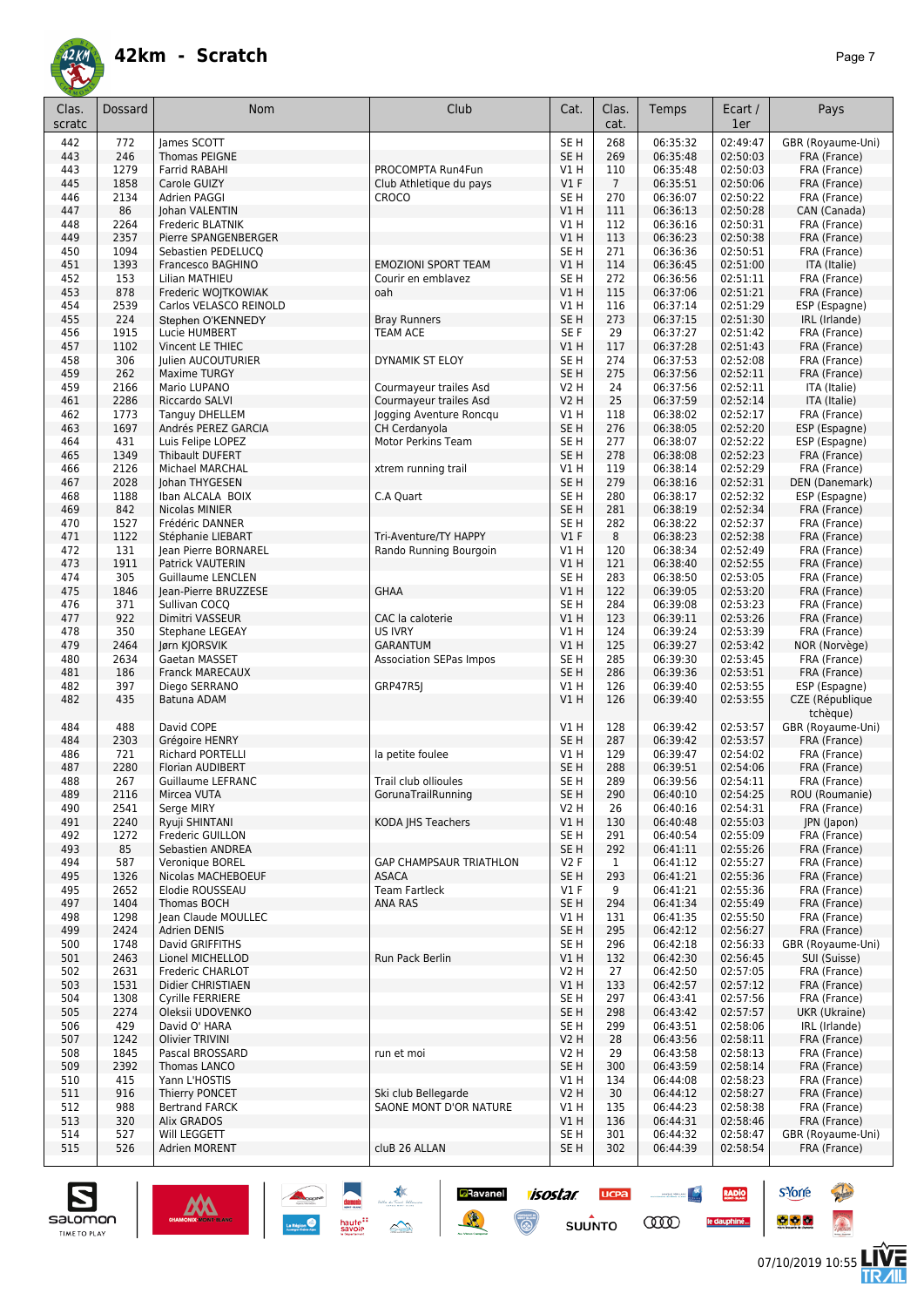

| Clas.<br>scratc | Dossard      | Nom                                           | Club                                          | Cat.                           | Clas.<br>cat.         | Temps                | Ecart /<br>1er       | Pays                              |
|-----------------|--------------|-----------------------------------------------|-----------------------------------------------|--------------------------------|-----------------------|----------------------|----------------------|-----------------------------------|
| 442             | 772          | lames SCOTT                                   |                                               | SE <sub>H</sub>                | 268                   | 06:35:32             | 02:49:47             | GBR (Royaume-Uni)                 |
| 443             | 246          | Thomas PEIGNE                                 |                                               | SE <sub>H</sub>                | 269                   | 06:35:48             | 02:50:03             | FRA (France)                      |
| 443             | 1279         | Farrid RABAHI                                 | PROCOMPTA Run4Fun                             | V1H                            | 110                   | 06:35:48             | 02:50:03             | FRA (France)                      |
| 445             | 1858<br>2134 | Carole GUIZY<br>Adrien PAGGI                  | Club Athletique du pays                       | $VI$ F                         | $\overline{7}$<br>270 | 06:35:51             | 02:50:06<br>02:50:22 | FRA (France)                      |
| 446<br>447      | 86           | Johan VALENTIN                                | CROCO                                         | SE H<br>VIH                    | 111                   | 06:36:07<br>06:36:13 | 02:50:28             | FRA (France)<br>CAN (Canada)      |
| 448             | 2264         | Frederic BLATNIK                              |                                               | V1H                            | 112                   | 06:36:16             | 02:50:31             | FRA (France)                      |
| 449             | 2357         | Pierre SPANGENBERGER                          |                                               | V1H                            | 113                   | 06:36:23             | 02:50:38             | FRA (France)                      |
| 450             | 1094         | Sebastien PEDELUCQ                            |                                               | SE <sub>H</sub>                | 271                   | 06:36:36             | 02:50:51             | FRA (France)                      |
| 451             | 1393         | Francesco BAGHINO                             | <b>EMOZIONI SPORT TEAM</b>                    | V1H                            | 114                   | 06:36:45             | 02:51:00             | ITA (Italie)                      |
| 452             | 153          | Lilian MATHIEU                                | Courir en emblavez                            | SE <sub>H</sub>                | 272                   | 06:36:56             | 02:51:11             | FRA (France)                      |
| 453<br>454      | 878<br>2539  | Frederic WOJTKOWIAK<br>Carlos VELASCO REINOLD | oah                                           | V1H<br>V1H                     | 115<br>116            | 06:37:06<br>06:37:14 | 02:51:21<br>02:51:29 | FRA (France)<br>ESP (Espagne)     |
| 455             | 224          | Stephen O'KENNEDY                             | <b>Bray Runners</b>                           | SE <sub>H</sub>                | 273                   | 06:37:15             | 02:51:30             | IRL (Irlande)                     |
| 456             | 1915         | Lucie HUMBERT                                 | <b>TEAM ACE</b>                               | SE F                           | 29                    | 06:37:27             | 02:51:42             | FRA (France)                      |
| 457             | 1102         | Vincent LE THIEC                              |                                               | V1 H                           | 117                   | 06:37:28             | 02:51:43             | FRA (France)                      |
| 458             | 306          | Julien AUCOUTURIER                            | DYNAMIK ST ELOY                               | SE H                           | 274                   | 06:37:53             | 02:52:08             | FRA (France)                      |
| 459             | 262          | <b>Maxime TURGY</b>                           |                                               | SE <sub>H</sub>                | 275                   | 06:37:56             | 02:52:11             | FRA (France)                      |
| 459             | 2166         | Mario LUPANO                                  | Courmayeur trailes Asd                        | <b>V2 H</b>                    | 24                    | 06:37:56             | 02:52:11             | ITA (Italie)                      |
| 461             | 2286         | Riccardo SALVI                                | Courmayeur trailes Asd                        | <b>V2 H</b>                    | 25                    | 06:37:59             | 02:52:14             | ITA (Italie)                      |
| 462             | 1773<br>1697 | <b>Tanguy DHELLEM</b>                         | Jogging Aventure Roncqu                       | <b>V1 H</b><br>SE <sub>H</sub> | 118<br>276            | 06:38:02<br>06:38:05 | 02:52:17<br>02:52:20 | FRA (France)                      |
| 463<br>464      | 431          | Andrés PEREZ GARCIA<br>Luis Felipe LOPEZ      | CH Cerdanyola<br>Motor Perkins Team           | SE <sub>H</sub>                | 277                   | 06:38:07             | 02:52:22             | ESP (Espagne)<br>ESP (Espagne)    |
| 465             | 1349         | Thibault DUFERT                               |                                               | SE <sub>H</sub>                | 278                   | 06:38:08             | 02:52:23             | FRA (France)                      |
| 466             | 2126         | <b>Michael MARCHAL</b>                        | xtrem running trail                           | V1H                            | 119                   | 06:38:14             | 02:52:29             | FRA (France)                      |
| 467             | 2028         | Johan THYGESEN                                |                                               | SE <sub>H</sub>                | 279                   | 06:38:16             | 02:52:31             | DEN (Danemark)                    |
| 468             | 1188         | Iban ALCALA BOIX                              | C.A Quart                                     | SE H                           | 280                   | 06:38:17             | 02:52:32             | ESP (Espagne)                     |
| 469             | 842          | Nicolas MINIER                                |                                               | SE <sub>H</sub>                | 281                   | 06:38:19             | 02:52:34             | FRA (France)                      |
| 470             | 1527         | Frédéric DANNER                               |                                               | SE H                           | 282                   | 06:38:22             | 02:52:37             | FRA (France)                      |
| 471             | 1122         | Stéphanie LIEBART                             | Tri-Aventure/TY HAPPY                         | V1F                            | 8                     | 06:38:23             | 02:52:38             | FRA (France)                      |
| 472             | 131<br>1911  | Jean Pierre BORNAREL<br>Patrick VAUTERIN      | Rando Running Bourgoin                        | V1H<br>VIH                     | 120                   | 06:38:34<br>06:38:40 | 02:52:49<br>02:52:55 | FRA (France)                      |
| 473<br>474      | 305          | <b>Guillaume LENCLEN</b>                      |                                               | SE <sub>H</sub>                | 121<br>283            | 06:38:50             | 02:53:05             | FRA (France)<br>FRA (France)      |
| 475             | 1846         | Jean-Pierre BRUZZESE                          | <b>GHAA</b>                                   | V1H                            | 122                   | 06:39:05             | 02:53:20             | FRA (France)                      |
| 476             | 371          | Sullivan COCQ                                 |                                               | SE <sub>H</sub>                | 284                   | 06:39:08             | 02:53:23             | FRA (France)                      |
| 477             | 922          | Dimitri VASSEUR                               | CAC la caloterie                              | V1H                            | 123                   | 06:39:11             | 02:53:26             | FRA (France)                      |
| 478             | 350          | Stephane LEGEAY                               | <b>US IVRY</b>                                | V1H                            | 124                   | 06:39:24             | 02:53:39             | FRA (France)                      |
| 479             | 2464         | Jørn KJORSVIK                                 | <b>GARANTUM</b>                               | VIH                            | 125                   | 06:39:27             | 02:53:42             | NOR (Norvège)                     |
| 480             | 2634         | Gaetan MASSET                                 | <b>Association SEPas Impos</b>                | SE <sub>H</sub>                | 285                   | 06:39:30             | 02:53:45             | FRA (France)                      |
| 481             | 186          | <b>Franck MARECAUX</b>                        |                                               | SE <sub>H</sub>                | 286                   | 06:39:36             | 02:53:51             | FRA (France)                      |
| 482<br>482      | 397<br>435   | Diego SERRANO<br>Batuna ADAM                  | GRP47R5J                                      | V1H<br>VIH                     | 126<br>126            | 06:39:40<br>06:39:40 | 02:53:55<br>02:53:55 | ESP (Espagne)<br>CZE (République  |
|                 |              |                                               |                                               |                                |                       |                      |                      | tchèque)                          |
| 484<br>484      | 488<br>2303  | David COPE<br>Grégoire HENRY                  |                                               | V1H<br>SE <sub>H</sub>         | 128<br>287            | 06:39:42<br>06:39:42 | 02:53:57<br>02:53:57 | GBR (Royaume-Uni)<br>FRA (France) |
| 486             | 721          | <b>Richard PORTELLI</b>                       | la petite foulee                              | V1 H                           | 129                   | 06:39:47             | 02:54:02             | FRA (France)                      |
| 487             | 2280         | Florian AUDIBERT                              |                                               | SE <sub>H</sub>                | 288                   | 06:39:51             | 02:54:06             | FRA (France)                      |
| 488             | 267          | <b>Guillaume LEFRANC</b>                      | Trail club ollioules                          | SE H                           | 289                   | 06:39:56             | 02:54:11             | FRA (France)                      |
| 489             | 2116         | Mircea VUTA                                   | GorunaTrailRunning                            | SE <sub>H</sub>                | 290                   | 06:40:10             | 02:54:25             | ROU (Roumanie)                    |
| 490             | 2541         | Serge MIRY                                    |                                               | <b>V2 H</b>                    | 26                    | 06:40:16             | 02:54:31             | FRA (France)                      |
| 491             | 2240         | Ryuji SHINTANI                                | KODA JHS Teachers                             | VIH                            | 130                   | 06:40:48             | 02:55:03             | JPN (Japon)                       |
| 492<br>493      | 1272<br>85   | Frederic GUILLON<br>Sebastien ANDREA          |                                               | SE H<br>SE <sub>H</sub>        | 291<br>292            | 06:40:54             | 02:55:09<br>02:55:26 | FRA (France)                      |
| 494             | 587          | Veronique BOREL                               | GAP CHAMPSAUR TRIATHLON                       | V2F                            | 1                     | 06:41:11<br>06:41:12 | 02:55:27             | FRA (France)<br>FRA (France)      |
| 495             | 1326         | Nicolas MACHEBOEUF                            | <b>ASACA</b>                                  | SE H                           | 293                   | 06:41:21             | 02:55:36             | FRA (France)                      |
| 495             | 2652         | Elodie ROUSSEAU                               | <b>Team Fartleck</b>                          | $VI$ F                         | 9                     | 06:41:21             | 02:55:36             | FRA (France)                      |
| 497             | 1404         | Thomas BOCH                                   | ANA RAS                                       | SE <sub>H</sub>                | 294                   | 06:41:34             | 02:55:49             | FRA (France)                      |
| 498             | 1298         | Jean Claude MOULLEC                           |                                               | V1H                            | 131                   | 06:41:35             | 02:55:50             | FRA (France)                      |
| 499             | 2424         | Adrien DENIS                                  |                                               | SE H                           | 295                   | 06:42:12             | 02:56:27             | FRA (France)                      |
| 500             | 1748         | David GRIFFITHS                               |                                               | SE <sub>H</sub>                | 296                   | 06:42:18             | 02:56:33             | GBR (Royaume-Uni)                 |
| 501<br>502      | 2463<br>2631 | Lionel MICHELLOD<br>Frederic CHARLOT          | Run Pack Berlin                               | VIH<br>V2 H                    | 132<br>27             | 06:42:30<br>06:42:50 | 02:56:45<br>02:57:05 | SUI (Suisse)<br>FRA (France)      |
| 503             | 1531         | Didier CHRISTIAEN                             |                                               | VIH                            | 133                   | 06:42:57             | 02:57:12             | FRA (France)                      |
| 504             | 1308         | <b>Cyrille FERRIERE</b>                       |                                               | SE H                           | 297                   | 06:43:41             | 02:57:56             | FRA (France)                      |
| 505             | 2274         | Oleksii UDOVENKO                              |                                               | SE H                           | 298                   | 06:43:42             | 02:57:57             | UKR (Ukraine)                     |
| 506             | 429          | David O' HARA                                 |                                               | SE H                           | 299                   | 06:43:51             | 02:58:06             | IRL (Irlande)                     |
| 507             | 1242         | Olivier TRIVINI                               |                                               | V2 H                           | 28                    | 06:43:56             | 02:58:11             | FRA (France)                      |
| 508             | 1845         | Pascal BROSSARD                               | run et moi                                    | V2 H                           | 29                    | 06:43:58             | 02:58:13             | FRA (France)                      |
| 509             | 2392         | Thomas LANCO                                  |                                               | SE <sub>H</sub>                | 300                   | 06:43:59             | 02:58:14             | FRA (France)                      |
| 510             | 415          | Yann L'HOSTIS                                 |                                               | V1 H                           | 134                   | 06:44:08             | 02:58:23             | FRA (France)                      |
| 511<br>512      | 916<br>988   | Thierry PONCET<br><b>Bertrand FARCK</b>       | Ski club Bellegarde<br>SAONE MONT D'OR NATURE | <b>V2 H</b><br>V1H             | 30<br>135             | 06:44:12<br>06:44:23 | 02:58:27<br>02:58:38 | FRA (France)<br>FRA (France)      |
| 513             | 320          | Alix GRADOS                                   |                                               | VIH                            | 136                   | 06:44:31             | 02:58:46             | FRA (France)                      |
| 514             | 527          | Will LEGGETT                                  |                                               | SE <sub>H</sub>                | 301                   | 06:44:32             | 02:58:47             | GBR (Royaume-Uni)                 |
| 515             | 526          | Adrien MORENT                                 | cluB 26 ALLAN                                 | SE H                           | 302                   | 06:44:39             | 02:58:54             | FRA (France)                      |

**Ravanel** *isostar* 

 $\odot$ 

**UCPA** 

 $s$ UUNTO

 $\begin{picture}(20,10) \put(0,0){\line(1,0){10}} \put(10,0){\line(1,0){10}} \put(10,0){\line(1,0){10}} \put(10,0){\line(1,0){10}} \put(10,0){\line(1,0){10}} \put(10,0){\line(1,0){10}} \put(10,0){\line(1,0){10}} \put(10,0){\line(1,0){10}} \put(10,0){\line(1,0){10}} \put(10,0){\line(1,0){10}} \put(10,0){\line(1,0){10}} \put(10,0){\line(1$ 

**COO** 

RADIO

le dauphiné...

damin<br>haute ::<br>savoie



**s**Yorre

 $\bullet$   $\bullet$   $\bullet$ 

**Reine** 

 $\hat{\Omega}$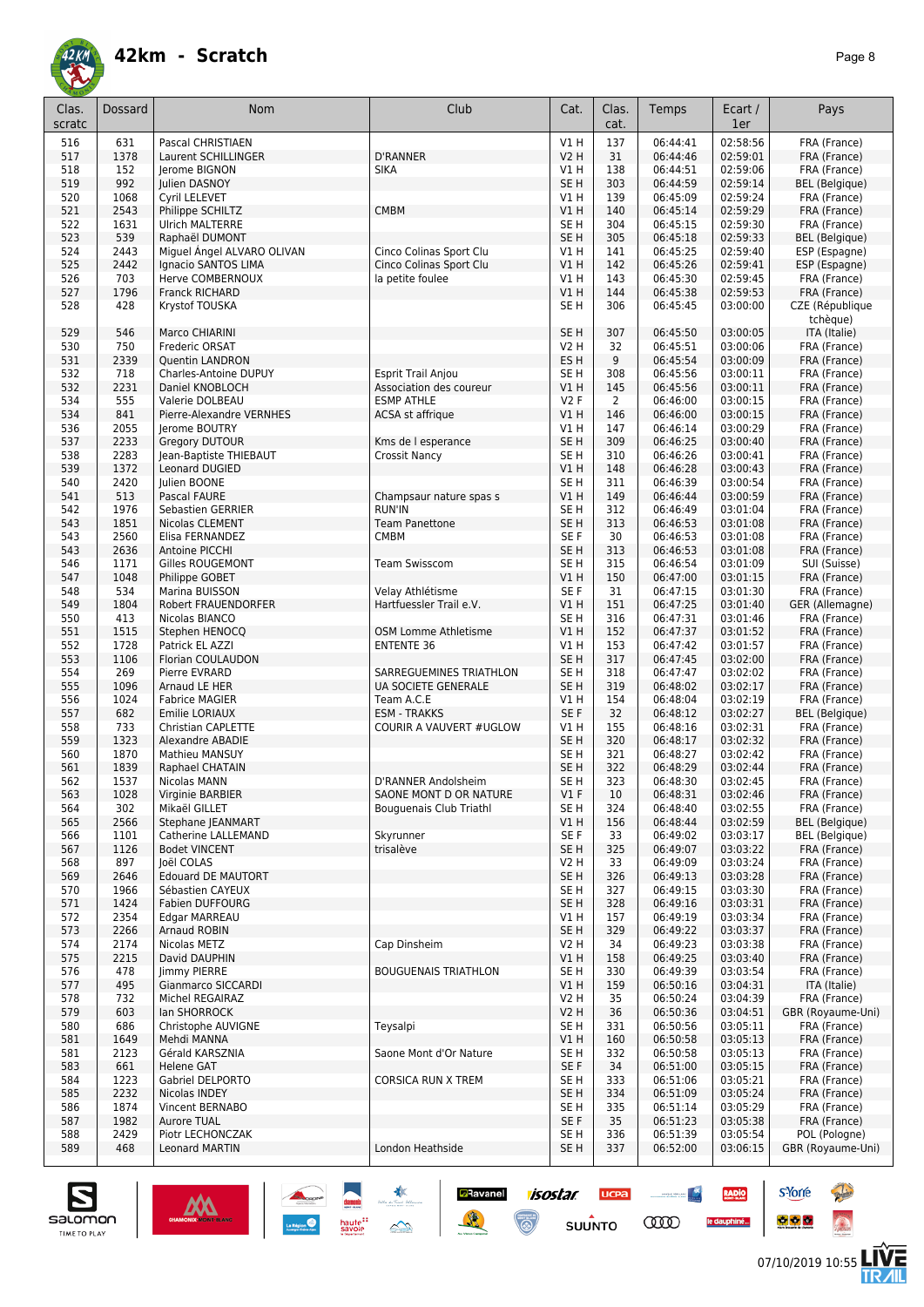

| Clas.<br>scratc | Dossard     | Nom                            | Club                                           | Cat.                    | Clas.<br>cat. | Temps                | Ecart /<br>1er       | Pays                         |
|-----------------|-------------|--------------------------------|------------------------------------------------|-------------------------|---------------|----------------------|----------------------|------------------------------|
| 516             | 631         | Pascal CHRISTIAEN              |                                                | V1H                     | 137           | 06:44:41             | 02:58:56             | FRA (France)                 |
| 517             | 1378        | Laurent SCHILLINGER            | <b>D'RANNER</b>                                | <b>V2 H</b>             | 31            | 06:44:46             | 02:59:01             | FRA (France)                 |
| 518             | 152         | lerome BIGNON                  | <b>SIKA</b>                                    | V1 H                    | 138           | 06:44:51             | 02:59:06             | FRA (France)                 |
| 519             | 992         | <b>Iulien DASNOY</b>           |                                                | SE <sub>H</sub>         | 303           | 06:44:59             | 02:59:14             | <b>BEL</b> (Belgique)        |
| 520             | 1068        | Cyril LELEVET                  |                                                | V1 H                    | 139           | 06:45:09             | 02:59:24             | FRA (France)                 |
| 521             | 2543        | Philippe SCHILTZ               | <b>CMBM</b>                                    | V1H                     | 140           | 06:45:14             | 02:59:29             | FRA (France)                 |
| 522             | 1631        | <b>Ulrich MALTERRE</b>         |                                                | SE <sub>H</sub>         | 304           | 06:45:15             | 02:59:30             | FRA (France)                 |
| 523             | 539         | Raphaël DUMONT                 |                                                | SE <sub>H</sub>         | 305           | 06:45:18             | 02:59:33             | <b>BEL</b> (Belgique)        |
| 524             | 2443        | Miguel Angel ALVARO OLIVAN     | Cinco Colinas Sport Clu                        | V1 H                    | 141           | 06:45:25             | 02:59:40             | ESP (Espagne)                |
| 525             | 2442        | Ignacio SANTOS LIMA            | Cinco Colinas Sport Clu                        | V1H                     | 142           | 06:45:26             | 02:59:41             | ESP (Espagne)                |
| 526             | 703         | <b>Herve COMBERNOUX</b>        | la petite foulee                               | V1 H                    | 143           | 06:45:30             | 02:59:45             | FRA (France)                 |
| 527             | 1796        | <b>Franck RICHARD</b>          |                                                | VIH                     | 144           | 06:45:38             | 02:59:53             | FRA (France)                 |
| 528             | 428         | Krystof TOUSKA                 |                                                | SE <sub>H</sub>         | 306           | 06:45:45             | 03:00:00             | CZE (République<br>tchèque)  |
| 529             | 546         | Marco CHIARINI                 |                                                | SE <sub>H</sub>         | 307           | 06:45:50             | 03:00:05             | ITA (Italie)                 |
| 530             | 750         | Frederic ORSAT                 |                                                | <b>V2 H</b>             | 32            | 06:45:51             | 03:00:06             | FRA (France)                 |
| 531             | 2339        | <b>Quentin LANDRON</b>         |                                                | ES <sub>H</sub>         | 9             | 06:45:54             | 03:00:09             | FRA (France)                 |
| 532             | 718         | Charles-Antoine DUPUY          | Esprit Trail Anjou                             | SE <sub>H</sub>         | 308           | 06:45:56             | 03:00:11             | FRA (France)                 |
| 532             | 2231        | Daniel KNOBLOCH                | Association des coureur                        | V1H                     | 145           | 06:45:56             | 03:00:11             | FRA (France)                 |
| 534             | 555         | Valerie DOLBEAU                | <b>ESMP ATHLE</b>                              | <b>V2F</b>              | 2             | 06:46:00             | 03:00:15             | FRA (France)                 |
| 534             | 841         | Pierre-Alexandre VERNHES       | ACSA st affrique                               | V1H                     | 146           | 06:46:00             | 03:00:15             | FRA (France)                 |
| 536             | 2055        | Jerome BOUTRY                  |                                                | V1 H                    | 147           | 06:46:14             | 03:00:29             | FRA (France)                 |
| 537             | 2233        | <b>Gregory DUTOUR</b>          | Kms de l esperance                             | SE <sub>H</sub>         | 309           | 06:46:25             | 03:00:40             | FRA (France)                 |
| 538             | 2283        | Jean-Baptiste THIEBAUT         | Crossit Nancy                                  | SE H                    | 310           | 06:46:26             | 03:00:41             | FRA (France)                 |
| 539             | 1372        | Leonard DUGIED                 |                                                | V1 H                    | 148           | 06:46:28             | 03:00:43             | FRA (France)                 |
| 540             | 2420        | Julien BOONE                   |                                                | SE H                    | 311           | 06:46:39             | 03:00:54             | FRA (France)                 |
| 541             | 513         | Pascal FAURE                   | Champsaur nature spas s                        | V1 H                    | 149           | 06:46:44             | 03:00:59             | FRA (France)                 |
| 542             | 1976        | Sebastien GERRIER              | <b>RUN'IN</b>                                  | SE H                    | 312           | 06:46:49             | 03:01:04             | FRA (France)                 |
| 543             | 1851        | <b>Nicolas CLEMENT</b>         | <b>Team Panettone</b>                          | SE <sub>H</sub>         | 313           | 06:46:53             | 03:01:08             | FRA (France)                 |
| 543             | 2560        | Elisa FERNANDEZ                | <b>CMBM</b>                                    | SE F                    | 30            | 06:46:53             | 03:01:08             | FRA (France)                 |
| 543             | 2636        | Antoine PICCHI                 |                                                | SE <sub>H</sub>         | 313           | 06:46:53             | 03:01:08             | FRA (France)                 |
| 546             | 1171        | Gilles ROUGEMONT               | <b>Team Swisscom</b>                           | SE H                    | 315           | 06:46:54             | 03:01:09             | SUI (Suisse)                 |
| 547             | 1048        | Philippe GOBET                 |                                                | V1 H                    | 150           | 06:47:00             | 03:01:15             | FRA (France)                 |
| 548             | 534         | Marina BUISSON                 | Velay Athlétisme                               | SE <sub>F</sub>         | 31            | 06:47:15             | 03:01:30             | FRA (France)                 |
| 549             | 1804        | Robert FRAUENDORFER            | Hartfuessler Trail e.V.                        | <b>V1 H</b>             | 151           | 06:47:25             | 03:01:40             | GER (Allemagne)              |
| 550             | 413         | Nicolas BIANCO                 |                                                | SE <sub>H</sub>         | 316           | 06:47:31             | 03:01:46             | FRA (France)                 |
| 551             | 1515        | Stephen HENOCQ                 | OSM Lomme Athletisme                           | VIH                     | 152           | 06:47:37             | 03:01:52             | FRA (France)                 |
| 552             | 1728        | Patrick EL AZZI                | <b>ENTENTE 36</b>                              | V1 H                    | 153           | 06:47:42             | 03:01:57             | FRA (France)                 |
| 553             | 1106        | Florian COULAUDON              |                                                | SE <sub>H</sub>         | 317           | 06:47:45             | 03:02:00<br>03:02:02 | FRA (France)                 |
| 554<br>555      | 269<br>1096 | Pierre EVRARD<br>Arnaud LE HER | SARREGUEMINES TRIATHLON<br>UA SOCIETE GENERALE | SE H<br>SE <sub>H</sub> | 318<br>319    | 06:47:47<br>06:48:02 | 03:02:17             | FRA (France)<br>FRA (France) |
| 556             | 1024        | <b>Fabrice MAGIER</b>          | Team A.C.E                                     | V1H                     | 154           | 06:48:04             | 03:02:19             | FRA (France)                 |
| 557             | 682         | Emilie LORIAUX                 | <b>ESM - TRAKKS</b>                            | SE F                    | 32            | 06:48:12             | 03:02:27             | <b>BEL</b> (Belgique)        |
| 558             | 733         | Christian CAPLETTE             | COURIR A VAUVERT #UGLOW                        | V1 H                    | 155           | 06:48:16             | 03:02:31             | FRA (France)                 |
| 559             | 1323        | Alexandre ABADIE               |                                                | SE <sub>H</sub>         | 320           | 06:48:17             | 03:02:32             | FRA (France)                 |
| 560             | 1870        | Mathieu MANSUY                 |                                                | SE <sub>H</sub>         | 321           | 06:48:27             | 03:02:42             | FRA (France)                 |
| 561             | 1839        | Raphael CHATAIN                |                                                | SE <sub>H</sub>         | 322           | 06:48:29             | 03:02:44             | FRA (France)                 |
| 562             | 1537        | Nicolas MANN                   | D'RANNER Andolsheim                            | SE <sub>H</sub>         | 323           | 06:48:30             | 03:02:45             | FRA (France)                 |
| 563             | 1028        | Virginie BARBIER               | SAONE MONT D OR NATURE                         | $VI$ F                  | 10            | 06:48:31             | 03:02:46             | FRA (France)                 |
| 564             | 302         | Mikaël GILLET                  | Bouguenais Club Triathl                        | SE H                    | 324           | 06:48:40             | 03:02:55             | FRA (France)                 |
| 565             | 2566        | <b>Stephane IEANMART</b>       |                                                | V1H                     | 156           | 06:48:44             | 03:02:59             | BEL (Belgique)               |
| 566             | 1101        | Catherine LALLEMAND            | Skyrunner                                      | SE F                    | 33            | 06:49:02             | 03:03:17             | <b>BEL</b> (Belgique)        |
| 567             | 1126        | <b>Bodet VINCENT</b>           | trisalève                                      | SE <sub>H</sub>         | 325           | 06:49:07             | 03:03:22             | FRA (France)                 |
| 568             | 897         | Joël COLAS                     |                                                | V2 H                    | 33            | 06:49:09             | 03:03:24             | FRA (France)                 |
| 569             | 2646        | <b>Edouard DE MAUTORT</b>      |                                                | SE <sub>H</sub>         | 326           | 06:49:13             | 03:03:28             | FRA (France)                 |
| 570             | 1966        | Sébastien CAYEUX               |                                                | SE H                    | 327           | 06:49:15             | 03:03:30             | FRA (France)                 |
| 571             | 1424        | Fabien DUFFOURG                |                                                | SE <sub>H</sub>         | 328           | 06:49:16             | 03:03:31             | FRA (France)                 |
| 572             | 2354        | Edgar MARREAU                  |                                                | V1 H                    | 157           | 06:49:19             | 03:03:34             | FRA (France)                 |
| 573             | 2266        | Arnaud ROBIN                   |                                                | SE <sub>H</sub>         | 329           | 06:49:22             | 03:03:37             | FRA (France)                 |
| 574             | 2174        | Nicolas METZ                   | Cap Dinsheim                                   | V2 H                    | 34            | 06:49:23             | 03:03:38             | FRA (France)                 |
| 575             | 2215        | David DAUPHIN                  |                                                | V1H                     | 158           | 06:49:25             | 03:03:40             | FRA (France)                 |
| 576             | 478         | Jimmy PIERRE                   | <b>BOUGUENAIS TRIATHLON</b>                    | SE H                    | 330           | 06:49:39             | 03:03:54             | FRA (France)                 |
| 577             | 495         | Gianmarco SICCARDI             |                                                | V1 H                    | 159           | 06:50:16             | 03:04:31             | ITA (Italie)                 |
| 578             | 732         | Michel REGAIRAZ                |                                                | V2 H                    | 35            | 06:50:24             | 03:04:39             | FRA (France)                 |
| 579             | 603         | lan SHORROCK                   |                                                | <b>V2 H</b>             | 36            | 06:50:36             | 03:04:51             | GBR (Royaume-Uni)            |
| 580             | 686         | Christophe AUVIGNE             | Teysalpi                                       | SE H                    | 331           | 06:50:56             | 03:05:11             | FRA (France)                 |
| 581             | 1649        | Mehdi MANNA                    |                                                | V1H                     | 160           | 06:50:58             | 03:05:13             | FRA (France)                 |
| 581             | 2123        | Gérald KARSZNIA                | Saone Mont d'Or Nature                         | SE H                    | 332           | 06:50:58             | 03:05:13             | FRA (France)                 |
| 583             | 661         | <b>Helene GAT</b>              |                                                | SE F                    | 34            | 06:51:00             | 03:05:15             | FRA (France)                 |
| 584             | 1223        | Gabriel DELPORTO               | <b>CORSICA RUN X TREM</b>                      | SE H                    | 333           | 06:51:06             | 03:05:21             | FRA (France)                 |
| 585             | 2232        | Nicolas INDEY                  |                                                | SE <sub>H</sub>         | 334           | 06:51:09             | 03:05:24             | FRA (France)                 |
| 586             | 1874        | Vincent BERNABO                |                                                | SE <sub>H</sub>         | 335           | 06:51:14             | 03:05:29             | FRA (France)                 |
| 587             | 1982        | <b>Aurore TUAL</b>             |                                                | SE F                    | 35            | 06:51:23             | 03:05:38             | FRA (France)                 |
| 588             | 2429        | Piotr LECHONCZAK               |                                                | SE H                    | 336           | 06:51:39             | 03:05:54             | POL (Pologne)                |
| 589             | 468         | Leonard MARTIN                 | London Heathside                               | SE H                    | 337           | 06:52:00             | 03:06:15             | GBR (Royaume-Uni)            |

**a**Ravanel <mark>7/505/7/ UCPa</mark>

 $su\overset{\bullet}{\mathsf{unro}}$ 

 $\odot$ 

意



 $\mathbf{||}$ 

**s**Yorre

 $\bullet$   $\bullet$   $\bullet$ 

 $\sim$ 

**COO** 

**RADIO** 

le dauphiné...

**Reine** 

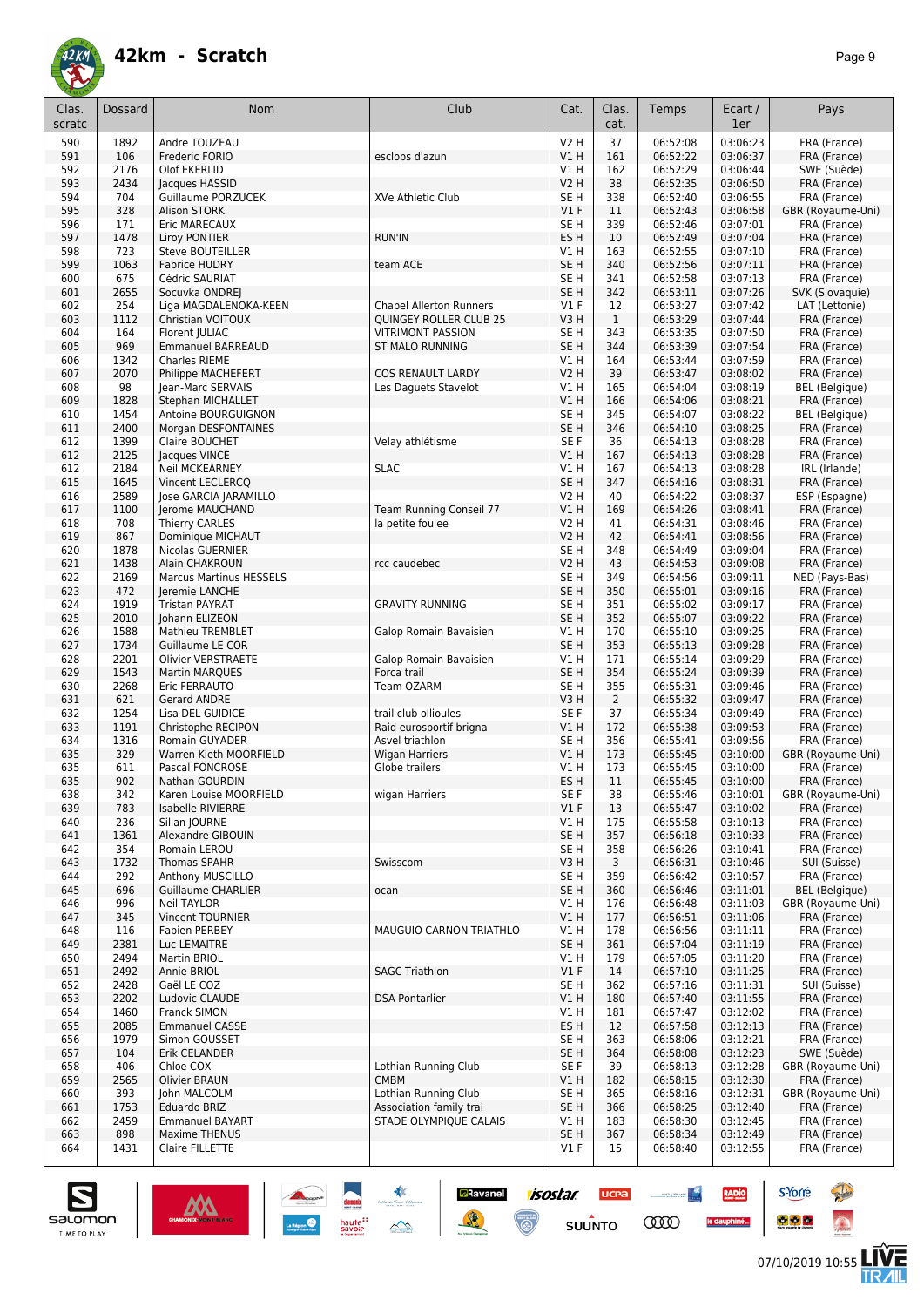

| Clas.<br>scratc | Dossard     | Nom                                     | Club                                               | Cat.                    | Clas.<br>cat.      | Temps                | Ecart /<br>1er       | Pays                              |
|-----------------|-------------|-----------------------------------------|----------------------------------------------------|-------------------------|--------------------|----------------------|----------------------|-----------------------------------|
| 590             | 1892        | Andre TOUZEAU                           |                                                    | <b>V2 H</b>             | 37                 | 06:52:08             | 03:06:23             | FRA (France)                      |
| 591             | 106         | Frederic FORIO                          | esclops d'azun                                     | <b>V1 H</b>             | 161                | 06:52:22             | 03:06:37             | FRA (France)                      |
| 592             | 2176        | Olof EKERLID                            |                                                    | V1 H                    | 162                | 06:52:29             | 03:06:44             | SWE (Suède)                       |
| 593             | 2434        | Jacques HASSID                          |                                                    | <b>V2 H</b>             | 38                 | 06:52:35             | 03:06:50             | FRA (France)                      |
| 594             | 704         | <b>Guillaume PORZUCEK</b>               | XVe Athletic Club                                  | SE H                    | 338                | 06:52:40             | 03:06:55             | FRA (France)                      |
| 595             | 328         | Alison STORK                            |                                                    | $VI$ F                  | 11                 | 06:52:43             | 03:06:58             | GBR (Royaume-Uni)                 |
| 596             | 171         | Eric MARECAUX                           |                                                    | SE H                    | 339                | 06:52:46             | 03:07:01             | FRA (France)                      |
| 597             | 1478        | Liroy PONTIER                           | <b>RUN'IN</b>                                      | ES H                    | 10                 | 06:52:49             | 03:07:04             | FRA (France)                      |
| 598             | 723         | <b>Steve BOUTEILLER</b>                 |                                                    | V1 H                    | 163                | 06:52:55             | 03:07:10             | FRA (France)                      |
| 599             | 1063        | <b>Fabrice HUDRY</b>                    | team ACE                                           | SE <sub>H</sub>         | 340                | 06:52:56             | 03:07:11             | FRA (France)                      |
| 600             | 675         | Cédric SAURIAT                          |                                                    | SE H                    | 341                | 06:52:58             | 03:07:13             | FRA (France)                      |
| 601             | 2655        | Socuvka ONDREJ                          |                                                    | SE <sub>H</sub>         | 342                | 06:53:11             | 03:07:26             | SVK (Slovaquie)                   |
| 602             | 254<br>1112 | Liga MAGDALENOKA-KEEN                   | <b>Chapel Allerton Runners</b>                     | $VI$ F<br>V3H           | 12<br>$\mathbf{1}$ | 06:53:27<br>06:53:29 | 03:07:42<br>03:07:44 | LAT (Lettonie)<br>FRA (France)    |
| 603<br>604      | 164         | Christian VOITOUX<br>Florent JULIAC     | QUINGEY ROLLER CLUB 25<br><b>VITRIMONT PASSION</b> | SE H                    | 343                | 06:53:35             | 03:07:50             | FRA (France)                      |
| 605             | 969         | <b>Emmanuel BARREAUD</b>                | <b>ST MALO RUNNING</b>                             | SE <sub>H</sub>         | 344                | 06:53:39             | 03:07:54             | FRA (France)                      |
| 606             | 1342        | Charles RIEME                           |                                                    | V1 H                    | 164                | 06:53:44             | 03:07:59             | FRA (France)                      |
| 607             | 2070        | Philippe MACHEFERT                      | <b>COS RENAULT LARDY</b>                           | V2 H                    | 39                 | 06:53:47             | 03:08:02             | FRA (France)                      |
| 608             | 98          | Jean-Marc SERVAIS                       | Les Daguets Stavelot                               | V1 H                    | 165                | 06:54:04             | 03:08:19             | <b>BEL</b> (Belgique)             |
| 609             | 1828        | Stephan MICHALLET                       |                                                    | <b>V1 H</b>             | 166                | 06:54:06             | 03:08:21             | FRA (France)                      |
| 610             | 1454        | Antoine BOURGUIGNON                     |                                                    | SE H                    | 345                | 06:54:07             | 03:08:22             | <b>BEL</b> (Belgique)             |
| 611             | 2400        | Morgan DESFONTAINES                     |                                                    | SE <sub>H</sub>         | 346                | 06:54:10             | 03:08:25             | FRA (France)                      |
| 612             | 1399        | Claire BOUCHET                          | Velay athlétisme                                   | SE F                    | 36                 | 06:54:13             | 03:08:28             | FRA (France)                      |
| 612             | 2125        | Jacques VINCE                           |                                                    | V1H                     | 167                | 06:54:13             | 03:08:28             | FRA (France)                      |
| 612             | 2184        | <b>Neil MCKEARNEY</b>                   | <b>SLAC</b>                                        | V1 H                    | 167                | 06:54:13             | 03:08:28             | IRL (Irlande)                     |
| 615             | 1645        | Vincent LECLERCQ                        |                                                    | SE <sub>H</sub>         | 347                | 06:54:16             | 03:08:31             | FRA (France)                      |
| 616             | 2589        | <b>Jose GARCIA JARAMILLO</b>            |                                                    | V2 H                    | 40                 | 06:54:22             | 03:08:37             | ESP (Espagne)                     |
| 617             | 1100        | Jerome MAUCHAND                         | Team Running Conseil 77                            | VIH                     | 169                | 06:54:26             | 03:08:41             | FRA (France)                      |
| 618             | 708         | <b>Thierry CARLES</b>                   | la petite foulee                                   | V2 H                    | 41                 | 06:54:31             | 03:08:46             | FRA (France)                      |
| 619             | 867         | Dominique MICHAUT                       |                                                    | V2 H                    | 42                 | 06:54:41             | 03:08:56             | FRA (France)                      |
| 620             | 1878        | Nicolas GUERNIER                        |                                                    | SE H                    | 348                | 06:54:49             | 03:09:04             | FRA (France)                      |
| 621             | 1438        | Alain CHAKROUN                          | rcc caudebec                                       | <b>V2 H</b>             | 43                 | 06:54:53             | 03:09:08             | FRA (France)                      |
| 622             | 2169        | <b>Marcus Martinus HESSELS</b>          |                                                    | SE <sub>H</sub>         | 349                | 06:54:56             | 03:09:11             | NED (Pays-Bas)                    |
| 623<br>624      | 472<br>1919 | Jeremie LANCHE<br><b>Tristan PAYRAT</b> | <b>GRAVITY RUNNING</b>                             | SE <sub>H</sub><br>SE H | 350<br>351         | 06:55:01<br>06:55:02 | 03:09:16<br>03:09:17 | FRA (France)<br>FRA (France)      |
| 625             | 2010        | Johann ELIZEON                          |                                                    | SE <sub>H</sub>         | 352                | 06:55:07             | 03:09:22             | FRA (France)                      |
| 626             | 1588        | Mathieu TREMBLET                        | Galop Romain Bavaisien                             | V1H                     | 170                | 06:55:10             | 03:09:25             | FRA (France)                      |
| 627             | 1734        | Guillaume LE COR                        |                                                    | SE <sub>H</sub>         | 353                | 06:55:13             | 03:09:28             | FRA (France)                      |
| 628             | 2201        | <b>Olivier VERSTRAETE</b>               | Galop Romain Bavaisien                             | V1 H                    | 171                | 06:55:14             | 03:09:29             | FRA (France)                      |
| 629             | 1543        | <b>Martin MARQUES</b>                   | Forca trail                                        | SE <sub>H</sub>         | 354                | 06:55:24             | 03:09:39             | FRA (France)                      |
| 630             | 2268        | Eric FERRAUTO                           | Team OZARM                                         | SE H                    | 355                | 06:55:31             | 03:09:46             | FRA (France)                      |
| 631             | 621         | Gerard ANDRE                            |                                                    | V3 H                    | $\overline{2}$     | 06:55:32             | 03:09:47             | FRA (France)                      |
| 632             | 1254        | Lisa DEL GUIDICE                        | trail club ollioules                               | SE F                    | 37                 | 06:55:34             | 03:09:49             | FRA (France)                      |
| 633             | 1191        | Christophe RECIPON                      | Raid eurosportif brigna                            | V1H                     | 172                | 06:55:38             | 03:09:53             | FRA (France)                      |
| 634             | 1316        | Romain GUYADER                          | Asvel triathlon                                    | SE H                    | 356                | 06:55:41             | 03:09:56             | FRA (France)                      |
| 635             | 329         | Warren Kieth MOORFIELD                  | <b>Wigan Harriers</b>                              | V1H                     | 173                | 06:55:45             | 03:10:00             | GBR (Royaume-Uni)                 |
| 635             | 611         | Pascal FONCROSE                         | Globe trailers                                     | V1 H                    | 173                | 06:55:45             | 03:10:00             | FRA (France)                      |
| 635             | 902         | Nathan GOURDIN                          |                                                    | ES H                    | 11                 | 06:55:45             | 03:10:00             | FRA (France)                      |
| 638             | 342         | Karen Louise MOORFIELD                  | wigan Harriers                                     | SE F                    | 38                 | 06:55:46             | 03:10:01             | GBR (Royaume-Uni)                 |
| 639             | 783         | Isabelle RIVIERRE                       |                                                    | $VI$ F                  | 13                 | 06:55:47             | 03:10:02             | FRA (France)                      |
| 640             | 236         | Silian JOURNE<br>Alexandre GIBOUIN      |                                                    | V1H<br>SE <sub>H</sub>  | 175                | 06:55:58             | 03:10:13             | FRA (France)                      |
| 641<br>642      | 1361<br>354 | Romain LEROU                            |                                                    | SE H                    | 357<br>358         | 06:56:18<br>06:56:26 | 03:10:33<br>03:10:41 | FRA (France)<br>FRA (France)      |
| 643             | 1732        | <b>Thomas SPAHR</b>                     | Swisscom                                           | V3H                     | 3                  | 06:56:31             | 03:10:46             | SUI (Suisse)                      |
| 644             | 292         | Anthony MUSCILLO                        |                                                    | SE H                    | 359                | 06:56:42             | 03:10:57             | FRA (France)                      |
| 645             | 696         | <b>Guillaume CHARLIER</b>               | ocan                                               | SE H                    | 360                | 06:56:46             | 03:11:01             | <b>BEL</b> (Belgique)             |
| 646             | 996         | <b>Neil TAYLOR</b>                      |                                                    | V1 H                    | 176                | 06:56:48             | 03:11:03             | GBR (Royaume-Uni)                 |
| 647             | 345         | <b>Vincent TOURNIER</b>                 |                                                    | V1H                     | 177                | 06:56:51             | 03:11:06             | FRA (France)                      |
| 648             | 116         | <b>Fabien PERBEY</b>                    | MAUGUIO CARNON TRIATHLO                            | V1H                     | 178                | 06:56:56             | 03:11:11             | FRA (France)                      |
| 649             | 2381        | Luc LEMAITRE                            |                                                    | SE <sub>H</sub>         | 361                | 06:57:04             | 03:11:19             | FRA (France)                      |
| 650             | 2494        | Martin BRIOL                            |                                                    | V1 H                    | 179                | 06:57:05             | 03:11:20             | FRA (France)                      |
| 651             | 2492        | Annie BRIOL                             | <b>SAGC Triathlon</b>                              | V1F                     | 14                 | 06:57:10             | 03:11:25             | FRA (France)                      |
| 652             | 2428        | Gaël LE COZ                             |                                                    | SE H                    | 362                | 06:57:16             | 03:11:31             | SUI (Suisse)                      |
| 653             | 2202        | Ludovic CLAUDE                          | <b>DSA Pontarlier</b>                              | VIH                     | 180                | 06:57:40             | 03:11:55             | FRA (France)                      |
| 654             | 1460        | Franck SIMON                            |                                                    | V1H                     | 181                | 06:57:47             | 03:12:02             | FRA (France)                      |
| 655             | 2085        | <b>Emmanuel CASSE</b>                   |                                                    | ES H                    | 12                 | 06:57:58             | 03:12:13             | FRA (France)                      |
| 656             | 1979        | Simon GOUSSET                           |                                                    | SE H                    | 363                | 06:58:06             | 03:12:21             | FRA (France)                      |
| 657             | 104         | Erik CELANDER                           | Lothian Running Club                               | SE H                    | 364                | 06:58:08             | 03:12:23             | SWE (Suède)                       |
| 658<br>659      | 406<br>2565 | Chloe COX<br><b>Olivier BRAUN</b>       | <b>CMBM</b>                                        | SE F<br>V1H             | 39<br>182          | 06:58:13<br>06:58:15 | 03:12:28<br>03:12:30 | GBR (Royaume-Uni)<br>FRA (France) |
| 660             | 393         | John MALCOLM                            | Lothian Running Club                               | SE H                    | 365                | 06:58:16             | 03:12:31             | GBR (Royaume-Uni)                 |
| 661             | 1753        | Eduardo BRIZ                            | Association family trai                            | SE H                    | 366                | 06:58:25             | 03:12:40             | FRA (France)                      |
| 662             | 2459        | <b>Emmanuel BAYART</b>                  | STADE OLYMPIQUE CALAIS                             | V1 H                    | 183                | 06:58:30             | 03:12:45             | FRA (France)                      |
| 663             | 898         | <b>Maxime THENUS</b>                    |                                                    | SE <sub>H</sub>         | 367                | 06:58:34             | 03:12:49             | FRA (France)                      |
| 664             | 1431        | Claire FILLETTE                         |                                                    | $VI$ F                  | 15                 | 06:58:40             | 03:12:55             | FRA (France)                      |
|                 |             |                                         |                                                    |                         |                    |                      |                      |                                   |



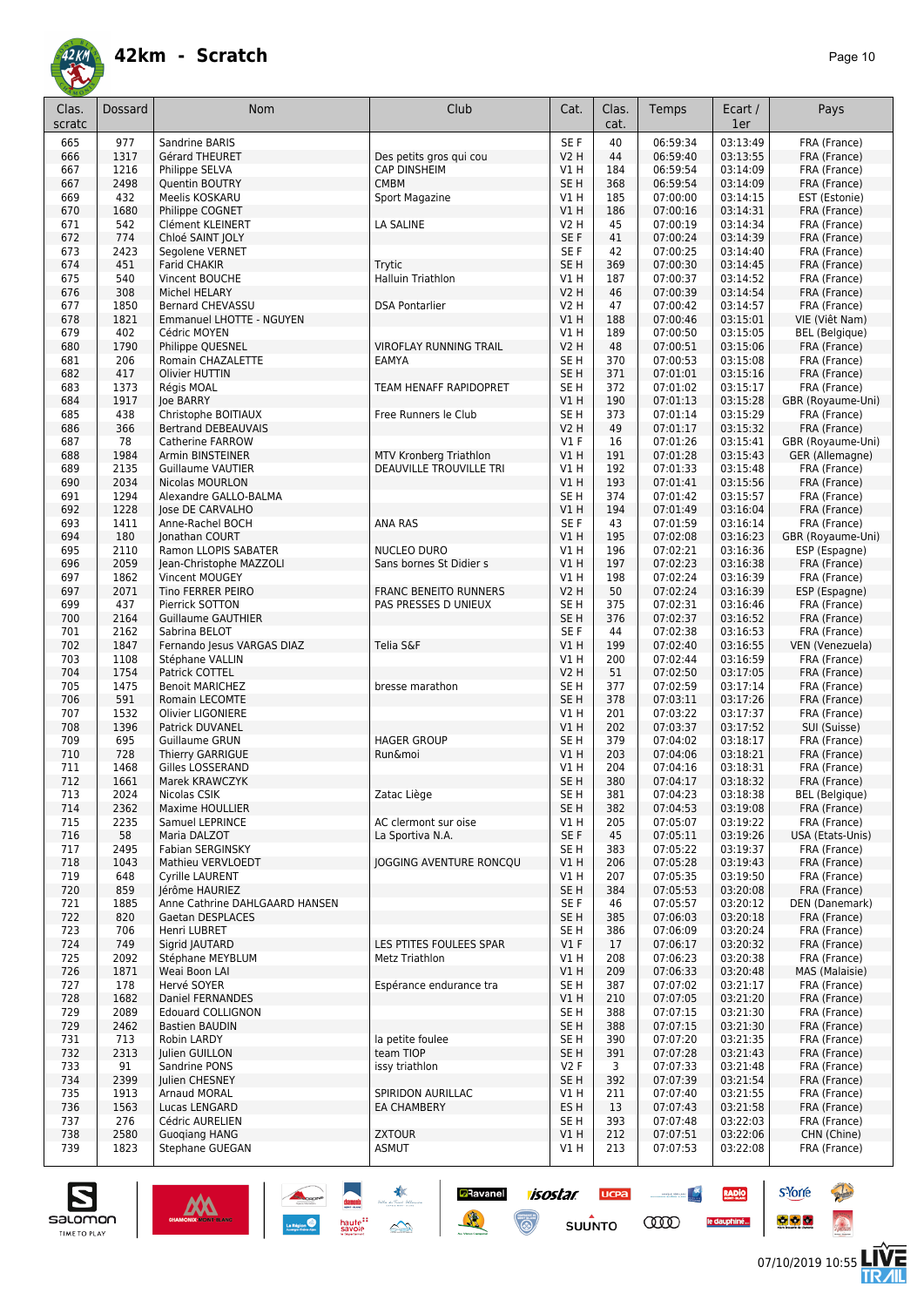

| Clas.<br>scratc | Dossard      | Nom                                                | Club                                                 | Cat.                       | Clas.<br>cat. | Temps                | Ecart /<br>1er       | Pays                              |
|-----------------|--------------|----------------------------------------------------|------------------------------------------------------|----------------------------|---------------|----------------------|----------------------|-----------------------------------|
| 665             | 977          | Sandrine BARIS                                     |                                                      | SE F                       | 40            | 06:59:34             | 03:13:49             | FRA (France)                      |
| 666             | 1317         | Gérard THEURET                                     | Des petits gros qui cou                              | <b>V2 H</b>                | 44            | 06:59:40             | 03:13:55             | FRA (France)                      |
| 667             | 1216         | Philippe SELVA                                     | <b>CAP DINSHEIM</b>                                  | V1 H                       | 184           | 06:59:54             | 03:14:09             | FRA (France)                      |
| 667<br>669      | 2498<br>432  | Quentin BOUTRY<br>Meelis KOSKARU                   | <b>CMBM</b><br>Sport Magazine                        | SE <sub>H</sub><br>V1 H    | 368<br>185    | 06:59:54<br>07:00:00 | 03:14:09<br>03:14:15 | FRA (France)<br>EST (Estonie)     |
| 670             | 1680         | Philippe COGNET                                    |                                                      | VIH                        | 186           | 07:00:16             | 03:14:31             | FRA (France)                      |
| 671             | 542          | Clément KLEINERT                                   | LA SALINE                                            | V2 H                       | 45            | 07:00:19             | 03:14:34             | FRA (France)                      |
| 672             | 774          | Chloé SAINT JOLY                                   |                                                      | SE F                       | 41            | 07:00:24             | 03:14:39             | FRA (France)                      |
| 673             | 2423         | Segolene VERNET                                    |                                                      | SE F                       | 42            | 07:00:25             | 03:14:40             | FRA (France)                      |
| 674             | 451          | <b>Farid CHAKIR</b>                                | Trytic                                               | SE <sub>H</sub>            | 369           | 07:00:30             | 03:14:45             | FRA (France)                      |
| 675             | 540<br>308   | Vincent BOUCHE                                     | Halluin Triathlon                                    | V1 H                       | 187<br>46     | 07:00:37<br>07:00:39 | 03:14:52             | FRA (France)                      |
| 676<br>677      | 1850         | Michel HELARY<br><b>Bernard CHEVASSU</b>           | <b>DSA Pontarlier</b>                                | <b>V2 H</b><br><b>V2 H</b> | 47            | 07:00:42             | 03:14:54<br>03:14:57 | FRA (France)<br>FRA (France)      |
| 678             | 1821         | <b>Emmanuel LHOTTE - NGUYEN</b>                    |                                                      | VIH                        | 188           | 07:00:46             | 03:15:01             | VIE (Việt Nam)                    |
| 679             | 402          | Cédric MOYEN                                       |                                                      | V1 H                       | 189           | 07:00:50             | 03:15:05             | <b>BEL</b> (Belgique)             |
| 680             | 1790         | Philippe QUESNEL                                   | <b>VIROFLAY RUNNING TRAIL</b>                        | V2 H                       | 48            | 07:00:51             | 03:15:06             | FRA (France)                      |
| 681             | 206          | Romain CHAZALETTE                                  | EAMYA                                                | SE <sub>H</sub>            | 370           | 07:00:53             | 03:15:08             | FRA (France)                      |
| 682             | 417          | Olivier HUTTIN                                     |                                                      | SE <sub>H</sub>            | 371           | 07:01:01             | 03:15:16             | FRA (France)                      |
| 683<br>684      | 1373<br>1917 | Régis MOAL<br>loe BARRY                            | TEAM HENAFF RAPIDOPRET                               | SE <sub>H</sub><br>V1H     | 372<br>190    | 07:01:02<br>07:01:13 | 03:15:17<br>03:15:28 | FRA (France)<br>GBR (Royaume-Uni) |
| 685             | 438          | Christophe BOITIAUX                                | Free Runners le Club                                 | SE H                       | 373           | 07:01:14             | 03:15:29             | FRA (France)                      |
| 686             | 366          | <b>Bertrand DEBEAUVAIS</b>                         |                                                      | V2 H                       | 49            | 07:01:17             | 03:15:32             | FRA (France)                      |
| 687             | 78           | Catherine FARROW                                   |                                                      | $VI$ F                     | 16            | 07:01:26             | 03:15:41             | GBR (Royaume-Uni)                 |
| 688             | 1984         | Armin BINSTEINER                                   | <b>MTV Kronberg Triathlon</b>                        | V1H                        | 191           | 07:01:28             | 03:15:43             | GER (Allemagne)                   |
| 689             | 2135         | <b>Guillaume VAUTIER</b>                           | DEAUVILLE TROUVILLE TRI                              | V1 H                       | 192           | 07:01:33             | 03:15:48             | FRA (France)                      |
| 690<br>691      | 2034<br>1294 | Nicolas MOURLON<br>Alexandre GALLO-BALMA           |                                                      | V1H<br>SE H                | 193<br>374    | 07:01:41<br>07:01:42 | 03:15:56<br>03:15:57 | FRA (France)<br>FRA (France)      |
| 692             | 1228         | lose DE CARVALHO                                   |                                                      | VIH                        | 194           | 07:01:49             | 03:16:04             | FRA (France)                      |
| 693             | 1411         | Anne-Rachel BOCH                                   | <b>ANA RAS</b>                                       | SE F                       | 43            | 07:01:59             | 03:16:14             | FRA (France)                      |
| 694             | 180          | Jonathan COURT                                     |                                                      | VIH                        | 195           | 07:02:08             | 03:16:23             | GBR (Royaume-Uni)                 |
| 695             | 2110         | Ramon LLOPIS SABATER                               | NUCLEO DURO                                          | V1 H                       | 196           | 07:02:21             | 03:16:36             | ESP (Espagne)                     |
| 696             | 2059         | Jean-Christophe MAZZOLI                            | Sans bornes St Didier s                              | VIH                        | 197           | 07:02:23             | 03:16:38             | FRA (France)                      |
| 697             | 1862         | Vincent MOUGEY                                     |                                                      | V1 H                       | 198           | 07:02:24             | 03:16:39             | FRA (France)                      |
| 697<br>699      | 2071<br>437  | Tino FERRER PEIRO<br>Pierrick SOTTON               | <b>FRANC BENEITO RUNNERS</b><br>PAS PRESSES D UNIEUX | V2 H<br>SE H               | 50<br>375     | 07:02:24<br>07:02:31 | 03:16:39<br>03:16:46 | ESP (Espagne)<br>FRA (France)     |
| 700             | 2164         | <b>Guillaume GAUTHIER</b>                          |                                                      | SE <sub>H</sub>            | 376           | 07:02:37             | 03:16:52             | FRA (France)                      |
| 701             | 2162         | Sabrina BELOT                                      |                                                      | SE <sub>F</sub>            | 44            | 07:02:38             | 03:16:53             | FRA (France)                      |
| 702             | 1847         | Fernando Jesus VARGAS DIAZ                         | Telia S&F                                            | V1H                        | 199           | 07:02:40             | 03:16:55             | VEN (Venezuela)                   |
| 703             | 1108         | Stéphane VALLIN                                    |                                                      | V1H                        | 200           | 07:02:44             | 03:16:59             | FRA (France)                      |
| 704             | 1754         | Patrick COTTEL                                     |                                                      | V2 H                       | 51            | 07:02:50             | 03:17:05             | FRA (France)                      |
| 705             | 1475         | <b>Benoit MARICHEZ</b>                             | bresse marathon                                      | SE H                       | 377           | 07:02:59             | 03:17:14             | FRA (France)                      |
| 706<br>707      | 591<br>1532  | Romain LECOMTE<br>Olivier LIGONIERE                |                                                      | SE <sub>H</sub><br>V1 H    | 378<br>201    | 07:03:11<br>07:03:22 | 03:17:26<br>03:17:37 | FRA (France)<br>FRA (France)      |
| 708             | 1396         | Patrick DUVANEL                                    |                                                      | VIH                        | 202           | 07:03:37             | 03:17:52             | SUI (Suisse)                      |
| 709             | 695          | Guillaume GRUN                                     | <b>HAGER GROUP</b>                                   | SE H                       | 379           | 07:04:02             | 03:18:17             | FRA (France)                      |
| 710             | 728          | Thierry GARRIGUE                                   | Run&moi                                              | V1 H                       | 203           | 07:04:06             | 03:18:21             | FRA (France)                      |
| 711             | 1468         | Gilles LOSSERAND                                   |                                                      | V1 H                       | 204           | 07:04:16             | 03:18:31             | FRA (France)                      |
| 712             | 1661         | Marek KRAWCZYK                                     |                                                      | SE H                       | 380           | 07:04:17             | 03:18:32             | FRA (France)                      |
| 713<br>714      | 2024<br>2362 | Nicolas CSIK<br>Maxime HOULLIER                    | Zatac Liège                                          | SE H<br>SE <sub>H</sub>    | 381<br>382    | 07:04:23<br>07:04:53 | 03:18:38<br>03:19:08 | BEL (Belgique)<br>FRA (France)    |
| 715             | 2235         | Samuel LEPRINCE                                    | AC clermont sur oise                                 | V1 H                       | 205           | 07:05:07             | 03:19:22             | FRA (France)                      |
| 716             | 58           | Maria DALZOT                                       | La Sportiva N.A.                                     | SE F                       | 45            | 07:05:11             | 03:19:26             | USA (Etats-Unis)                  |
| 717             | 2495         | Fabian SERGINSKY                                   |                                                      | SE H                       | 383           | 07:05:22             | 03:19:37             | FRA (France)                      |
| 718             | 1043         | Mathieu VERVLOEDT                                  | JOGGING AVENTURE RONCQU                              | V1H                        | 206           | 07:05:28             | 03:19:43             | FRA (France)                      |
| 719             | 648          | Cyrille LAURENT                                    |                                                      | V1H                        | 207           | 07:05:35             | 03:19:50             | FRA (France)                      |
| 720             | 859<br>1885  | Jérôme HAURIEZ                                     |                                                      | SE <sub>H</sub><br>SE F    | 384           | 07:05:53<br>07:05:57 | 03:20:08<br>03:20:12 | FRA (France)                      |
| 721<br>722      | 820          | Anne Cathrine DAHLGAARD HANSEN<br>Gaetan DESPLACES |                                                      | SE H                       | 46<br>385     | 07:06:03             | 03:20:18             | DEN (Danemark)<br>FRA (France)    |
| 723             | 706          | Henri LUBRET                                       |                                                      | SE H                       | 386           | 07:06:09             | 03:20:24             | FRA (France)                      |
| 724             | 749          | Sigrid JAUTARD                                     | LES PTITES FOULEES SPAR                              | $VI$ F                     | 17            | 07:06:17             | 03:20:32             | FRA (France)                      |
| 725             | 2092         | Stéphane MEYBLUM                                   | Metz Triathlon                                       | V1 H                       | 208           | 07:06:23             | 03:20:38             | FRA (France)                      |
| 726             | 1871         | Weai Boon LAI                                      |                                                      | V1H                        | 209           | 07:06:33             | 03:20:48             | MAS (Malaisie)                    |
| 727             | 178          | Hervé SOYER                                        | Espérance endurance tra                              | SE <sub>H</sub>            | 387           | 07:07:02             | 03:21:17             | FRA (France)                      |
| 728<br>729      | 1682<br>2089 | Daniel FERNANDES<br><b>Edouard COLLIGNON</b>       |                                                      | V1H<br>SE H                | 210<br>388    | 07:07:05<br>07:07:15 | 03:21:20<br>03:21:30 | FRA (France)<br>FRA (France)      |
| 729             | 2462         | <b>Bastien BAUDIN</b>                              |                                                      | SE H                       | 388           | 07:07:15             | 03:21:30             | FRA (France)                      |
| 731             | 713          | Robin LARDY                                        | la petite foulee                                     | SE H                       | 390           | 07:07:20             | 03:21:35             | FRA (France)                      |
| 732             | 2313         | Julien GUILLON                                     | team TIOP                                            | SE H                       | 391           | 07:07:28             | 03:21:43             | FRA (France)                      |
| 733             | 91           | Sandrine PONS                                      | issy triathlon                                       | V2F                        | 3             | 07:07:33             | 03:21:48             | FRA (France)                      |
| 734             | 2399         | Julien CHESNEY                                     |                                                      | SE H                       | 392           | 07:07:39             | 03:21:54             | FRA (France)                      |
| 735             | 1913         | Arnaud MORAL                                       | SPIRIDON AURILLAC                                    | V1 H                       | 211           | 07:07:40             | 03:21:55             | FRA (France)                      |
| 736<br>737      | 1563<br>276  | Lucas LENGARD<br>Cédric AURELIEN                   | EA CHAMBERY                                          | ES H<br>SE H               | 13<br>393     | 07:07:43<br>07:07:48 | 03:21:58<br>03:22:03 | FRA (France)<br>FRA (France)      |
| 738             | 2580         | <b>Guogiang HANG</b>                               | <b>ZXTOUR</b>                                        | VIH                        | 212           | 07:07:51             | 03:22:06             | CHN (Chine)                       |
| 739             | 1823         | Stephane GUEGAN                                    | <b>ASMUT</b>                                         | V1 H                       | 213           | 07:07:53             | 03:22:08             | FRA (France)                      |
|                 |              |                                                    |                                                      |                            |               |                      |                      |                                   |

**Ravanel 1505tar** 

 $\odot$ 

送

**UCPA** 

 $s$ UUNTO

 $\begin{picture}(20,10) \put(0,0){\line(1,0){10}} \put(10,0){\line(1,0){10}} \put(10,0){\line(1,0){10}} \put(10,0){\line(1,0){10}} \put(10,0){\line(1,0){10}} \put(10,0){\line(1,0){10}} \put(10,0){\line(1,0){10}} \put(10,0){\line(1,0){10}} \put(10,0){\line(1,0){10}} \put(10,0){\line(1,0){10}} \put(10,0){\line(1,0){10}} \put(10,0){\line(1$ 

**COO** 

RADIO

le dauphiné...



**s**Yorre

 $\bullet$   $\bullet$   $\bullet$ 

**There** 

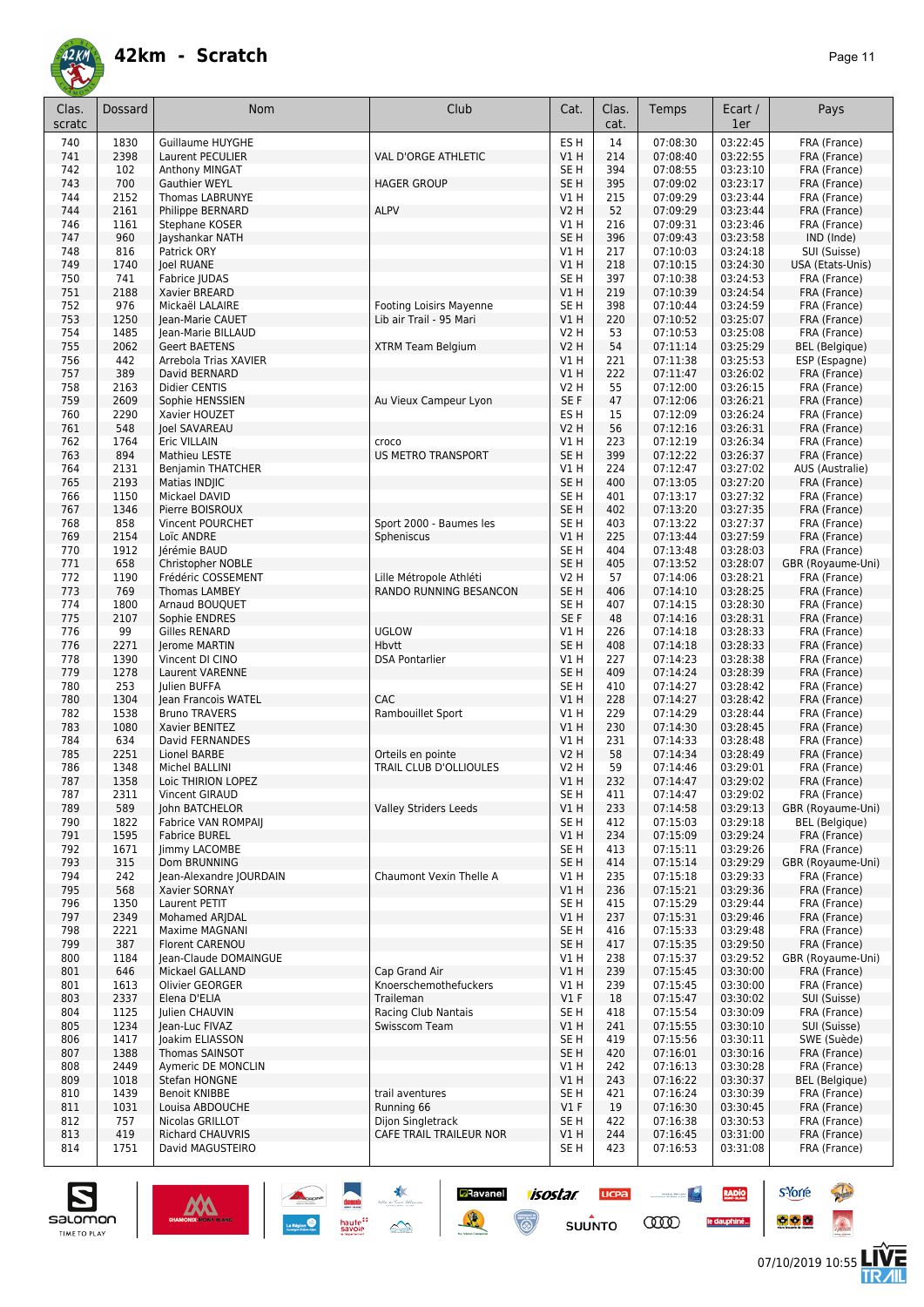

| Clas.<br>scratc | Dossard | Nom                        | Club                           | Cat.            | Clas.<br>cat. | Temps    | Ecart /<br>1er | Pays                  |
|-----------------|---------|----------------------------|--------------------------------|-----------------|---------------|----------|----------------|-----------------------|
| 740             | 1830    | <b>Guillaume HUYGHE</b>    |                                | ES <sub>H</sub> | 14            | 07:08:30 | 03:22:45       | FRA (France)          |
| 741             | 2398    | Laurent PECULIER           | VAL D'ORGE ATHLETIC            | <b>V1 H</b>     | 214           | 07:08:40 | 03:22:55       | FRA (France)          |
| 742             | 102     | Anthony MINGAT             |                                | SE H            | 394           | 07:08:55 | 03:23:10       | FRA (France)          |
| 743             | 700     | <b>Gauthier WEYL</b>       | <b>HAGER GROUP</b>             | SE <sub>H</sub> | 395           | 07:09:02 | 03:23:17       | FRA (France)          |
| 744             | 2152    | <b>Thomas LABRUNYE</b>     |                                | V1 H            | 215           | 07:09:29 | 03:23:44       | FRA (France)          |
| 744             | 2161    | Philippe BERNARD           | <b>ALPV</b>                    | <b>V2 H</b>     | 52            | 07:09:29 | 03:23:44       | FRA (France)          |
| 746             | 1161    | Stephane KOSER             |                                | V1 H            | 216           | 07:09:31 | 03:23:46       | FRA (France)          |
| 747             | 960     | Jayshankar NATH            |                                | SE <sub>H</sub> | 396           | 07:09:43 | 03:23:58       | IND (Inde)            |
| 748             | 816     | Patrick ORY                |                                | V1H             | 217           | 07:10:03 | 03:24:18       | SUI (Suisse)          |
| 749             | 1740    | <b>Joel RUANE</b>          |                                | V1H             | 218           | 07:10:15 | 03:24:30       | USA (Etats-Unis)      |
| 750             | 741     | Fabrice JUDAS              |                                | SE <sub>H</sub> | 397           | 07:10:38 | 03:24:53       | FRA (France)          |
| 751             | 2188    | Xavier BREARD              |                                | V1 H            | 219           | 07:10:39 | 03:24:54       | FRA (France)          |
| 752             | 976     | Mickaël LALAIRE            | <b>Footing Loisirs Mayenne</b> | SE <sub>H</sub> | 398           | 07:10:44 | 03:24:59       | FRA (France)          |
| 753             | 1250    | Jean-Marie CAUET           | Lib air Trail - 95 Mari        | VIH             | 220           | 07:10:52 | 03:25:07       | FRA (France)          |
| 754             | 1485    | Jean-Marie BILLAUD         |                                | <b>V2 H</b>     | 53            | 07:10:53 | 03:25:08       | FRA (France)          |
| 755             | 2062    | <b>Geert BAETENS</b>       | XTRM Team Belgium              | V2 H            | 54            | 07:11:14 | 03:25:29       | <b>BEL</b> (Belgique) |
| 756             | 442     | Arrebola Trias XAVIER      |                                | V1 H            | 221           | 07:11:38 | 03:25:53       | ESP (Espagne)         |
| 757             | 389     | David BERNARD              |                                | V1 H            | 222           | 07:11:47 | 03:26:02       | FRA (France)          |
| 758             | 2163    | Didier CENTIS              |                                | V2 H            | 55            | 07:12:00 | 03:26:15       | FRA (France)          |
| 759             | 2609    | Sophie HENSSIEN            | Au Vieux Campeur Lyon          | SE F            | 47            | 07:12:06 | 03:26:21       | FRA (France)          |
| 760             | 2290    | Xavier HOUZET              |                                | ES <sub>H</sub> | 15            | 07:12:09 | 03:26:24       | FRA (France)          |
| 761             | 548     | <b>Joel SAVAREAU</b>       |                                | <b>V2 H</b>     | 56            | 07:12:16 | 03:26:31       | FRA (France)          |
| 762             | 1764    | Eric VILLAIN               | croco                          | V1 H            | 223           | 07:12:19 | 03:26:34       | FRA (France)          |
| 763             | 894     | Mathieu LESTE              | <b>US METRO TRANSPORT</b>      | SE <sub>H</sub> | 399           | 07:12:22 | 03:26:37       | FRA (France)          |
| 764             | 2131    | <b>Benjamin THATCHER</b>   |                                | V1 H            | 224           | 07:12:47 | 03:27:02       | AUS (Australie)       |
| 765             | 2193    | Matias INDIIC              |                                | SE <sub>H</sub> | 400           | 07:13:05 | 03:27:20       | FRA (France)          |
| 766             | 1150    | Mickael DAVID              |                                | SE <sub>H</sub> | 401           | 07:13:17 | 03:27:32       | FRA (France)          |
| 767             | 1346    | Pierre BOISROUX            |                                | SE <sub>H</sub> | 402           | 07:13:20 | 03:27:35       | FRA (France)          |
| 768             | 858     | Vincent POURCHET           | Sport 2000 - Baumes les        | SE H            | 403           | 07:13:22 | 03:27:37       | FRA (France)          |
| 769             | 2154    | Loïc ANDRE                 | Spheniscus                     | V1 H            | 225           | 07:13:44 | 03:27:59       | FRA (France)          |
| 770             | 1912    | Jérémie BAUD               |                                | SE H            | 404           | 07:13:48 | 03:28:03       | FRA (France)          |
| 771             | 658     | Christopher NOBLE          |                                | SE <sub>H</sub> | 405           | 07:13:52 | 03:28:07       | GBR (Royaume-Uni)     |
| 772             | 1190    | Frédéric COSSEMENT         | Lille Métropole Athléti        | <b>V2 H</b>     | 57            | 07:14:06 | 03:28:21       | FRA (France)          |
| 773             | 769     | <b>Thomas LAMBEY</b>       | RANDO RUNNING BESANCON         | SE <sub>H</sub> | 406           | 07:14:10 | 03:28:25       | FRA (France)          |
| 774             | 1800    | Arnaud BOUQUET             |                                | SE <sub>H</sub> | 407           | 07:14:15 | 03:28:30       | FRA (France)          |
| 775             | 2107    | Sophie ENDRES              |                                | SE F            | 48            | 07:14:16 | 03:28:31       | FRA (France)          |
| 776             | 99      | Gilles RENARD              | <b>UGLOW</b>                   | V1 H            | 226           | 07:14:18 | 03:28:33       | FRA (France)          |
| 776             | 2271    | Jerome MARTIN              | Hbytt                          | SE <sub>H</sub> | 408           | 07:14:18 | 03:28:33       | FRA (France)          |
| 778             | 1390    | Vincent DI CINO            | <b>DSA Pontarlier</b>          | V1 H            | 227           | 07:14:23 | 03:28:38       | FRA (France)          |
| 779             | 1278    | Laurent VARENNE            |                                | SE <sub>H</sub> | 409           | 07:14:24 | 03:28:39       | FRA (France)          |
| 780             | 253     | Julien BUFFA               |                                | SE H            | 410           | 07:14:27 | 03:28:42       | FRA (France)          |
| 780             | 1304    | Jean Francois WATEL        | CAC                            | V1 H            | 228           | 07:14:27 | 03:28:42       | FRA (France)          |
| 782             | 1538    | <b>Bruno TRAVERS</b>       | Rambouillet Sport              | V1 H            | 229           | 07:14:29 | 03:28:44       | FRA (France)          |
| 783             | 1080    | Xavier BENITEZ             |                                | V1H             | 230           | 07:14:30 | 03:28:45       | FRA (France)          |
| 784             | 634     | David FERNANDES            |                                | V1 H            | 231           | 07:14:33 | 03:28:48       | FRA (France)          |
| 785             | 2251    | Lionel BARBE               | Orteils en pointe              | <b>V2 H</b>     | 58            | 07:14:34 | 03:28:49       | FRA (France)          |
| 786             | 1348    | Michel BALLINI             | TRAIL CLUB D'OLLIOULES         | V2 H            | 59            | 07:14:46 | 03:29:01       | FRA (France)          |
| 787             | 1358    | Loic THIRION LOPEZ         |                                | <b>V1 H</b>     | 232           | 07:14:47 | 03:29:02       | FRA (France)          |
| 787             | 2311    | Vincent GIRAUD             |                                | SE <sub>H</sub> | 411           | 07:14:47 | 03:29:02       | FRA (France)          |
| 789             | 589     | John BATCHELOR             | <b>Valley Striders Leeds</b>   | V1H             | 233           | 07:14:58 | 03:29:13       | GBR (Royaume-Uni)     |
| 790             | 1822    | <b>Fabrice VAN ROMPAII</b> |                                | SE <sub>H</sub> | 412           | 07:15:03 | 03:29:18       | <b>BEL</b> (Belgique) |
| 791             | 1595    | <b>Fabrice BUREL</b>       |                                | V1H             | 234           | 07:15:09 | 03:29:24       | FRA (France)          |
| 792             | 1671    | <b>limmy LACOMBE</b>       |                                | SE H            | 413           | 07:15:11 | 03:29:26       | FRA (France)          |
| 793             | 315     | Dom BRUNNING               |                                | SE H            | 414           | 07:15:14 | 03:29:29       | GBR (Royaume-Uni)     |
| 794             | 242     | Jean-Alexandre JOURDAIN    | Chaumont Vexin Thelle A        | V1 H            | 235           | 07:15:18 | 03:29:33       | FRA (France)          |
| 795             | 568     | Xavier SORNAY              |                                | V1H             | 236           | 07:15:21 | 03:29:36       | FRA (France)          |
| 796             | 1350    | Laurent PETIT              |                                | SE H            | 415           | 07:15:29 | 03:29:44       | FRA (France)          |
| 797             | 2349    | Mohamed ARJDAL             |                                | V1 H            | 237           | 07:15:31 | 03:29:46       | FRA (France)          |
| 798             | 2221    | Maxime MAGNANI             |                                | SE H            | 416           | 07:15:33 | 03:29:48       | FRA (France)          |
| 799             | 387     | <b>Florent CARENOU</b>     |                                | SE <sub>H</sub> | 417           | 07:15:35 | 03:29:50       | FRA (France)          |
| 800             | 1184    | Jean-Claude DOMAINGUE      |                                | V1 H            | 238           | 07:15:37 | 03:29:52       | GBR (Royaume-Uni)     |
| 801             | 646     | Mickael GALLAND            | Cap Grand Air                  | V1H             | 239           | 07:15:45 | 03:30:00       | FRA (France)          |
| 801             | 1613    | Olivier GEORGER            | Knoerschemothefuckers          | V1 H            | 239           | 07:15:45 | 03:30:00       | FRA (France)          |
| 803             | 2337    | Elena D'ELIA               | Traileman                      | $VI$ F          | 18            | 07:15:47 | 03:30:02       | SUI (Suisse)          |
| 804             | 1125    | Julien CHAUVIN             | Racing Club Nantais            | SE H            | 418           | 07:15:54 | 03:30:09       | FRA (France)          |
| 805             | 1234    | Jean-Luc FIVAZ             | Swisscom Team                  | V1 H            | 241           | 07:15:55 | 03:30:10       | SUI (Suisse)          |
| 806             | 1417    | Joakim ELIASSON            |                                | SE H            | 419           | 07:15:56 | 03:30:11       | SWE (Suède)           |
| 807             | 1388    | Thomas SAINSOT             |                                | SE H            | 420           | 07:16:01 | 03:30:16       | FRA (France)          |
| 808             | 2449    | Aymeric DE MONCLIN         |                                | V1 H            | 242           | 07:16:13 | 03:30:28       | FRA (France)          |
| 809             | 1018    | Stefan HONGNE              |                                | V1 H            | 243           | 07:16:22 | 03:30:37       | BEL (Belgique)        |
| 810             | 1439    | <b>Benoit KNIBBE</b>       | trail aventures                | SE H            | 421           | 07:16:24 | 03:30:39       | FRA (France)          |
| 811             | 1031    | Louisa ABDOUCHE            | Running 66                     | $VI$ F          | 19            | 07:16:30 | 03:30:45       | FRA (France)          |
| 812             | 757     | Nicolas GRILLOT            | Dijon Singletrack              | SE H            | 422           | 07:16:38 | 03:30:53       | FRA (France)          |
| 813             | 419     | <b>Richard CHAUVRIS</b>    | CAFE TRAIL TRAILEUR NOR        | V1 H            | 244           | 07:16:45 | 03:31:00       | FRA (France)          |
| 814             | 1751    | David MAGUSTEIRO           |                                | SE <sub>H</sub> | 423           | 07:16:53 | 03:31:08       | FRA (France)          |





**UCPA** 

<u>and the second second</u>

RADIO

**s**Yorre

**Ravanel 1505tar**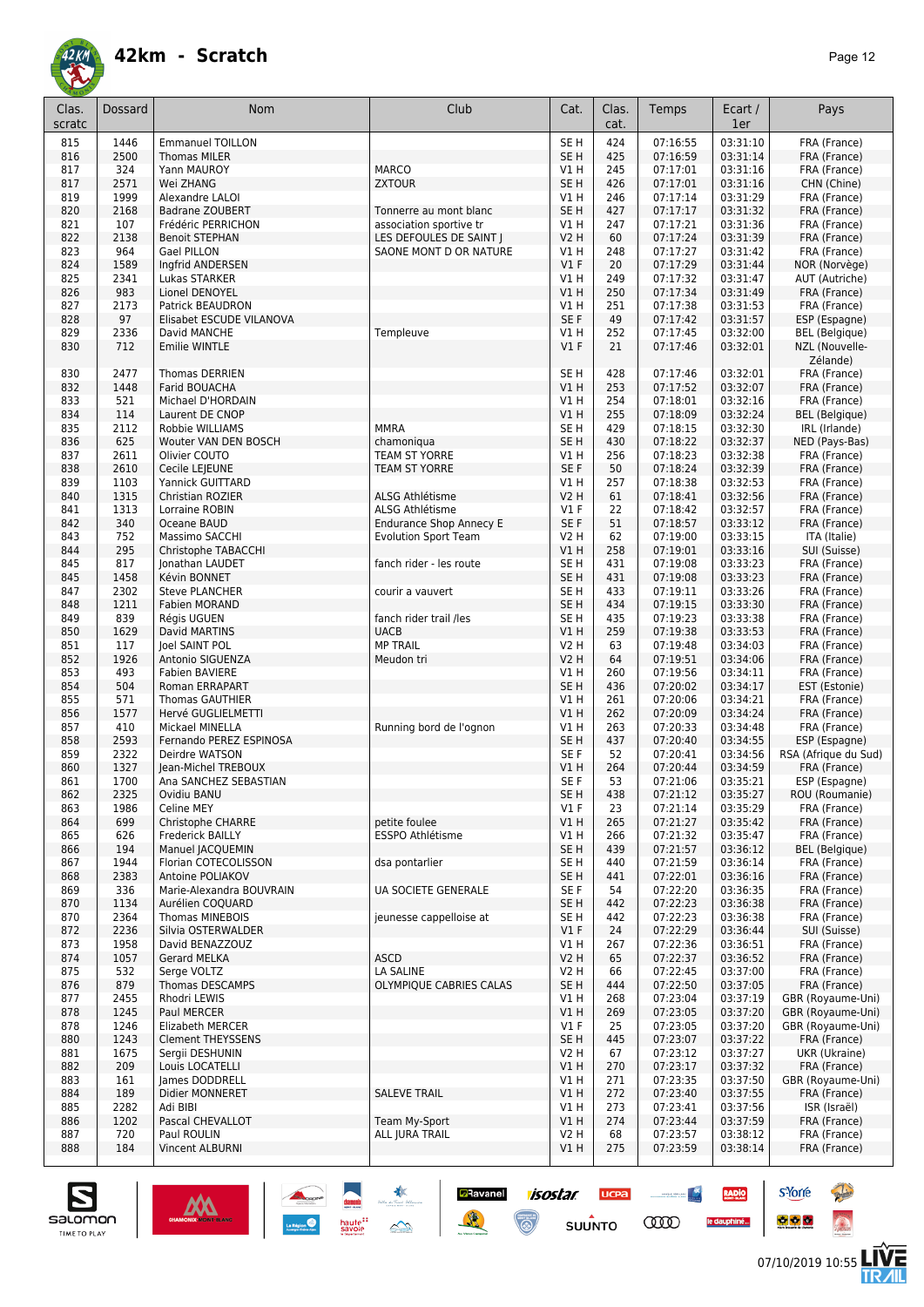

| Clas.<br>scratc | Dossard      | Nom                                          | Club                                               | Cat.                               | Clas.<br>cat. | Temps                | Ecart /<br>1er       | Pays                                   |
|-----------------|--------------|----------------------------------------------|----------------------------------------------------|------------------------------------|---------------|----------------------|----------------------|----------------------------------------|
| 815             | 1446         | <b>Emmanuel TOILLON</b>                      |                                                    | SE H                               | 424           | 07:16:55             | 03:31:10             | FRA (France)                           |
| 816             | 2500         | <b>Thomas MILER</b>                          |                                                    | SE H                               | 425           | 07:16:59             | 03:31:14             | FRA (France)                           |
| 817             | 324          | Yann MAUROY                                  | <b>MARCO</b>                                       | V1 H                               | 245           | 07:17:01             | 03:31:16             | FRA (France)                           |
| 817             | 2571         | Wei ZHANG                                    | <b>ZXTOUR</b>                                      | SE <sub>H</sub>                    | 426           | 07:17:01             | 03:31:16             | CHN (Chine)                            |
| 819             | 1999         | Alexandre LALOI                              |                                                    | V1H                                | 246           | 07:17:14             | 03:31:29<br>03:31:32 | FRA (France)                           |
| 820<br>821      | 2168<br>107  | <b>Badrane ZOUBERT</b><br>Frédéric PERRICHON | Tonnerre au mont blanc                             | SE <sub>H</sub><br>V1H             | 427<br>247    | 07:17:17<br>07:17:21 | 03:31:36             | FRA (France)                           |
| 822             | 2138         | <b>Benoit STEPHAN</b>                        | association sportive tr<br>LES DEFOULES DE SAINT J | <b>V2 H</b>                        | 60            | 07:17:24             | 03:31:39             | FRA (France)<br>FRA (France)           |
| 823             | 964          | Gael PILLON                                  | SAONE MONT D OR NATURE                             | V1H                                | 248           | 07:17:27             | 03:31:42             | FRA (France)                           |
| 824             | 1589         | Ingfrid ANDERSEN                             |                                                    | V1F                                | 20            | 07:17:29             | 03:31:44             | NOR (Norvège)                          |
| 825             | 2341         | Lukas STARKER                                |                                                    | V1 H                               | 249           | 07:17:32             | 03:31:47             | AUT (Autriche)                         |
| 826             | 983          | Lionel DENOYEL                               |                                                    | VIH                                | 250           | 07:17:34             | 03:31:49             | FRA (France)                           |
| 827             | 2173         | Patrick BEAUDRON                             |                                                    | V1 H                               | 251           | 07:17:38             | 03:31:53             | FRA (France)                           |
| 828             | 97           | Elisabet ESCUDE VILANOVA                     |                                                    | SE F                               | 49            | 07:17:42             | 03:31:57             | ESP (Espagne)                          |
| 829             | 2336         | David MANCHE                                 | Templeuve                                          | V1H                                | 252           | 07:17:45             | 03:32:00             | <b>BEL</b> (Belgique)                  |
| 830             | 712          | <b>Emilie WINTLE</b>                         |                                                    | V1F                                | 21            | 07:17:46             | 03:32:01             | NZL (Nouvelle-<br>Zélande)             |
| 830             | 2477         | <b>Thomas DERRIEN</b>                        |                                                    | SE H                               | 428           | 07:17:46             | 03:32:01             | FRA (France)                           |
| 832             | 1448         | Farid BOUACHA                                |                                                    | V1H                                | 253           | 07:17:52             | 03:32:07             | FRA (France)                           |
| 833             | 521          | Michael D'HORDAIN                            |                                                    | V1H                                | 254           | 07:18:01             | 03:32:16             | FRA (France)                           |
| 834             | 114<br>2112  | Laurent DE CNOP                              | <b>MMRA</b>                                        | V1H<br>SE <sub>H</sub>             | 255<br>429    | 07:18:09<br>07:18:15 | 03:32:24<br>03:32:30 | <b>BEL</b> (Belgique)                  |
| 835<br>836      | 625          | Robbie WILLIAMS<br>Wouter VAN DEN BOSCH      | chamoniqua                                         | SE <sub>H</sub>                    | 430           | 07:18:22             | 03:32:37             | IRL (Irlande)<br>NED (Pays-Bas)        |
| 837             | 2611         | Olivier COUTO                                | <b>TEAM ST YORRE</b>                               | V1 H                               | 256           | 07:18:23             | 03:32:38             | FRA (France)                           |
| 838             | 2610         | Cecile LEJEUNE                               | <b>TEAM ST YORRE</b>                               | SE <sub>F</sub>                    | 50            | 07:18:24             | 03:32:39             | FRA (France)                           |
| 839             | 1103         | Yannick GUITTARD                             |                                                    | V1 H                               | 257           | 07:18:38             | 03:32:53             | FRA (France)                           |
| 840             | 1315         | Christian ROZIER                             | <b>ALSG Athlétisme</b>                             | V <sub>2</sub> H                   | 61            | 07:18:41             | 03:32:56             | FRA (France)                           |
| 841             | 1313         | Lorraine ROBIN                               | ALSG Athlétisme                                    | $VI$ F                             | 22            | 07:18:42             | 03:32:57             | FRA (France)                           |
| 842             | 340          | Oceane BAUD                                  | <b>Endurance Shop Annecy E</b>                     | SE F                               | 51            | 07:18:57             | 03:33:12             | FRA (France)                           |
| 843             | 752          | Massimo SACCHI                               | <b>Evolution Sport Team</b>                        | <b>V2 H</b>                        | 62            | 07:19:00             | 03:33:15             | ITA (Italie)                           |
| 844             | 295          | Christophe TABACCHI                          |                                                    | V1H                                | 258           | 07:19:01             | 03:33:16             | SUI (Suisse)                           |
| 845             | 817          | Jonathan LAUDET                              | fanch rider - les route                            | SE <sub>H</sub>                    | 431           | 07:19:08             | 03:33:23             | FRA (France)                           |
| 845             | 1458         | Kévin BONNET                                 |                                                    | SE <sub>H</sub>                    | 431           | 07:19:08             | 03:33:23             | FRA (France)                           |
| 847             | 2302         | <b>Steve PLANCHER</b>                        | courir a vauvert                                   | SE <sub>H</sub>                    | 433           | 07:19:11             | 03:33:26             | FRA (France)                           |
| 848             | 1211<br>839  | Fabien MORAND                                |                                                    | SE <sub>H</sub><br>SE <sub>H</sub> | 434<br>435    | 07:19:15<br>07:19:23 | 03:33:30<br>03:33:38 | FRA (France)                           |
| 849<br>850      | 1629         | Régis UGUEN<br>David MARTINS                 | fanch rider trail /les<br><b>UACB</b>              | V1 H                               | 259           | 07:19:38             | 03:33:53             | FRA (France)<br>FRA (France)           |
| 851             | 117          | Joel SAINT POL                               | <b>MP TRAIL</b>                                    | <b>V2 H</b>                        | 63            | 07:19:48             | 03:34:03             | FRA (France)                           |
| 852             | 1926         | Antonio SIGUENZA                             | Meudon tri                                         | V2 H                               | 64            | 07:19:51             | 03:34:06             | FRA (France)                           |
| 853             | 493          | <b>Fabien BAVIERE</b>                        |                                                    | V1 H                               | 260           | 07:19:56             | 03:34:11             | FRA (France)                           |
| 854             | 504          | Roman ERRAPART                               |                                                    | SE <sub>H</sub>                    | 436           | 07:20:02             | 03:34:17             | EST (Estonie)                          |
| 855             | 571          | <b>Thomas GAUTHIER</b>                       |                                                    | V1H                                | 261           | 07:20:06             | 03:34:21             | FRA (France)                           |
| 856             | 1577         | Hervé GUGLIELMETTI                           |                                                    | <b>V1 H</b>                        | 262           | 07:20:09             | 03:34:24             | FRA (France)                           |
| 857             | 410          | Mickael MINELLA                              | Running bord de l'ognon                            | V1 H                               | 263           | 07:20:33             | 03:34:48             | FRA (France)                           |
| 858             | 2593         | Fernando PEREZ ESPINOSA                      |                                                    | SE <sub>H</sub>                    | 437           | 07:20:40             | 03:34:55             | ESP (Espagne)                          |
| 859             | 2322         | Deirdre WATSON                               |                                                    | SE F                               | 52            | 07:20:41             | 03:34:56             | RSA (Afrique du Sud)                   |
| 860             | 1327         | Jean-Michel TREBOUX                          |                                                    | V1 H                               | 264           | 07:20:44             | 03:34:59             | FRA (France)                           |
| 861             | 1700         | Ana SANCHEZ SEBASTIAN                        |                                                    | SE F                               | 53            | 07:21:06             | 03:35:21             | ESP (Espagne)                          |
| 862             | 2325         | Ovidiu BANU                                  |                                                    | SE H<br>V1F                        | 438           | 07:21:12             | 03:35:27             | ROU (Roumanie)                         |
| 863             | 1986         | Celine MEY                                   | petite foulee                                      |                                    | 23            | 07:21:14             | 03:35:29             | FRA (France)                           |
| 864<br>865      | 699<br>626   | Christophe CHARRE<br><b>Frederick BAILLY</b> | ESSPO Athlétisme                                   | V1 H<br>V1 H                       | 265<br>266    | 07:21:27<br>07:21:32 | 03:35:42<br>03:35:47 | FRA (France)<br>FRA (France)           |
| 866             | 194          | Manuel JACQUEMIN                             |                                                    | SE H                               | 439           | 07:21:57             | 03:36:12             | BEL (Belgique)                         |
| 867             | 1944         | Florian COTECOLISSON                         | dsa pontarlier                                     | SE H                               | 440           | 07:21:59             | 03:36:14             | FRA (France)                           |
| 868             | 2383         | Antoine POLIAKOV                             |                                                    | SE H                               | 441           | 07:22:01             | 03:36:16             | FRA (France)                           |
| 869             | 336          | Marie-Alexandra BOUVRAIN                     | UA SOCIETE GENERALE                                | SE F                               | 54            | 07:22:20             | 03:36:35             | FRA (France)                           |
| 870             | 1134         | Aurélien COQUARD                             |                                                    | SE <sub>H</sub>                    | 442           | 07:22:23             | 03:36:38             | FRA (France)                           |
| 870             | 2364         | <b>Thomas MINEBOIS</b>                       | jeunesse cappelloise at                            | SE H                               | 442           | 07:22:23             | 03:36:38             | FRA (France)                           |
| 872             | 2236         | Silvia OSTERWALDER                           |                                                    | $VI$ F                             | 24            | 07:22:29             | 03:36:44             | SUI (Suisse)                           |
| 873             | 1958         | David BENAZZOUZ                              |                                                    | V1 H                               | 267           | 07:22:36             | 03:36:51             | FRA (France)                           |
| 874             | 1057         | <b>Gerard MELKA</b>                          | <b>ASCD</b>                                        | V2H                                | 65            | 07:22:37             | 03:36:52             | FRA (France)                           |
| 875             | 532          | Serge VOLTZ                                  | LA SALINE                                          | V2 H                               | 66            | 07:22:45             | 03:37:00             | FRA (France)                           |
| 876             | 879          | Thomas DESCAMPS                              | OLYMPIQUE CABRIES CALAS                            | SE H                               | 444           | 07:22:50             | 03:37:05             | FRA (France)                           |
| 877             | 2455<br>1245 | Rhodri LEWIS<br>Paul MERCER                  |                                                    | V1 H<br>V1 H                       | 268           | 07:23:04             | 03:37:19<br>03:37:20 | GBR (Royaume-Uni)<br>GBR (Royaume-Uni) |
| 878<br>878      | 1246         | <b>Elizabeth MERCER</b>                      |                                                    | V1F                                | 269<br>25     | 07:23:05<br>07:23:05 | 03:37:20             | GBR (Royaume-Uni)                      |
| 880             | 1243         | <b>Clement THEYSSENS</b>                     |                                                    | SE H                               | 445           | 07:23:07             | 03:37:22             | FRA (France)                           |
| 881             | 1675         | Sergii DESHUNIN                              |                                                    | V2 H                               | 67            | 07:23:12             | 03:37:27             | UKR (Ukraine)                          |
| 882             | 209          | Louis LOCATELLI                              |                                                    | V1H                                | 270           | 07:23:17             | 03:37:32             | FRA (France)                           |
| 883             | 161          | James DODDRELL                               |                                                    | V1 H                               | 271           | 07:23:35             | 03:37:50             | GBR (Royaume-Uni)                      |
| 884             | 189          | Didier MONNERET                              | <b>SALEVE TRAIL</b>                                | V1H                                | 272           | 07:23:40             | 03:37:55             | FRA (France)                           |
| 885             | 2282         | Adi BIBI                                     |                                                    | V1 H                               | 273           | 07:23:41             | 03:37:56             | ISR (Israël)                           |
| 886             | 1202         | Pascal CHEVALLOT                             | Team My-Sport                                      | V1 H                               | 274           | 07:23:44             | 03:37:59             | FRA (France)                           |
| 887             | 720          | Paul ROULIN                                  | ALL JURA TRAIL                                     | V2H                                | 68            | 07:23:57             | 03:38:12             | FRA (France)                           |
| 888             | 184          | Vincent ALBURNI                              |                                                    | V1 H                               | 275           | 07:23:59             | 03:38:14             | FRA (France)                           |

**Ravanel 1505tar** 

 $\odot$ 

送

**UCPA** 

 $s$ UUNTO

<u>and the second second</u>

**COO** 

RADIO

le dauphiné...



**s**Yorre

 $\bullet$   $\bullet$   $\bullet$ 

**There** 

 $\hat{\Omega}$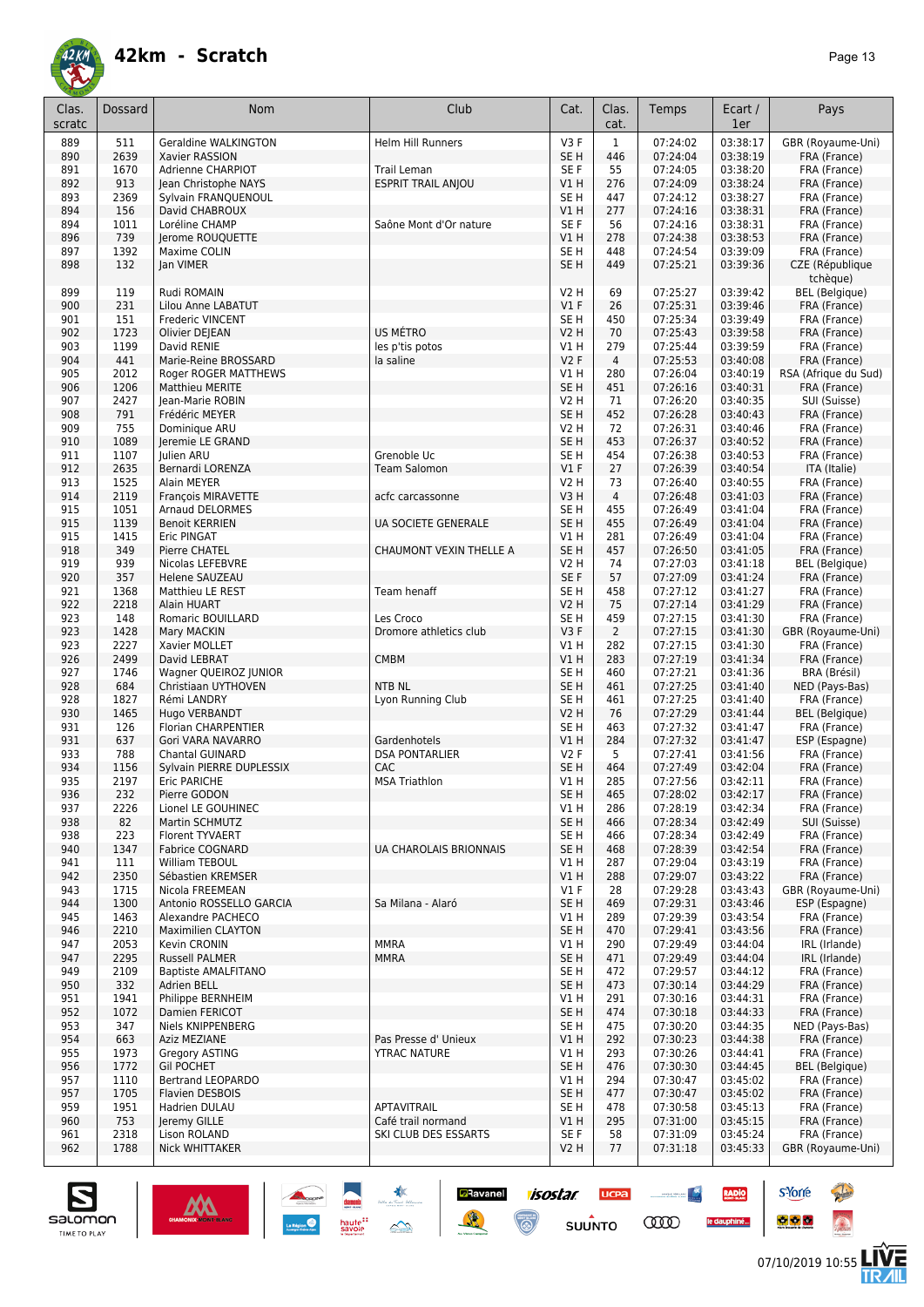

| Clas.<br>scratc | Dossard      | <b>Nom</b>                                  | Club                          | Cat.                           | Clas.<br>cat.         | Temps                | Ecart /<br>1er       | Pays                              |
|-----------------|--------------|---------------------------------------------|-------------------------------|--------------------------------|-----------------------|----------------------|----------------------|-----------------------------------|
| 889             | 511          | Geraldine WALKINGTON                        | <b>Helm Hill Runners</b>      | V3F                            | $\mathbf{1}$          | 07:24:02             | 03:38:17             | GBR (Royaume-Uni)                 |
| 890             | 2639         | Xavier RASSION                              |                               | SE H                           | 446                   | 07:24:04             | 03:38:19             | FRA (France)                      |
| 891             | 1670         | Adrienne CHARPIOT                           | Trail Leman                   | SE F                           | 55                    | 07:24:05             | 03:38:20             | FRA (France)                      |
| 892<br>893      | 913<br>2369  | Jean Christophe NAYS<br>Sylvain FRANQUENOUL | <b>ESPRIT TRAIL ANJOU</b>     | V1H<br>SE <sub>H</sub>         | 276<br>447            | 07:24:09<br>07:24:12 | 03:38:24<br>03:38:27 | FRA (France)<br>FRA (France)      |
| 894             | 156          | David CHABROUX                              |                               | V1H                            | 277                   | 07:24:16             | 03:38:31             | FRA (France)                      |
| 894             | 1011         | Loréline CHAMP                              | Saône Mont d'Or nature        | SE F                           | 56                    | 07:24:16             | 03:38:31             | FRA (France)                      |
| 896             | 739          | Jerome ROUQUETTE                            |                               | V1H                            | 278                   | 07:24:38             | 03:38:53             | FRA (France)                      |
| 897             | 1392         | Maxime COLIN                                |                               | SE <sub>H</sub>                | 448                   | 07:24:54             | 03:39:09             | FRA (France)                      |
| 898             | 132          | Jan VIMER                                   |                               | SE <sub>H</sub>                | 449                   | 07:25:21             | 03:39:36             | CZE (République<br>tchèque)       |
| 899             | 119          | Rudi ROMAIN                                 |                               | <b>V2 H</b>                    | 69                    | 07:25:27             | 03:39:42             | BEL (Belgique)                    |
| 900             | 231          | Lilou Anne LABATUT                          |                               | V1F                            | 26                    | 07:25:31             | 03:39:46             | FRA (France)                      |
| 901             | 151          | Frederic VINCENT                            |                               | SE H                           | 450                   | 07:25:34             | 03:39:49             | FRA (France)                      |
| 902             | 1723         | Olivier DEJEAN                              | US MÉTRO                      | V2 H                           | 70                    | 07:25:43             | 03:39:58             | FRA (France)                      |
| 903<br>904      | 1199<br>441  | David RENIE<br>Marie-Reine BROSSARD         | les p'tis potos<br>la saline  | V1 H<br>V2F                    | 279<br>$\overline{4}$ | 07:25:44<br>07:25:53 | 03:39:59<br>03:40:08 | FRA (France)<br>FRA (France)      |
| 905             | 2012         | Roger ROGER MATTHEWS                        |                               | V1 H                           | 280                   | 07:26:04             | 03:40:19             | RSA (Afrique du Sud)              |
| 906             | 1206         | <b>Matthieu MERITE</b>                      |                               | SE <sub>H</sub>                | 451                   | 07:26:16             | 03:40:31             | FRA (France)                      |
| 907             | 2427         | Jean-Marie ROBIN                            |                               | V2 H                           | 71                    | 07:26:20             | 03:40:35             | SUI (Suisse)                      |
| 908             | 791          | Frédéric MEYER                              |                               | SE <sub>H</sub>                | 452                   | 07:26:28             | 03:40:43             | FRA (France)                      |
| 909             | 755          | Dominique ARU                               |                               | V2 H                           | 72                    | 07:26:31             | 03:40:46             | FRA (France)                      |
| 910             | 1089         | Jeremie LE GRAND                            |                               | SE <sub>H</sub>                | 453                   | 07:26:37             | 03:40:52             | FRA (France)                      |
| 911             | 1107         | Julien ARU                                  | Grenoble Uc                   | SE H                           | 454                   | 07:26:38             | 03:40:53             | FRA (France)                      |
| 912             | 2635         | Bernardi LORENZA                            | <b>Team Salomon</b>           | $VI$ F                         | 27                    | 07:26:39             | 03:40:54             | ITA (Italie)                      |
| 913             | 1525         | Alain MEYER                                 |                               | V2 H                           | 73                    | 07:26:40             | 03:40:55             | FRA (France)                      |
| 914             | 2119         | François MIRAVETTE                          | acfc carcassonne              | V3H                            | $\overline{4}$        | 07:26:48             | 03:41:03             | FRA (France)                      |
| 915             | 1051         | <b>Arnaud DELORMES</b>                      |                               | SE <sub>H</sub>                | 455                   | 07:26:49             | 03:41:04             | FRA (France)                      |
| 915             | 1139         | <b>Benoit KERRIEN</b>                       | UA SOCIETE GENERALE           | SE <sub>H</sub>                | 455                   | 07:26:49             | 03:41:04             | FRA (France)                      |
| 915<br>918      | 1415<br>349  | Eric PINGAT<br>Pierre CHATEL                | CHAUMONT VEXIN THELLE A       | V1H<br>SE <sub>H</sub>         | 281<br>457            | 07:26:49<br>07:26:50 | 03:41:04<br>03:41:05 | FRA (France)<br>FRA (France)      |
| 919             | 939          | Nicolas LEFEBVRE                            |                               | V2 H                           | 74                    | 07:27:03             | 03:41:18             | <b>BEL</b> (Belgique)             |
| 920             | 357          | <b>Helene SAUZEAU</b>                       |                               | SE F                           | 57                    | 07:27:09             | 03:41:24             | FRA (France)                      |
| 921             | 1368         | Matthieu LE REST                            | Team henaff                   | SE <sub>H</sub>                | 458                   | 07:27:12             | 03:41:27             | FRA (France)                      |
| 922             | 2218         | Alain HUART                                 |                               | V2 H                           | 75                    | 07:27:14             | 03:41:29             | FRA (France)                      |
| 923             | 148          | Romaric BOUILLARD                           | Les Croco                     | SE <sub>H</sub>                | 459                   | 07:27:15             | 03:41:30             | FRA (France)                      |
| 923             | 1428         | Mary MACKIN                                 | Dromore athletics club        | V3F                            | $\overline{2}$        | 07:27:15             | 03:41:30             | GBR (Royaume-Uni)                 |
| 923             | 2227         | Xavier MOLLET                               |                               | V1 H                           | 282                   | 07:27:15             | 03:41:30             | FRA (France)                      |
| 926             | 2499         | David LEBRAT                                | <b>CMBM</b>                   | VIH                            | 283                   | 07:27:19             | 03:41:34             | FRA (France)                      |
| 927             | 1746         | Wagner QUEIROZ JUNIOR                       |                               | SE <sub>H</sub>                | 460                   | 07:27:21             | 03:41:36             | BRA (Brésil)                      |
| 928             | 684          | Christiaan UYTHOVEN                         | <b>NTB NL</b>                 | SE <sub>H</sub>                | 461                   | 07:27:25             | 03:41:40             | NED (Pays-Bas)                    |
| 928             | 1827         | Rémi LANDRY                                 | Lyon Running Club             | SE <sub>H</sub><br><b>V2 H</b> | 461                   | 07:27:25<br>07:27:29 | 03:41:40<br>03:41:44 | FRA (France)                      |
| 930<br>931      | 1465<br>126  | Hugo VERBANDT<br>Florian CHARPENTIER        |                               | SE H                           | 76<br>463             | 07:27:32             | 03:41:47             | BEL (Belgique)<br>FRA (France)    |
| 931             | 637          | Gori VARA NAVARRO                           | Gardenhotels                  | V1H                            | 284                   | 07:27:32             | 03:41:47             | ESP (Espagne)                     |
| 933             | 788          | <b>Chantal GUINARD</b>                      | <b>DSA PONTARLIER</b>         | V2F                            | 5                     | 07:27:41             | 03:41:56             | FRA (France)                      |
| 934             | 1156         | Sylvain PIERRE DUPLESSIX                    | <b>CAC</b>                    | SE <sub>H</sub>                | 464                   | 07:27:49             | 03:42:04             | FRA (France)                      |
| 935             | 2197         | Eric PARICHE                                | <b>MSA Triathlon</b>          | VIH                            | 285                   | 07:27:56             | 03:42:11             | FRA (France)                      |
| 936             | 232          | Pierre GODON                                |                               | SE H                           | 465                   | 07:28:02             | 03:42:17             | FRA (France)                      |
| 937             | 2226         | Lionel LE GOUHINEC                          |                               | V1 H                           | 286                   | 07:28:19             | 03:42:34             | FRA (France)                      |
| 938             | 82           | Martin SCHMUTZ                              |                               | SE <sub>H</sub>                | 466                   | 07:28:34             | 03:42:49             | SUI (Suisse)                      |
| 938             | 223          | Florent TYVAERT                             |                               | SE H                           | 466                   | 07:28:34             | 03:42:49             | FRA (France)                      |
| 940             | 1347         | <b>Fabrice COGNARD</b>                      | <b>UA CHAROLAIS BRIONNAIS</b> | SE <sub>H</sub>                | 468                   | 07:28:39             | 03:42:54             | FRA (France)                      |
| 941             | 111          | William TEBOUL<br>Sébastien KREMSER         |                               | V1H                            | 287                   | 07:29:04<br>07:29:07 | 03:43:19<br>03:43:22 | FRA (France)                      |
| 942<br>943      | 2350<br>1715 | Nicola FREEMEAN                             |                               | V1H<br>$VI$ F                  | 288<br>28             | 07:29:28             | 03:43:43             | FRA (France)<br>GBR (Royaume-Uni) |
| 944             | 1300         | Antonio ROSSELLO GARCIA                     | Sa Milana - Alaró             | SE <sub>H</sub>                | 469                   | 07:29:31             | 03:43:46             | ESP (Espagne)                     |
| 945             | 1463         | Alexandre PACHECO                           |                               | V1 H                           | 289                   | 07:29:39             | 03:43:54             | FRA (France)                      |
| 946             | 2210         | <b>Maximilien CLAYTON</b>                   |                               | SE <sub>H</sub>                | 470                   | 07:29:41             | 03:43:56             | FRA (France)                      |
| 947             | 2053         | Kevin CRONIN                                | <b>MMRA</b>                   | V1 H                           | 290                   | 07:29:49             | 03:44:04             | IRL (Irlande)                     |
| 947             | 2295         | <b>Russell PALMER</b>                       | <b>MMRA</b>                   | SE <sub>H</sub>                | 471                   | 07:29:49             | 03:44:04             | IRL (Irlande)                     |
| 949             | 2109         | <b>Baptiste AMALFITANO</b>                  |                               | SE H                           | 472                   | 07:29:57             | 03:44:12             | FRA (France)                      |
| 950             | 332          | Adrien BELL                                 |                               | SE <sub>H</sub>                | 473                   | 07:30:14             | 03:44:29             | FRA (France)                      |
| 951             | 1941         | Philippe BERNHEIM                           |                               | V1 H                           | 291                   | 07:30:16             | 03:44:31             | FRA (France)                      |
| 952             | 1072         | Damien FERICOT                              |                               | SE <sub>H</sub>                | 474                   | 07:30:18             | 03:44:33             | FRA (France)                      |
| 953             | 347          | Niels KNIPPENBERG                           |                               | SE H                           | 475                   | 07:30:20             | 03:44:35             | NED (Pays-Bas)                    |
| 954             | 663          | Aziz MEZIANE                                | Pas Presse d' Unieux          | V1 H                           | 292                   | 07:30:23             | 03:44:38             | FRA (France)                      |
| 955             | 1973         | Gregory ASTING<br><b>Gil POCHET</b>         | <b>YTRAC NATURE</b>           | V1 H                           | 293<br>476            | 07:30:26             | 03:44:41             | FRA (France)                      |
| 956<br>957      | 1772<br>1110 | Bertrand LEOPARDO                           |                               | SE <sub>H</sub><br>V1 H        | 294                   | 07:30:30<br>07:30:47 | 03:44:45<br>03:45:02 | BEL (Belgique)<br>FRA (France)    |
| 957             | 1705         | <b>Flavien DESBOIS</b>                      |                               | SE <sub>H</sub>                | 477                   | 07:30:47             | 03:45:02             | FRA (France)                      |
| 959             | 1951         | Hadrien DULAU                               | APTAVITRAIL                   | SE H                           | 478                   | 07:30:58             | 03:45:13             | FRA (France)                      |
| 960             | 753          | Jeremy GILLE                                | Café trail normand            | V1 H                           | 295                   | 07:31:00             | 03:45:15             | FRA (France)                      |
| 961             | 2318         | Lison ROLAND                                | SKI CLUB DES ESSARTS          | SE F                           | 58                    | 07:31:09             | 03:45:24             | FRA (France)                      |
| 962             | 1788         | Nick WHITTAKER                              |                               | V <sub>2</sub> H               | 77                    | 07:31:18             | 03:45:33             | GBR (Royaume-Uni)                 |
|                 |              |                                             |                               |                                |                       |                      |                      |                                   |

**Ravanel 1505tar** 

 $\odot$ 

送

**UCPA** 

 $s$ UUNTO

 $\sim$  masses  $\frac{N}{2}$ 

**COO** 

RADIO

le dauphiné...



**s**Yorre

 $\bullet$   $\bullet$   $\bullet$ 

**There** 

 $\hat{\Omega}$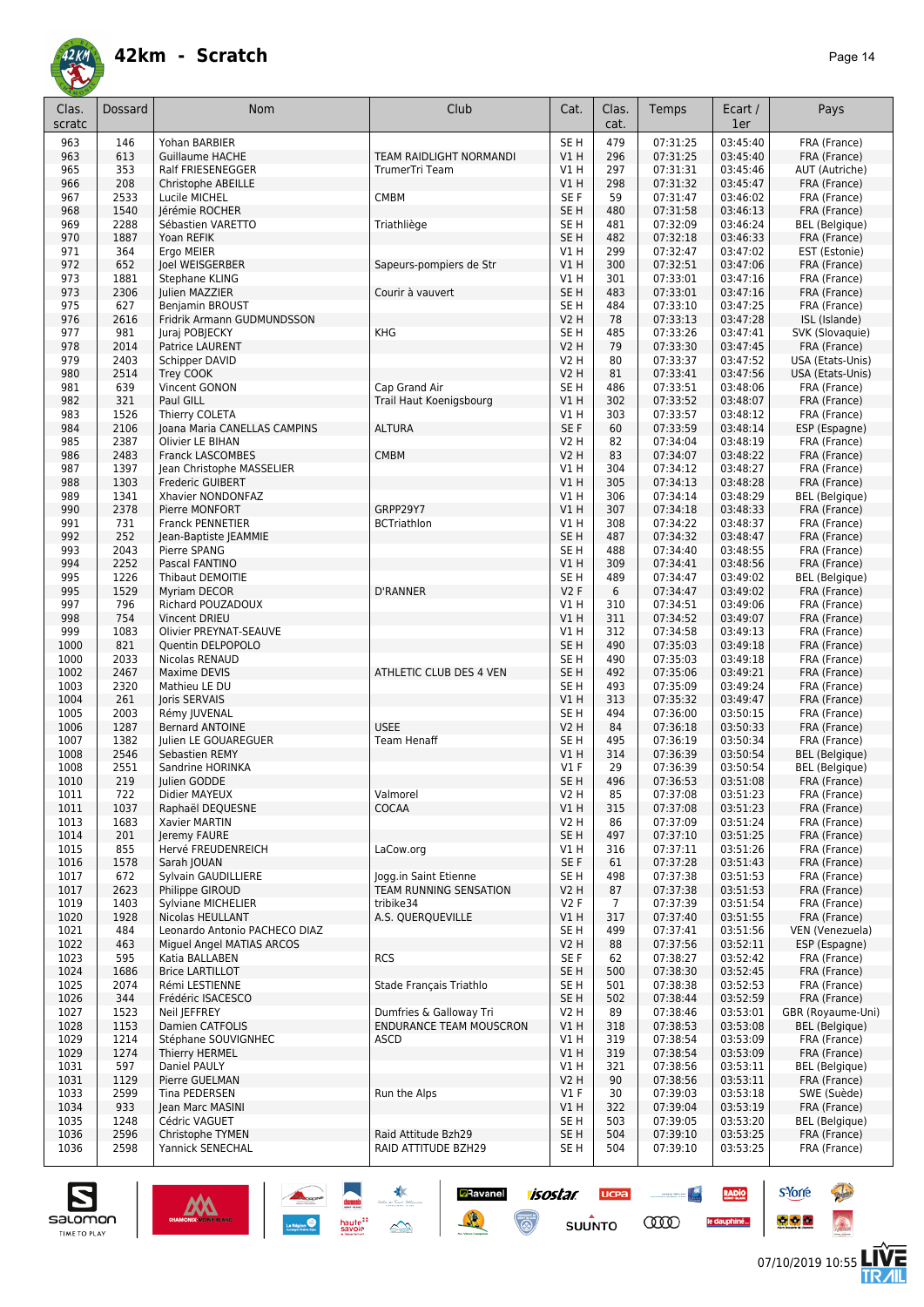

| Clas.<br>scratc | Dossard      | <b>Nom</b>                                       | Club                                            | Cat.                               | Clas.<br>cat.  | Temps                | Ecart /<br>1er       | Pays                                           |
|-----------------|--------------|--------------------------------------------------|-------------------------------------------------|------------------------------------|----------------|----------------------|----------------------|------------------------------------------------|
| 963             | 146          | Yohan BARBIER                                    |                                                 | SE <sub>H</sub>                    | 479            | 07:31:25             | 03:45:40             | FRA (France)                                   |
| 963             | 613          | <b>Guillaume HACHE</b>                           | TEAM RAIDLIGHT NORMANDI                         | VIH                                | 296            | 07:31:25             | 03:45:40             | FRA (France)                                   |
| 965             | 353          | Ralf FRIESENEGGER                                | TrumerTri Team                                  | V1 H                               | 297            | 07:31:31             | 03:45:46             | AUT (Autriche)                                 |
| 966             | 208<br>2533  | Christophe ABEILLE                               |                                                 | V1H<br>SE <sub>F</sub>             | 298<br>59      | 07:31:32<br>07:31:47 | 03:45:47<br>03:46:02 | FRA (France)<br>FRA (France)                   |
| 967<br>968      | 1540         | Lucile MICHEL<br>Jérémie ROCHER                  | <b>CMBM</b>                                     | SE <sub>H</sub>                    | 480            | 07:31:58             | 03:46:13             | FRA (France)                                   |
| 969             | 2288         | Sébastien VARETTO                                | Triathliège                                     | SE <sub>H</sub>                    | 481            | 07:32:09             | 03:46:24             | <b>BEL</b> (Belgique)                          |
| 970             | 1887         | Yoan REFIK                                       |                                                 | SE <sub>H</sub>                    | 482            | 07:32:18             | 03:46:33             | FRA (France)                                   |
| 971             | 364          | Ergo MEIER                                       |                                                 | VIH                                | 299            | 07:32:47             | 03:47:02             | EST (Estonie)                                  |
| 972             | 652          | Joel WEISGERBER                                  | Sapeurs-pompiers de Str                         | VIH                                | 300            | 07:32:51             | 03:47:06             | FRA (France)                                   |
| 973             | 1881         | Stephane KLING                                   |                                                 | V1 H                               | 301            | 07:33:01             | 03:47:16             | FRA (France)                                   |
| 973<br>975      | 2306<br>627  | Julien MAZZIER<br><b>Benjamin BROUST</b>         | Courir à vauvert                                | SE <sub>H</sub><br>SE <sub>H</sub> | 483<br>484     | 07:33:01<br>07:33:10 | 03:47:16<br>03:47:25 | FRA (France)<br>FRA (France)                   |
| 976             | 2616         | Fridrik Armann GUDMUNDSSON                       |                                                 | <b>V2 H</b>                        | 78             | 07:33:13             | 03:47:28             | ISL (Islande)                                  |
| 977             | 981          | Juraj POBJECKY                                   | <b>KHG</b>                                      | SE <sub>H</sub>                    | 485            | 07:33:26             | 03:47:41             | SVK (Slovaquie)                                |
| 978             | 2014         | Patrice LAURENT                                  |                                                 | <b>V2 H</b>                        | 79             | 07:33:30             | 03:47:45             | FRA (France)                                   |
| 979             | 2403         | Schipper DAVID                                   |                                                 | V2 H                               | 80             | 07:33:37             | 03:47:52             | USA (Etats-Unis)                               |
| 980             | 2514         | Trey COOK                                        |                                                 | <b>V2 H</b>                        | 81             | 07:33:41             | 03:47:56             | USA (Etats-Unis)                               |
| 981             | 639          | Vincent GONON<br>Paul GILL                       | Cap Grand Air                                   | SE <sub>H</sub>                    | 486            | 07:33:51             | 03:48:06             | FRA (France)                                   |
| 982<br>983      | 321<br>1526  | Thierry COLETA                                   | Trail Haut Koenigsbourg                         | VIH<br>V1 H                        | 302<br>303     | 07:33:52<br>07:33:57 | 03:48:07<br>03:48:12 | FRA (France)<br>FRA (France)                   |
| 984             | 2106         | Joana Maria CANELLAS CAMPINS                     | <b>ALTURA</b>                                   | SE F                               | 60             | 07:33:59             | 03:48:14             | ESP (Espagne)                                  |
| 985             | 2387         | Olivier LE BIHAN                                 |                                                 | V2 H                               | 82             | 07:34:04             | 03:48:19             | FRA (France)                                   |
| 986             | 2483         | <b>Franck LASCOMBES</b>                          | <b>CMBM</b>                                     | V2 H                               | 83             | 07:34:07             | 03:48:22             | FRA (France)                                   |
| 987             | 1397         | Jean Christophe MASSELIER                        |                                                 | V1 H                               | 304            | 07:34:12             | 03:48:27             | FRA (France)                                   |
| 988             | 1303         | Frederic GUIBERT                                 |                                                 | VIH                                | 305            | 07:34:13             | 03:48:28             | FRA (France)                                   |
| 989             | 1341         | Xhavier NONDONFAZ                                |                                                 | V1 H                               | 306            | 07:34:14             | 03:48:29             | <b>BEL</b> (Belgique)                          |
| 990             | 2378         | Pierre MONFORT                                   | GRPP29Y7                                        | VIH                                | 307            | 07:34:18             | 03:48:33             | FRA (France)                                   |
| 991<br>992      | 731<br>252   | <b>Franck PENNETIER</b><br>Jean-Baptiste JEAMMIE | <b>BCTriathlon</b>                              | V1 H<br>SE <sub>H</sub>            | 308<br>487     | 07:34:22<br>07:34:32 | 03:48:37<br>03:48:47 | FRA (France)<br>FRA (France)                   |
| 993             | 2043         | Pierre SPANG                                     |                                                 | SE <sub>H</sub>                    | 488            | 07:34:40             | 03:48:55             | FRA (France)                                   |
| 994             | 2252         | Pascal FANTINO                                   |                                                 | VIH                                | 309            | 07:34:41             | 03:48:56             | FRA (France)                                   |
| 995             | 1226         | Thibaut DEMOITIE                                 |                                                 | SE <sub>H</sub>                    | 489            | 07:34:47             | 03:49:02             | <b>BEL</b> (Belgique)                          |
| 995             | 1529         | Myriam DECOR                                     | <b>D'RANNER</b>                                 | V2F                                | 6              | 07:34:47             | 03:49:02             | FRA (France)                                   |
| 997             | 796          | Richard POUZADOUX                                |                                                 | V1 H                               | 310            | 07:34:51             | 03:49:06             | FRA (France)                                   |
| 998             | 754          | Vincent DRIEU                                    |                                                 | V1 H                               | 311            | 07:34:52             | 03:49:07             | FRA (France)                                   |
| 999             | 1083         | Olivier PREYNAT-SEAUVE                           |                                                 | V1H                                | 312            | 07:34:58             | 03:49:13             | FRA (France)                                   |
| 1000<br>1000    | 821<br>2033  | Quentin DELPOPOLO<br>Nicolas RENAUD              |                                                 | SE <sub>H</sub><br>SE <sub>H</sub> | 490<br>490     | 07:35:03<br>07:35:03 | 03:49:18<br>03:49:18 | FRA (France)<br>FRA (France)                   |
| 1002            | 2467         | Maxime DEVIS                                     | ATHLETIC CLUB DES 4 VEN                         | SE <sub>H</sub>                    | 492            | 07:35:06             | 03:49:21             | FRA (France)                                   |
| 1003            | 2320         | Mathieu LE DU                                    |                                                 | SE <sub>H</sub>                    | 493            | 07:35:09             | 03:49:24             | FRA (France)                                   |
| 1004            | 261          | Joris SERVAIS                                    |                                                 | VIH                                | 313            | 07:35:32             | 03:49:47             | FRA (France)                                   |
| 1005            | 2003         | Rémy JUVENAL                                     |                                                 | SE <sub>H</sub>                    | 494            | 07:36:00             | 03:50:15             | FRA (France)                                   |
| 1006            | 1287         | <b>Bernard ANTOINE</b>                           | <b>USEE</b>                                     | <b>V2 H</b>                        | 84             | 07:36:18             | 03:50:33             | FRA (France)                                   |
| 1007            | 1382         | Julien LE GOUAREGUER                             | <b>Team Henaff</b>                              | SE <sub>H</sub>                    | 495            | 07:36:19             | 03:50:34             | FRA (France)                                   |
| 1008<br>1008    | 2546<br>2551 | Sebastien REMY<br>Sandrine HORINKA               |                                                 | V1 H<br><b>V1 F</b>                | 314<br>29      | 07:36:39<br>07:36:39 | 03:50:54<br>03:50:54 | <b>BEL</b> (Belgique)<br><b>BEL</b> (Belgique) |
| 1010            | 219          | Julien GODDE                                     |                                                 | SE <sub>H</sub>                    | 496            | 07:36:53             | 03:51:08             | FRA (France)                                   |
| 1011            | 722          | Didier MAYEUX                                    | Valmorel                                        | V2 H                               | 85             | 07:37:08             | 03:51:23             | FRA (France)                                   |
| 1011            | 1037         | Raphaël DEQUESNE                                 | COCAA                                           | V1H                                | 315            | 07:37:08             | 03:51:23             | FRA (France)                                   |
| 1013            | 1683         | Xavier MARTIN                                    |                                                 | V2 H                               | 86             | 07:37:09             | 03:51:24             | FRA (France)                                   |
| 1014            | 201          | Jeremy FAURE                                     |                                                 | SE <sub>H</sub>                    | 497            | 07:37:10             | 03:51:25             | FRA (France)                                   |
| 1015            | 855          | Hervé FREUDENREICH                               | LaCow.org                                       | V1 H                               | 316            | 07:37:11             | 03:51:26             | FRA (France)                                   |
| 1016<br>1017    | 1578         | Sarah JOUAN                                      |                                                 | SE F                               | 61             | 07:37:28<br>07:37:38 | 03:51:43<br>03:51:53 | FRA (France)<br>FRA (France)                   |
| 1017            | 672<br>2623  | Sylvain GAUDILLIERE<br>Philippe GIROUD           | Jogg.in Saint Etienne<br>TEAM RUNNING SENSATION | SE H<br>V2 H                       | 498<br>87      | 07:37:38             | 03:51:53             | FRA (France)                                   |
| 1019            | 1403         | Sylviane MICHELIER                               | tribike34                                       | V2F                                | $\overline{7}$ | 07:37:39             | 03:51:54             | FRA (France)                                   |
| 1020            | 1928         | Nicolas HEULLANT                                 | A.S. QUERQUEVILLE                               | V1 H                               | 317            | 07:37:40             | 03:51:55             | FRA (France)                                   |
| 1021            | 484          | Leonardo Antonio PACHECO DIAZ                    |                                                 | SE H                               | 499            | 07:37:41             | 03:51:56             | VEN (Venezuela)                                |
| 1022            | 463          | Miguel Angel MATIAS ARCOS                        |                                                 | V2 H                               | 88             | 07:37:56             | 03:52:11             | ESP (Espagne)                                  |
| 1023            | 595          | Katia BALLABEN                                   | <b>RCS</b>                                      | SE F                               | 62             | 07:38:27             | 03:52:42             | FRA (France)                                   |
| 1024            | 1686         | <b>Brice LARTILLOT</b>                           |                                                 | SE H                               | 500            | 07:38:30             | 03:52:45             | FRA (France)                                   |
| 1025<br>1026    | 2074<br>344  | Rémi LESTIENNE<br>Frédéric ISACESCO              | Stade Français Triathlo                         | SE H<br>SE H                       | 501<br>502     | 07:38:38<br>07:38:44 | 03:52:53<br>03:52:59 | FRA (France)<br>FRA (France)                   |
| 1027            | 1523         | Neil JEFFREY                                     | Dumfries & Galloway Tri                         | V2 H                               | 89             | 07:38:46             | 03:53:01             | GBR (Royaume-Uni)                              |
| 1028            | 1153         | Damien CATFOLIS                                  | <b>ENDURANCE TEAM MOUSCRON</b>                  | V1H                                | 318            | 07:38:53             | 03:53:08             | BEL (Belgique)                                 |
| 1029            | 1214         | Stéphane SOUVIGNHEC                              | ASCD                                            | V1 H                               | 319            | 07:38:54             | 03:53:09             | FRA (France)                                   |
| 1029            | 1274         | Thierry HERMEL                                   |                                                 | V1H                                | 319            | 07:38:54             | 03:53:09             | FRA (France)                                   |
| 1031            | 597          | Daniel PAULY                                     |                                                 | V1 H                               | 321            | 07:38:56             | 03:53:11             | BEL (Belgique)                                 |
| 1031            | 1129         | Pierre GUELMAN                                   |                                                 | V2 H                               | 90             | 07:38:56             | 03:53:11             | FRA (France)                                   |
| 1033            | 2599         | Tina PEDERSEN                                    | Run the Alps                                    | $VI$ F                             | 30             | 07:39:03             | 03:53:18             | SWE (Suède)                                    |
| 1034<br>1035    | 933<br>1248  | Jean Marc MASINI<br>Cédric VAGUET                |                                                 | V1 H<br>SE H                       | 322<br>503     | 07:39:04<br>07:39:05 | 03:53:19<br>03:53:20 | FRA (France)<br>BEL (Belgique)                 |
| 1036            | 2596         | Christophe TYMEN                                 | Raid Attitude Bzh29                             | SE H                               | 504            | 07:39:10             | 03:53:25             | FRA (France)                                   |
| 1036            | 2598         | Yannick SENECHAL                                 | RAID ATTITUDE BZH29                             | SE H                               | 504            | 07:39:10             | 03:53:25             | FRA (France)                                   |
|                 |              |                                                  |                                                 |                                    |                |                      |                      |                                                |

*isostar* 

 $\odot$ 

**UCPA** 

 $s$ UUNTO

 $\begin{picture}(20,10) \put(0,0){\line(1,0){10}} \put(10,0){\line(1,0){10}} \put(10,0){\line(1,0){10}} \put(10,0){\line(1,0){10}} \put(10,0){\line(1,0){10}} \put(10,0){\line(1,0){10}} \put(10,0){\line(1,0){10}} \put(10,0){\line(1,0){10}} \put(10,0){\line(1,0){10}} \put(10,0){\line(1,0){10}} \put(10,0){\line(1,0){10}} \put(10,0){\line(1$ 

**COO** 

RADIO

le dauphiné...

**D**Ravanel

送



**s**Yorre

 $\bullet$   $\bullet$   $\bullet$ 

**There** 

 $\hat{\Omega}$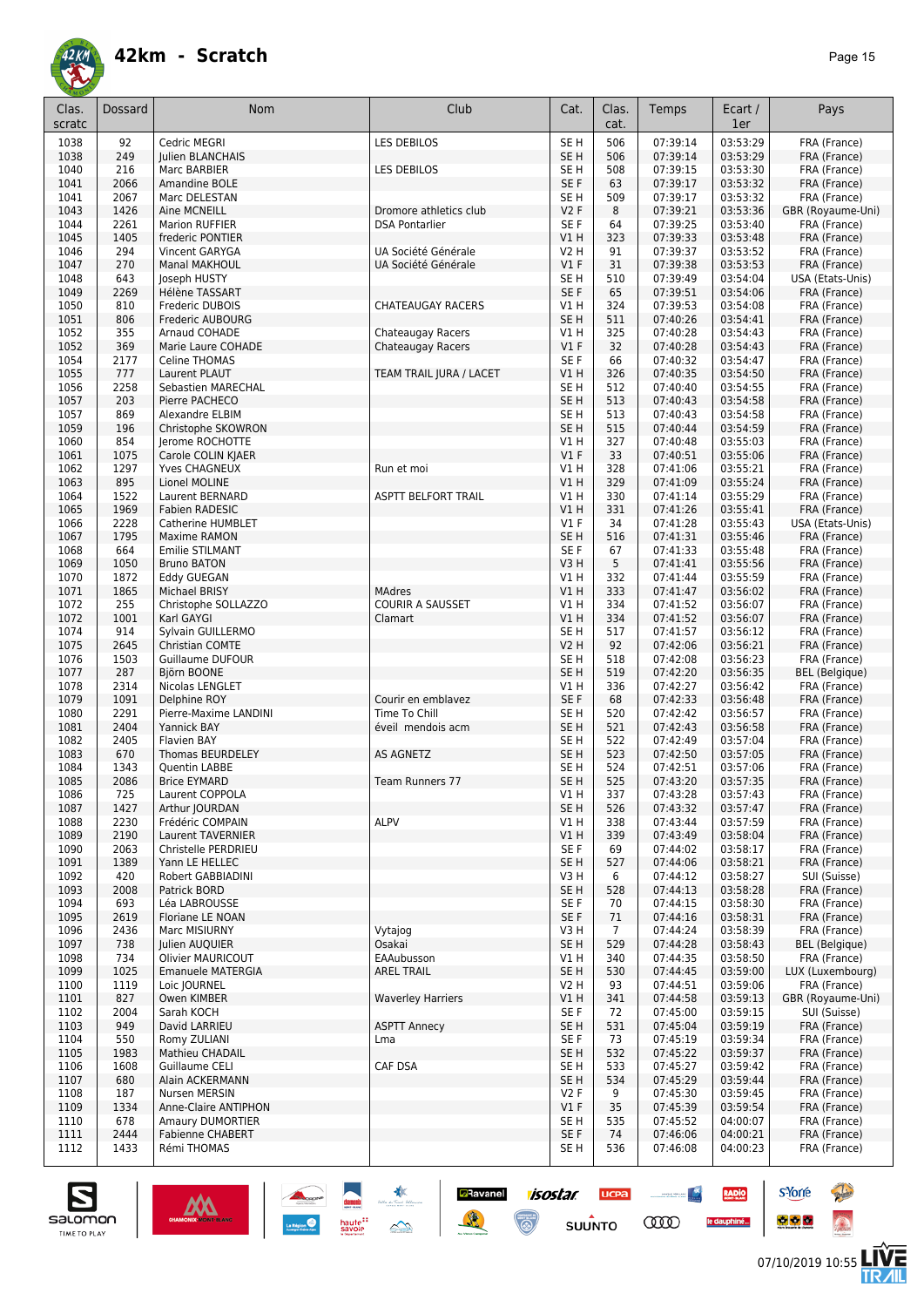

| Clas.<br>scratc | Dossard      | <b>Nom</b>                             | Club                                   | Cat.                               | Clas.<br>cat.  | Temps                | Ecart /<br>1er       | Pays                           |
|-----------------|--------------|----------------------------------------|----------------------------------------|------------------------------------|----------------|----------------------|----------------------|--------------------------------|
| 1038            | 92           | Cedric MEGRI                           | LES DEBILOS                            | SE <sub>H</sub>                    | 506            | 07:39:14             | 03:53:29             | FRA (France)                   |
| 1038            | 249          | <b>Iulien BLANCHAIS</b>                |                                        | SE <sub>H</sub>                    | 506            | 07:39:14             | 03:53:29             | FRA (France)                   |
| 1040            | 216          | Marc BARBIER                           | LES DEBILOS                            | SE <sub>H</sub>                    | 508            | 07:39:15             | 03:53:30             | FRA (France)                   |
| 1041            | 2066         | Amandine BOLE                          |                                        | SE F                               | 63             | 07:39:17             | 03:53:32             | FRA (France)                   |
| 1041            | 2067         | Marc DELESTAN                          |                                        | SE <sub>H</sub>                    | 509            | 07:39:17             | 03:53:32             | FRA (France)                   |
| 1043            | 1426         | Aine MCNEILL                           | Dromore athletics club                 | V2F                                | 8              | 07:39:21             | 03:53:36             | GBR (Royaume-Uni)              |
| 1044            | 2261         | <b>Marion RUFFIER</b>                  | <b>DSA Pontarlier</b>                  | SE <sub>F</sub>                    | 64             | 07:39:25             | 03:53:40             | FRA (France)                   |
| 1045            | 1405         | frederic PONTIER                       |                                        | VIH                                | 323            | 07:39:33             | 03:53:48             | FRA (France)                   |
| 1046            | 294          | Vincent GARYGA                         | UA Société Générale                    | V2 H                               | 91             | 07:39:37             | 03:53:52             | FRA (France)                   |
| 1047            | 270          | Manal MAKHOUL                          | UA Société Générale                    | $VI$ F                             | 31             | 07:39:38             | 03:53:53             | FRA (France)                   |
| 1048            | 643          | Joseph HUSTY                           |                                        | SE <sub>H</sub>                    | 510            | 07:39:49             | 03:54:04             | USA (Etats-Unis)               |
| 1049            | 2269         | Hélène TASSART                         |                                        | SE F                               | 65             | 07:39:51             | 03:54:06             | FRA (France)                   |
| 1050            | 810          | Frederic DUBOIS                        | <b>CHATEAUGAY RACERS</b>               | V1 H                               | 324            | 07:39:53             | 03:54:08             | FRA (France)                   |
| 1051            | 806          | Frederic AUBOURG<br>Arnaud COHADE      |                                        | SE <sub>H</sub><br>V1 H            | 511            | 07:40:26<br>07:40:28 | 03:54:41<br>03:54:43 | FRA (France)                   |
| 1052<br>1052    | 355<br>369   | Marie Laure COHADE                     | Chateaugay Racers<br>Chateaugay Racers | $VI$ F                             | 325<br>32      | 07:40:28             | 03:54:43             | FRA (France)<br>FRA (France)   |
| 1054            | 2177         | Celine THOMAS                          |                                        | SE F                               | 66             | 07:40:32             | 03:54:47             | FRA (France)                   |
| 1055            | 777          | Laurent PLAUT                          | TEAM TRAIL JURA / LACET                | VIH                                | 326            | 07:40:35             | 03:54:50             | FRA (France)                   |
| 1056            | 2258         | Sebastien MARECHAL                     |                                        | SE <sub>H</sub>                    | 512            | 07:40:40             | 03:54:55             | FRA (France)                   |
| 1057            | 203          | Pierre PACHECO                         |                                        | SE <sub>H</sub>                    | 513            | 07:40:43             | 03:54:58             | FRA (France)                   |
| 1057            | 869          | Alexandre ELBIM                        |                                        | SE <sub>H</sub>                    | 513            | 07:40:43             | 03:54:58             | FRA (France)                   |
| 1059            | 196          | Christophe SKOWRON                     |                                        | SE <sub>H</sub>                    | 515            | 07:40:44             | 03:54:59             | FRA (France)                   |
| 1060            | 854          | Jerome ROCHOTTE                        |                                        | V1 H                               | 327            | 07:40:48             | 03:55:03             | FRA (France)                   |
| 1061            | 1075         | Carole COLIN KJAER                     |                                        | $VI$ F                             | 33             | 07:40:51             | 03:55:06             | FRA (France)                   |
| 1062            | 1297         | Yves CHAGNEUX                          | Run et moi                             | V1 H                               | 328            | 07:41:06             | 03:55:21             | FRA (France)                   |
| 1063            | 895          | Lionel MOLINE                          |                                        | V1H                                | 329            | 07:41:09             | 03:55:24             | FRA (France)                   |
| 1064            | 1522         | Laurent BERNARD                        | <b>ASPTT BELFORT TRAIL</b>             | V1 H                               | 330            | 07:41:14             | 03:55:29             | FRA (France)                   |
| 1065            | 1969         | Fabien RADESIC                         |                                        | VIH                                | 331            | 07:41:26             | 03:55:41             | FRA (France)                   |
| 1066            | 2228         | <b>Catherine HUMBLET</b>               |                                        | $VI$ F                             | 34             | 07:41:28             | 03:55:43             | USA (Etats-Unis)               |
| 1067            | 1795         | Maxime RAMON                           |                                        | SE <sub>H</sub>                    | 516            | 07:41:31             | 03:55:46             | FRA (France)                   |
| 1068<br>1069    | 664<br>1050  | Emilie STILMANT<br><b>Bruno BATON</b>  |                                        | SE F<br>V3H                        | 67<br>5        | 07:41:33<br>07:41:41 | 03:55:48<br>03:55:56 | FRA (France)<br>FRA (France)   |
| 1070            | 1872         | <b>Eddy GUEGAN</b>                     |                                        | V1 H                               | 332            | 07:41:44             | 03:55:59             | FRA (France)                   |
| 1071            | 1865         | Michael BRISY                          | <b>MAdres</b>                          | VIH                                | 333            | 07:41:47             | 03:56:02             | FRA (France)                   |
| 1072            | 255          | Christophe SOLLAZZO                    | <b>COURIR A SAUSSET</b>                | V1 H                               | 334            | 07:41:52             | 03:56:07             | FRA (France)                   |
| 1072            | 1001         | Karl GAYGI                             | Clamart                                | V1H                                | 334            | 07:41:52             | 03:56:07             | FRA (France)                   |
| 1074            | 914          | Sylvain GUILLERMO                      |                                        | SE <sub>H</sub>                    | 517            | 07:41:57             | 03:56:12             | FRA (France)                   |
| 1075            | 2645         | Christian COMTE                        |                                        | <b>V2 H</b>                        | 92             | 07:42:06             | 03:56:21             | FRA (France)                   |
| 1076            | 1503         | Guillaume DUFOUR                       |                                        | SE <sub>H</sub>                    | 518            | 07:42:08             | 03:56:23             | FRA (France)                   |
| 1077            | 287          | Björn BOONE                            |                                        | SE <sub>H</sub>                    | 519            | 07:42:20             | 03:56:35             | <b>BEL</b> (Belgique)          |
| 1078            | 2314         | Nicolas LENGLET                        |                                        | V1 H                               | 336            | 07:42:27             | 03:56:42             | FRA (France)                   |
| 1079            | 1091         | Delphine ROY                           | Courir en emblavez                     | SE F                               | 68             | 07:42:33             | 03:56:48             | FRA (France)                   |
| 1080            | 2291         | Pierre-Maxime LANDINI                  | Time To Chill                          | SE <sub>H</sub>                    | 520            | 07:42:42             | 03:56:57             | FRA (France)                   |
| 1081            | 2404<br>2405 | <b>Yannick BAY</b><br>Flavien BAY      | éveil mendois acm                      | SE <sub>H</sub>                    | 521<br>522     | 07:42:43             | 03:56:58             | FRA (France)                   |
| 1082<br>1083    | 670          | <b>Thomas BEURDELEY</b>                | AS AGNETZ                              | SE <sub>H</sub><br>SE <sub>H</sub> | 523            | 07:42:49<br>07:42:50 | 03:57:04<br>03:57:05 | FRA (France)<br>FRA (France)   |
| 1084            | 1343         | Quentin LABBE                          |                                        | SE <sub>H</sub>                    | 524            | 07:42:51             | 03:57:06             | FRA (France)                   |
| 1085            | 2086         | <b>Brice EYMARD</b>                    | Team Runners 77                        | SE <sub>H</sub>                    | 525            | 07:43:20             | 03:57:35             | FRA (France)                   |
| 1086            | 725          | Laurent COPPOLA                        |                                        | V1 H                               | 337            | 07:43:28             | 03:57:43             | FRA (France)                   |
| 1087            | 1427         | Arthur JOURDAN                         |                                        | SE <sub>H</sub>                    | 526            | 07:43:32             | 03:57:47             | FRA (France)                   |
| 1088            | 2230         | Frédéric COMPAIN                       | <b>ALPV</b>                            | VIH                                | 338            | 07:43:44             | 03:57:59             | FRA (France)                   |
| 1089            | 2190         | Laurent TAVERNIER                      |                                        | VIH                                | 339            | 07:43:49             | 03:58:04             | FRA (France)                   |
| 1090            | 2063         | Christelle PERDRIEU                    |                                        | SE F                               | 69             | 07:44:02             | 03:58:17             | FRA (France)                   |
| 1091            | 1389         | Yann LE HELLEC                         |                                        | SE <sub>H</sub>                    | 527            | 07:44:06             | 03:58:21             | FRA (France)                   |
| 1092            | 420          | Robert GABBIADINI                      |                                        | V3H                                | 6              | 07:44:12             | 03:58:27             | SUI (Suisse)                   |
| 1093            | 2008         | Patrick BORD                           |                                        | SE <sub>H</sub>                    | 528            | 07:44:13             | 03:58:28             | FRA (France)                   |
| 1094            | 693          | Léa LABROUSSE                          |                                        | SE F                               | 70             | 07:44:15             | 03:58:30             | FRA (France)                   |
| 1095            | 2619         | Floriane LE NOAN                       |                                        | SE F                               | 71             | 07:44:16             | 03:58:31             | FRA (France)                   |
| 1096            | 2436         | Marc MISIURNY                          | Vytajog                                | V3H<br>SE <sub>H</sub>             | $\overline{7}$ | 07:44:24<br>07:44:28 | 03:58:39             | FRA (France)                   |
| 1097<br>1098    | 738<br>734   | Julien AUQUIER<br>Olivier MAURICOUT    | Osakai<br>EAAubusson                   | V1 H                               | 529<br>340     | 07:44:35             | 03:58:43<br>03:58:50 | BEL (Belgique)<br>FRA (France) |
| 1099            | 1025         | <b>Emanuele MATERGIA</b>               | <b>AREL TRAIL</b>                      | SE <sub>H</sub>                    | 530            | 07:44:45             | 03:59:00             | LUX (Luxembourg)               |
| 1100            | 1119         | Loic JOURNEL                           |                                        | V2 H                               | 93             | 07:44:51             | 03:59:06             | FRA (France)                   |
| 1101            | 827          | Owen KIMBER                            | <b>Waverley Harriers</b>               | V1H                                | 341            | 07:44:58             | 03:59:13             | GBR (Royaume-Uni)              |
| 1102            | 2004         | Sarah KOCH                             |                                        | SE F                               | 72             | 07:45:00             | 03:59:15             | SUI (Suisse)                   |
| 1103            | 949          | David LARRIEU                          | <b>ASPTT Annecy</b>                    | SE H                               | 531            | 07:45:04             | 03:59:19             | FRA (France)                   |
| 1104            | 550          | Romy ZULIANI                           | Lma                                    | SE F                               | 73             | 07:45:19             | 03:59:34             | FRA (France)                   |
| 1105            | 1983         | Mathieu CHADAIL                        |                                        | SE <sub>H</sub>                    | 532            | 07:45:22             | 03:59:37             | FRA (France)                   |
| 1106            | 1608         | Guillaume CELI                         | CAF DSA                                | SE <sub>H</sub>                    | 533            | 07:45:27             | 03:59:42             | FRA (France)                   |
| 1107            | 680          | Alain ACKERMANN                        |                                        | SE <sub>H</sub>                    | 534            | 07:45:29             | 03:59:44             | FRA (France)                   |
| 1108            | 187          | Nursen MERSIN                          |                                        | V2F                                | 9              | 07:45:30             | 03:59:45             | FRA (France)                   |
| 1109            | 1334         | Anne-Claire ANTIPHON                   |                                        | $VI$ F                             | 35             | 07:45:39             | 03:59:54             | FRA (France)                   |
| 1110            | 678          | Amaury DUMORTIER                       |                                        | SE <sub>H</sub>                    | 535            | 07:45:52             | 04:00:07             | FRA (France)                   |
| 1111<br>1112    | 2444<br>1433 | <b>Fabienne CHABERT</b><br>Rémi THOMAS |                                        | SE F<br>SE H                       | 74<br>536      | 07:46:06<br>07:46:08 | 04:00:21<br>04:00:23 | FRA (France)<br>FRA (France)   |
|                 |              |                                        |                                        |                                    |                |                      |                      |                                |

*isostar* 

 $\odot$ 

**UCPA** 

 $s$ UUNTO

 $\begin{picture}(20,10) \put(0,0){\line(1,0){10}} \put(10,0){\line(1,0){10}} \put(10,0){\line(1,0){10}} \put(10,0){\line(1,0){10}} \put(10,0){\line(1,0){10}} \put(10,0){\line(1,0){10}} \put(10,0){\line(1,0){10}} \put(10,0){\line(1,0){10}} \put(10,0){\line(1,0){10}} \put(10,0){\line(1,0){10}} \put(10,0){\line(1,0){10}} \put(10,0){\line(1$ 

**COO** 

RADIO

le dauphiné...

**D**Ravanel

送



**s**Yorre

 $\bullet$   $\bullet$   $\bullet$ 

**There** 

 $\hat{\Omega}$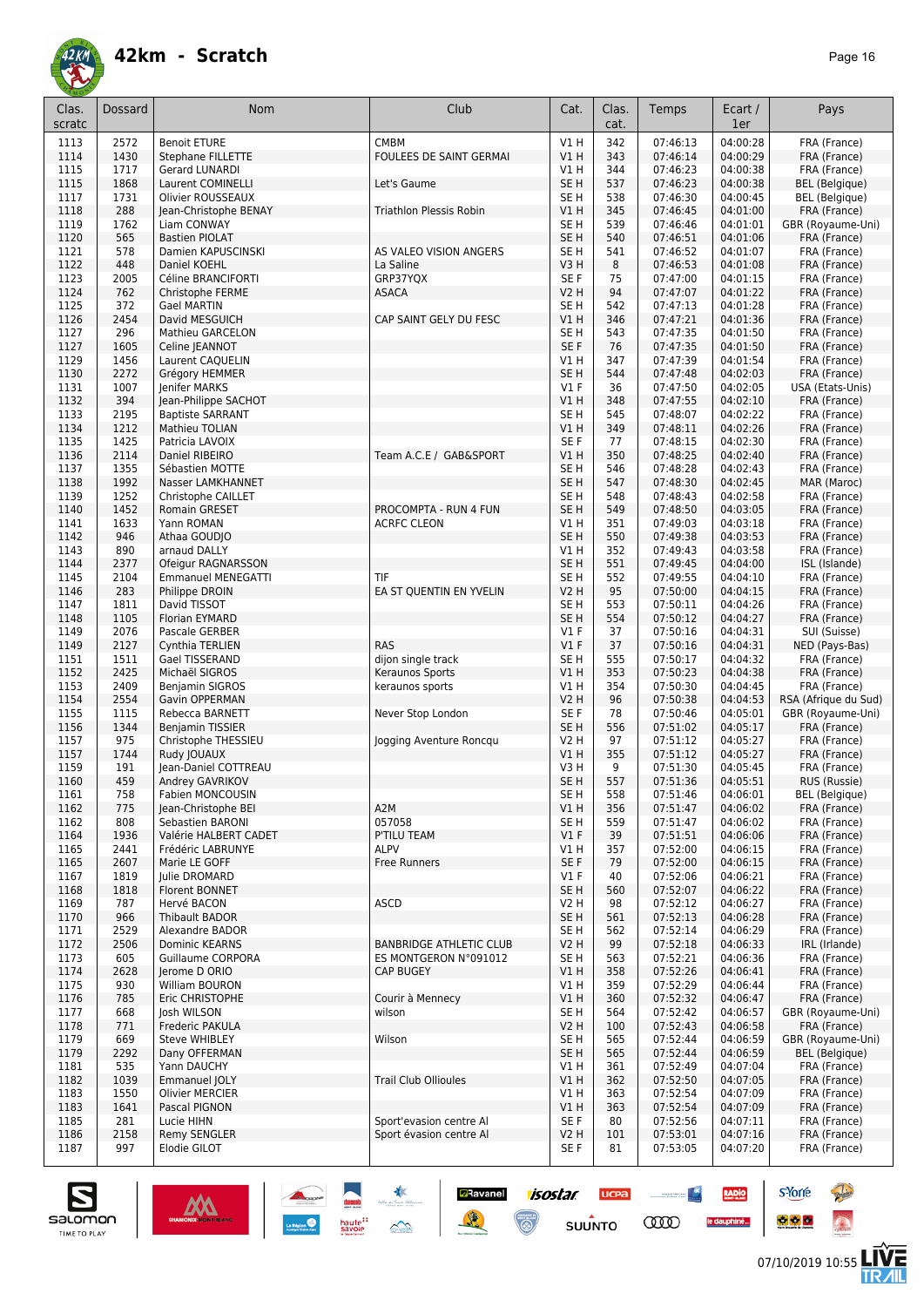

| Clas.<br>scratc | Dossard      | <b>Nom</b>                                       | Club                                               | Cat.                           | Clas.<br>cat. | Temps                | Ecart /<br>1er       | Pays                              |
|-----------------|--------------|--------------------------------------------------|----------------------------------------------------|--------------------------------|---------------|----------------------|----------------------|-----------------------------------|
| 1113            | 2572         | <b>Benoit ETURE</b>                              | <b>CMBM</b>                                        | V1H                            | 342           | 07:46:13             | 04:00:28             | FRA (France)                      |
| 1114            | 1430         | Stephane FILLETTE                                | FOULEES DE SAINT GERMAI                            | V1H                            | 343           | 07:46:14             | 04:00:29             | FRA (France)                      |
| 1115            | 1717         | <b>Gerard LUNARDI</b>                            |                                                    | V1 H                           | 344           | 07:46:23             | 04:00:38             | FRA (France)                      |
| 1115            | 1868         | Laurent COMINELLI                                | Let's Gaume                                        | SE <sub>H</sub>                | 537           | 07:46:23             | 04:00:38             | BEL (Belgique)                    |
| 1117            | 1731         | Olivier ROUSSEAUX                                | <b>Triathlon Plessis Robin</b>                     | SE <sub>H</sub>                | 538           | 07:46:30             | 04:00:45             | BEL (Belgique)                    |
| 1118<br>1119    | 288<br>1762  | Jean-Christophe BENAY<br>Liam CONWAY             |                                                    | VIH<br>SE <sub>H</sub>         | 345<br>539    | 07:46:45<br>07:46:46 | 04:01:00<br>04:01:01 | FRA (France)<br>GBR (Royaume-Uni) |
| 1120            | 565          | <b>Bastien PIOLAT</b>                            |                                                    | SE <sub>H</sub>                | 540           | 07:46:51             | 04:01:06             | FRA (France)                      |
| 1121            | 578          | Damien KAPUSCINSKI                               | AS VALEO VISION ANGERS                             | SE <sub>H</sub>                | 541           | 07:46:52             | 04:01:07             | FRA (France)                      |
| 1122            | 448          | Daniel KOEHL                                     | La Saline                                          | V3H                            | 8             | 07:46:53             | 04:01:08             | FRA (France)                      |
| 1123            | 2005         | Céline BRANCIFORTI                               | GRP37YQX                                           | SE F                           | 75            | 07:47:00             | 04:01:15             | FRA (France)                      |
| 1124            | 762          | Christophe FERME                                 | <b>ASACA</b>                                       | <b>V2 H</b>                    | 94            | 07:47:07             | 04:01:22             | FRA (France)                      |
| 1125            | 372<br>2454  | <b>Gael MARTIN</b><br>David MESGUICH             | CAP SAINT GELY DU FESC                             | SE <sub>H</sub><br>V1H         | 542<br>346    | 07:47:13<br>07:47:21 | 04:01:28<br>04:01:36 | FRA (France)                      |
| 1126<br>1127    | 296          | Mathieu GARCELON                                 |                                                    | SE <sub>H</sub>                | 543           | 07:47:35             | 04:01:50             | FRA (France)<br>FRA (France)      |
| 1127            | 1605         | Celine JEANNOT                                   |                                                    | SE F                           | 76            | 07:47:35             | 04:01:50             | FRA (France)                      |
| 1129            | 1456         | Laurent CAQUELIN                                 |                                                    | VIH                            | 347           | 07:47:39             | 04:01:54             | FRA (France)                      |
| 1130            | 2272         | Grégory HEMMER                                   |                                                    | SE H                           | 544           | 07:47:48             | 04:02:03             | FRA (France)                      |
| 1131            | 1007         | Jenifer MARKS                                    |                                                    | $VI$ F                         | 36            | 07:47:50             | 04:02:05             | USA (Etats-Unis)                  |
| 1132            | 394          | Jean-Philippe SACHOT                             |                                                    | V1 H                           | 348           | 07:47:55             | 04:02:10             | FRA (France)                      |
| 1133<br>1134    | 2195<br>1212 | <b>Baptiste SARRANT</b><br><b>Mathieu TOLIAN</b> |                                                    | SE <sub>H</sub><br>V1H         | 545<br>349    | 07:48:07<br>07:48:11 | 04:02:22<br>04:02:26 | FRA (France)<br>FRA (France)      |
| 1135            | 1425         | Patricia LAVOIX                                  |                                                    | SE F                           | 77            | 07:48:15             | 04:02:30             | FRA (France)                      |
| 1136            | 2114         | Daniel RIBEIRO                                   | Team A.C.E / GAB&SPORT                             | <b>V1 H</b>                    | 350           | 07:48:25             | 04:02:40             | FRA (France)                      |
| 1137            | 1355         | Sébastien MOTTE                                  |                                                    | SE <sub>H</sub>                | 546           | 07:48:28             | 04:02:43             | FRA (France)                      |
| 1138            | 1992         | Nasser LAMKHANNET                                |                                                    | SE <sub>H</sub>                | 547           | 07:48:30             | 04:02:45             | MAR (Maroc)                       |
| 1139            | 1252         | Christophe CAILLET                               |                                                    | SE <sub>H</sub>                | 548           | 07:48:43             | 04:02:58             | FRA (France)                      |
| 1140            | 1452         | Romain GRESET                                    | PROCOMPTA - RUN 4 FUN                              | SE <sub>H</sub>                | 549           | 07:48:50             | 04:03:05             | FRA (France)                      |
| 1141<br>1142    | 1633<br>946  | Yann ROMAN<br>Athaa GOUDIO                       | <b>ACRFC CLEON</b>                                 | VIH<br>SE <sub>H</sub>         | 351<br>550    | 07:49:03<br>07:49:38 | 04:03:18<br>04:03:53 | FRA (France)                      |
| 1143            | 890          | arnaud DALLY                                     |                                                    | VIH                            | 352           | 07:49:43             | 04:03:58             | FRA (France)<br>FRA (France)      |
| 1144            | 2377         | Ofeigur RAGNARSSON                               |                                                    | SE <sub>H</sub>                | 551           | 07:49:45             | 04:04:00             | ISL (Islande)                     |
| 1145            | 2104         | <b>Emmanuel MENEGATTI</b>                        | TIF                                                | SE <sub>H</sub>                | 552           | 07:49:55             | 04:04:10             | FRA (France)                      |
| 1146            | 283          | Philippe DROIN                                   | EA ST QUENTIN EN YVELIN                            | <b>V2 H</b>                    | 95            | 07:50:00             | 04:04:15             | FRA (France)                      |
| 1147            | 1811         | David TISSOT                                     |                                                    | SE <sub>H</sub>                | 553           | 07:50:11             | 04:04:26             | FRA (France)                      |
| 1148            | 1105         | <b>Florian EYMARD</b>                            |                                                    | SE <sub>H</sub>                | 554           | 07:50:12             | 04:04:27             | FRA (France)                      |
| 1149<br>1149    | 2076<br>2127 | Pascale GERBER<br>Cynthia TERLIEN                | <b>RAS</b>                                         | $VI$ F<br>V1F                  | 37<br>37      | 07:50:16<br>07:50:16 | 04:04:31<br>04:04:31 | SUI (Suisse)<br>NED (Pays-Bas)    |
| 1151            | 1511         | Gael TISSERAND                                   | dijon single track                                 | SE <sub>H</sub>                | 555           | 07:50:17             | 04:04:32             | FRA (France)                      |
| 1152            | 2425         | Michaël SIGROS                                   | Keraunos Sports                                    | V1 H                           | 353           | 07:50:23             | 04:04:38             | FRA (France)                      |
| 1153            | 2409         | Benjamin SIGROS                                  | keraunos sports                                    | V1 H                           | 354           | 07:50:30             | 04:04:45             | FRA (France)                      |
| 1154            | 2554         | Gavin OPPERMAN                                   |                                                    | <b>V2 H</b>                    | 96            | 07:50:38             | 04:04:53             | RSA (Afrique du Sud)              |
| 1155<br>1156    | 1115<br>1344 | Rebecca BARNETT<br><b>Benjamin TISSIER</b>       | Never Stop London                                  | SE F<br>SE H                   | 78<br>556     | 07:50:46<br>07:51:02 | 04:05:01<br>04:05:17 | GBR (Royaume-Uni)<br>FRA (France) |
| 1157            | 975          | Christophe THESSIEU                              | Jogging Aventure Roncgu                            | V2 H                           | 97            | 07:51:12             | 04:05:27             | FRA (France)                      |
| 1157            | 1744         | Rudy JOUAUX                                      |                                                    | <b>V1 H</b>                    | 355           | 07:51:12             | 04:05:27             | FRA (France)                      |
| 1159            | 191          | Jean-Daniel COTTREAU                             |                                                    | V3H                            | 9             | 07:51:30             | 04:05:45             | FRA (France)                      |
| 1160            | 459          | Andrey GAVRIKOV                                  |                                                    | SE <sub>H</sub>                | 557           | 07:51:36             | 04:05:51             | RUS (Russie)                      |
| 1101            | 758          | Fabien MONCOUSIN                                 |                                                    | SE H                           | 558           | 07:51:46             | 04:06:01             | BEL (Belgique)                    |
| 1162<br>1162    | 775<br>808   | Jean-Christophe BEI<br>Sebastien BARONI          | A2M<br>057058                                      | V1 H<br>SE <sub>H</sub>        | 356<br>559    | 07:51:47<br>07:51:47 | 04:06:02<br>04:06:02 | FRA (France)<br>FRA (France)      |
| 1164            | 1936         | Valérie HALBERT CADET                            | P'TILU TEAM                                        | $VI$ F                         | 39            | 07:51:51             | 04:06:06             | FRA (France)                      |
| 1165            | 2441         | Frédéric LABRUNYE                                | <b>ALPV</b>                                        | V1 H                           | 357           | 07:52:00             | 04:06:15             | FRA (France)                      |
| 1165            | 2607         | Marie LE GOFF                                    | <b>Free Runners</b>                                | SE F                           | 79            | 07:52:00             | 04:06:15             | FRA (France)                      |
| 1167            | 1819         | Julie DROMARD                                    |                                                    | $VI$ F                         | 40            | 07:52:06             | 04:06:21             | FRA (France)                      |
| 1168            | 1818         | Florent BONNET                                   |                                                    | SE H                           | 560           | 07:52:07             | 04:06:22             | FRA (France)                      |
| 1169            | 787          | Hervé BACON<br>Thibault BADOR                    | ASCD                                               | V2 H                           | 98            | 07:52:12             | 04:06:27             | FRA (France)                      |
| 1170<br>1171    | 966<br>2529  | Alexandre BADOR                                  |                                                    | SE H<br>SE H                   | 561<br>562    | 07:52:13<br>07:52:14 | 04:06:28<br>04:06:29 | FRA (France)<br>FRA (France)      |
| 1172            | 2506         | <b>Dominic KEARNS</b>                            | <b>BANBRIDGE ATHLETIC CLUB</b>                     | V2 H                           | 99            | 07:52:18             | 04:06:33             | IRL (Irlande)                     |
| 1173            | 605          | Guillaume CORPORA                                | ES MONTGERON N°091012                              | SE <sub>H</sub>                | 563           | 07:52:21             | 04:06:36             | FRA (France)                      |
| 1174            | 2628         | Jerome D ORIO                                    | <b>CAP BUGEY</b>                                   | V1 H                           | 358           | 07:52:26             | 04:06:41             | FRA (France)                      |
| 1175            | 930          | William BOURON                                   |                                                    | V1 H                           | 359           | 07:52:29             | 04:06:44             | FRA (France)                      |
| 1176            | 785          | Eric CHRISTOPHE                                  | Courir à Mennecy                                   | V1 H                           | 360           | 07:52:32             | 04:06:47             | FRA (France)                      |
| 1177<br>1178    | 668<br>771   | Josh WILSON<br>Frederic PAKULA                   | wilson                                             | SE <sub>H</sub><br><b>V2 H</b> | 564<br>100    | 07:52:42<br>07:52:43 | 04:06:57<br>04:06:58 | GBR (Royaume-Uni)<br>FRA (France) |
| 1179            | 669          | Steve WHIBLEY                                    | Wilson                                             | SE H                           | 565           | 07:52:44             | 04:06:59             | GBR (Royaume-Uni)                 |
| 1179            | 2292         | Dany OFFERMAN                                    |                                                    | SE H                           | 565           | 07:52:44             | 04:06:59             | BEL (Belgique)                    |
| 1181            | 535          | Yann DAUCHY                                      |                                                    | V1 H                           | 361           | 07:52:49             | 04:07:04             | FRA (France)                      |
| 1182            | 1039         | Emmanuel JOLY                                    | <b>Trail Club Ollioules</b>                        | V1 H                           | 362           | 07:52:50             | 04:07:05             | FRA (France)                      |
| 1183            | 1550         | <b>Olivier MERCIER</b>                           |                                                    | V1 H                           | 363           | 07:52:54             | 04:07:09             | FRA (France)                      |
| 1183            | 1641         | Pascal PIGNON<br>Lucie HIHN                      |                                                    | VIH                            | 363<br>80     | 07:52:54             | 04:07:09             | FRA (France)                      |
| 1185<br>1186    | 281<br>2158  | Remy SENGLER                                     | Sport'evasion centre Al<br>Sport évasion centre Al | SE F<br>V2 H                   | 101           | 07:52:56<br>07:53:01 | 04:07:11<br>04:07:16 | FRA (France)<br>FRA (France)      |
| 1187            | 997          | Elodie GILOT                                     |                                                    | SE F                           | 81            | 07:53:05             | 04:07:20             | FRA (France)                      |
|                 |              |                                                  |                                                    |                                |               |                      |                      |                                   |

**Ravanel 1505tar** 

 $\odot$ 

送

**UCPA** 

 $s$ UUNTO

 $\begin{picture}(20,10) \put(0,0){\line(1,0){10}} \put(10,0){\line(1,0){10}} \put(10,0){\line(1,0){10}} \put(10,0){\line(1,0){10}} \put(10,0){\line(1,0){10}} \put(10,0){\line(1,0){10}} \put(10,0){\line(1,0){10}} \put(10,0){\line(1,0){10}} \put(10,0){\line(1,0){10}} \put(10,0){\line(1,0){10}} \put(10,0){\line(1,0){10}} \put(10,0){\line(1$ 

**COO** 

RADIO

le dauphiné...





**s**Yorre

 $\bullet$   $\bullet$   $\bullet$ 

**There** 

 $\hat{\Omega}$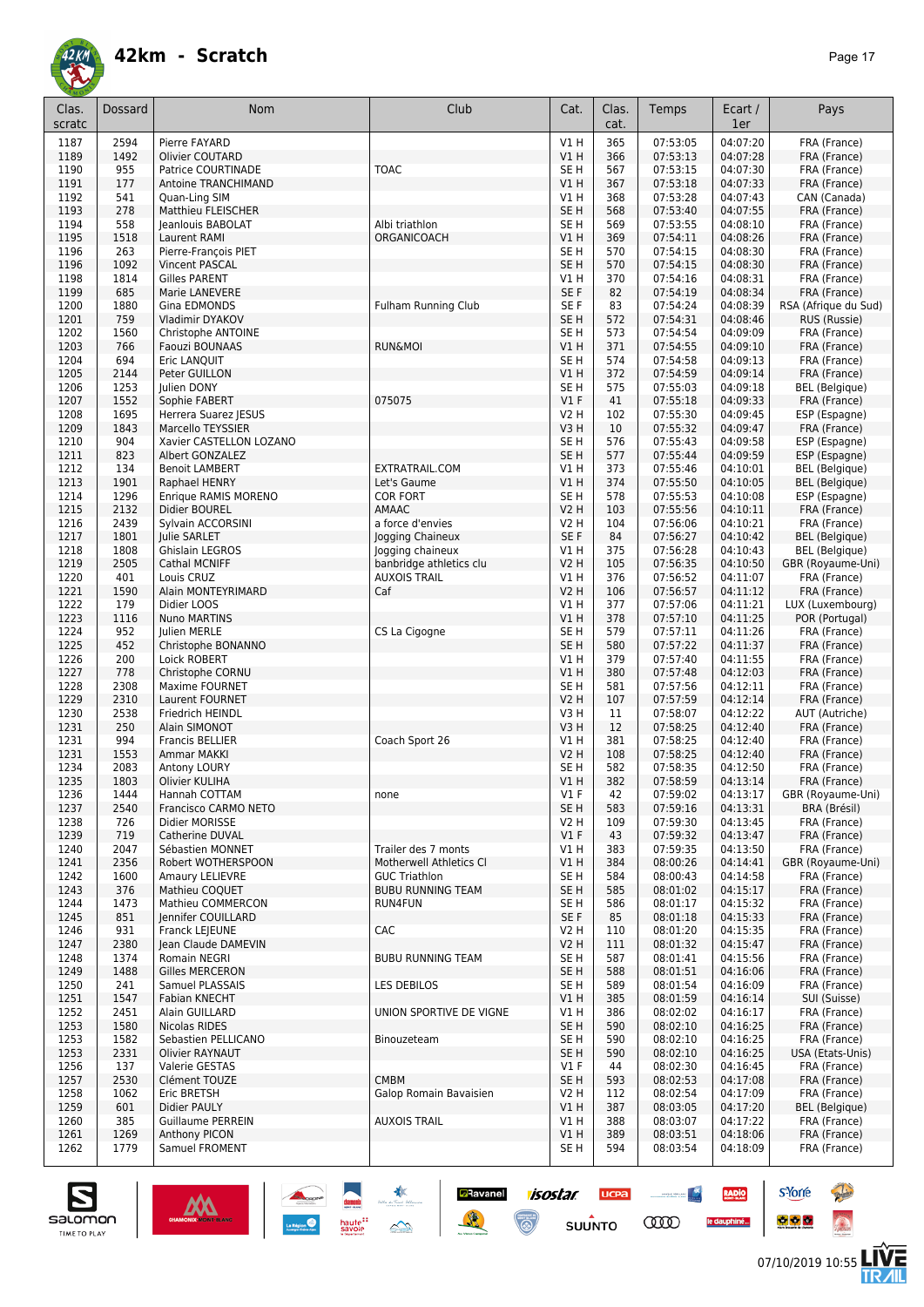

| Clas.<br>scratc | <b>Dossard</b> | Nom                                      | Club                                            | Cat.                           | Clas.<br>cat. | Temps                | Ecart /<br>1er       | Pays                              |
|-----------------|----------------|------------------------------------------|-------------------------------------------------|--------------------------------|---------------|----------------------|----------------------|-----------------------------------|
|                 |                |                                          |                                                 |                                |               |                      |                      |                                   |
| 1187            | 2594           | Pierre FAYARD                            |                                                 | $VI$ H                         | 365           | 07:53:05             | 04:07:20             | FRA (France)                      |
| 1189<br>1190    | 1492<br>955    | Olivier COUTARD<br>Patrice COURTINADE    | <b>TOAC</b>                                     | VIH<br>SE <sub>H</sub>         | 366<br>567    | 07:53:13<br>07:53:15 | 04:07:28<br>04:07:30 | FRA (France)<br>FRA (France)      |
| 1191            | 177            | Antoine TRANCHIMAND                      |                                                 | V1H                            | 367           | 07:53:18             | 04:07:33             | FRA (France)                      |
| 1192            | 541            | Quan-Ling SIM                            |                                                 | $VI$ H                         | 368           | 07:53:28             | 04:07:43             | CAN (Canada)                      |
| 1193            | 278            | Matthieu FLEISCHER                       |                                                 | SE <sub>H</sub>                | 568           | 07:53:40             | 04:07:55             | FRA (France)                      |
| 1194            | 558            | Jeanlouis BABOLAT                        | Albi triathlon                                  | SE H                           | 569           | 07:53:55             | 04:08:10             | FRA (France)                      |
| 1195            | 1518           | Laurent RAMI                             | ORGANICOACH                                     | $VI$ H                         | 369           | 07:54:11             | 04:08:26             | FRA (France)                      |
| 1196            | 263            | Pierre-François PIET                     |                                                 | SE <sub>H</sub>                | 570           | 07:54:15             | 04:08:30             | FRA (France)                      |
| 1196            | 1092           | <b>Vincent PASCAL</b>                    |                                                 | SE <sub>H</sub>                | 570           | 07:54:15             | 04:08:30             | FRA (France)                      |
| 1198            | 1814           | <b>Gilles PARENT</b>                     |                                                 | V1 H                           | 370           | 07:54:16             | 04:08:31             | FRA (France)                      |
| 1199            | 685            | Marie LANEVERE                           |                                                 | SE F                           | 82            | 07:54:19             | 04:08:34             | FRA (France)                      |
| 1200            | 1880           | Gina EDMONDS                             | <b>Fulham Running Club</b>                      | SE F                           | 83            | 07:54:24             | 04:08:39             | RSA (Afrique du Sud)              |
| 1201            | 759<br>1560    | Vladimir DYAKOV                          |                                                 | SE H<br>SE <sub>H</sub>        | 572<br>573    | 07:54:31             | 04:08:46             | RUS (Russie)                      |
| 1202<br>1203    | 766            | Christophe ANTOINE<br>Faouzi BOUNAAS     | <b>RUN&amp;MOI</b>                              | $VI$ H                         | 371           | 07:54:54<br>07:54:55 | 04:09:09<br>04:09:10 | FRA (France)<br>FRA (France)      |
| 1204            | 694            | Eric LANQUIT                             |                                                 | SE <sub>H</sub>                | 574           | 07:54:58             | 04:09:13             | FRA (France)                      |
| 1205            | 2144           | Peter GUILLON                            |                                                 | V1 H                           | 372           | 07:54:59             | 04:09:14             | FRA (France)                      |
| 1206            | 1253           | Julien DONY                              |                                                 | SE H                           | 575           | 07:55:03             | 04:09:18             | <b>BEL</b> (Belgique)             |
| 1207            | 1552           | Sophie FABERT                            | 075075                                          | V1F                            | 41            | 07:55:18             | 04:09:33             | FRA (France)                      |
| 1208            | 1695           | Herrera Suarez IESUS                     |                                                 | V2 H                           | 102           | 07:55:30             | 04:09:45             | ESP (Espagne)                     |
| 1209            | 1843           | Marcello TEYSSIER                        |                                                 | V3H                            | 10            | 07:55:32             | 04:09:47             | FRA (France)                      |
| 1210            | 904            | Xavier CASTELLON LOZANO                  |                                                 | SE <sub>H</sub>                | 576           | 07:55:43             | 04:09:58             | ESP (Espagne)                     |
| 1211            | 823            | Albert GONZALEZ                          |                                                 | SE <sub>H</sub>                | 577           | 07:55:44             | 04:09:59             | ESP (Espagne)                     |
| 1212            | 134            | <b>Benoit LAMBERT</b>                    | EXTRATRAIL.COM                                  | V1 H                           | 373           | 07:55:46             | 04:10:01             | <b>BEL</b> (Belgique)             |
| 1213            | 1901           | Raphael HENRY                            | Let's Gaume                                     | VIH                            | 374           | 07:55:50             | 04:10:05             | <b>BEL</b> (Belgique)             |
| 1214            | 1296           | Enrique RAMIS MORENO                     | <b>COR FORT</b>                                 | SE H                           | 578           | 07:55:53             | 04:10:08             | ESP (Espagne)                     |
| 1215<br>1216    | 2132<br>2439   | Didier BOUREL<br>Sylvain ACCORSINI       | AMAAC<br>a force d'envies                       | <b>V2 H</b><br><b>V2 H</b>     | 103<br>104    | 07:55:56<br>07:56:06 | 04:10:11<br>04:10:21 | FRA (France)<br>FRA (France)      |
| 1217            | 1801           | Julie SARLET                             | Jogging Chaineux                                | SE F                           | 84            | 07:56:27             | 04:10:42             | <b>BEL</b> (Belgique)             |
| 1218            | 1808           | Ghislain LEGROS                          | Jogging chaineux                                | V1 H                           | 375           | 07:56:28             | 04:10:43             | <b>BEL</b> (Belgique)             |
| 1219            | 2505           | Cathal MCNIFF                            | banbridge athletics clu                         | V2 H                           | 105           | 07:56:35             | 04:10:50             | GBR (Royaume-Uni)                 |
| 1220            | 401            | Louis CRUZ                               | <b>AUXOIS TRAIL</b>                             | V1H                            | 376           | 07:56:52             | 04:11:07             | FRA (France)                      |
| 1221            | 1590           | Alain MONTEYRIMARD                       | Caf                                             | <b>V2 H</b>                    | 106           | 07:56:57             | 04:11:12             | FRA (France)                      |
| 1222            | 179            | Didier LOOS                              |                                                 | V1 H                           | 377           | 07:57:06             | 04:11:21             | LUX (Luxembourg)                  |
| 1223            | 1116           | Nuno MARTINS                             |                                                 | VIH                            | 378           | 07:57:10             | 04:11:25             | POR (Portugal)                    |
| 1224            | 952            | Julien MERLE                             | CS La Cigogne                                   | SE H                           | 579           | 07:57:11             | 04:11:26             | FRA (France)                      |
| 1225            | 452            | Christophe BONANNO                       |                                                 | SE <sub>H</sub>                | 580           | 07:57:22             | 04:11:37             | FRA (France)                      |
| 1226            | 200            | Loick ROBERT                             |                                                 | V1 H                           | 379           | 07:57:40             | 04:11:55             | FRA (France)                      |
| 1227            | 778            | Christophe CORNU                         |                                                 | VIH                            | 380           | 07:57:48             | 04:12:03             | FRA (France)                      |
| 1228<br>1229    | 2308<br>2310   | <b>Maxime FOURNET</b><br>Laurent FOURNET |                                                 | SE <sub>H</sub><br><b>V2 H</b> | 581<br>107    | 07:57:56<br>07:57:59 | 04:12:11<br>04:12:14 | FRA (France)                      |
| 1230            | 2538           | Friedrich HEINDL                         |                                                 | V3H                            | 11            | 07:58:07             | 04:12:22             | FRA (France)<br>AUT (Autriche)    |
| 1231            | 250            | Alain SIMONOT                            |                                                 | V3H                            | 12            | 07:58:25             | 04:12:40             | FRA (France)                      |
| 1231            | 994            | <b>Francis BELLIER</b>                   | Coach Sport 26                                  | V1 H                           | 381           | 07:58:25             | 04:12:40             | FRA (France)                      |
| 1231            | 1553           | Ammar MAKKI                              |                                                 | <b>V2 H</b>                    | 108           | 07:58:25             | 04:12:40             | FRA (France)                      |
| 1234            | 2083           | Antony LOURY                             |                                                 | SE H                           | 582           | 07:58:35             | 04:12:50             | FRA (France)                      |
| 1235            | 1803           | Olivier KULIHA                           |                                                 | VIH                            | 382           | 07:58:59             | 04:13:14             | FRA (France)                      |
| 1236            | 1444           | Hannah COTTAM                            | none                                            | $VI$ F                         | 42            | 07:59:02             | 04:13:17             | GBR (Royaume-Uni)                 |
| 1237            | 2540           | Francisco CARMO NETO                     |                                                 | SE <sub>H</sub>                | 583           | 07:59:16             | 04:13:31             | BRA (Brésil)                      |
| 1238            | 726            | Didier MORISSE                           |                                                 | V2 H                           | 109           | 07:59:30             | 04:13:45             | FRA (France)                      |
| 1239            | 719            | Catherine DUVAL                          |                                                 | $VI$ F                         | 43            | 07:59:32             | 04:13:47             | FRA (France)                      |
| 1240            | 2047           | Sébastien MONNET                         | Trailer des 7 monts                             | V1 H                           | 383           | 07:59:35             | 04:13:50             | FRA (France)                      |
| 1241            | 2356           | Robert WOTHERSPOON                       | Motherwell Athletics CI<br><b>GUC Triathlon</b> | V1H                            | 384<br>584    | 08:00:26             | 04:14:41<br>04:14:58 | GBR (Royaume-Uni)<br>FRA (France) |
| 1242<br>1243    | 1600<br>376    | Amaury LELIEVRE<br>Mathieu COQUET        | <b>BUBU RUNNING TEAM</b>                        | SE H<br>SE <sub>H</sub>        | 585           | 08:00:43<br>08:01:02 | 04:15:17             | FRA (France)                      |
| 1244            | 1473           | Mathieu COMMERCON                        | RUN4FUN                                         | SE H                           | 586           | 08:01:17             | 04:15:32             | FRA (France)                      |
| 1245            | 851            | <b>Iennifer COUILLARD</b>                |                                                 | SE F                           | 85            | 08:01:18             | 04:15:33             | FRA (France)                      |
| 1246            | 931            | Franck LEJEUNE                           | CAC                                             | V2 H                           | 110           | 08:01:20             | 04:15:35             | FRA (France)                      |
| 1247            | 2380           | lean Claude DAMEVIN                      |                                                 | V2 H                           | 111           | 08:01:32             | 04:15:47             | FRA (France)                      |
| 1248            | 1374           | Romain NEGRI                             | <b>BUBU RUNNING TEAM</b>                        | SE H                           | 587           | 08:01:41             | 04:15:56             | FRA (France)                      |
| 1249            | 1488           | Gilles MERCERON                          |                                                 | SE H                           | 588           | 08:01:51             | 04:16:06             | FRA (France)                      |
| 1250            | 241            | Samuel PLASSAIS                          | <b>LES DEBILOS</b>                              | SE H                           | 589           | 08:01:54             | 04:16:09             | FRA (France)                      |
| 1251            | 1547           | Fabian KNECHT                            |                                                 | V1H                            | 385           | 08:01:59             | 04:16:14             | SUI (Suisse)                      |
| 1252            | 2451           | Alain GUILLARD                           | UNION SPORTIVE DE VIGNE                         | V1 H                           | 386           | 08:02:02             | 04:16:17             | FRA (France)                      |
| 1253            | 1580           | Nicolas RIDES                            |                                                 | SE <sub>H</sub>                | 590           | 08:02:10             | 04:16:25             | FRA (France)                      |
| 1253            | 1582           | Sebastien PELLICANO                      | Binouzeteam                                     | SE H                           | 590           | 08:02:10             | 04:16:25             | FRA (France)                      |
| 1253            | 2331           | Olivier RAYNAUT                          |                                                 | SE <sub>H</sub><br>V1F         | 590           | 08:02:10<br>08:02:30 | 04:16:25<br>04:16:45 | USA (Etats-Unis)                  |
| 1256<br>1257    | 137<br>2530    | Valerie GESTAS<br>Clément TOUZE          | <b>CMBM</b>                                     | SE <sub>H</sub>                | 44<br>593     | 08:02:53             | 04:17:08             | FRA (France)<br>FRA (France)      |
| 1258            | 1062           | Eric BRETSH                              | Galop Romain Bavaisien                          | V2 H                           | 112           | 08:02:54             | 04:17:09             | FRA (France)                      |
| 1259            | 601            | Didier PAULY                             |                                                 | V1H                            | 387           | 08:03:05             | 04:17:20             | <b>BEL</b> (Belgique)             |
| 1260            | 385            | <b>Guillaume PERREIN</b>                 | <b>AUXOIS TRAIL</b>                             | V1 H                           | 388           | 08:03:07             | 04:17:22             | FRA (France)                      |
| 1261            | 1269           | <b>Anthony PICON</b>                     |                                                 | V1H                            | 389           | 08:03:51             | 04:18:06             | FRA (France)                      |
| 1262            | 1779           | Samuel FROMENT                           |                                                 | SE H                           | 594           | 08:03:54             | 04:18:09             | FRA (France)                      |

**Ravanel 1505tar** 

 $\odot$ 

**UCPA** 

 $s$ UUNTO

<u>and the second second</u>

**COO** 

RADIO

le dauphiné...



**s**Yorre

 $\bullet$   $\bullet$   $\bullet$ 

**Reine** 

 $\hat{\Omega}$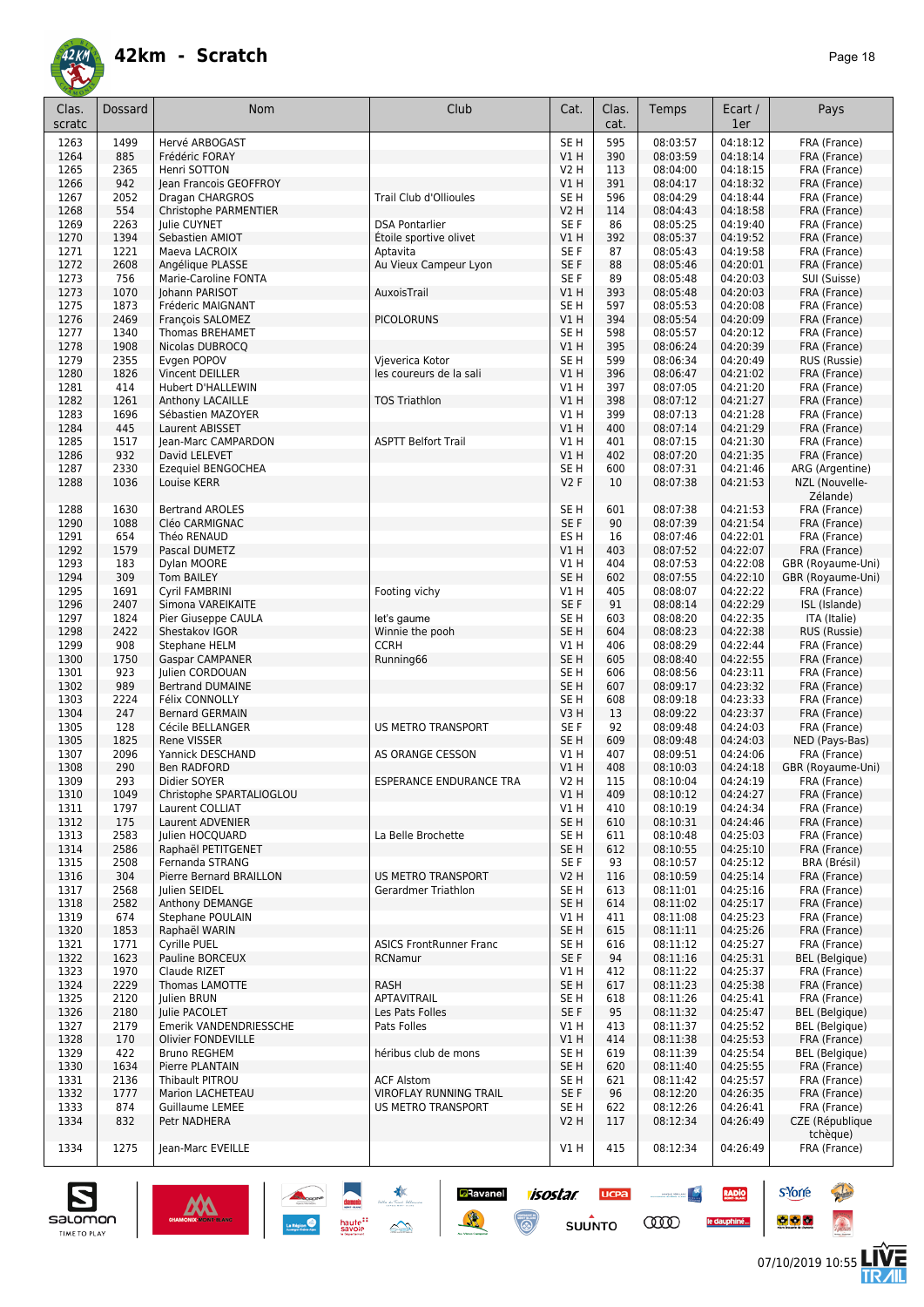

| Clas.<br>scratc | Dossard      | Nom                                       | Club                               | Cat.                    | Clas.<br>cat. | Temps                | Ecart /<br>1er       | Pays                                  |
|-----------------|--------------|-------------------------------------------|------------------------------------|-------------------------|---------------|----------------------|----------------------|---------------------------------------|
| 1263            | 1499         | Hervé ARBOGAST                            |                                    | SE <sub>H</sub>         | 595           | 08:03:57             | 04:18:12             | FRA (France)                          |
| 1264            | 885          | Frédéric FORAY                            |                                    | V1 H                    | 390           | 08:03:59             | 04:18:14             | FRA (France)                          |
| 1265            | 2365         | Henri SOTTON                              |                                    | V2 H                    | 113           | 08:04:00             | 04:18:15             | FRA (France)                          |
| 1266            | 942          | Jean Francois GEOFFROY                    |                                    | VIH                     | 391           | 08:04:17             | 04:18:32             | FRA (France)                          |
| 1267            | 2052         | Dragan CHARGROS                           | Trail Club d'Ollioules             | SE <sub>H</sub>         | 596           | 08:04:29             | 04:18:44             | FRA (France)                          |
| 1268            | 554          | Christophe PARMENTIER                     |                                    | <b>V2 H</b>             | 114           | 08:04:43             | 04:18:58             | FRA (France)                          |
| 1269            | 2263         | Julie CUYNET                              | <b>DSA Pontarlier</b>              | SE <sub>F</sub>         | 86            | 08:05:25             | 04:19:40             | FRA (France)                          |
| 1270<br>1271    | 1394<br>1221 | Sebastien AMIOT<br>Maeva LACROIX          | Étoile sportive olivet<br>Aptavita | V1 H<br>SE F            | 392<br>87     | 08:05:37<br>08:05:43 | 04:19:52<br>04:19:58 | FRA (France)<br>FRA (France)          |
| 1272            | 2608         | Angélique PLASSE                          | Au Vieux Campeur Lyon              | SE F                    | 88            | 08:05:46             | 04:20:01             | FRA (France)                          |
| 1273            | 756          | Marie-Caroline FONTA                      |                                    | SE <sub>F</sub>         | 89            | 08:05:48             | 04:20:03             | SUI (Suisse)                          |
| 1273            | 1070         | Johann PARISOT                            | AuxoisTrail                        | V1 H                    | 393           | 08:05:48             | 04:20:03             | FRA (France)                          |
| 1275            | 1873         | Fréderic MAIGNANT                         |                                    | SE H                    | 597           | 08:05:53             | 04:20:08             | FRA (France)                          |
| 1276            | 2469         | François SALOMEZ                          | <b>PICOLORUNS</b>                  | V1 H                    | 394           | 08:05:54             | 04:20:09             | FRA (France)                          |
| 1277            | 1340         | <b>Thomas BREHAMET</b>                    |                                    | SE <sub>H</sub>         | 598           | 08:05:57             | 04:20:12             | FRA (France)                          |
| 1278<br>1279    | 1908<br>2355 | Nicolas DUBROCQ<br>Evgen POPOV            | Vjeverica Kotor                    | V1 H<br>SE H            | 395<br>599    | 08:06:24<br>08:06:34 | 04:20:39<br>04:20:49 | FRA (France)<br>RUS (Russie)          |
| 1280            | 1826         | Vincent DEILLER                           | les coureurs de la sali            | V1 H                    | 396           | 08:06:47             | 04:21:02             | FRA (France)                          |
| 1281            | 414          | <b>Hubert D'HALLEWIN</b>                  |                                    | V1 H                    | 397           | 08:07:05             | 04:21:20             | FRA (France)                          |
| 1282            | 1261         | Anthony LACAILLE                          | <b>TOS Triathlon</b>               | <b>V1 H</b>             | 398           | 08:07:12             | 04:21:27             | FRA (France)                          |
| 1283            | 1696         | Sébastien MAZOYER                         |                                    | V1 H                    | 399           | 08:07:13             | 04:21:28             | FRA (France)                          |
| 1284            | 445          | Laurent ABISSET                           |                                    | V1H                     | 400           | 08:07:14             | 04:21:29             | FRA (France)                          |
| 1285            | 1517         | Jean-Marc CAMPARDON                       | <b>ASPTT Belfort Trail</b>         | V1 H                    | 401           | 08:07:15             | 04:21:30             | FRA (France)                          |
| 1286<br>1287    | 932<br>2330  | David LELEVET<br>Ezequiel BENGOCHEA       |                                    | VIH<br>SE <sub>H</sub>  | 402<br>600    | 08:07:20<br>08:07:31 | 04:21:35<br>04:21:46 | FRA (France)<br>ARG (Argentine)       |
| 1288            | 1036         | Louise KERR                               |                                    | <b>V2F</b>              | 10            | 08:07:38             | 04:21:53             | NZL (Nouvelle-<br>Zélande)            |
| 1288            | 1630         | <b>Bertrand AROLES</b>                    |                                    | SE <sub>H</sub>         | 601           | 08:07:38             | 04:21:53             | FRA (France)                          |
| 1290            | 1088         | Cléo CARMIGNAC                            |                                    | SE F                    | 90            | 08:07:39             | 04:21:54             | FRA (France)                          |
| 1291            | 654          | Théo RENAUD                               |                                    | ES <sub>H</sub>         | 16            | 08:07:46             | 04:22:01             | FRA (France)                          |
| 1292<br>1293    | 1579<br>183  | Pascal DUMETZ<br>Dylan MOORE              |                                    | V1 H<br>V1 H            | 403<br>404    | 08:07:52<br>08:07:53 | 04:22:07<br>04:22:08 | FRA (France)<br>GBR (Royaume-Uni)     |
| 1294            | 309          | <b>Tom BAILEY</b>                         |                                    | SE <sub>H</sub>         | 602           | 08:07:55             | 04:22:10             | GBR (Royaume-Uni)                     |
| 1295            | 1691         | Cyril FAMBRINI                            | Footing vichy                      | V1 H                    | 405           | 08:08:07             | 04:22:22             | FRA (France)                          |
| 1296            | 2407         | Simona VAREIKAITE                         |                                    | SE F                    | 91            | 08:08:14             | 04:22:29             | ISL (Islande)                         |
| 1297            | 1824         | Pier Giuseppe CAULA                       | let's gaume                        | SE <sub>H</sub>         | 603           | 08:08:20             | 04:22:35             | ITA (Italie)                          |
| 1298            | 2422         | Shestakov IGOR                            | Winnie the pooh                    | SE <sub>H</sub>         | 604           | 08:08:23             | 04:22:38             | RUS (Russie)                          |
| 1299<br>1300    | 908<br>1750  | Stephane HELM                             | <b>CCRH</b>                        | V1 H<br>SE <sub>H</sub> | 406<br>605    | 08:08:29<br>08:08:40 | 04:22:44<br>04:22:55 | FRA (France)<br>FRA (France)          |
| 1301            | 923          | <b>Gaspar CAMPANER</b><br>Julien CORDOUAN | Running66                          | SE H                    | 606           | 08:08:56             | 04:23:11             | FRA (France)                          |
| 1302            | 989          | <b>Bertrand DUMAINE</b>                   |                                    | SE <sub>H</sub>         | 607           | 08:09:17             | 04:23:32             | FRA (France)                          |
| 1303            | 2224         | <b>Félix CONNOLLY</b>                     |                                    | SE <sub>H</sub>         | 608           | 08:09:18             | 04:23:33             | FRA (France)                          |
| 1304            | 247          | <b>Bernard GERMAIN</b>                    |                                    | V3H                     | 13            | 08:09:22             | 04:23:37             | FRA (France)                          |
| 1305            | 128          | Cécile BELLANGER                          | <b>US METRO TRANSPORT</b>          | SE F                    | 92            | 08:09:48             | 04:24:03             | FRA (France)                          |
| 1305            | 1825         | Rene VISSER                               |                                    | SE <sub>H</sub>         | 609           | 08:09:48             | 04:24:03<br>04:24:06 | NED (Pays-Bas)                        |
| 1307<br>1308    | 2096<br>290  | Yannick DESCHAND<br>Ben RADFORD           | AS ORANGE CESSON                   | V1 H<br>VIH             | 407<br>408    | 08:09:51<br>08:10:03 | 04:24:18             | FRA (France)<br>GBR (Royaume-Uni)     |
| 1309            | 293          | Didier SOYER                              | <b>ESPERANCE ENDURANCE TRA</b>     | <b>V2 H</b>             | 115           | 08:10:04             | 04:24:19             | FRA (France)                          |
| 1310            | 1049         | Christophe SPARTALIOGLOU                  |                                    | VIH                     | 409           | 08:10:12             | 04:24:27             | FRA (France)                          |
| 1311            | 1797         | Laurent COLLIAT                           |                                    | V1 H                    | 410           | 08:10:19             | 04:24:34             | FRA (France)                          |
| 1312            | 175          | Laurent ADVENIER                          |                                    | SE H                    | 610           | 08:10:31             | 04:24:46             | FRA (France)                          |
| 1313            | 2583         | Julien HOCQUARD                           | La Belle Brochette                 | SE H                    | 611           | 08:10:48             | 04:25:03             | FRA (France)                          |
| 1314<br>1315    | 2586<br>2508 | Raphaël PETITGENET<br>Fernanda STRANG     |                                    | SE H<br>SE F            | 612<br>93     | 08:10:55<br>08:10:57 | 04:25:10<br>04:25:12 | FRA (France)<br>BRA (Brésil)          |
| 1316            | 304          | Pierre Bernard BRAILLON                   | <b>US METRO TRANSPORT</b>          | V2 H                    | 116           | 08:10:59             | 04:25:14             | FRA (France)                          |
| 1317            | 2568         | Julien SEIDEL                             | Gerardmer Triathlon                | SE H                    | 613           | 08:11:01             | 04:25:16             | FRA (France)                          |
| 1318            | 2582         | <b>Anthony DEMANGE</b>                    |                                    | SE <sub>H</sub>         | 614           | 08:11:02             | 04:25:17             | FRA (France)                          |
| 1319            | 674          | Stephane POULAIN                          |                                    | V1 H                    | 411           | 08:11:08             | 04:25:23             | FRA (France)                          |
| 1320            | 1853         | Raphaël WARIN                             |                                    | SE <sub>H</sub>         | 615           | 08:11:11             | 04:25:26             | FRA (France)                          |
| 1321            | 1771         | Cyrille PUEL<br>Pauline BORCEUX           | <b>ASICS FrontRunner Franc</b>     | SE H                    | 616<br>94     | 08:11:12             | 04:25:27             | FRA (France)<br><b>BEL</b> (Belgique) |
| 1322<br>1323    | 1623<br>1970 | Claude RIZET                              | RCNamur                            | SE F<br>V1 H            | 412           | 08:11:16<br>08:11:22 | 04:25:31<br>04:25:37 | FRA (France)                          |
| 1324            | 2229         | Thomas LAMOTTE                            | <b>RASH</b>                        | SE H                    | 617           | 08:11:23             | 04:25:38             | FRA (France)                          |
| 1325            | 2120         | Julien BRUN                               | APTAVITRAIL                        | SE H                    | 618           | 08:11:26             | 04:25:41             | FRA (France)                          |
| 1326            | 2180         | Julie PACOLET                             | Les Pats Folles                    | SE F                    | 95            | 08:11:32             | 04:25:47             | BEL (Belgique)                        |
| 1327            | 2179         | Emerik VANDENDRIESSCHE                    | Pats Folles                        | V1 H                    | 413           | 08:11:37             | 04:25:52             | BEL (Belgique)                        |
| 1328            | 170          | Olivier FONDEVILLE                        |                                    | V1H                     | 414           | 08:11:38             | 04:25:53             | FRA (France)                          |
| 1329<br>1330    | 422<br>1634  | <b>Bruno REGHEM</b><br>Pierre PLANTAIN    | héribus club de mons               | SE H<br>SE H            | 619<br>620    | 08:11:39<br>08:11:40 | 04:25:54<br>04:25:55 | BEL (Belgique)<br>FRA (France)        |
| 1331            | 2136         | Thibault PITROU                           | <b>ACF Alstom</b>                  | SE H                    | 621           | 08:11:42             | 04:25:57             | FRA (France)                          |
| 1332            | 1777         | Marion LACHETEAU                          | VIROFLAY RUNNING TRAIL             | SE F                    | 96            | 08:12:20             | 04:26:35             | FRA (France)                          |
| 1333            | 874          | Guillaume LEMEE                           | US METRO TRANSPORT                 | SE H                    | 622           | 08:12:26             | 04:26:41             | FRA (France)                          |
| 1334            | 832          | Petr NADHERA                              |                                    | <b>V2 H</b>             | 117           | 08:12:34             | 04:26:49             | CZE (République                       |
| 1334            | 1275         | Jean-Marc EVEILLE                         |                                    | V1H                     | 415           | 08:12:34             | 04:26:49             | tchèque)<br>FRA (France)              |

**CRavanel** *ISOSIAI*<br>
SUUNTO

**SUUNTO** 



**s**Yorre

 $\bullet$   $\bullet$   $\bullet$ 

**AND CONTROL** 

**COO** 

**RADIO** 

le dauphiné...

**Chair** 

 $\hat{\Omega}$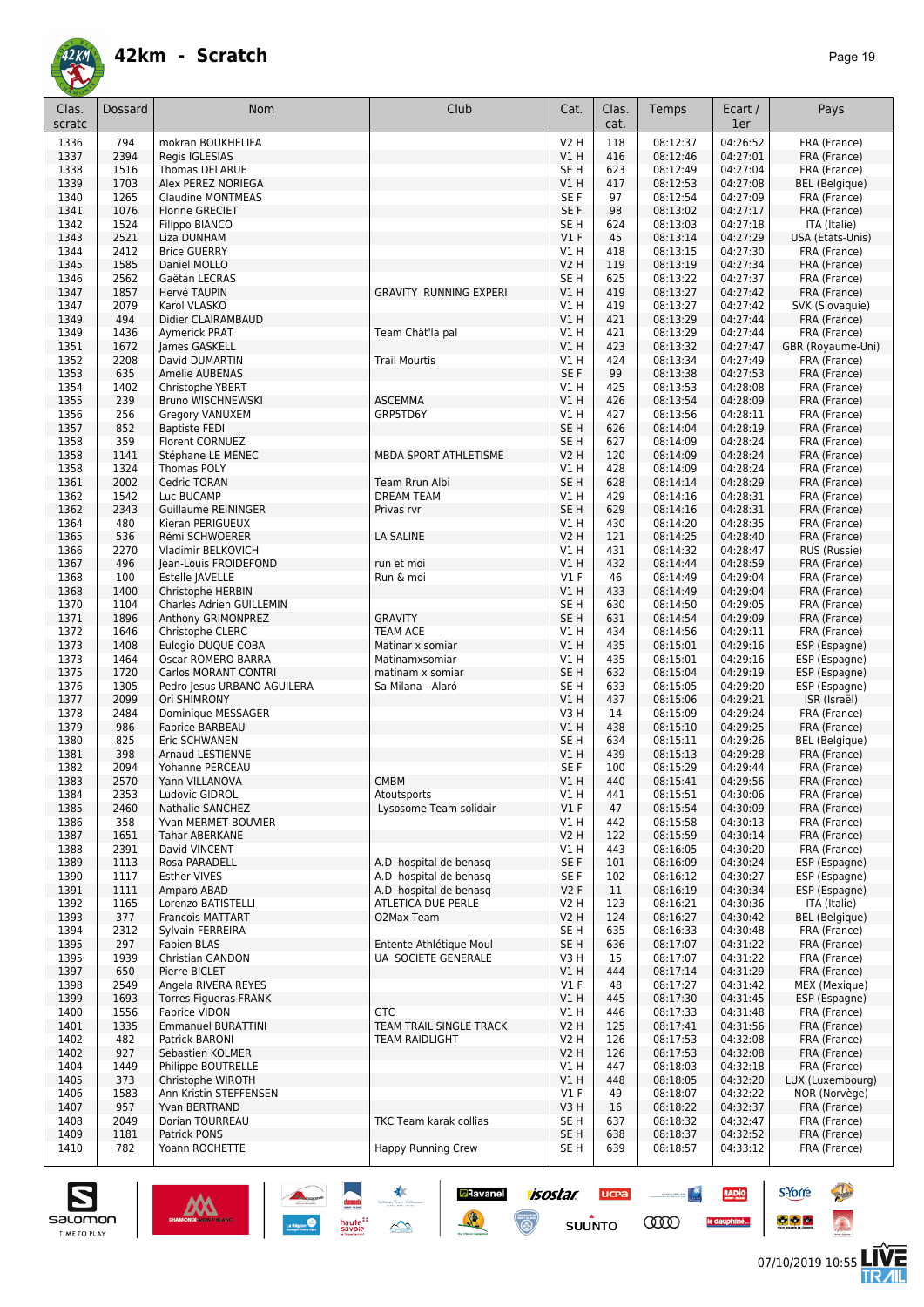

| Clas.        | Dossard      | Nom                                            | Club                          | Cat.            | Clas.<br>cat. | Temps                | Ecart /<br>1er       | Pays                         |
|--------------|--------------|------------------------------------------------|-------------------------------|-----------------|---------------|----------------------|----------------------|------------------------------|
| scratc       |              |                                                |                               |                 |               |                      |                      |                              |
| 1336         | 794          | mokran BOUKHELIFA                              |                               | <b>V2 H</b>     | 118           | 08:12:37             | 04:26:52             | FRA (France)                 |
| 1337         | 2394         | Regis IGLESIAS                                 |                               | V1 H            | 416           | 08:12:46             | 04:27:01             | FRA (France)                 |
| 1338         | 1516         | Thomas DELARUE                                 |                               | SE H            | 623           | 08:12:49             | 04:27:04             | FRA (France)                 |
| 1339         | 1703         | Alex PEREZ NORIEGA<br><b>Claudine MONTMEAS</b> |                               | VIH             | 417<br>97     | 08:12:53<br>08:12:54 | 04:27:08             | BEL (Belgique)               |
| 1340<br>1341 | 1265<br>1076 | <b>Florine GRECIET</b>                         |                               | SE F<br>SE F    | 98            | 08:13:02             | 04:27:09<br>04:27:17 | FRA (France)<br>FRA (France) |
| 1342         | 1524         | Filippo BIANCO                                 |                               | SE <sub>H</sub> | 624           | 08:13:03             | 04:27:18             | ITA (Italie)                 |
| 1343         | 2521         | Liza DUNHAM                                    |                               | V1F             | 45            | 08:13:14             | 04:27:29             | USA (Etats-Unis)             |
| 1344         | 2412         | <b>Brice GUERRY</b>                            |                               | V1 H            | 418           | 08:13:15             | 04:27:30             | FRA (France)                 |
| 1345         | 1585         | Daniel MOLLO                                   |                               | V2 H            | 119           | 08:13:19             | 04:27:34             | FRA (France)                 |
| 1346         | 2562         | Gaëtan LECRAS                                  |                               | SE H            | 625           | 08:13:22             | 04:27:37             | FRA (France)                 |
| 1347         | 1857         | Hervé TAUPIN                                   | <b>GRAVITY RUNNING EXPERI</b> | V1 H            | 419           | 08:13:27             | 04:27:42             | FRA (France)                 |
| 1347         | 2079         | Karol VLASKO                                   |                               | V1 H            | 419           | 08:13:27             | 04:27:42             | SVK (Slovaquie)              |
| 1349         | 494          | Didier CLAIRAMBAUD                             |                               | V1 H            | 421           | 08:13:29             | 04:27:44             | FRA (France)                 |
| 1349         | 1436         | Aymerick PRAT                                  | Team Chât'la pal              | V1 H            | 421           | 08:13:29             | 04:27:44             | FRA (France)                 |
| 1351         | 1672         | James GASKELL                                  |                               | VIH             | 423           | 08:13:32             | 04:27:47             | GBR (Royaume-Uni)            |
| 1352         | 2208         | David DUMARTIN                                 | <b>Trail Mourtis</b>          | V1 H            | 424           | 08:13:34             | 04:27:49             | FRA (France)                 |
| 1353         | 635          | Amelie AUBENAS                                 |                               | SE <sub>F</sub> | 99            | 08:13:38             | 04:27:53             | FRA (France)                 |
| 1354         | 1402<br>239  | Christophe YBERT                               |                               | V1 H            | 425           | 08:13:53             | 04:28:08<br>04:28:09 | FRA (France)                 |
| 1355<br>1356 | 256          | <b>Bruno WISCHNEWSKI</b><br>Gregory VANUXEM    | <b>ASCEMMA</b><br>GRP5TD6Y    | V1 H<br>V1 H    | 426<br>427    | 08:13:54<br>08:13:56 | 04:28:11             | FRA (France)<br>FRA (France) |
| 1357         | 852          | <b>Baptiste FEDI</b>                           |                               | SE <sub>H</sub> | 626           | 08:14:04             | 04:28:19             | FRA (France)                 |
| 1358         | 359          | Florent CORNUEZ                                |                               | SE H            | 627           | 08:14:09             | 04:28:24             | FRA (France)                 |
| 1358         | 1141         | Stéphane LE MENEC                              | MBDA SPORT ATHLETISME         | V2 H            | 120           | 08:14:09             | 04:28:24             | FRA (France)                 |
| 1358         | 1324         | Thomas POLY                                    |                               | V1 H            | 428           | 08:14:09             | 04:28:24             | FRA (France)                 |
| 1361         | 2002         | Cedric TORAN                                   | Team Rrun Albi                | SE <sub>H</sub> | 628           | 08:14:14             | 04:28:29             | FRA (France)                 |
| 1362         | 1542         | Luc BUCAMP                                     | <b>DREAM TEAM</b>             | V1 H            | 429           | 08:14:16             | 04:28:31             | FRA (France)                 |
| 1362         | 2343         | <b>Guillaume REININGER</b>                     | Privas rvr                    | SE <sub>H</sub> | 629           | 08:14:16             | 04:28:31             | FRA (France)                 |
| 1364         | 480          | Kieran PERIGUEUX                               |                               | V1 H            | 430           | 08:14:20             | 04:28:35             | FRA (France)                 |
| 1365         | 536          | Rémi SCHWOERER                                 | <b>LA SALINE</b>              | V2 H            | 121           | 08:14:25             | 04:28:40             | FRA (France)                 |
| 1366         | 2270         | Vladimir BELKOVICH                             |                               | V1 H            | 431           | 08:14:32             | 04:28:47             | RUS (Russie)                 |
| 1367         | 496          | Jean-Louis FROIDEFOND                          | run et moi                    | V1 H            | 432           | 08:14:44             | 04:28:59             | FRA (France)                 |
| 1368         | 100          | Estelle JAVELLE                                | Run & moi                     | V1F             | 46            | 08:14:49             | 04:29:04             | FRA (France)                 |
| 1368         | 1400         | Christophe HERBIN                              |                               | V1 H            | 433           | 08:14:49             | 04:29:04             | FRA (France)                 |
| 1370         | 1104         | Charles Adrien GUILLEMIN                       |                               | SE H            | 630           | 08:14:50             | 04:29:05             | FRA (France)                 |
| 1371         | 1896         | Anthony GRIMONPREZ                             | <b>GRAVITY</b>                | SE <sub>H</sub> | 631           | 08:14:54             | 04:29:09             | FRA (France)                 |
| 1372         | 1646         | Christophe CLERC                               | <b>TEAM ACE</b>               | V1 H            | 434           | 08:14:56             | 04:29:11             | FRA (France)                 |
| 1373         | 1408         | Eulogio DUQUE COBA                             | Matinar x somiar              | V1 H            | 435           | 08:15:01             | 04:29:16             | ESP (Espagne)                |
| 1373         | 1464         | Oscar ROMERO BARRA                             | Matinamxsomiar                | V1 H            | 435           | 08:15:01             | 04:29:16             | ESP (Espagne)                |
| 1375         | 1720         | <b>Carlos MORANT CONTRI</b>                    | matinam x somiar              | SE <sub>H</sub> | 632           | 08:15:04             | 04:29:19             | ESP (Espagne)                |
| 1376         | 1305         | Pedro Jesus URBANO AGUILERA                    | Sa Milana - Alaró             | SE <sub>H</sub> | 633           | 08:15:05             | 04:29:20             | ESP (Espagne)                |
| 1377         | 2099         | Ori SHIMRONY                                   |                               | V1 H            | 437           | 08:15:06             | 04:29:21             | ISR (Israël)                 |
| 1378<br>1379 | 2484<br>986  | Dominique MESSAGER<br>Fabrice BARBEAU          |                               | V3H<br>V1 H     | 14<br>438     | 08:15:09<br>08:15:10 | 04:29:24<br>04:29:25 | FRA (France)<br>FRA (France) |
| 1380         | 825          | Eric SCHWANEN                                  |                               | SE <sub>H</sub> | 634           | 08:15:11             | 04:29:26             | <b>BEL</b> (Belgique)        |
| 1381         | 398          | Arnaud LESTIENNE                               |                               | V1 H            | 439           | 08:15:13             | 04:29:28             | FRA (France)                 |
| 1382         | 2094         | Yohanne PERCEAU                                |                               | SE F            | 100           | 08:15:29             | 04:29:44             | FRA (France)                 |
| 1383         | 2570         | Yann VILLANOVA                                 | <b>CMBM</b>                   | V1 H            | 440           | 08:15:41             | 04:29:56             | FRA (France)                 |
| 1384         | 2353         | Ludovic GIDROL                                 | Atoutsports                   | V1 H            | 441           | 08:15:51             | 04:30:06             | FRA (France)                 |
| 1385         | 2460         | Nathalie SANCHEZ                               | Lysosome Team solidair        | $VI$ F          | 47            | 08:15:54             | 04:30:09             | FRA (France)                 |
| 1386         | 358          | Yvan MERMET-BOUVIER                            |                               | V1 H            | 442           | 08:15:58             | 04:30:13             | FRA (France)                 |
| 1387         | 1651         | Tahar ABERKANE                                 |                               | V2 H            | 122           | 08:15:59             | 04:30:14             | FRA (France)                 |
| 1388         | 2391         | David VINCENT                                  |                               | V1 H            | 443           | 08:16:05             | 04:30:20             | FRA (France)                 |
| 1389         | 1113         | Rosa PARADELL                                  | A.D hospital de benasq        | SE F            | 101           | 08:16:09             | 04:30:24             | ESP (Espagne)                |
| 1390         | 1117         | <b>Esther VIVES</b>                            | A.D hospital de benasq        | SE F            | 102           | 08:16:12             | 04:30:27             | ESP (Espagne)                |
| 1391         | 1111         | Amparo ABAD                                    | A.D hospital de benasq        | V2F             | 11            | 08:16:19             | 04:30:34             | ESP (Espagne)                |
| 1392         | 1165         | Lorenzo BATISTELLI                             | ATLETICA DUE PERLE            | V2 H            | 123           | 08:16:21             | 04:30:36             | ITA (Italie)                 |
| 1393         | 377          | <b>Francois MATTART</b>                        | O2Max Team                    | V2 H            | 124           | 08:16:27             | 04:30:42             | <b>BEL</b> (Belgique)        |
| 1394         | 2312         | Sylvain FERREIRA                               |                               | SE H            | 635           | 08:16:33             | 04:30:48             | FRA (France)                 |
| 1395         | 297          | <b>Fabien BLAS</b>                             | Entente Athlétique Moul       | SE H            | 636           | 08:17:07             | 04:31:22             | FRA (France)                 |
| 1395         | 1939         | Christian GANDON                               | UA SOCIETE GENERALE           | V3 H            | 15            | 08:17:07             | 04:31:22             | FRA (France)                 |
| 1397         | 650          | Pierre BICLET                                  |                               | V1 H            | 444           | 08:17:14             | 04:31:29             | FRA (France)                 |
| 1398         | 2549         | Angela RIVERA REYES                            |                               | V1 F            | 48            | 08:17:27             | 04:31:42             | MEX (Mexique)                |
| 1399         | 1693         | <b>Torres Figueras FRANK</b><br>Fabrice VIDON  | <b>GTC</b>                    | V1 H            | 445           | 08:17:30             | 04:31:45             | ESP (Espagne)                |
| 1400<br>1401 | 1556<br>1335 | <b>Emmanuel BURATTINI</b>                      | TEAM TRAIL SINGLE TRACK       | V1 H<br>V2 H    | 446<br>125    | 08:17:33<br>08:17:41 | 04:31:48<br>04:31:56 | FRA (France)<br>FRA (France) |
| 1402         | 482          | Patrick BARONI                                 | <b>TEAM RAIDLIGHT</b>         | V2 H            | 126           | 08:17:53             | 04:32:08             | FRA (France)                 |
| 1402         | 927          | Sebastien KOLMER                               |                               | V2 H            | 126           | 08:17:53             | 04:32:08             | FRA (France)                 |
| 1404         | 1449         | Philippe BOUTRELLE                             |                               | V1 H            | 447           | 08:18:03             | 04:32:18             | FRA (France)                 |
| 1405         | 373          | Christophe WIROTH                              |                               | V1 H            | 448           | 08:18:05             | 04:32:20             | LUX (Luxembourg)             |
| 1406         | 1583         | Ann Kristin STEFFENSEN                         |                               | <b>V1 F</b>     | 49            | 08:18:07             | 04:32:22             | NOR (Norvège)                |
| 1407         | 957          | Yvan BERTRAND                                  |                               | V3 H            | 16            | 08:18:22             | 04:32:37             | FRA (France)                 |
| 1408         | 2049         | Dorian TOURREAU                                | TKC Team karak collias        | SE H            | 637           | 08:18:32             | 04:32:47             | FRA (France)                 |
| 1409         | 1181         | Patrick PONS                                   |                               | SE H            | 638           | 08:18:37             | 04:32:52             | FRA (France)                 |
| 1410         | 782          | Yoann ROCHETTE                                 | <b>Happy Running Crew</b>     | SE H            | 639           | 08:18:57             | 04:33:12             | FRA (France)                 |

**a**Ravanel <mark>7/505/7/ UCPa</mark>

 $su\overset{\bullet}{\mathsf{unro}}$ 

 $\odot$ 



**s**Yorre

 $\bullet$   $\bullet$   $\bullet$ 

<u>and the second second</u>

**COO** 

**RADIO** 

le dauphiné...

**Reine** 

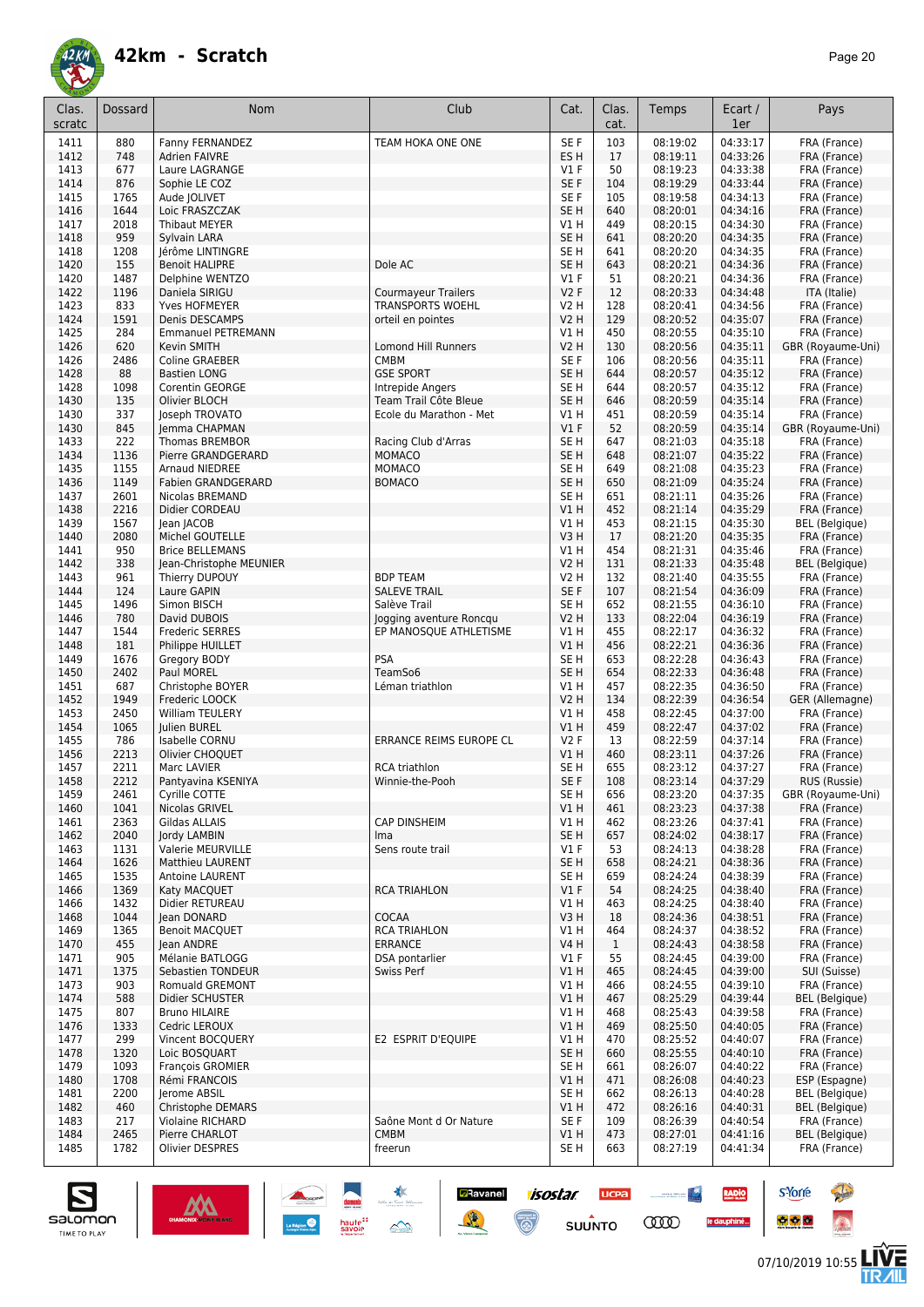

| Clas.<br>scratc | Dossard      | Nom                                                 | Club                                | Cat.                     | Clas.<br>cat.       | Temps                | Ecart /<br>1er       | Pays                              |
|-----------------|--------------|-----------------------------------------------------|-------------------------------------|--------------------------|---------------------|----------------------|----------------------|-----------------------------------|
| 1411            | 880          | Fanny FERNANDEZ                                     | TEAM HOKA ONE ONE                   | SE F                     | 103                 | 08:19:02             | 04:33:17             | FRA (France)                      |
| 1412            | 748          | <b>Adrien FAIVRE</b>                                |                                     | ES <sub>H</sub>          | 17                  | 08:19:11             | 04:33:26             | FRA (France)                      |
| 1413            | 677          | Laure LAGRANGE                                      |                                     | $VI$ F                   | 50                  | 08:19:23             | 04:33:38             | FRA (France)                      |
| 1414            | 876          | Sophie LE COZ                                       |                                     | SE F                     | 104                 | 08:19:29<br>08:19:58 | 04:33:44             | FRA (France)                      |
| 1415<br>1416    | 1765<br>1644 | Aude JOLIVET<br>Loic FRASZCZAK                      |                                     | SE F<br>SE <sub>H</sub>  | 105<br>640          | 08:20:01             | 04:34:13<br>04:34:16 | FRA (France)<br>FRA (France)      |
| 1417            | 2018         | Thibaut MEYER                                       |                                     | V1 H                     | 449                 | 08:20:15             | 04:34:30             | FRA (France)                      |
| 1418            | 959          | Sylvain LARA                                        |                                     | SE <sub>H</sub>          | 641                 | 08:20:20             | 04:34:35             | FRA (France)                      |
| 1418            | 1208         | Jérôme LINTINGRE                                    |                                     | SE H                     | 641                 | 08:20:20             | 04:34:35             | FRA (France)                      |
| 1420            | 155          | <b>Benoit HALIPRE</b>                               | Dole AC                             | SE <sub>H</sub>          | 643                 | 08:20:21             | 04:34:36             | FRA (France)                      |
| 1420            | 1487         | Delphine WENTZO                                     |                                     | $VI$ F                   | 51                  | 08:20:21             | 04:34:36             | FRA (France)                      |
| 1422            | 1196         | Daniela SIRIGU                                      | <b>Courmayeur Trailers</b>          | V2F                      | 12                  | 08:20:33             | 04:34:48             | ITA (Italie)                      |
| 1423            | 833          | Yves HOFMEYER                                       | <b>TRANSPORTS WOEHL</b>             | <b>V2 H</b>              | 128                 | 08:20:41             | 04:34:56             | FRA (France)                      |
| 1424            | 1591         | Denis DESCAMPS                                      | orteil en pointes                   | <b>V2 H</b>              | 129                 | 08:20:52             | 04:35:07             | FRA (France)                      |
| 1425            | 284          | <b>Emmanuel PETREMANN</b>                           |                                     | V1 H                     | 450                 | 08:20:55             | 04:35:10             | FRA (France)                      |
| 1426<br>1426    | 620<br>2486  | Kevin SMITH<br>Coline GRAEBER                       | Lomond Hill Runners<br>CMBM         | V <sub>2</sub> H<br>SE F | 130<br>106          | 08:20:56<br>08:20:56 | 04:35:11<br>04:35:11 | GBR (Royaume-Uni)<br>FRA (France) |
| 1428            | 88           | <b>Bastien LONG</b>                                 | <b>GSE SPORT</b>                    | SE <sub>H</sub>          | 644                 | 08:20:57             | 04:35:12             | FRA (France)                      |
| 1428            | 1098         | Corentin GEORGE                                     | Intrepide Angers                    | SE <sub>H</sub>          | 644                 | 08:20:57             | 04:35:12             | FRA (France)                      |
| 1430            | 135          | Olivier BLOCH                                       | Team Trail Côte Bleue               | SE <sub>H</sub>          | 646                 | 08:20:59             | 04:35:14             | FRA (France)                      |
| 1430            | 337          | Joseph TROVATO                                      | Ecole du Marathon - Met             | V1 H                     | 451                 | 08:20:59             | 04:35:14             | FRA (France)                      |
| 1430            | 845          | Jemma CHAPMAN                                       |                                     | V1F                      | 52                  | 08:20:59             | 04:35:14             | GBR (Royaume-Uni)                 |
| 1433            | 222          | <b>Thomas BREMBOR</b>                               | Racing Club d'Arras                 | SE <sub>H</sub>          | 647                 | 08:21:03             | 04:35:18             | FRA (France)                      |
| 1434            | 1136         | Pierre GRANDGERARD                                  | <b>MOMACO</b>                       | SE <sub>H</sub>          | 648                 | 08:21:07             | 04:35:22             | FRA (France)                      |
| 1435            | 1155         | <b>Arnaud NIEDREE</b>                               | <b>MOMACO</b>                       | SE <sub>H</sub>          | 649                 | 08:21:08             | 04:35:23             | FRA (France)                      |
| 1436            | 1149         | <b>Fabien GRANDGERARD</b><br><b>Nicolas BREMAND</b> | <b>BOMACO</b>                       | SE <sub>H</sub>          | 650                 | 08:21:09             | 04:35:24             | FRA (France)                      |
| 1437<br>1438    | 2601<br>2216 | Didier CORDEAU                                      |                                     | SE <sub>H</sub><br>V1H   | 651<br>452          | 08:21:11<br>08:21:14 | 04:35:26<br>04:35:29 | FRA (France)<br>FRA (France)      |
| 1439            | 1567         | Jean JACOB                                          |                                     | V1H                      | 453                 | 08:21:15             | 04:35:30             | <b>BEL</b> (Belgique)             |
| 1440            | 2080         | Michel GOUTELLE                                     |                                     | V3H                      | 17                  | 08:21:20             | 04:35:35             | FRA (France)                      |
| 1441            | 950          | <b>Brice BELLEMANS</b>                              |                                     | V1 H                     | 454                 | 08:21:31             | 04:35:46             | FRA (France)                      |
| 1442            | 338          | Jean-Christophe MEUNIER                             |                                     | <b>V2 H</b>              | 131                 | 08:21:33             | 04:35:48             | <b>BEL</b> (Belgique)             |
| 1443            | 961          | Thierry DUPOUY                                      | <b>BDP TEAM</b>                     | V2 H                     | 132                 | 08:21:40             | 04:35:55             | FRA (France)                      |
| 1444            | 124          | Laure GAPIN                                         | <b>SALEVE TRAIL</b>                 | SE F                     | 107                 | 08:21:54             | 04:36:09             | FRA (France)                      |
| 1445            | 1496         | Simon BISCH                                         | Salève Trail                        | SE <sub>H</sub>          | 652                 | 08:21:55             | 04:36:10             | FRA (France)                      |
| 1446            | 780          | David DUBOIS                                        | Jogging aventure Roncqu             | <b>V2 H</b>              | 133                 | 08:22:04             | 04:36:19             | FRA (France)                      |
| 1447            | 1544         | <b>Frederic SERRES</b>                              | EP MANOSQUE ATHLETISME              | V1 H                     | 455                 | 08:22:17             | 04:36:32             | FRA (France)                      |
| 1448<br>1449    | 181<br>1676  | Philippe HUILLET<br>Gregory BODY                    | <b>PSA</b>                          | VIH<br>SE <sub>H</sub>   | 456<br>653          | 08:22:21<br>08:22:28 | 04:36:36<br>04:36:43 | FRA (France)<br>FRA (France)      |
| 1450            | 2402         | Paul MOREL                                          | TeamSo6                             | SE <sub>H</sub>          | 654                 | 08:22:33             | 04:36:48             | FRA (France)                      |
| 1451            | 687          | Christophe BOYER                                    | Léman triathlon                     | V1 H                     | 457                 | 08:22:35             | 04:36:50             | FRA (France)                      |
| 1452            | 1949         | Frederic LOOCK                                      |                                     | <b>V2 H</b>              | 134                 | 08:22:39             | 04:36:54             | GER (Allemagne)                   |
| 1453            | 2450         | <b>William TEULERY</b>                              |                                     | V1 H                     | 458                 | 08:22:45             | 04:37:00             | FRA (France)                      |
| 1454            | 1065         | Julien BUREL                                        |                                     | V1 H                     | 459                 | 08:22:47             | 04:37:02             | FRA (France)                      |
| 1455            | 786          | <b>Isabelle CORNU</b>                               | ERRANCE REIMS EUROPE CL             | V2F                      | 13                  | 08:22:59             | 04:37:14             | FRA (France)                      |
| 1456            | 2213         | Olivier CHOQUET                                     |                                     | V1 H                     | 460                 | 08:23:11             | 04:37:26             | FRA (France)                      |
| 1457            | 2211         | Marc LAVIER                                         | <b>RCA triathlon</b>                | SE <sub>H</sub>          | 655                 | 08:23:12             | 04:37:27             | FRA (France)                      |
| 1458            | 2212         | Pantyavina KSENIYA                                  | Winnie-the-Pooh                     | SE F                     | 108                 | 08:23:14             | 04:37:29             | RUS (Russie)                      |
| 1459<br>1460    | 2461<br>1041 | Cyrille COTTE<br>Nicolas GRIVEL                     |                                     | SE H<br>V1H              | 656<br>461          | 08:23:20<br>08:23:23 | 04:37:35<br>04:37:38 | GBR (Royaume-Uni)<br>FRA (France) |
| 1461            | 2363         | Gildas ALLAIS                                       | <b>CAP DINSHEIM</b>                 | V1H                      | 462                 | 08:23:26             | 04:37:41             | FRA (France)                      |
| 1462            | 2040         | <b>Jordy LAMBIN</b>                                 | Ima                                 | SE <sub>H</sub>          | 657                 | 08:24:02             | 04:38:17             | FRA (France)                      |
| 1463            | 1131         | Valerie MEURVILLE                                   | Sens route trail                    | $VI$ F                   | 53                  | 08:24:13             | 04:38:28             | FRA (France)                      |
| 1464            | 1626         | <b>Matthieu LAURENT</b>                             |                                     | SE <sub>H</sub>          | 658                 | 08:24:21             | 04:38:36             | FRA (France)                      |
| 1465            | 1535         | <b>Antoine LAURENT</b>                              |                                     | SE H                     | 659                 | 08:24:24             | 04:38:39             | FRA (France)                      |
| 1466            | 1369         | Katy MACQUET                                        | <b>RCA TRIAHLON</b>                 | $VI$ F                   | 54                  | 08:24:25             | 04:38:40             | FRA (France)                      |
| 1466            | 1432         | Didier RETUREAU                                     |                                     | V1 H                     | 463                 | 08:24:25             | 04:38:40             | FRA (France)                      |
| 1468            | 1044         | lean DONARD                                         | <b>COCAA</b><br><b>RCA TRIAHLON</b> | V3H                      | 18                  | 08:24:36             | 04:38:51             | FRA (France)                      |
| 1469<br>1470    | 1365<br>455  | <b>Benoit MACQUET</b><br>lean ANDRE                 | <b>ERRANCE</b>                      | V1 H<br><b>V4 H</b>      | 464<br>$\mathbf{1}$ | 08:24:37<br>08:24:43 | 04:38:52<br>04:38:58 | FRA (France)<br>FRA (France)      |
| 1471            | 905          | Mélanie BATLOGG                                     | DSA pontarlier                      | $VI$ F                   | 55                  | 08:24:45             | 04:39:00             | FRA (France)                      |
| 1471            | 1375         | Sebastien TONDEUR                                   | Swiss Perf                          | V1H                      | 465                 | 08:24:45             | 04:39:00             | SUI (Suisse)                      |
| 1473            | 903          | Romuald GREMONT                                     |                                     | V1H                      | 466                 | 08:24:55             | 04:39:10             | FRA (France)                      |
| 1474            | 588          | Didier SCHUSTER                                     |                                     | V1H                      | 467                 | 08:25:29             | 04:39:44             | <b>BEL</b> (Belgique)             |
| 1475            | 807          | <b>Bruno HILAIRE</b>                                |                                     | V1 H                     | 468                 | 08:25:43             | 04:39:58             | FRA (France)                      |
| 1476            | 1333         | Cedric LEROUX                                       |                                     | V1H                      | 469                 | 08:25:50             | 04:40:05             | FRA (France)                      |
| 1477            | 299          | Vincent BOCQUERY                                    | E2 ESPRIT D'EQUIPE                  | V1H                      | 470                 | 08:25:52             | 04:40:07             | FRA (France)                      |
| 1478            | 1320         | Loic BOSQUART                                       |                                     | SE <sub>H</sub>          | 660                 | 08:25:55             | 04:40:10             | FRA (France)                      |
| 1479            | 1093         | <b>François GROMIER</b>                             |                                     | SE H                     | 661                 | 08:26:07             | 04:40:22             | FRA (France)<br>ESP (Espagne)     |
| 1480<br>1481    | 1708<br>2200 | Rémi FRANCOIS<br>Jerome ABSIL                       |                                     | V1 H<br>SE H             | 471<br>662          | 08:26:08<br>08:26:13 | 04:40:23<br>04:40:28 | BEL (Belgique)                    |
| 1482            | 460          | Christophe DEMARS                                   |                                     | V1H                      | 472                 | 08:26:16             | 04:40:31             | BEL (Belgique)                    |
| 1483            | 217          | <b>Violaine RICHARD</b>                             | Saône Mont d Or Nature              | SE F                     | 109                 | 08:26:39             | 04:40:54             | FRA (France)                      |
| 1484            | 2465         | Pierre CHARLOT                                      | <b>CMBM</b>                         | V1H                      | 473                 | 08:27:01             | 04:41:16             | <b>BEL</b> (Belgique)             |
| 1485            | 1782         | Olivier DESPRES                                     | freerun                             | SE H                     | 663                 | 08:27:19             | 04:41:34             | FRA (France)                      |

**isostar** 

 $\odot$ 

**UCPA** 

 $s$ UUNTO

 $\begin{picture}(20,10) \put(0,0){\line(1,0){10}} \put(10,0){\line(1,0){10}} \put(10,0){\line(1,0){10}} \put(10,0){\line(1,0){10}} \put(10,0){\line(1,0){10}} \put(10,0){\line(1,0){10}} \put(10,0){\line(1,0){10}} \put(10,0){\line(1,0){10}} \put(10,0){\line(1,0){10}} \put(10,0){\line(1,0){10}} \put(10,0){\line(1,0){10}} \put(10,0){\line(1$ 

**COO** 

RADIO

le dauphiné...

**D**Ravanel

送



**s**Yorre

 $\bullet$   $\bullet$   $\bullet$ 

**There** 

 $\hat{\Omega}$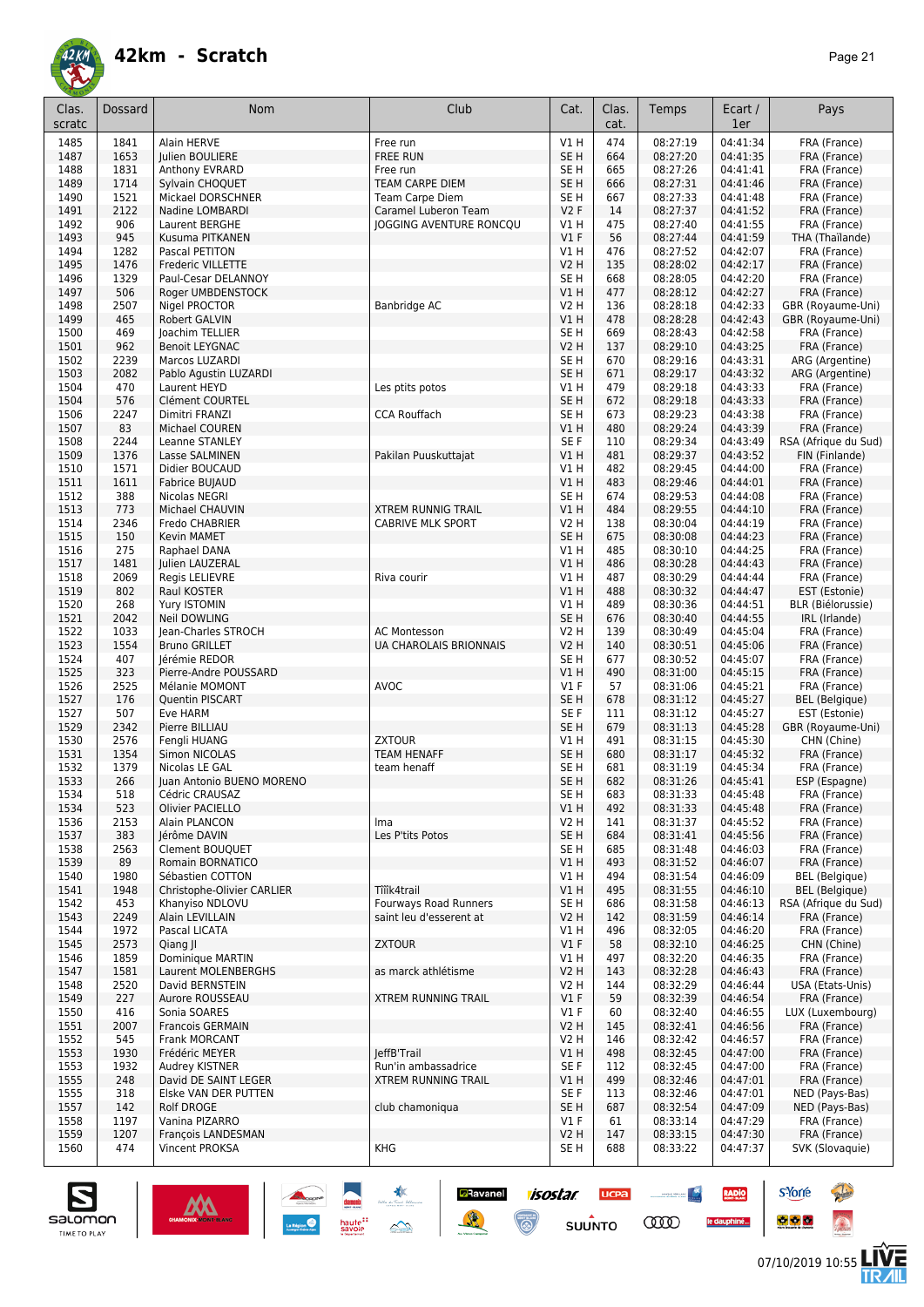

| Clas.<br>scratc | <b>Dossard</b> | <b>Nom</b>                                     | Club                                                  | Cat.                           | Clas.<br>cat. | Temps                | Ecart /<br>1er       | Pays                                    |
|-----------------|----------------|------------------------------------------------|-------------------------------------------------------|--------------------------------|---------------|----------------------|----------------------|-----------------------------------------|
| 1485            | 1841           | Alain HERVE                                    | Free run                                              | V1 H                           | 474           | 08:27:19             | 04:41:34             | FRA (France)                            |
| 1487            | 1653           | Julien BOULIERE                                | <b>FREE RUN</b>                                       | SE <sub>H</sub>                | 664           | 08:27:20             | 04:41:35             | FRA (France)                            |
| 1488            | 1831           | Anthony EVRARD                                 | Free run                                              | SE H                           | 665           | 08:27:26             | 04:41:41             | FRA (France)                            |
| 1489            | 1714           | Sylvain CHOQUET                                | TEAM CARPE DIEM                                       | SE <sub>H</sub>                | 666           | 08:27:31             | 04:41:46             | FRA (France)                            |
| 1490<br>1491    | 1521<br>2122   | Mickael DORSCHNER<br>Nadine LOMBARDI           | Team Carpe Diem<br>Caramel Luberon Team               | SE H<br>V2F                    | 667<br>14     | 08:27:33<br>08:27:37 | 04:41:48<br>04:41:52 | FRA (France)<br>FRA (France)            |
| 1492            | 906            | Laurent BERGHE                                 | JOGGING AVENTURE RONCQU                               | V1 H                           | 475           | 08:27:40             | 04:41:55             | FRA (France)                            |
| 1493            | 945            | Kusuma PITKANEN                                |                                                       | V1F                            | 56            | 08:27:44             | 04:41:59             | THA (Thaïlande)                         |
| 1494            | 1282           | Pascal PETITON                                 |                                                       | V1 H                           | 476           | 08:27:52             | 04:42:07             | FRA (France)                            |
| 1495            | 1476           | Frederic VILLETTE                              |                                                       | <b>V2 H</b>                    | 135           | 08:28:02             | 04:42:17             | FRA (France)                            |
| 1496            | 1329<br>506    | Paul-Cesar DELANNOY                            |                                                       | SE H<br>V1 H                   | 668           | 08:28:05             | 04:42:20             | FRA (France)<br>FRA (France)            |
| 1497<br>1498    | 2507           | Roger UMBDENSTOCK<br>Nigel PROCTOR             | Banbridge AC                                          | <b>V2 H</b>                    | 477<br>136    | 08:28:12<br>08:28:18 | 04:42:27<br>04:42:33 | GBR (Royaume-Uni)                       |
| 1499            | 465            | Robert GALVIN                                  |                                                       | <b>V1 H</b>                    | 478           | 08:28:28             | 04:42:43             | GBR (Royaume-Uni)                       |
| 1500            | 469            | Joachim TELLIER                                |                                                       | SE <sub>H</sub>                | 669           | 08:28:43             | 04:42:58             | FRA (France)                            |
| 1501            | 962            | <b>Benoit LEYGNAC</b>                          |                                                       | <b>V2 H</b>                    | 137           | 08:29:10             | 04:43:25             | FRA (France)                            |
| 1502            | 2239           | Marcos LUZARDI                                 |                                                       | SE H                           | 670           | 08:29:16             | 04:43:31             | ARG (Argentine)                         |
| 1503            | 2082           | Pablo Agustin LUZARDI                          |                                                       | SE <sub>H</sub>                | 671           | 08:29:17             | 04:43:32             | ARG (Argentine)                         |
| 1504<br>1504    | 470<br>576     | Laurent HEYD<br>Clément COURTEL                | Les ptits potos                                       | V1 H<br>SE <sub>H</sub>        | 479<br>672    | 08:29:18<br>08:29:18 | 04:43:33<br>04:43:33 | FRA (France)<br>FRA (France)            |
| 1506            | 2247           | Dimitri FRANZI                                 | <b>CCA Rouffach</b>                                   | SE H                           | 673           | 08:29:23             | 04:43:38             | FRA (France)                            |
| 1507            | 83             | Michael COUREN                                 |                                                       | V1 H                           | 480           | 08:29:24             | 04:43:39             | FRA (France)                            |
| 1508            | 2244           | Leanne STANLEY                                 |                                                       | SE F                           | 110           | 08:29:34             | 04:43:49             | RSA (Afrique du Sud)                    |
| 1509            | 1376           | Lasse SALMINEN                                 | Pakilan Puuskuttajat                                  | V1H                            | 481           | 08:29:37             | 04:43:52             | FIN (Finlande)                          |
| 1510            | 1571           | Didier BOUCAUD                                 |                                                       | V1 H                           | 482           | 08:29:45             | 04:44:00             | FRA (France)                            |
| 1511            | 1611           | Fabrice BUJAUD                                 |                                                       | V1H                            | 483           | 08:29:46             | 04:44:01             | FRA (France)                            |
| 1512            | 388            | Nicolas NEGRI                                  |                                                       | SE <sub>H</sub>                | 674           | 08:29:53             | 04:44:08             | FRA (France)                            |
| 1513            | 773            | Michael CHAUVIN                                | <b>XTREM RUNNIG TRAIL</b><br><b>CABRIVE MLK SPORT</b> | VIH                            | 484           | 08:29:55             | 04:44:10             | FRA (France)                            |
| 1514<br>1515    | 2346<br>150    | Fredo CHABRIER<br>Kevin MAMET                  |                                                       | V2 H<br>SE <sub>H</sub>        | 138<br>675    | 08:30:04<br>08:30:08 | 04:44:19<br>04:44:23 | FRA (France)<br>FRA (France)            |
| 1516            | 275            | Raphael DANA                                   |                                                       | V1 H                           | 485           | 08:30:10             | 04:44:25             | FRA (France)                            |
| 1517            | 1481           | Julien LAUZERAL                                |                                                       | V1H                            | 486           | 08:30:28             | 04:44:43             | FRA (France)                            |
| 1518            | 2069           | Regis LELIEVRE                                 | Riva courir                                           | V1 H                           | 487           | 08:30:29             | 04:44:44             | FRA (France)                            |
| 1519            | 802            | Raul KOSTER                                    |                                                       | VIH                            | 488           | 08:30:32             | 04:44:47             | EST (Estonie)                           |
| 1520            | 268            | Yury ISTOMIN                                   |                                                       | V1 H                           | 489           | 08:30:36             | 04:44:51             | BLR (Biélorussie)                       |
| 1521            | 2042           | <b>Neil DOWLING</b>                            |                                                       | SE <sub>H</sub>                | 676           | 08:30:40             | 04:44:55             | IRL (Irlande)                           |
| 1522            | 1033           | Jean-Charles STROCH                            | <b>AC Montesson</b>                                   | V2 H                           | 139           | 08:30:49             | 04:45:04             | FRA (France)                            |
| 1523<br>1524    | 1554<br>407    | <b>Bruno GRILLET</b><br>Jérémie REDOR          | <b>UA CHAROLAIS BRIONNAIS</b>                         | <b>V2 H</b><br>SE <sub>H</sub> | 140<br>677    | 08:30:51<br>08:30:52 | 04:45:06<br>04:45:07 | FRA (France)<br>FRA (France)            |
| 1525            | 323            | Pierre-Andre POUSSARD                          |                                                       | V1H                            | 490           | 08:31:00             | 04:45:15             | FRA (France)                            |
| 1526            | 2525           | Mélanie MOMONT                                 | <b>AVOC</b>                                           | $VI$ F                         | 57            | 08:31:06             | 04:45:21             | FRA (France)                            |
| 1527            | 176            | Quentin PISCART                                |                                                       | SE <sub>H</sub>                | 678           | 08:31:12             | 04:45:27             | <b>BEL</b> (Belgique)                   |
| 1527            | 507            | Eve HARM                                       |                                                       | SE F                           | 111           | 08:31:12             | 04:45:27             | EST (Estonie)                           |
| 1529            | 2342           | Pierre BILLIAU                                 |                                                       | SE <sub>H</sub>                | 679           | 08:31:13             | 04:45:28             | GBR (Royaume-Uni)                       |
| 1530            | 2576           | Fengli HUANG                                   | <b>ZXTOUR</b>                                         | V1 H                           | 491           | 08:31:15             | 04:45:30             | CHN (Chine)                             |
| 1531<br>1532    | 1354           | Simon NICOLAS<br>Nicolas LE GAL                | <b>TEAM HENAFF</b>                                    | SE H<br>SE H                   | 680<br>681    | 08:31:17<br>08:31:19 | 04:45:32<br>04:45:34 | FRA (France)                            |
| 1533            | 1379<br>266    | Juan Antonio BUENO MORENO                      | team henaff                                           | SE H                           | 682           | 08:31:26             | 04:45:41             | FRA (France)<br>ESP (Espagne)           |
| 1534            | 518            | Cédric CRAUSAZ                                 |                                                       | SE H                           | 683           | 08:31:33             | 04:45:48             | FRA (France)                            |
| 1534            | 523            | Olivier PACIELLO                               |                                                       | V1H                            | 492           | 08:31:33             | 04:45:48             | FRA (France)                            |
| 1536            | 2153           | Alain PLANCON                                  | Ima                                                   | V2 H                           | 141           | 08:31:37             | 04:45:52             | FRA (France)                            |
| 1537            | 383            | Jérôme DAVIN                                   | Les P'tits Potos                                      | SE <sub>H</sub>                | 684           | 08:31:41             | 04:45:56             | FRA (France)                            |
| 1538            | 2563           | Clement BOUQUET                                |                                                       | SE H                           | 685           | 08:31:48             | 04:46:03             | FRA (France)                            |
| 1539            | 89             | Romain BORNATICO                               |                                                       | VIH                            | 493           | 08:31:52             | 04:46:07             | FRA (France)                            |
| 1540<br>1541    | 1980<br>1948   | Sébastien COTTON<br>Christophe-Olivier CARLIER | Tîîîk4trail                                           | V1 H<br>V1H                    | 494<br>495    | 08:31:54<br>08:31:55 | 04:46:09<br>04:46:10 | <b>BEL</b> (Belgique)<br>BEL (Belgique) |
| 1542            | 453            | Khanviso NDLOVU                                | Fourways Road Runners                                 | SE <sub>H</sub>                | 686           | 08:31:58             | 04:46:13             | RSA (Afrique du Sud)                    |
| 1543            | 2249           | Alain LEVILLAIN                                | saint leu d'esserent at                               | V2 H                           | 142           | 08:31:59             | 04:46:14             | FRA (France)                            |
| 1544            | 1972           | Pascal LICATA                                  |                                                       | V1 H                           | 496           | 08:32:05             | 04:46:20             | FRA (France)                            |
| 1545            | 2573           | Qiang JI                                       | <b>ZXTOUR</b>                                         | $VI$ F                         | 58            | 08:32:10             | 04:46:25             | CHN (Chine)                             |
| 1546            | 1859           | Dominique MARTIN                               |                                                       | V1 H                           | 497           | 08:32:20             | 04:46:35             | FRA (France)                            |
| 1547            | 1581           | Laurent MOLENBERGHS                            | as marck athlétisme                                   | <b>V2 H</b>                    | 143           | 08:32:28             | 04:46:43             | FRA (France)                            |
| 1548            | 2520           | David BERNSTEIN                                |                                                       | V2 H                           | 144           | 08:32:29             | 04:46:44             | USA (Etats-Unis)                        |
| 1549<br>1550    | 227<br>416     | Aurore ROUSSEAU<br>Sonia SOARES                | <b>XTREM RUNNING TRAIL</b>                            | V1F<br>$VI$ F                  | 59<br>60      | 08:32:39<br>08:32:40 | 04:46:54<br>04:46:55 | FRA (France)<br>LUX (Luxembourg)        |
| 1551            | 2007           | <b>Francois GERMAIN</b>                        |                                                       | V2 H                           | 145           | 08:32:41             | 04:46:56             | FRA (France)                            |
| 1552            | 545            | Frank MORCANT                                  |                                                       | V2 H                           | 146           | 08:32:42             | 04:46:57             | FRA (France)                            |
| 1553            | 1930           | Frédéric MEYER                                 | leffB'Trail                                           | V1H                            | 498           | 08:32:45             | 04:47:00             | FRA (France)                            |
| 1553            | 1932           | Audrey KISTNER                                 | Run'in ambassadrice                                   | SE F                           | 112           | 08:32:45             | 04:47:00             | FRA (France)                            |
| 1555            | 248            | David DE SAINT LEGER                           | <b>XTREM RUNNING TRAIL</b>                            | V1 H                           | 499           | 08:32:46             | 04:47:01             | FRA (France)                            |
| 1555            | 318            | Elske VAN DER PUTTEN                           |                                                       | SE F                           | 113           | 08:32:46             | 04:47:01             | NED (Pays-Bas)                          |
| 1557            | 142            | <b>Rolf DROGE</b>                              | club chamoniqua                                       | SE H                           | 687           | 08:32:54             | 04:47:09             | NED (Pays-Bas)                          |
| 1558            | 1197<br>1207   | Vanina PIZARRO                                 |                                                       | V1 F                           | 61            | 08:33:14             | 04:47:29             | FRA (France)                            |
| 1559<br>1560    | 474            | François LANDESMAN<br>Vincent PROKSA           | KHG                                                   | V2 H<br>SE H                   | 147<br>688    | 08:33:15<br>08:33:22 | 04:47:30<br>04:47:37 | FRA (France)<br>SVK (Slovaquie)         |
|                 |                |                                                |                                                       |                                |               |                      |                      |                                         |

**isostar** 

 $\odot$ 

**UCPA** 

 $s$ UUNTO

 $\begin{picture}(20,10) \put(0,0){\line(1,0){10}} \put(10,0){\line(1,0){10}} \put(10,0){\line(1,0){10}} \put(10,0){\line(1,0){10}} \put(10,0){\line(1,0){10}} \put(10,0){\line(1,0){10}} \put(10,0){\line(1,0){10}} \put(10,0){\line(1,0){10}} \put(10,0){\line(1,0){10}} \put(10,0){\line(1,0){10}} \put(10,0){\line(1,0){10}} \put(10,0){\line(1$ 

**COO** 

RADIO

le dauphiné...

**D**Ravanel

送





**s**Yorre

 $\bullet$   $\bullet$   $\bullet$ 

**There**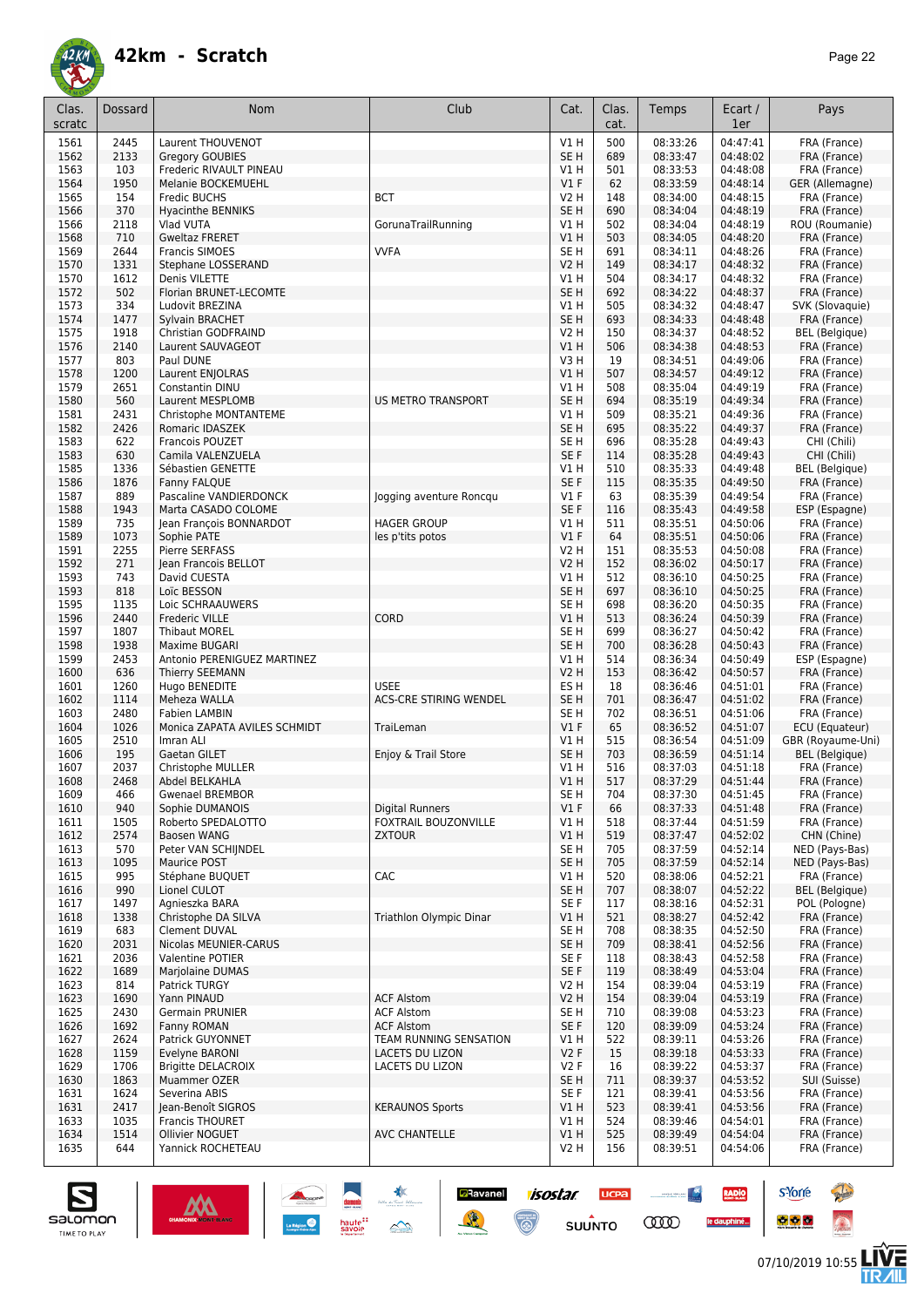

| Clas.<br>scratc | Dossard      | Nom                                       | Club                                         | Cat.                               | Clas.<br>cat. | Temps                | Ecart /<br>1er       | Pays                                   |
|-----------------|--------------|-------------------------------------------|----------------------------------------------|------------------------------------|---------------|----------------------|----------------------|----------------------------------------|
| 1561            | 2445         | Laurent THOUVENOT                         |                                              | V1H                                | 500           | 08:33:26             | 04:47:41             | FRA (France)                           |
| 1562            | 2133         | Gregory GOUBIES                           |                                              | SE <sub>H</sub>                    | 689           | 08:33:47             | 04:48:02             | FRA (France)                           |
| 1563            | 103          | Frederic RIVAULT PINEAU                   |                                              | V1 H                               | 501           | 08:33:53             | 04:48:08             | FRA (France)                           |
| 1564            | 1950         | Melanie BOCKEMUEHL                        |                                              | $VI$ F                             | 62            | 08:33:59             | 04:48:14             | GER (Allemagne)                        |
| 1565            | 154          | <b>Fredic BUCHS</b>                       | <b>BCT</b>                                   | V2 H                               | 148           | 08:34:00             | 04:48:15             | FRA (France)                           |
| 1566<br>1566    | 370<br>2118  | <b>Hyacinthe BENNIKS</b><br>Vlad VUTA     | GorunaTrailRunning                           | SE <sub>H</sub><br>V1 H            | 690<br>502    | 08:34:04<br>08:34:04 | 04:48:19<br>04:48:19 | FRA (France)<br>ROU (Roumanie)         |
| 1568            | 710          | <b>Gweltaz FRERET</b>                     |                                              | V1 H                               | 503           | 08:34:05             | 04:48:20             | FRA (France)                           |
| 1569            | 2644         | <b>Francis SIMOES</b>                     | <b>VVFA</b>                                  | SE <sub>H</sub>                    | 691           | 08:34:11             | 04:48:26             | FRA (France)                           |
| 1570            | 1331         | Stephane LOSSERAND                        |                                              | <b>V2 H</b>                        | 149           | 08:34:17             | 04:48:32             | FRA (France)                           |
| 1570            | 1612         | Denis VILETTE                             |                                              | V1H                                | 504           | 08:34:17             | 04:48:32             | FRA (France)                           |
| 1572            | 502          | Florian BRUNET-LECOMTE                    |                                              | SE <sub>H</sub>                    | 692           | 08:34:22             | 04:48:37             | FRA (France)                           |
| 1573            | 334          | Ludovit BREZINA                           |                                              | V1 H                               | 505           | 08:34:32             | 04:48:47             | SVK (Slovaquie)                        |
| 1574            | 1477         | Sylvain BRACHET                           |                                              | SE <sub>H</sub>                    | 693           | 08:34:33             | 04:48:48             | FRA (France)                           |
| 1575<br>1576    | 1918<br>2140 | Christian GODFRAIND<br>Laurent SAUVAGEOT  |                                              | V2 H<br>VIH                        | 150<br>506    | 08:34:37<br>08:34:38 | 04:48:52<br>04:48:53 | <b>BEL</b> (Belgique)<br>FRA (France)  |
| 1577            | 803          | Paul DUNE                                 |                                              | V3 H                               | 19            | 08:34:51             | 04:49:06             | FRA (France)                           |
| 1578            | 1200         | Laurent ENJOLRAS                          |                                              | V1 H                               | 507           | 08:34:57             | 04:49:12             | FRA (France)                           |
| 1579            | 2651         | Constantin DINU                           |                                              | V1 H                               | 508           | 08:35:04             | 04:49:19             | FRA (France)                           |
| 1580            | 560          | Laurent MESPLOMB                          | <b>US METRO TRANSPORT</b>                    | SE <sub>H</sub>                    | 694           | 08:35:19             | 04:49:34             | FRA (France)                           |
| 1581            | 2431         | Christophe MONTANTEME                     |                                              | V1 H                               | 509           | 08:35:21             | 04:49:36             | FRA (France)                           |
| 1582            | 2426         | Romaric IDASZEK                           |                                              | SE <sub>H</sub>                    | 695           | 08:35:22             | 04:49:37             | FRA (France)                           |
| 1583            | 622          | Francois POUZET                           |                                              | SE <sub>H</sub>                    | 696           | 08:35:28             | 04:49:43<br>04:49:43 | CHI (Chili)                            |
| 1583<br>1585    | 630<br>1336  | Camila VALENZUELA<br>Sébastien GENETTE    |                                              | SE F<br>V1 H                       | 114<br>510    | 08:35:28<br>08:35:33 | 04:49:48             | CHI (Chili)<br><b>BEL</b> (Belgique)   |
| 1586            | 1876         | Fanny FALQUE                              |                                              | SE <sub>F</sub>                    | 115           | 08:35:35             | 04:49:50             | FRA (France)                           |
| 1587            | 889          | Pascaline VANDIERDONCK                    | logging aventure Roncgu                      | $VI$ F                             | 63            | 08:35:39             | 04:49:54             | FRA (France)                           |
| 1588            | 1943         | Marta CASADO COLOME                       |                                              | SE <sub>F</sub>                    | 116           | 08:35:43             | 04:49:58             | ESP (Espagne)                          |
| 1589            | 735          | Jean François BONNARDOT                   | <b>HAGER GROUP</b>                           | V1 H                               | 511           | 08:35:51             | 04:50:06             | FRA (France)                           |
| 1589            | 1073         | Sophie PATE                               | les p'tits potos                             | $VI$ F                             | 64            | 08:35:51             | 04:50:06             | FRA (France)                           |
| 1591            | 2255         | Pierre SERFASS                            |                                              | V2 H                               | 151           | 08:35:53             | 04:50:08             | FRA (France)                           |
| 1592            | 271          | Jean Francois BELLOT                      |                                              | V2 H                               | 152           | 08:36:02             | 04:50:17             | FRA (France)                           |
| 1593<br>1593    | 743<br>818   | David CUESTA<br>Loïc BESSON               |                                              | V1H<br>SE <sub>H</sub>             | 512<br>697    | 08:36:10<br>08:36:10 | 04:50:25<br>04:50:25 | FRA (France)<br>FRA (France)           |
| 1595            | 1135         | Loic SCHRAAUWERS                          |                                              | SE <sub>H</sub>                    | 698           | 08:36:20             | 04:50:35             | FRA (France)                           |
| 1596            | 2440         | <b>Frederic VILLE</b>                     | CORD                                         | VIH                                | 513           | 08:36:24             | 04:50:39             | FRA (France)                           |
| 1597            | 1807         | <b>Thibaut MOREL</b>                      |                                              | SE <sub>H</sub>                    | 699           | 08:36:27             | 04:50:42             | FRA (France)                           |
| 1598            | 1938         | Maxime BUGARI                             |                                              | SE <sub>H</sub>                    | 700           | 08:36:28             | 04:50:43             | FRA (France)                           |
| 1599            | 2453         | Antonio PERENIGUEZ MARTINEZ               |                                              | V1 H                               | 514           | 08:36:34             | 04:50:49             | ESP (Espagne)                          |
| 1600            | 636          | Thierry SEEMANN                           |                                              | <b>V2 H</b>                        | 153           | 08:36:42             | 04:50:57             | FRA (France)                           |
| 1601<br>1602    | 1260<br>1114 | Hugo BENEDITE<br>Meheza WALLA             | <b>USEE</b><br><b>ACS-CRE STIRING WENDEL</b> | ES <sub>H</sub><br>SE <sub>H</sub> | 18<br>701     | 08:36:46<br>08:36:47 | 04:51:01<br>04:51:02 | FRA (France)<br>FRA (France)           |
| 1603            | 2480         | <b>Fabien LAMBIN</b>                      |                                              | SE H                               | 702           | 08:36:51             | 04:51:06             | FRA (France)                           |
| 1604            | 1026         | Monica ZAPATA AVILES SCHMIDT              | TraiLeman                                    | $VI$ F                             | 65            | 08:36:52             | 04:51:07             | ECU (Equateur)                         |
| 1605            | 2510         | Imran ALI                                 |                                              | V1 H                               | 515           | 08:36:54             | 04:51:09             | GBR (Royaume-Uni)                      |
| 1606            | 195          | Gaetan GILET                              | Enjoy & Trail Store                          | SE <sub>H</sub>                    | 703           | 08:36:59             | 04:51:14             | <b>BEL</b> (Belgique)                  |
| 1607            | 2037         | Christophe MULLER                         |                                              | V1 H                               | 516           | 08:37:03             | 04:51:18             | FRA (France)                           |
| 1608            | 2468         | Abdel BELKAHLA                            |                                              | V1H                                | 517           | 08:37:29             | 04:51:44             | FRA (France)                           |
| 1609<br>1610    | 466<br>940   | <b>Gwenael BREMBOR</b><br>Sophie DUMANOIS | Digital Runners                              | SE H<br>$VI$ F                     | 704<br>66     | 08:37:30<br>08:37:33 | 04:51:45<br>04:51:48 | FRA (France)<br>FRA (France)           |
| 1611            | 1505         | Roberto SPEDALOTTO                        | FOXTRAIL BOUZONVILLE                         | V1 H                               | 518           | 08:37:44             | 04:51:59             | FRA (France)                           |
| 1612            | 2574         | Baosen WANG                               | <b>ZXTOUR</b>                                | V1H                                | 519           | 08:37:47             | 04:52:02             | CHN (Chine)                            |
| 1613            | 570          | Peter VAN SCHIJNDEL                       |                                              | SE H                               | 705           | 08:37:59             | 04:52:14             | NED (Pays-Bas)                         |
| 1613            | 1095         | Maurice POST                              |                                              | SE H                               | 705           | 08:37:59             | 04:52:14             | NED (Pays-Bas)                         |
| 1615            | 995          | Stéphane BUQUET                           | CAC                                          | V1 H                               | 520           | 08:38:06             | 04:52:21             | FRA (France)                           |
| 1616            | 990          | Lionel CULOT                              |                                              | SE H                               | 707           | 08:38:07             | 04:52:22             | <b>BEL</b> (Belgique)<br>POL (Poloane) |
| 1617<br>1618    | 1497<br>1338 | Agnieszka BARA<br>Christophe DA SILVA     | Triathlon Olympic Dinar                      | SE F<br>V1 H                       | 117<br>521    | 08:38:16<br>08:38:27 | 04:52:31<br>04:52:42 | FRA (France)                           |
| 1619            | 683          | <b>Clement DUVAL</b>                      |                                              | SE H                               | 708           | 08:38:35             | 04:52:50             | FRA (France)                           |
| 1620            | 2031         | Nicolas MEUNIER-CARUS                     |                                              | SE <sub>H</sub>                    | 709           | 08:38:41             | 04:52:56             | FRA (France)                           |
| 1621            | 2036         | Valentine POTIER                          |                                              | SE F                               | 118           | 08:38:43             | 04:52:58             | FRA (France)                           |
| 1622            | 1689         | <b>Mariolaine DUMAS</b>                   |                                              | SE F                               | 119           | 08:38:49             | 04:53:04             | FRA (France)                           |
| 1623            | 814          | <b>Patrick TURGY</b>                      |                                              | V2 H                               | 154           | 08:39:04             | 04:53:19             | FRA (France)                           |
| 1623            | 1690         | Yann PINAUD                               | <b>ACF Alstom</b>                            | V2 H                               | 154           | 08:39:04             | 04:53:19             | FRA (France)                           |
| 1625<br>1626    | 2430<br>1692 | Germain PRUNIER<br>Fanny ROMAN            | <b>ACF Alstom</b><br><b>ACF Alstom</b>       | SE H<br>SE F                       | 710<br>120    | 08:39:08<br>08:39:09 | 04:53:23<br>04:53:24 | FRA (France)<br>FRA (France)           |
| 1627            | 2624         | Patrick GUYONNET                          | TEAM RUNNING SENSATION                       | V1 H                               | 522           | 08:39:11             | 04:53:26             | FRA (France)                           |
| 1628            | 1159         | Evelyne BARONI                            | <b>LACETS DU LIZON</b>                       | V2F                                | 15            | 08:39:18             | 04:53:33             | FRA (France)                           |
| 1629            | 1706         | Brigitte DELACROIX                        | LACETS DU LIZON                              | V2F                                | 16            | 08:39:22             | 04:53:37             | FRA (France)                           |
| 1630            | 1863         | Muammer OZER                              |                                              | SE H                               | 711           | 08:39:37             | 04:53:52             | SUI (Suisse)                           |
| 1631            | 1624         | Severina ABIS                             |                                              | SE F                               | 121           | 08:39:41             | 04:53:56             | FRA (France)                           |
| 1631            | 2417         | Jean-Benoît SIGROS                        | <b>KERAUNOS Sports</b>                       | VIH                                | 523           | 08:39:41             | 04:53:56             | FRA (France)                           |
| 1633<br>1634    | 1035<br>1514 | Francis THOURET<br><b>Ollivier NOGUET</b> | <b>AVC CHANTELLE</b>                         | V1 H<br>V1H                        | 524<br>525    | 08:39:46<br>08:39:49 | 04:54:01<br>04:54:04 | FRA (France)<br>FRA (France)           |
| 1635            | 644          | Yannick ROCHETEAU                         |                                              | V2 H                               | 156           | 08:39:51             | 04:54:06             | FRA (France)                           |

**Ravanel 1505tar** 

 $\odot$ 

送

**UCPA** 

 $s$ UUNTO

 $\sim$ 

**COO** 

RADIO

le dauphiné...



**s**Yorre

 $\bullet$   $\bullet$   $\bullet$ 

**There** 

 $\hat{\Omega}$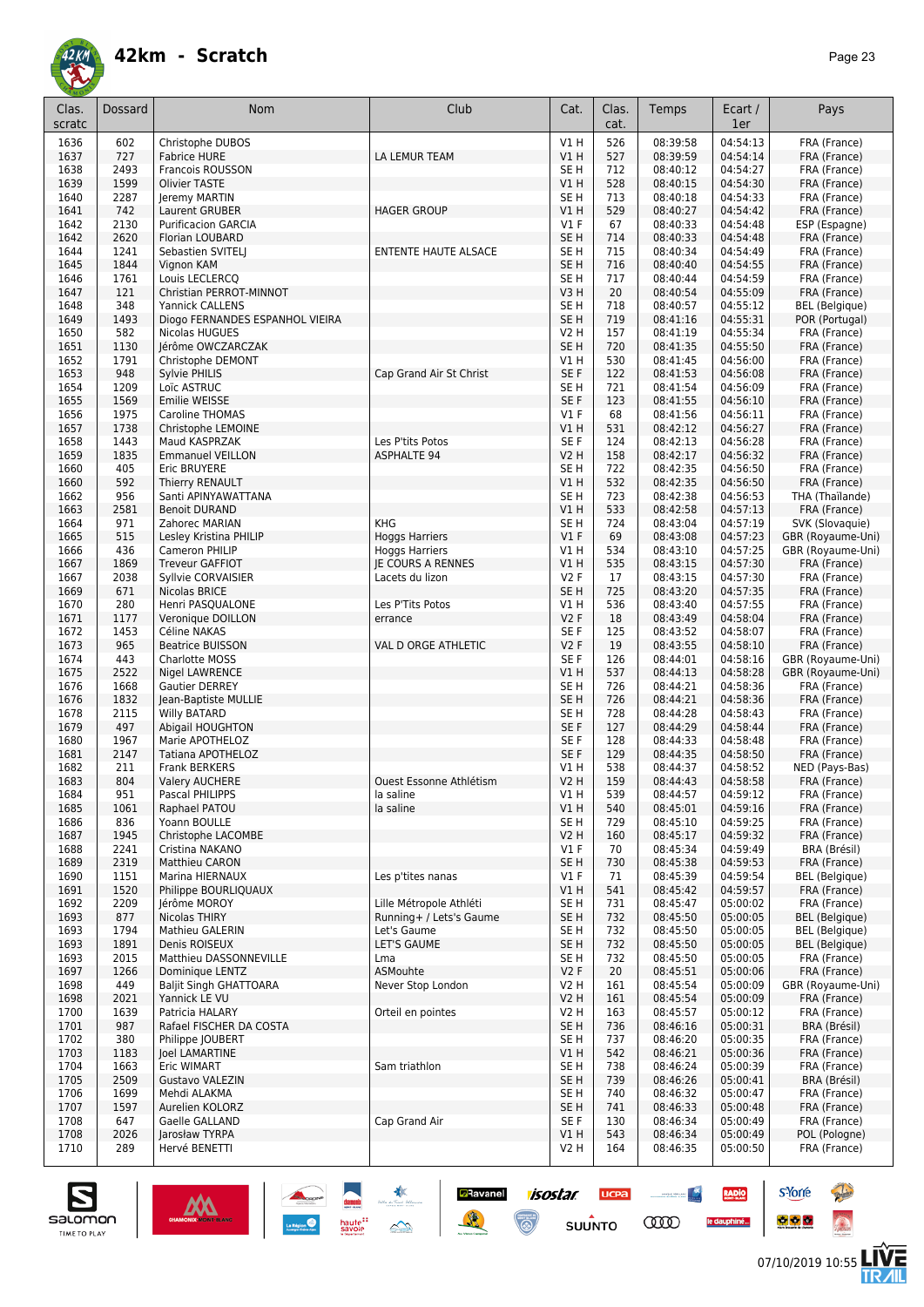

| Clas.<br>scratc | Dossard      | Nom                                      | Club                        | Cat.                      | Clas.<br>cat. | Temps                | Ecart /<br>1er       | Pays                              |
|-----------------|--------------|------------------------------------------|-----------------------------|---------------------------|---------------|----------------------|----------------------|-----------------------------------|
| 1636            | 602          | Christophe DUBOS                         |                             | V1H                       | 526           | 08:39:58             | 04:54:13             | FRA (France)                      |
| 1637            | 727          | <b>Fabrice HURE</b>                      | LA LEMUR TEAM               | VIH                       | 527           | 08:39:59             | 04:54:14             | FRA (France)                      |
| 1638            | 2493         | Francois ROUSSON                         |                             | SE <sub>H</sub>           | 712           | 08:40:12             | 04:54:27             | FRA (France)                      |
| 1639            | 1599         | Olivier TASTE                            |                             | V1H                       | 528           | 08:40:15<br>08:40:18 | 04:54:30             | FRA (France)                      |
| 1640<br>1641    | 2287<br>742  | Jeremy MARTIN<br>Laurent GRUBER          | <b>HAGER GROUP</b>          | SE <sub>H</sub><br>V1 H   | 713<br>529    | 08:40:27             | 04:54:33<br>04:54:42 | FRA (France)<br>FRA (France)      |
| 1642            | 2130         | <b>Purificacion GARCIA</b>               |                             | $VI$ F                    | 67            | 08:40:33             | 04:54:48             | ESP (Espagne)                     |
| 1642            | 2620         | Florian LOUBARD                          |                             | SE <sub>H</sub>           | 714           | 08:40:33             | 04:54:48             | FRA (France)                      |
| 1644            | 1241         | Sebastien SVITELJ                        | <b>ENTENTE HAUTE ALSACE</b> | SE <sub>H</sub>           | 715           | 08:40:34             | 04:54:49             | FRA (France)                      |
| 1645            | 1844         | Vignon KAM                               |                             | SE <sub>H</sub>           | 716           | 08:40:40             | 04:54:55             | FRA (France)                      |
| 1646            | 1761         | Louis LECLERCQ                           |                             | SE <sub>H</sub>           | 717           | 08:40:44             | 04:54:59             | FRA (France)                      |
| 1647            | 121          | Christian PERROT-MINNOT                  |                             | V3H                       | 20            | 08:40:54             | 04:55:09             | FRA (France)                      |
| 1648            | 348          | <b>Yannick CALLENS</b>                   |                             | SE <sub>H</sub>           | 718           | 08:40:57             | 04:55:12             | <b>BEL</b> (Belgique)             |
| 1649            | 1493         | Diogo FERNANDES ESPANHOL VIEIRA          |                             | SE <sub>H</sub>           | 719           | 08:41:16             | 04:55:31             | POR (Portugal)                    |
| 1650<br>1651    | 582<br>1130  | Nicolas HUGUES<br>Jérôme OWCZARCZAK      |                             | V2 H<br>SE <sub>H</sub>   | 157<br>720    | 08:41:19<br>08:41:35 | 04:55:34<br>04:55:50 | FRA (France)<br>FRA (France)      |
| 1652            | 1791         | Christophe DEMONT                        |                             | V1 H                      | 530           | 08:41:45             | 04:56:00             | FRA (France)                      |
| 1653            | 948          | Sylvie PHILIS                            | Cap Grand Air St Christ     | SE F                      | 122           | 08:41:53             | 04:56:08             | FRA (France)                      |
| 1654            | 1209         | Loïc ASTRUC                              |                             | SE <sub>H</sub>           | 721           | 08:41:54             | 04:56:09             | FRA (France)                      |
| 1655            | 1569         | Emilie WEISSE                            |                             | SE <sub>F</sub>           | 123           | 08:41:55             | 04:56:10             | FRA (France)                      |
| 1656            | 1975         | <b>Caroline THOMAS</b>                   |                             | <b>V1 F</b>               | 68            | 08:41:56             | 04:56:11             | FRA (France)                      |
| 1657            | 1738         | Christophe LEMOINE                       |                             | VIH                       | 531           | 08:42:12             | 04:56:27             | FRA (France)                      |
| 1658            | 1443         | Maud KASPRZAK                            | Les P'tits Potos            | SE <sub>F</sub>           | 124           | 08:42:13             | 04:56:28             | FRA (France)                      |
| 1659            | 1835         | <b>Emmanuel VEILLON</b>                  | <b>ASPHALTE 94</b>          | <b>V2 H</b>               | 158           | 08:42:17             | 04:56:32             | FRA (France)                      |
| 1660<br>1660    | 405<br>592   | Eric BRUYERE<br>Thierry RENAULT          |                             | SE <sub>H</sub><br>V1H    | 722<br>532    | 08:42:35<br>08:42:35 | 04:56:50<br>04:56:50 | FRA (France)<br>FRA (France)      |
| 1662            | 956          | Santi APINYAWATTANA                      |                             | SE <sub>H</sub>           | 723           | 08:42:38             | 04:56:53             | THA (Thaïlande)                   |
| 1663            | 2581         | <b>Benoit DURAND</b>                     |                             | V1H                       | 533           | 08:42:58             | 04:57:13             | FRA (France)                      |
| 1664            | 971          | Zahorec MARIAN                           | <b>KHG</b>                  | SE <sub>H</sub>           | 724           | 08:43:04             | 04:57:19             | SVK (Slovaquie)                   |
| 1665            | 515          | Lesley Kristina PHILIP                   | <b>Hoggs Harriers</b>       | V1F                       | 69            | 08:43:08             | 04:57:23             | GBR (Royaume-Uni)                 |
| 1666            | 436          | Cameron PHILIP                           | <b>Hoggs Harriers</b>       | V1 H                      | 534           | 08:43:10             | 04:57:25             | GBR (Royaume-Uni)                 |
| 1667            | 1869         | <b>Treveur GAFFIOT</b>                   | <b>IE COURS A RENNES</b>    | V1 H                      | 535           | 08:43:15             | 04:57:30             | FRA (France)                      |
| 1667            | 2038         | Syllvie CORVAISIER                       | Lacets du lizon             | <b>V2F</b>                | 17            | 08:43:15             | 04:57:30             | FRA (France)                      |
| 1669            | 671          | Nicolas BRICE                            |                             | SE <sub>H</sub>           | 725           | 08:43:20             | 04:57:35             | FRA (France)                      |
| 1670<br>1671    | 280<br>1177  | Henri PASQUALONE                         | Les P'Tits Potos<br>errance | V1 H<br><b>V2F</b>        | 536<br>18     | 08:43:40<br>08:43:49 | 04:57:55<br>04:58:04 | FRA (France)<br>FRA (France)      |
| 1672            | 1453         | Veronique DOILLON<br>Céline NAKAS        |                             | SE <sub>F</sub>           | 125           | 08:43:52             | 04:58:07             | FRA (France)                      |
| 1673            | 965          | <b>Beatrice BUISSON</b>                  | VAL D ORGE ATHLETIC         | <b>V2F</b>                | 19            | 08:43:55             | 04:58:10             | FRA (France)                      |
| 1674            | 443          | Charlotte MOSS                           |                             | SE <sub>F</sub>           | 126           | 08:44:01             | 04:58:16             | GBR (Royaume-Uni)                 |
| 1675            | 2522         | Nigel LAWRENCE                           |                             | V1H                       | 537           | 08:44:13             | 04:58:28             | GBR (Royaume-Uni)                 |
| 1676            | 1668         | <b>Gautier DERREY</b>                    |                             | SE <sub>H</sub>           | 726           | 08:44:21             | 04:58:36             | FRA (France)                      |
| 1676            | 1832         | Jean-Baptiste MULLIE                     |                             | SE <sub>H</sub>           | 726           | 08:44:21             | 04:58:36             | FRA (France)                      |
| 1678            | 2115         | <b>Willy BATARD</b>                      |                             | SE <sub>H</sub>           | 728           | 08:44:28             | 04:58:43             | FRA (France)                      |
| 1679<br>1680    | 497<br>1967  | Abigail HOUGHTON<br>Marie APOTHELOZ      |                             | SE <sub>F</sub><br>SE F   | 127<br>128    | 08:44:29<br>08:44:33 | 04:58:44             | FRA (France)                      |
| 1681            | 2147         | Tatiana APOTHELOZ                        |                             | SE <sub>F</sub>           | 129           | 08:44:35             | 04:58:48<br>04:58:50 | FRA (France)<br>FRA (France)      |
| 1682            | 211          | <b>Frank BERKERS</b>                     |                             | V1 H                      | 538           | 08:44:37             | 04:58:52             | NED (Pays-Bas)                    |
| 1683            | 804          | <b>Valery AUCHERE</b>                    | Ouest Essonne Athlétism     | V2 H                      | 159           | 08:44:43             | 04:58:58             | FRA (France)                      |
| 1684            | 951          | Pascal PHILIPPS                          | la saline                   | V1 H                      | 539           | 08:44:57             | 04:59:12             | FRA (France)                      |
| 1685            | 1061         | Raphael PATOU                            | la saline                   | V1 H                      | 540           | 08:45:01             | 04:59:16             | FRA (France)                      |
| 1686            | 836          | Yoann BOULLE                             |                             | SE <sub>H</sub>           | 729           | 08:45:10             | 04:59:25             | FRA (France)                      |
| 1687            | 1945         | Christophe LACOMBE                       |                             | V2 H                      | 160           | 08:45:17             | 04:59:32             | FRA (France)                      |
| 1688<br>1689    | 2241<br>2319 | Cristina NAKANO<br><b>Matthieu CARON</b> |                             | $VI$ F<br>SE <sub>H</sub> | 70<br>730     | 08:45:34<br>08:45:38 | 04:59:49<br>04:59:53 | BRA (Brésil)<br>FRA (France)      |
| 1690            | 1151         | Marina HIERNAUX                          | Les p'tites nanas           | <b>V1 F</b>               | 71            | 08:45:39             | 04:59:54             | <b>BEL</b> (Belgique)             |
| 1691            | 1520         | Philippe BOURLIQUAUX                     |                             | V1 H                      | 541           | 08:45:42             | 04:59:57             | FRA (France)                      |
| 1692            | 2209         | Jérôme MOROY                             | Lille Métropole Athléti     | SE H                      | 731           | 08:45:47             | 05:00:02             | FRA (France)                      |
| 1693            | 877          | Nicolas THIRY                            | Running+ / Lets's Gaume     | SE H                      | 732           | 08:45:50             | 05:00:05             | <b>BEL</b> (Belgique)             |
| 1693            | 1794         | Mathieu GALERIN                          | Let's Gaume                 | SE H                      | 732           | 08:45:50             | 05:00:05             | BEL (Belgique)                    |
| 1693            | 1891         | Denis ROISEUX                            | LET'S GAUME                 | SE <sub>H</sub>           | 732           | 08:45:50             | 05:00:05             | <b>BEL</b> (Belgique)             |
| 1693            | 2015         | Matthieu DASSONNEVILLE                   | Lma                         | SE <sub>H</sub>           | 732           | 08:45:50             | 05:00:05             | FRA (France)                      |
| 1697            | 1266         | Dominique LENTZ                          | ASMouhte                    | V2F                       | 20            | 08:45:51             | 05:00:06             | FRA (France)                      |
| 1698<br>1698    | 449<br>2021  | <b>Baljit Singh GHATTOARA</b>            | Never Stop London           | V2 H<br>V2 H              | 161           | 08:45:54<br>08:45:54 | 05:00:09<br>05:00:09 | GBR (Royaume-Uni)<br>FRA (France) |
| 1700            | 1639         | Yannick LE VU<br>Patricia HALARY         | Orteil en pointes           | V2 H                      | 161<br>163    | 08:45:57             | 05:00:12             | FRA (France)                      |
| 1701            | 987          | Rafael FISCHER DA COSTA                  |                             | SE H                      | 736           | 08:46:16             | 05:00:31             | BRA (Brésil)                      |
| 1702            | 380          | Philippe JOUBERT                         |                             | SE <sub>H</sub>           | 737           | 08:46:20             | 05:00:35             | FRA (France)                      |
| 1703            | 1183         | Joel LAMARTINE                           |                             | V1 H                      | 542           | 08:46:21             | 05:00:36             | FRA (France)                      |
| 1704            | 1663         | Eric WIMART                              | Sam triathlon               | SE H                      | 738           | 08:46:24             | 05:00:39             | FRA (France)                      |
| 1705            | 2509         | Gustavo VALEZIN                          |                             | SE H                      | 739           | 08:46:26             | 05:00:41             | BRA (Brésil)                      |
| 1706            | 1699         | Mehdi ALAKMA                             |                             | SE H                      | 740           | 08:46:32             | 05:00:47             | FRA (France)                      |
| 1707<br>1708    | 1597<br>647  | Aurelien KOLORZ<br>Gaelle GALLAND        | Cap Grand Air               | SE H<br>SE F              | 741<br>130    | 08:46:33<br>08:46:34 | 05:00:48<br>05:00:49 | FRA (France)<br>FRA (France)      |
| 1708            | 2026         | Jarosław TYRPA                           |                             | VIH                       | 543           | 08:46:34             | 05:00:49             | POL (Pologne)                     |
| 1710            | 289          | Hervé BENETTI                            |                             | V2 H                      | 164           | 08:46:35             | 05:00:50             | FRA (France)                      |
|                 |              |                                          |                             |                           |               |                      |                      |                                   |

 $\frac{1}{\sqrt{2}}$ 

isostar.

 $\odot$ 

**UCPA** 

 $s$ UUNTO

 $\begin{picture}(20,10) \put(0,0){\line(1,0){10}} \put(10,0){\line(1,0){10}} \put(10,0){\line(1,0){10}} \put(10,0){\line(1,0){10}} \put(10,0){\line(1,0){10}} \put(10,0){\line(1,0){10}} \put(10,0){\line(1,0){10}} \put(10,0){\line(1,0){10}} \put(10,0){\line(1,0){10}} \put(10,0){\line(1,0){10}} \put(10,0){\line(1,0){10}} \put(10,0){\line(1$ 

**COO** 

RADIO

le dauphiné...

**D**Ravanel

黄

damin<br>haute<sup>22</sup><br>savoie





**s**Yorre

 $\bullet$   $\bullet$   $\bullet$ 

**There** 

 $\hat{\Omega}$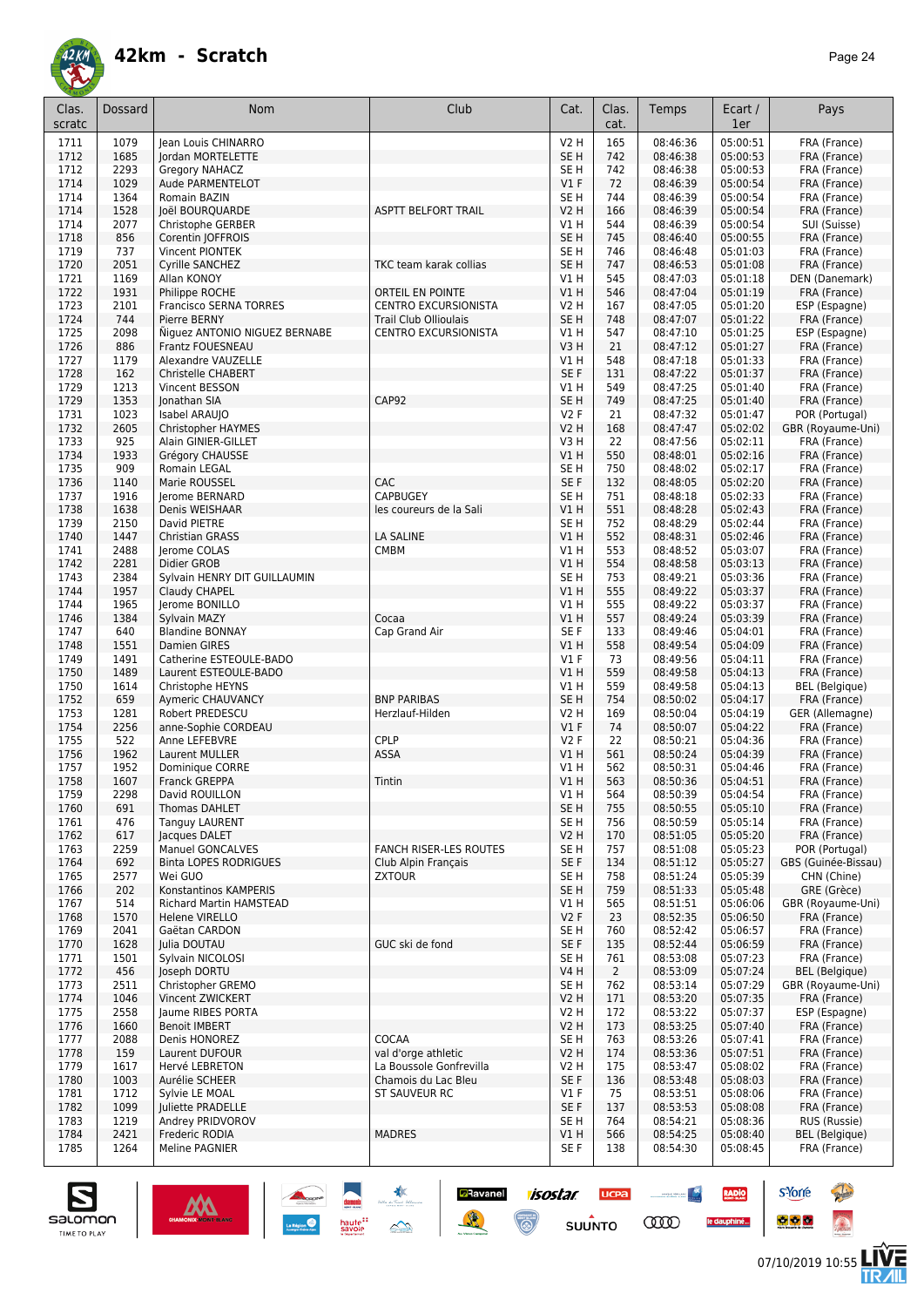

| Clas.<br>scratc | Dossard      | Nom                                              | Club                                                        | Cat.                           | Clas.<br>cat.  | Temps                | Ecart /<br>1er       | Pays                                  |
|-----------------|--------------|--------------------------------------------------|-------------------------------------------------------------|--------------------------------|----------------|----------------------|----------------------|---------------------------------------|
| 1711            | 1079         | Jean Louis CHINARRO                              |                                                             | <b>V2 H</b>                    | 165            | 08:46:36             | 05:00:51             | FRA (France)                          |
| 1712            | 1685         | Jordan MORTELETTE                                |                                                             | SE <sub>H</sub>                | 742            | 08:46:38             | 05:00:53             | FRA (France)                          |
| 1712            | 2293         | Gregory NAHACZ                                   |                                                             | SE <sub>H</sub>                | 742            | 08:46:38             | 05:00:53             | FRA (France)                          |
| 1714            | 1029         | Aude PARMENTELOT                                 |                                                             | $VI$ F                         | 72             | 08:46:39             | 05:00:54             | FRA (France)                          |
| 1714<br>1714    | 1364<br>1528 | Romain BAZIN<br>Joël BOURQUARDE                  | <b>ASPTT BELFORT TRAIL</b>                                  | SE <sub>H</sub><br><b>V2 H</b> | 744<br>166     | 08:46:39<br>08:46:39 | 05:00:54<br>05:00:54 | FRA (France)<br>FRA (France)          |
| 1714            | 2077         | Christophe GERBER                                |                                                             | V1 H                           | 544            | 08:46:39             | 05:00:54             | SUI (Suisse)                          |
| 1718            | 856          | Corentin JOFFROIS                                |                                                             | SE <sub>H</sub>                | 745            | 08:46:40             | 05:00:55             | FRA (France)                          |
| 1719            | 737          | Vincent PIONTEK                                  |                                                             | SE <sub>H</sub>                | 746            | 08:46:48             | 05:01:03             | FRA (France)                          |
| 1720            | 2051         | Cyrille SANCHEZ                                  | TKC team karak collias                                      | SE <sub>H</sub>                | 747            | 08:46:53             | 05:01:08             | FRA (France)                          |
| 1721            | 1169         | Allan KONOY                                      |                                                             | V1 H                           | 545            | 08:47:03             | 05:01:18             | DEN (Danemark)                        |
| 1722            | 1931         | Philippe ROCHE                                   | <b>ORTEIL EN POINTE</b>                                     | V1H                            | 546            | 08:47:04             | 05:01:19             | FRA (France)                          |
| 1723            | 2101         | Francisco SERNA TORRES                           | <b>CENTRO EXCURSIONISTA</b>                                 | <b>V2 H</b>                    | 167            | 08:47:05<br>08:47:07 | 05:01:20             | ESP (Espagne)                         |
| 1724<br>1725    | 744<br>2098  | Pierre BERNY<br>Niguez ANTONIO NIGUEZ BERNABE    | <b>Trail Club Ollioulais</b><br><b>CENTRO EXCURSIONISTA</b> | SE <sub>H</sub><br>V1 H        | 748<br>547     | 08:47:10             | 05:01:22<br>05:01:25 | FRA (France)<br>ESP (Espagne)         |
| 1726            | 886          | Frantz FOUESNEAU                                 |                                                             | V3H                            | 21             | 08:47:12             | 05:01:27             | FRA (France)                          |
| 1727            | 1179         | Alexandre VAUZELLE                               |                                                             | V1 H                           | 548            | 08:47:18             | 05:01:33             | FRA (France)                          |
| 1728            | 162          | Christelle CHABERT                               |                                                             | SE F                           | 131            | 08:47:22             | 05:01:37             | FRA (France)                          |
| 1729            | 1213         | Vincent BESSON                                   |                                                             | V1 H                           | 549            | 08:47:25             | 05:01:40             | FRA (France)                          |
| 1729            | 1353         | Ionathan SIA                                     | CAP92                                                       | SE <sub>H</sub>                | 749            | 08:47:25             | 05:01:40             | FRA (France)                          |
| 1731            | 1023         | Isabel ARAUJO                                    |                                                             | <b>V2F</b>                     | 21             | 08:47:32             | 05:01:47             | POR (Portugal)                        |
| 1732            | 2605         | <b>Christopher HAYMES</b>                        |                                                             | <b>V2 H</b>                    | 168            | 08:47:47             | 05:02:02             | GBR (Royaume-Uni)                     |
| 1733<br>1734    | 925<br>1933  | Alain GINIER-GILLET<br>Grégory CHAUSSE           |                                                             | V3H<br>V1H                     | 22<br>550      | 08:47:56<br>08:48:01 | 05:02:11<br>05:02:16 | FRA (France)<br>FRA (France)          |
| 1735            | 909          | Romain LEGAL                                     |                                                             | SE <sub>H</sub>                | 750            | 08:48:02             | 05:02:17             | FRA (France)                          |
| 1736            | 1140         | Marie ROUSSEL                                    | CAC                                                         | SE <sub>F</sub>                | 132            | 08:48:05             | 05:02:20             | FRA (France)                          |
| 1737            | 1916         | Jerome BERNARD                                   | <b>CAPBUGEY</b>                                             | SE <sub>H</sub>                | 751            | 08:48:18             | 05:02:33             | FRA (France)                          |
| 1738            | 1638         | Denis WEISHAAR                                   | les coureurs de la Sali                                     | V1H                            | 551            | 08:48:28             | 05:02:43             | FRA (France)                          |
| 1739            | 2150         | David PIETRE                                     |                                                             | SE <sub>H</sub>                | 752            | 08:48:29             | 05:02:44             | FRA (France)                          |
| 1740            | 1447         | <b>Christian GRASS</b>                           | <b>LA SALINE</b>                                            | V1H                            | 552            | 08:48:31             | 05:02:46             | FRA (France)                          |
| 1741            | 2488         | Jerome COLAS                                     | <b>CMBM</b>                                                 | V1 H                           | 553            | 08:48:52             | 05:03:07             | FRA (France)                          |
| 1742<br>1743    | 2281<br>2384 | Didier GROB                                      |                                                             | VIH<br>SE H                    | 554<br>753     | 08:48:58<br>08:49:21 | 05:03:13<br>05:03:36 | FRA (France)<br>FRA (France)          |
| 1744            | 1957         | Sylvain HENRY DIT GUILLAUMIN<br>Claudy CHAPEL    |                                                             | V1H                            | 555            | 08:49:22             | 05:03:37             | FRA (France)                          |
| 1744            | 1965         | Jerome BONILLO                                   |                                                             | V1 H                           | 555            | 08:49:22             | 05:03:37             | FRA (France)                          |
| 1746            | 1384         | Sylvain MAZY                                     | Cocaa                                                       | V1H                            | 557            | 08:49:24             | 05:03:39             | FRA (France)                          |
| 1747            | 640          | <b>Blandine BONNAY</b>                           | Cap Grand Air                                               | SE F                           | 133            | 08:49:46             | 05:04:01             | FRA (France)                          |
| 1748            | 1551         | <b>Damien GIRES</b>                              |                                                             | VIH                            | 558            | 08:49:54             | 05:04:09             | FRA (France)                          |
| 1749            | 1491         | Catherine ESTEOULE-BADO                          |                                                             | $VI$ F                         | 73             | 08:49:56             | 05:04:11             | FRA (France)                          |
| 1750            | 1489<br>1614 | Laurent ESTEOULE-BADO                            |                                                             | V1H                            | 559            | 08:49:58             | 05:04:13             | FRA (France)                          |
| 1750<br>1752    | 659          | Christophe HEYNS<br>Aymeric CHAUVANCY            | <b>BNP PARIBAS</b>                                          | V1 H<br>SE <sub>H</sub>        | 559<br>754     | 08:49:58<br>08:50:02 | 05:04:13<br>05:04:17 | <b>BEL</b> (Belgique)<br>FRA (France) |
| 1753            | 1281         | Robert PREDESCU                                  | Herzlauf-Hilden                                             | <b>V2 H</b>                    | 169            | 08:50:04             | 05:04:19             | GER (Allemagne)                       |
| 1754            | 2256         | anne-Sophie CORDEAU                              |                                                             | $VI$ F                         | 74             | 08:50:07             | 05:04:22             | FRA (France)                          |
| 1755            | 522          | Anne LEFEBVRE                                    | CPLP                                                        | <b>V2F</b>                     | 22             | 08:50:21             | 05:04:36             | FRA (France)                          |
| 1756            | 1962         | Laurent MULLER                                   | ASSA                                                        | V1 H                           | 561            | 08:50:24             | 05:04:39             | FRA (France)                          |
| 1757            | 1952         | Dominique CORRE                                  |                                                             | V1 H                           | 562            | 08:50:31             | 05:04:46             | FRA (France)                          |
| 1758            | 1607         | Franck GREPPA                                    | Tintin                                                      | VIH                            | 563            | 08:50:36             | 05:04:51             | FRA (France)                          |
| 1759<br>1760    | 2298<br>691  | David ROUILLON<br>Thomas DAHLET                  |                                                             | V1 H<br>SE <sub>H</sub>        | 564<br>755     | 08:50:39<br>08:50:55 | 05:04:54<br>05:05:10 | FRA (France)<br>FRA (France)          |
| 1761            | 476          | <b>Tanguy LAURENT</b>                            |                                                             | SE <sub>H</sub>                | 756            | 08:50:59             | 05:05:14             | FRA (France)                          |
| 1762            | 617          | lacques DALET                                    |                                                             | <b>V2 H</b>                    | 170            | 08:51:05             | 05:05:20             | FRA (France)                          |
| 1763            | 2259         | <b>Manuel GONCALVES</b>                          | <b>FANCH RISER-LES ROUTES</b>                               | SE <sub>H</sub>                | 757            | 08:51:08             | 05:05:23             | POR (Portugal)                        |
| 1764            | 692          | <b>Binta LOPES RODRIGUES</b>                     | Club Alpin Français                                         | SE F                           | 134            | 08:51:12             | 05:05:27             | GBS (Guinée-Bissau)                   |
| 1765            | 2577         | Wei GUO                                          | <b>ZXTOUR</b>                                               | SE H                           | 758            | 08:51:24             | 05:05:39             | CHN (Chine)                           |
| 1766            | 202          | Konstantinos KAMPERIS                            |                                                             | SE <sub>H</sub>                | 759            | 08:51:33             | 05:05:48             | GRE (Grèce)                           |
| 1767<br>1768    | 514<br>1570  | <b>Richard Martin HAMSTEAD</b><br>Helene VIRELLO |                                                             | V1 H<br>V2F                    | 565<br>23      | 08:51:51<br>08:52:35 | 05:06:06<br>05:06:50 | GBR (Royaume-Uni)<br>FRA (France)     |
| 1769            | 2041         | Gaëtan CARDON                                    |                                                             | SE <sub>H</sub>                | 760            | 08:52:42             | 05:06:57             | FRA (France)                          |
| 1770            | 1628         | Julia DOUTAU                                     | GUC ski de fond                                             | SE F                           | 135            | 08:52:44             | 05:06:59             | FRA (France)                          |
| 1771            | 1501         | Sylvain NICOLOSI                                 |                                                             | SE H                           | 761            | 08:53:08             | 05:07:23             | FRA (France)                          |
| 1772            | 456          | Joseph DORTU                                     |                                                             | V4 H                           | $\overline{2}$ | 08:53:09             | 05:07:24             | <b>BEL</b> (Belgique)                 |
| 1773            | 2511         | Christopher GREMO                                |                                                             | SE <sub>H</sub>                | 762            | 08:53:14             | 05:07:29             | GBR (Royaume-Uni)                     |
| 1774            | 1046         | Vincent ZWICKERT                                 |                                                             | <b>V2 H</b>                    | 171            | 08:53:20             | 05:07:35             | FRA (France)                          |
| 1775<br>1776    | 2558<br>1660 | Jaume RIBES PORTA<br><b>Benoit IMBERT</b>        |                                                             | V2 H<br><b>V2 H</b>            | 172<br>173     | 08:53:22<br>08:53:25 | 05:07:37<br>05:07:40 | ESP (Espagne)<br>FRA (France)         |
| 1777            | 2088         | Denis HONOREZ                                    | COCAA                                                       | SE H                           | 763            | 08:53:26             | 05:07:41             | FRA (France)                          |
| 1778            | 159          | Laurent DUFOUR                                   | val d'orge athletic                                         | <b>V2 H</b>                    | 174            | 08:53:36             | 05:07:51             | FRA (France)                          |
| 1779            | 1617         | Hervé LEBRETON                                   | La Boussole Gonfrevilla                                     | V2 H                           | 175            | 08:53:47             | 05:08:02             | FRA (France)                          |
| 1780            | 1003         | Aurélie SCHEER                                   | Chamois du Lac Bleu                                         | SE F                           | 136            | 08:53:48             | 05:08:03             | FRA (France)                          |
| 1781            | 1712         | Sylvie LE MOAL                                   | ST SAUVEUR RC                                               | $VI$ F                         | 75             | 08:53:51             | 05:08:06             | FRA (France)                          |
| 1782            | 1099         | Juliette PRADELLE                                |                                                             | SE F                           | 137            | 08:53:53             | 05:08:08             | FRA (France)                          |
| 1783            | 1219         | Andrey PRIDVOROV                                 |                                                             | SE H                           | 764            | 08:54:21             | 05:08:36             | RUS (Russie)                          |
| 1784<br>1785    | 2421<br>1264 | Frederic RODIA<br>Meline PAGNIER                 | <b>MADRES</b>                                               | VIH<br>SE F                    | 566<br>138     | 08:54:25<br>08:54:30 | 05:08:40<br>05:08:45 | <b>BEL</b> (Belgique)<br>FRA (France) |
|                 |              |                                                  |                                                             |                                |                |                      |                      |                                       |

**Exercise 1505tar**<br>Suppose the Support of Support Support Support Support Support Support Support Support Support Support Support Support Support Support Support Support Support Support Support Support Support Support Supp

**UCPA** 

**SUUNTO** 

**Constitution** 

**COO** 

RADIO

le dauphiné...



**s**Yorre

 $\bullet$   $\bullet$   $\bullet$ 

**Chair** 

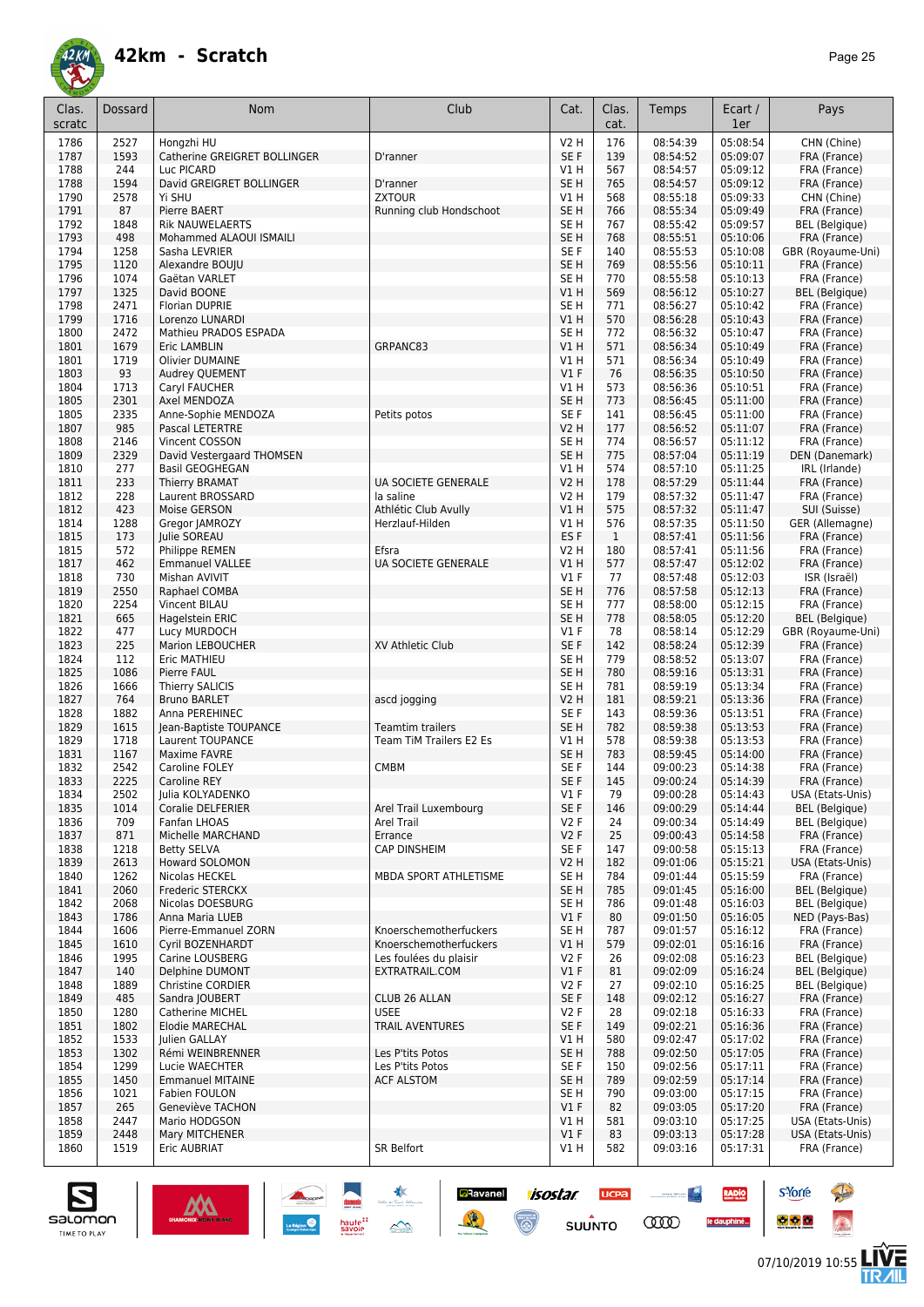| Clas.<br>scratc | Dossard     | <b>Nom</b>                                        | Club                                       | Cat.                               | Clas.<br>cat.       | Temps                | Ecart /<br>1er       | Pays                                           |
|-----------------|-------------|---------------------------------------------------|--------------------------------------------|------------------------------------|---------------------|----------------------|----------------------|------------------------------------------------|
| 1786            | 2527        | Hongzhi HU                                        |                                            | V2 H                               | 176                 | 08:54:39             | 05:08:54             | CHN (Chine)                                    |
| 1787            | 1593        | Catherine GREIGRET BOLLINGER                      | D'ranner                                   | SE F                               | 139                 | 08:54:52             | 05:09:07             | FRA (France)                                   |
| 1788            | 244         | Luc PICARD                                        |                                            | V1H                                | 567                 | 08:54:57             | 05:09:12             | FRA (France)                                   |
| 1788            | 1594        | David GREIGRET BOLLINGER                          | D'ranner                                   | SE <sub>H</sub>                    | 765                 | 08:54:57             | 05:09:12             | FRA (France)                                   |
| 1790            | 2578        | Yi SHU                                            | <b>ZXTOUR</b>                              | V1 H                               | 568                 | 08:55:18             | 05:09:33             | CHN (Chine)                                    |
| 1791            | 87          | Pierre BAERT                                      | Running club Hondschoot                    | SE <sub>H</sub>                    | 766                 | 08:55:34             | 05:09:49             | FRA (France)                                   |
| 1792<br>1793    | 1848<br>498 | <b>Rik NAUWELAERTS</b><br>Mohammed ALAOUI ISMAILI |                                            | SE <sub>H</sub><br>SE <sub>H</sub> | 767<br>768          | 08:55:42<br>08:55:51 | 05:09:57<br>05:10:06 | <b>BEL</b> (Belgique)<br>FRA (France)          |
| 1794            | 1258        | Sasha LEVRIER                                     |                                            | SE F                               | 140                 | 08:55:53             | 05:10:08             | GBR (Royaume-Uni)                              |
| 1795            | 1120        | Alexandre BOUJU                                   |                                            | SE <sub>H</sub>                    | 769                 | 08:55:56             | 05:10:11             | FRA (France)                                   |
| 1796            | 1074        | Gaëtan VARLET                                     |                                            | SE H                               | 770                 | 08:55:58             | 05:10:13             | FRA (France)                                   |
| 1797            | 1325        | David BOONE                                       |                                            | V1 H                               | 569                 | 08:56:12             | 05:10:27             | <b>BEL</b> (Belgique)                          |
| 1798            | 2471        | <b>Florian DUPRIE</b>                             |                                            | SE <sub>H</sub>                    | 771                 | 08:56:27             | 05:10:42             | FRA (France)                                   |
| 1799            | 1716        | Lorenzo LUNARDI                                   |                                            | VIH                                | 570                 | 08:56:28             | 05:10:43             | FRA (France)                                   |
| 1800            | 2472        | Mathieu PRADOS ESPADA                             |                                            | SE <sub>H</sub>                    | 772                 | 08:56:32             | 05:10:47             | FRA (France)                                   |
| 1801            | 1679        | <b>Eric LAMBLIN</b>                               | GRPANC83                                   | VIH                                | 571                 | 08:56:34             | 05:10:49             | FRA (France)                                   |
| 1801            | 1719        | <b>Olivier DUMAINE</b>                            |                                            | V1 H                               | 571                 | 08:56:34             | 05:10:49             | FRA (France)                                   |
| 1803<br>1804    | 93<br>1713  | Audrey QUEMENT                                    |                                            | $VI$ F<br>V1 H                     | 76<br>573           | 08:56:35<br>08:56:36 | 05:10:50<br>05:10:51 | FRA (France)<br>FRA (France)                   |
| 1805            | 2301        | Caryl FAUCHER<br>Axel MENDOZA                     |                                            | SE <sub>H</sub>                    | 773                 | 08:56:45             | 05:11:00             | FRA (France)                                   |
| 1805            | 2335        | Anne-Sophie MENDOZA                               | Petits potos                               | SE F                               | 141                 | 08:56:45             | 05:11:00             | FRA (France)                                   |
| 1807            | 985         | Pascal LETERTRE                                   |                                            | <b>V2 H</b>                        | 177                 | 08:56:52             | 05:11:07             | FRA (France)                                   |
| 1808            | 2146        | Vincent COSSON                                    |                                            | SE H                               | 774                 | 08:56:57             | 05:11:12             | FRA (France)                                   |
| 1809            | 2329        | David Vestergaard THOMSEN                         |                                            | SE <sub>H</sub>                    | 775                 | 08:57:04             | 05:11:19             | DEN (Danemark)                                 |
| 1810            | 277         | <b>Basil GEOGHEGAN</b>                            |                                            | V1 H                               | 574                 | 08:57:10             | 05:11:25             | IRL (Irlande)                                  |
| 1811            | 233         | <b>Thierry BRAMAT</b>                             | <b>UA SOCIETE GENERALE</b>                 | <b>V2 H</b>                        | 178                 | 08:57:29             | 05:11:44             | FRA (France)                                   |
| 1812            | 228         | Laurent BROSSARD                                  | la saline                                  | V2 H                               | 179                 | 08:57:32             | 05:11:47             | FRA (France)                                   |
| 1812            | 423         | Moise GERSON                                      | Athlétic Club Avully                       | VIH                                | 575                 | 08:57:32             | 05:11:47             | SUI (Suisse)                                   |
| 1814            | 1288        | Gregor JAMROZY                                    | Herzlauf-Hilden                            | V1 H                               | 576                 | 08:57:35             | 05:11:50<br>05:11:56 | GER (Allemagne)<br>FRA (France)                |
| 1815<br>1815    | 173<br>572  | <b>Iulie SOREAU</b><br>Philippe REMEN             | Efsra                                      | ES <sub>F</sub><br>V2 H            | $\mathbf{1}$<br>180 | 08:57:41<br>08:57:41 | 05:11:56             | FRA (France)                                   |
| 1817            | 462         | <b>Emmanuel VALLEE</b>                            | <b>UA SOCIETE GENERALE</b>                 | V1H                                | 577                 | 08:57:47             | 05:12:02             | FRA (France)                                   |
| 1818            | 730         | Mishan AVIVIT                                     |                                            | $VI$ F                             | 77                  | 08:57:48             | 05:12:03             | ISR (Israël)                                   |
| 1819            | 2550        | Raphael COMBA                                     |                                            | SE <sub>H</sub>                    | 776                 | 08:57:58             | 05:12:13             | FRA (France)                                   |
| 1820            | 2254        | Vincent BILAU                                     |                                            | SE <sub>H</sub>                    | 777                 | 08:58:00             | 05:12:15             | FRA (France)                                   |
| 1821            | 665         | Hagelstein ERIC                                   |                                            | SE <sub>H</sub>                    | 778                 | 08:58:05             | 05:12:20             | <b>BEL</b> (Belgique)                          |
| 1822            | 477         | Lucy MURDOCH                                      |                                            | $VI$ F                             | 78                  | 08:58:14             | 05:12:29             | GBR (Royaume-Uni)                              |
| 1823            | 225         | Marion LEBOUCHER                                  | XV Athletic Club                           | SE F                               | 142                 | 08:58:24             | 05:12:39             | FRA (France)                                   |
| 1824            | 112         | Eric MATHIEU                                      |                                            | SE <sub>H</sub>                    | 779                 | 08:58:52             | 05:13:07             | FRA (France)                                   |
| 1825            | 1086        | Pierre FAUL                                       |                                            | SE <sub>H</sub>                    | 780                 | 08:59:16<br>08:59:19 | 05:13:31<br>05:13:34 | FRA (France)<br>FRA (France)                   |
| 1826<br>1827    | 1666<br>764 | <b>Thierry SALICIS</b><br><b>Bruno BARLET</b>     | ascd jogging                               | SE <sub>H</sub><br><b>V2 H</b>     | 781<br>181          | 08:59:21             | 05:13:36             | FRA (France)                                   |
| 1828            | 1882        | Anna PEREHINEC                                    |                                            | SE F                               | 143                 | 08:59:36             | 05:13:51             | FRA (France)                                   |
| 1829            | 1615        | Jean-Baptiste TOUPANCE                            | <b>Teamtim trailers</b>                    | SE <sub>H</sub>                    | 782                 | 08:59:38             | 05:13:53             | FRA (France)                                   |
| 1829            | 1718        | Laurent TOUPANCE                                  | Team TiM Trailers E2 Es                    | V1 H                               | 578                 | 08:59:38             | 05:13:53             | FRA (France)                                   |
| 1831            | 1167        | <b>Maxime FAVRE</b>                               |                                            | SE <sub>H</sub>                    | 783                 | 08:59:45             | 05:14:00             | FRA (France)                                   |
| 1832            | 2542        | Caroline FOLEY                                    | <b>CMBM</b>                                | SE F                               | 144                 | 09:00:23             | 05:14:38             | FRA (France)                                   |
| 1833            | 2225        | Caroline REY                                      |                                            | SE F                               | 145                 | 09:00:24             | 05:14:39             | FRA (France)                                   |
| 1834            | 2502        | Julia KOLYADENKO                                  |                                            | V1 F                               | 79                  | 09:00:28             | 05:14:43             | USA (Etats-Unis)                               |
| 1835            | 1014<br>709 | Coralie DELFERIER                                 | Arel Trail Luxembourg<br><b>Arel Trail</b> | SE F<br>V2F                        | 146                 | 09:00:29<br>09:00:34 | 05:14:44             | <b>BEL</b> (Belgique)<br><b>BEL</b> (Belgique) |
| 1836<br>1837    | 871         | Fanfan LHOAS<br>Michelle MARCHAND                 | Errance                                    | V2F                                | 24<br>25            | 09:00:43             | 05:14:49<br>05:14:58 | FRA (France)                                   |
| 1838            | 1218        | <b>Betty SELVA</b>                                | <b>CAP DINSHEIM</b>                        | SE F                               | 147                 | 09:00:58             | 05:15:13             | FRA (France)                                   |
| 1839            | 2613        | Howard SOLOMON                                    |                                            | <b>V2 H</b>                        | 182                 | 09:01:06             | 05:15:21             | USA (Etats-Unis)                               |
| 1840            | 1262        | Nicolas HECKEL                                    | MBDA SPORT ATHLETISME                      | SE H                               | 784                 | 09:01:44             | 05:15:59             | FRA (France)                                   |
| 1841            | 2060        | Frederic STERCKX                                  |                                            | SE <sub>H</sub>                    | 785                 | 09:01:45             | 05:16:00             | <b>BEL</b> (Belgique)                          |
| 1842            | 2068        | Nicolas DOESBURG                                  |                                            | SE <sub>H</sub>                    | 786                 | 09:01:48             | 05:16:03             | <b>BEL</b> (Belgique)                          |
| 1843            | 1786        | Anna Maria LUEB                                   |                                            | $VI$ F                             | 80                  | 09:01:50             | 05:16:05             | NED (Pays-Bas)                                 |
| 1844            | 1606        | Pierre-Emmanuel ZORN                              | Knoerschemotherfuckers                     | SE H                               | 787                 | 09:01:57             | 05:16:12             | FRA (France)                                   |
| 1845            | 1610        | <b>Cvril BOZENHARDT</b>                           | Knoerschemotherfuckers                     | V1 H                               | 579                 | 09:02:01             | 05:16:16             | FRA (France)                                   |
| 1846<br>1847    | 1995<br>140 | Carine LOUSBERG<br>Delphine DUMONT                | Les foulées du plaisir<br>EXTRATRAIL.COM   | V2F<br>$VI$ F                      | 26<br>81            | 09:02:08<br>09:02:09 | 05:16:23<br>05:16:24 | BEL (Belgique)<br><b>BEL</b> (Belgique)        |
| 1848            | 1889        | <b>Christine CORDIER</b>                          |                                            | V2F                                | 27                  | 09:02:10             | 05:16:25             | <b>BEL</b> (Belgique)                          |
| 1849            | 485         | Sandra JOUBERT                                    | CLUB 26 ALLAN                              | SE F                               | 148                 | 09:02:12             | 05:16:27             | FRA (France)                                   |
| 1850            | 1280        | Catherine MICHEL                                  | <b>USEE</b>                                | V2F                                | 28                  | 09:02:18             | 05:16:33             | FRA (France)                                   |
| 1851            | 1802        | <b>Elodie MARECHAL</b>                            | TRAIL AVENTURES                            | SE F                               | 149                 | 09:02:21             | 05:16:36             | FRA (France)                                   |
| 1852            | 1533        | Julien GALLAY                                     |                                            | V1 H                               | 580                 | 09:02:47             | 05:17:02             | FRA (France)                                   |
| 1853            | 1302        | Rémi WEINBRENNER                                  | Les P'tits Potos                           | SE <sub>H</sub>                    | 788                 | 09:02:50             | 05:17:05             | FRA (France)                                   |
| 1854            | 1299        | Lucie WAECHTER                                    | Les P'tits Potos                           | SE F                               | 150                 | 09:02:56             | 05:17:11             | FRA (France)                                   |
| 1855            | 1450        | <b>Emmanuel MITAINE</b>                           | <b>ACF ALSTOM</b>                          | SE H                               | 789                 | 09:02:59             | 05:17:14             | FRA (France)                                   |
| 1856            | 1021        | Fabien FOULON                                     |                                            | SE H                               | 790                 | 09:03:00             | 05:17:15             | FRA (France)                                   |
| 1857<br>1858    | 265<br>2447 | Geneviève TACHON<br>Mario HODGSON                 |                                            | $VI$ F<br>V1 H                     | 82<br>581           | 09:03:05<br>09:03:10 | 05:17:20<br>05:17:25 | FRA (France)<br>USA (Etats-Unis)               |
| 1859            | 2448        | Mary MITCHENER                                    |                                            | $VI$ F                             | 83                  | 09:03:13             | 05:17:28             | USA (Etats-Unis)                               |
| 1860            | 1519        | Eric AUBRIAT                                      | SR Belfort                                 | V1 H                               | 582                 | 09:03:16             | 05:17:31             | FRA (France)                                   |
|                 |             |                                                   |                                            |                                    |                     |                      |                      |                                                |

**Ravanel 1505tar** 

 $\odot$ 

送

**UCPA** 

 $s$ UUNTO

 $\begin{picture}(20,10) \put(0,0){\line(1,0){10}} \put(10,0){\line(1,0){10}} \put(10,0){\line(1,0){10}} \put(10,0){\line(1,0){10}} \put(10,0){\line(1,0){10}} \put(10,0){\line(1,0){10}} \put(10,0){\line(1,0){10}} \put(10,0){\line(1,0){10}} \put(10,0){\line(1,0){10}} \put(10,0){\line(1,0){10}} \put(10,0){\line(1,0){10}} \put(10,0){\line(1$ 

**COO** 

RADIO

le dauphiné...



**s**Yorre

 $\bullet$   $\bullet$   $\bullet$ 

**Chair** 

 $\hat{\Omega}$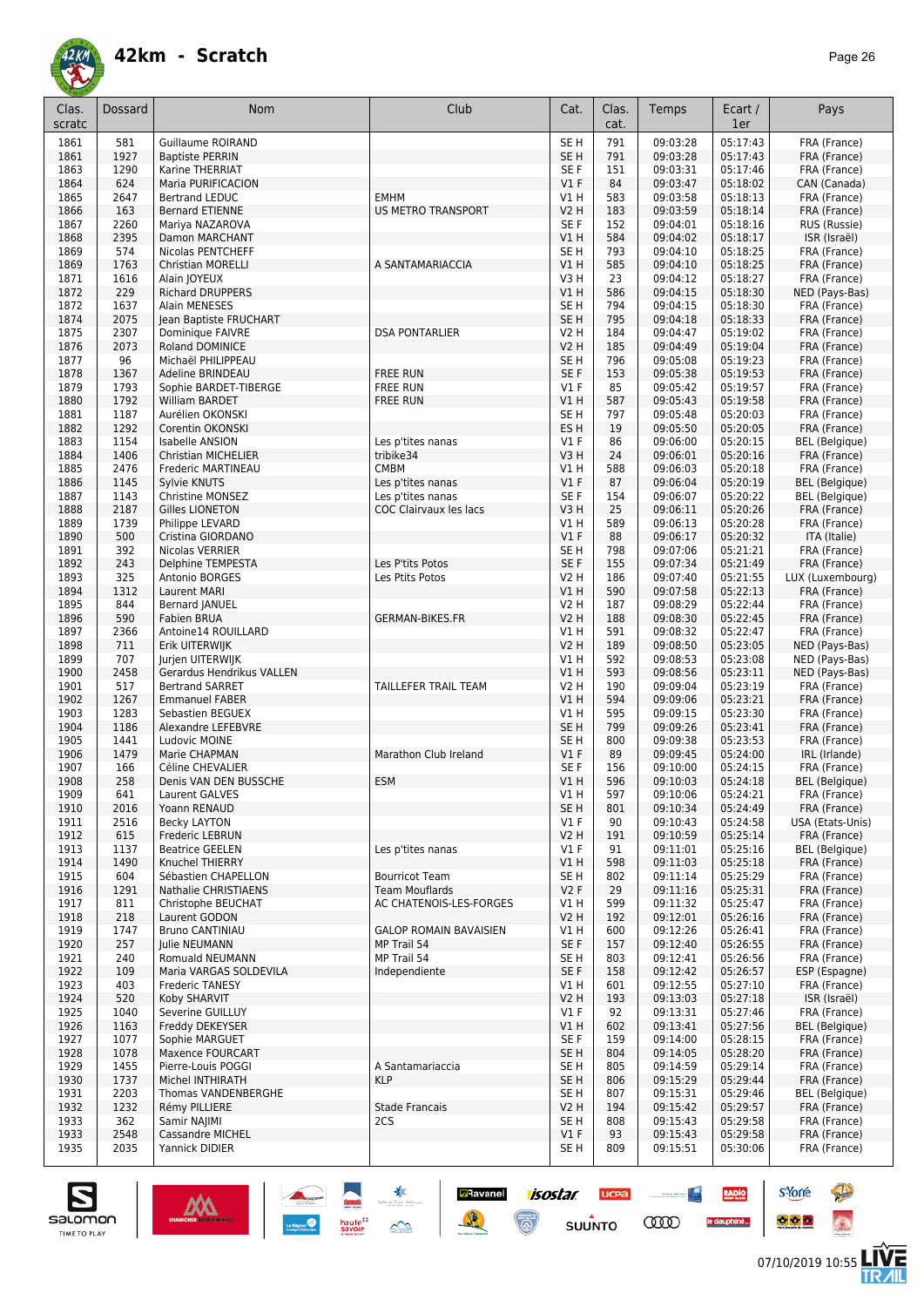

| Clas.<br>scratc | Dossard      | <b>Nom</b>                                      | Club                          | Cat.                           | Clas.<br>cat. | Temps                | Ecart /<br>1er       | Pays                                  |
|-----------------|--------------|-------------------------------------------------|-------------------------------|--------------------------------|---------------|----------------------|----------------------|---------------------------------------|
| 1861            | 581          | <b>Guillaume ROIRAND</b>                        |                               | SE <sub>H</sub>                | 791           | 09:03:28             | 05:17:43             | FRA (France)                          |
| 1861            | 1927         | <b>Baptiste PERRIN</b>                          |                               | SE <sub>H</sub>                | 791           | 09:03:28             | 05:17:43             | FRA (France)                          |
| 1863            | 1290         | Karine THERRIAT                                 |                               | SE F                           | 151           | 09:03:31             | 05:17:46             | FRA (France)                          |
| 1864            | 624<br>2647  | Maria PURIFICACION                              | <b>EMHM</b>                   | V1F                            | 84            | 09:03:47<br>09:03:58 | 05:18:02<br>05:18:13 | CAN (Canada)                          |
| 1865<br>1866    | 163          | <b>Bertrand LEDUC</b><br><b>Bernard ETIENNE</b> | <b>US METRO TRANSPORT</b>     | V1 H<br><b>V2 H</b>            | 583<br>183    | 09:03:59             | 05:18:14             | FRA (France)<br>FRA (France)          |
| 1867            | 2260         | Mariya NAZAROVA                                 |                               | SE F                           | 152           | 09:04:01             | 05:18:16             | RUS (Russie)                          |
| 1868            | 2395         | Damon MARCHANT                                  |                               | V1H                            | 584           | 09:04:02             | 05:18:17             | ISR (Israël)                          |
| 1869            | 574          | <b>Nicolas PENTCHEFF</b>                        |                               | SE <sub>H</sub>                | 793           | 09:04:10             | 05:18:25             | FRA (France)                          |
| 1869            | 1763         | <b>Christian MORELLI</b>                        | A SANTAMARIACCIA              | V1H                            | 585           | 09:04:10             | 05:18:25             | FRA (France)                          |
| 1871            | 1616         | Alain JOYEUX                                    |                               | V3H                            | 23            | 09:04:12             | 05:18:27             | FRA (France)                          |
| 1872<br>1872    | 229<br>1637  | <b>Richard DRUPPERS</b><br>Alain MENESES        |                               | V1H<br>SE <sub>H</sub>         | 586<br>794    | 09:04:15<br>09:04:15 | 05:18:30<br>05:18:30 | NED (Pays-Bas)<br>FRA (France)        |
| 1874            | 2075         | Jean Baptiste FRUCHART                          |                               | SE <sub>H</sub>                | 795           | 09:04:18             | 05:18:33             | FRA (France)                          |
| 1875            | 2307         | Dominique FAIVRE                                | <b>DSA PONTARLIER</b>         | <b>V2 H</b>                    | 184           | 09:04:47             | 05:19:02             | FRA (France)                          |
| 1876            | 2073         | <b>Roland DOMINICE</b>                          |                               | <b>V2 H</b>                    | 185           | 09:04:49             | 05:19:04             | FRA (France)                          |
| 1877            | 96           | Michaël PHILIPPEAU                              |                               | SE <sub>H</sub>                | 796           | 09:05:08             | 05:19:23             | FRA (France)                          |
| 1878            | 1367         | Adeline BRINDEAU                                | <b>FREE RUN</b>               | SE <sub>F</sub>                | 153           | 09:05:38             | 05:19:53             | FRA (France)                          |
| 1879<br>1880    | 1793<br>1792 | Sophie BARDET-TIBERGE<br>William BARDET         | <b>FREE RUN</b>               | $VI$ F<br>V1H                  | 85<br>587     | 09:05:42<br>09:05:43 | 05:19:57<br>05:19:58 | FRA (France)                          |
| 1881            | 1187         | Aurélien OKONSKI                                | <b>FREE RUN</b>               | SE <sub>H</sub>                | 797           | 09:05:48             | 05:20:03             | FRA (France)<br>FRA (France)          |
| 1882            | 1292         | Corentin OKONSKI                                |                               | ES <sub>H</sub>                | 19            | 09:05:50             | 05:20:05             | FRA (France)                          |
| 1883            | 1154         | Isabelle ANSION                                 | Les p'tites nanas             | <b>V1 F</b>                    | 86            | 09:06:00             | 05:20:15             | <b>BEL</b> (Belgique)                 |
| 1884            | 1406         | <b>Christian MICHELIER</b>                      | tribike34                     | V3H                            | 24            | 09:06:01             | 05:20:16             | FRA (France)                          |
| 1885            | 2476         | Frederic MARTINEAU                              | <b>CMBM</b>                   | V1 H                           | 588           | 09:06:03             | 05:20:18             | FRA (France)                          |
| 1886            | 1145         | Sylvie KNUTS                                    | Les p'tites nanas             | $VI$ F                         | 87            | 09:06:04             | 05:20:19             | <b>BEL</b> (Belgique)                 |
| 1887            | 1143         | <b>Christine MONSEZ</b>                         | Les p'tites nanas             | SE F                           | 154           | 09:06:07             | 05:20:22             | <b>BEL</b> (Belgique)                 |
| 1888            | 2187         | <b>Gilles LIONETON</b>                          | COC Clairvaux les lacs        | V3H                            | 25            | 09:06:11             | 05:20:26             | FRA (France)                          |
| 1889<br>1890    | 1739<br>500  | Philippe LEVARD<br>Cristina GIORDANO            |                               | VIH<br>$VI$ F                  | 589<br>88     | 09:06:13<br>09:06:17 | 05:20:28<br>05:20:32 | FRA (France)<br>ITA (Italie)          |
| 1891            | 392          | Nicolas VERRIER                                 |                               | SE <sub>H</sub>                | 798           | 09:07:06             | 05:21:21             | FRA (France)                          |
| 1892            | 243          | Delphine TEMPESTA                               | Les P'tits Potos              | SE F                           | 155           | 09:07:34             | 05:21:49             | FRA (France)                          |
| 1893            | 325          | Antonio BORGES                                  | Les Ptits Potos               | <b>V2 H</b>                    | 186           | 09:07:40             | 05:21:55             | LUX (Luxembourg)                      |
| 1894            | 1312         | <b>Laurent MARI</b>                             |                               | VIH                            | 590           | 09:07:58             | 05:22:13             | FRA (France)                          |
| 1895            | 844          | Bernard JANUEL                                  |                               | V2 H                           | 187           | 09:08:29             | 05:22:44             | FRA (France)                          |
| 1896            | 590          | Fabien BRUA                                     | <b>GERMAN-BIKES.FR</b>        | <b>V2 H</b>                    | 188           | 09:08:30             | 05:22:45             | FRA (France)                          |
| 1897            | 2366         | Antoine14 ROUILLARD                             |                               | V1 H                           | 591           | 09:08:32             | 05:22:47             | FRA (France)                          |
| 1898<br>1899    | 711<br>707   | Erik UITERWIJK<br>Jurjen UITERWIJK              |                               | <b>V2 H</b><br>V1H             | 189<br>592    | 09:08:50<br>09:08:53 | 05:23:05<br>05:23:08 | NED (Pays-Bas)<br>NED (Pays-Bas)      |
| 1900            | 2458         | Gerardus Hendrikus VALLEN                       |                               | V1H                            | 593           | 09:08:56             | 05:23:11             | NED (Pays-Bas)                        |
| 1901            | 517          | <b>Bertrand SARRET</b>                          | TAILLEFER TRAIL TEAM          | <b>V2 H</b>                    | 190           | 09:09:04             | 05:23:19             | FRA (France)                          |
| 1902            | 1267         | <b>Emmanuel FABER</b>                           |                               | V1H                            | 594           | 09:09:06             | 05:23:21             | FRA (France)                          |
| 1903            | 1283         | Sebastien BEGUEX                                |                               | V1 H                           | 595           | 09:09:15             | 05:23:30             | FRA (France)                          |
| 1904            | 1186         | Alexandre LEFEBVRE                              |                               | SE <sub>H</sub>                | 799           | 09:09:26             | 05:23:41             | FRA (France)                          |
| 1905            | 1441<br>1479 | Ludovic MOINE                                   | Marathon Club Ireland         | SE <sub>H</sub><br>$VI$ F      | 800           | 09:09:38             | 05:23:53<br>05:24:00 | FRA (France)                          |
| 1906<br>1907    | 166          | Marie CHAPMAN<br>Céline CHEVALIER               |                               | SE F                           | 89<br>156     | 09:09:45<br>09:10:00 | 05:24:15             | IRL (Irlande)<br>FRA (France)         |
| 1908            | 258          | Denis VAN DEN BUSSCHE                           | <b>ESM</b>                    | VIH                            | 596           | 09:10:03             | 05:24:18             | <b>BEL</b> (Belgique)                 |
| 1909            | 641          | Laurent GALVES                                  |                               | V1 H                           | 597           | 09:10:06             | 05:24:21             | FRA (France)                          |
| 1910            | 2016         | Yoann RENAUD                                    |                               | SE <sub>H</sub>                | 801           | 09:10:34             | 05:24:49             | FRA (France)                          |
| 1911            | 2516         | Becky LAYTON                                    |                               | $VI$ F                         | 90            | 09:10:43             | 05:24:58             | USA (Etats-Unis)                      |
| 1912            | 615          | Frederic LEBRUN                                 |                               | <b>V2 H</b>                    | 191           | 09:10:59             | 05:25:14             | FRA (France)                          |
| 1913            | 1137         | <b>Beatrice GEELEN</b>                          | Les p'tites nanas             | $VI$ F                         | 91            | 09:11:01             | 05:25:16             | <b>BEL</b> (Belgique)                 |
| 1914<br>1915    | 1490<br>604  | Knuchel THIERRY<br>Sébastien CHAPELLON          | <b>Bourricot Team</b>         | V1H<br>SE <sub>H</sub>         | 598<br>802    | 09:11:03<br>09:11:14 | 05:25:18<br>05:25:29 | FRA (France)<br>FRA (France)          |
| 1916            | 1291         | Nathalie CHRISTIAENS                            | <b>Team Mouflards</b>         | V2F                            | 29            | 09:11:16             | 05:25:31             | FRA (France)                          |
| 1917            | 811          | Christophe BEUCHAT                              | AC CHATENOIS-LES-FORGES       | V1 H                           | 599           | 09:11:32             | 05:25:47             | FRA (France)                          |
| 1918            | 218          | Laurent GODON                                   |                               | <b>V2 H</b>                    | 192           | 09:12:01             | 05:26:16             | FRA (France)                          |
| 1919            | 1747         | <b>Bruno CANTINIAU</b>                          | <b>GALOP ROMAIN BAVAISIEN</b> | V1 H                           | 600           | 09:12:26             | 05:26:41             | FRA (France)                          |
| 1920            | 257          | Julie NEUMANN                                   | MP Trail 54                   | SE F                           | 157           | 09:12:40             | 05:26:55             | FRA (France)                          |
| 1921            | 240          | Romuald NEUMANN                                 | MP Trail 54                   | SE H                           | 803           | 09:12:41             | 05:26:56             | FRA (France)                          |
| 1922            | 109<br>403   | Maria VARGAS SOLDEVILA                          | Independiente                 | SE F<br>V1H                    | 158<br>601    | 09:12:42             | 05:26:57             | ESP (Espagne)                         |
| 1923<br>1924    | 520          | <b>Frederic TANESY</b><br>Koby SHARVIT          |                               | <b>V2 H</b>                    | 193           | 09:12:55<br>09:13:03 | 05:27:10<br>05:27:18 | FRA (France)<br>ISR (Israël)          |
| 1925            | 1040         | Severine GUILLUY                                |                               | $VI$ F                         | 92            | 09:13:31             | 05:27:46             | FRA (France)                          |
| 1926            | 1163         | Freddy DEKEYSER                                 |                               | V1H                            | 602           | 09:13:41             | 05:27:56             | <b>BEL</b> (Belgique)                 |
| 1927            | 1077         | Sophie MARGUET                                  |                               | SE F                           | 159           | 09:14:00             | 05:28:15             | FRA (France)                          |
| 1928            | 1078         | <b>Maxence FOURCART</b>                         |                               | SE <sub>H</sub>                | 804           | 09:14:05             | 05:28:20             | FRA (France)                          |
| 1929            | 1455         | Pierre-Louis POGGI                              | A Santamariaccia              | SE <sub>H</sub>                | 805           | 09:14:59             | 05:29:14             | FRA (France)                          |
| 1930            | 1737         | Michel INTHIRATH                                | <b>KLP</b>                    | SE <sub>H</sub>                | 806           | 09:15:29             | 05:29:44             | FRA (France)                          |
| 1931<br>1932    | 2203<br>1232 | Thomas VANDENBERGHE<br>Rémy PILLIERE            | <b>Stade Francais</b>         | SE <sub>H</sub><br><b>V2 H</b> | 807<br>194    | 09:15:31<br>09:15:42 | 05:29:46<br>05:29:57 | <b>BEL</b> (Belgique)<br>FRA (France) |
| 1933            | 362          | Samir NAJIMI                                    | 2CS                           | SE H                           | 808           | 09:15:43             | 05:29:58             | FRA (France)                          |
| 1933            | 2548         | Cassandre MICHEL                                |                               | $VI$ F                         | 93            | 09:15:43             | 05:29:58             | FRA (France)                          |
| 1935            | 2035         | Yannick DIDIER                                  |                               | SE H                           | 809           | 09:15:51             | 05:30:06             | FRA (France)                          |

**a**Ravanel

送

**isostar** 

 $\odot$ 

**UCPA** 

 $s$ UUNTO

 $\begin{picture}(20,10) \put(0,0){\line(1,0){10}} \put(10,0){\line(1,0){10}} \put(10,0){\line(1,0){10}} \put(10,0){\line(1,0){10}} \put(10,0){\line(1,0){10}} \put(10,0){\line(1,0){10}} \put(10,0){\line(1,0){10}} \put(10,0){\line(1,0){10}} \put(10,0){\line(1,0){10}} \put(10,0){\line(1,0){10}} \put(10,0){\line(1,0){10}} \put(10,0){\line(1$ 

**COO** 

RADIO

le dauphiné...



**s**Yorre

 $\bullet$   $\bullet$   $\bullet$ 

**There** 

 $\hat{\Omega}$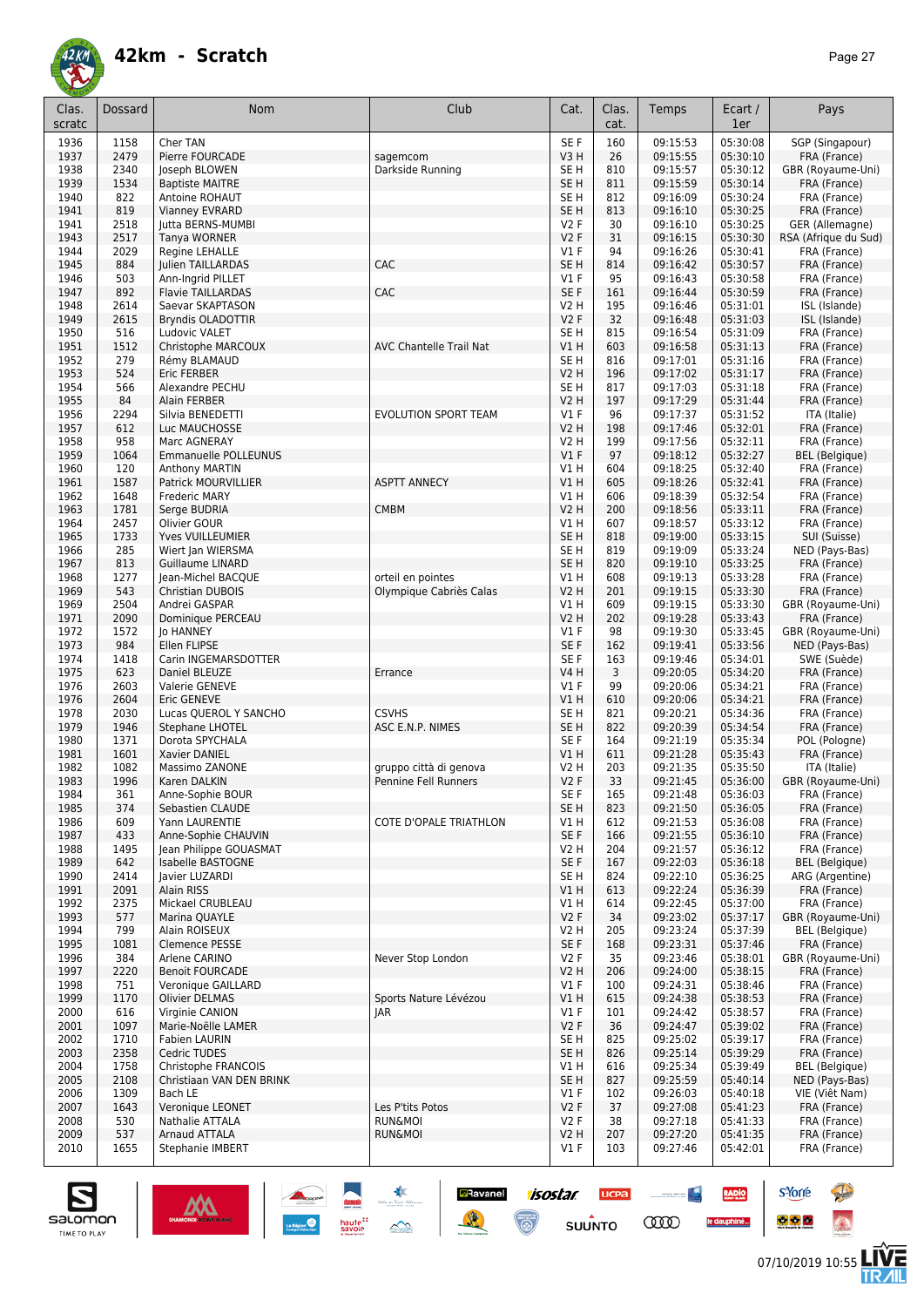

| Clas.<br>scratc | Dossard      | Nom                                        | Club                           | Cat.            | Clas.<br>cat. | Temps                | Ecart /<br>1er       | Pays                         |
|-----------------|--------------|--------------------------------------------|--------------------------------|-----------------|---------------|----------------------|----------------------|------------------------------|
|                 |              |                                            |                                |                 |               |                      |                      |                              |
| 1936            | 1158         | Cher TAN                                   |                                | SE F            | 160           | 09:15:53             | 05:30:08             | SGP (Singapour)              |
| 1937            | 2479         | Pierre FOURCADE                            | sagemcom                       | V3H             | 26            | 09:15:55             | 05:30:10             | FRA (France)                 |
| 1938            | 2340         | Joseph BLOWEN                              | Darkside Running               | SE H            | 810           | 09:15:57             | 05:30:12             | GBR (Royaume-Uni)            |
| 1939            | 1534         | <b>Baptiste MAITRE</b>                     |                                | SE <sub>H</sub> | 811           | 09:15:59             | 05:30:14             | FRA (France)                 |
| 1940            | 822          | Antoine ROHAUT                             |                                | SE H            | 812           | 09:16:09             | 05:30:24             | FRA (France)                 |
| 1941            | 819          | Vianney EVRARD                             |                                | SE <sub>H</sub> | 813           | 09:16:10             | 05:30:25             | FRA (France)                 |
| 1941            | 2518         | Jutta BERNS-MUMBI                          |                                | V2F             | 30            | 09:16:10             | 05:30:25             | GER (Allemagne)              |
| 1943            | 2517         | Tanya WORNER                               |                                | V2F             | 31<br>94      | 09:16:15             | 05:30:30             | RSA (Afrique du Sud)         |
| 1944<br>1945    | 2029<br>884  | Regine LEHALLE<br><b>Iulien TAILLARDAS</b> | CAC                            | $VI$ F<br>SE H  | 814           | 09:16:26<br>09:16:42 | 05:30:41<br>05:30:57 | FRA (France)                 |
| 1946            | 503          | Ann-Ingrid PILLET                          |                                | $VI$ F          | 95            | 09:16:43             | 05:30:58             | FRA (France)<br>FRA (France) |
| 1947            | 892          | <b>Flavie TAILLARDAS</b>                   | CAC                            | SE F            | 161           | 09:16:44             | 05:30:59             | FRA (France)                 |
| 1948            | 2614         | Saevar SKAPTASON                           |                                | V2 H            | 195           | 09:16:46             | 05:31:01             | ISL (Islande)                |
| 1949            | 2615         | Bryndis OLADOTTIR                          |                                | V2F             | 32            | 09:16:48             | 05:31:03             | ISL (Islande)                |
| 1950            | 516          | Ludovic VALET                              |                                | SE H            | 815           | 09:16:54             | 05:31:09             | FRA (France)                 |
| 1951            | 1512         | Christophe MARCOUX                         | <b>AVC Chantelle Trail Nat</b> | V1 H            | 603           | 09:16:58             | 05:31:13             | FRA (France)                 |
| 1952            | 279          | Rémy BLAMAUD                               |                                | SE H            | 816           | 09:17:01             | 05:31:16             | FRA (France)                 |
| 1953            | 524          | <b>Eric FERBER</b>                         |                                | <b>V2 H</b>     | 196           | 09:17:02             | 05:31:17             | FRA (France)                 |
| 1954            | 566          | Alexandre PECHU                            |                                | SE <sub>H</sub> | 817           | 09:17:03             | 05:31:18             | FRA (France)                 |
| 1955            | 84           | Alain FERBER                               |                                | V2 H            | 197           | 09:17:29             | 05:31:44             | FRA (France)                 |
| 1956            | 2294         | Silvia BENEDETTI                           | <b>EVOLUTION SPORT TEAM</b>    | $VI$ F          | 96            | 09:17:37             | 05:31:52             | ITA (Italie)                 |
| 1957            | 612          | Luc MAUCHOSSE                              |                                | V2 H            | 198           | 09:17:46             | 05:32:01             | FRA (France)                 |
| 1958            | 958          | Marc AGNERAY                               |                                | V2 H            | 199           | 09:17:56             | 05:32:11             | FRA (France)                 |
| 1959            | 1064         | Emmanuelle POLLEUNUS                       |                                | $VI$ F          | 97            | 09:18:12             | 05:32:27             | <b>BEL</b> (Belgique)        |
| 1960            | 120          | <b>Anthony MARTIN</b>                      |                                | V1H             | 604           | 09:18:25             | 05:32:40             | FRA (France)                 |
| 1961            | 1587         | <b>Patrick MOURVILLIER</b>                 | <b>ASPTT ANNECY</b>            | VIH             | 605           | 09:18:26             | 05:32:41             | FRA (France)                 |
| 1962            | 1648         | <b>Frederic MARY</b>                       |                                | V1 H            | 606           | 09:18:39             | 05:32:54             | FRA (France)                 |
| 1963            | 1781         | Serge BUDRIA                               | <b>CMBM</b>                    | <b>V2 H</b>     | 200           | 09:18:56             | 05:33:11             | FRA (France)                 |
| 1964            | 2457         | Olivier GOUR                               |                                | V1 H            | 607           | 09:18:57             | 05:33:12             | FRA (France)                 |
| 1965            | 1733         | Yves VUILLEUMIER                           |                                | SE <sub>H</sub> | 818           | 09:19:00             | 05:33:15             | SUI (Suisse)                 |
| 1966            | 285          | Wiert Jan WIERSMA                          |                                | SE <sub>H</sub> | 819           | 09:19:09             | 05:33:24             | NED (Pays-Bas)               |
| 1967            | 813          | <b>Guillaume LINARD</b>                    |                                | SE <sub>H</sub> | 820           | 09:19:10             | 05:33:25             | FRA (France)                 |
| 1968            | 1277         | Jean-Michel BACQUE                         | orteil en pointes              | V1 H            | 608           | 09:19:13             | 05:33:28             | FRA (France)                 |
| 1969            | 543          | Christian DUBOIS                           | Olympique Cabriès Calas        | V2 H            | 201           | 09:19:15             | 05:33:30             | FRA (France)                 |
| 1969            | 2504         | Andrei GASPAR                              |                                | V1 H            | 609           | 09:19:15             | 05:33:30             | GBR (Royaume-Uni)            |
| 1971            | 2090         | Dominique PERCEAU                          |                                | <b>V2 H</b>     | 202           | 09:19:28             | 05:33:43             | FRA (France)                 |
| 1972            | 1572         | Jo HANNEY                                  |                                | $VI$ F          | 98            | 09:19:30             | 05:33:45             | GBR (Royaume-Uni)            |
| 1973            | 984          | Ellen FLIPSE                               |                                | SE F            | 162           | 09:19:41             | 05:33:56             | NED (Pays-Bas)               |
| 1974            | 1418         | Carin INGEMARSDOTTER                       |                                | SE F            | 163           | 09:19:46             | 05:34:01             | SWE (Suède)                  |
| 1975            | 623          | Daniel BLEUZE                              | Errance                        | V4 H            | 3             | 09:20:05             | 05:34:20             | FRA (France)                 |
| 1976            | 2603         | Valerie GENEVE                             |                                | $VI$ F          | 99            | 09:20:06             | 05:34:21             | FRA (France)                 |
| 1976            | 2604         | <b>Eric GENEVE</b>                         |                                | VIH             | 610           | 09:20:06             | 05:34:21             | FRA (France)                 |
| 1978            | 2030         | Lucas QUEROL Y SANCHO                      | <b>CSVHS</b>                   | SE <sub>H</sub> | 821           | 09:20:21             | 05:34:36             | FRA (France)                 |
| 1979            | 1946         | <b>Stephane LHOTEL</b>                     | ASC E.N.P. NIMES               | SE <sub>H</sub> | 822           | 09:20:39             | 05:34:54<br>05:35:34 | FRA (France)                 |
| 1980            | 1371         | Dorota SPYCHALA                            |                                | SE F            | 164           | 09:21:19             |                      | POL (Pologne)                |
| 1981<br>1982    | 1601<br>1082 | Xavier DANIEL                              | gruppo città di genova         | V1 H<br>V2 H    | 611<br>203    | 09:21:28<br>09:21:35 | 05:35:43<br>05:35:50 | FRA (France)<br>ITA (Italie) |
| 1983            | 1996         | Massimo ZANONE<br>Karen DALKIN             | <b>Pennine Fell Runners</b>    | V2F             | 33            | 09:21:45             | 05:36:00             | GBR (Royaume-Uni)            |
| 1984            | 361          | Anne-Sophie BOUR                           |                                | SE F            | 165           | 09:21:48             | 05:36:03             | FRA (France)                 |
| 1985            | 374          | Sebastien CLAUDE                           |                                | SE <sub>H</sub> | 823           | 09:21:50             | 05:36:05             | FRA (France)                 |
| 1986            | 609          | Yann LAURENTIE                             | COTE D'OPALE TRIATHLON         | V1 H            | 612           | 09:21:53             | 05:36:08             | FRA (France)                 |
| 1987            | 433          | Anne-Sophie CHAUVIN                        |                                | SE F            | 166           | 09:21:55             | 05:36:10             | FRA (France)                 |
| 1988            | 1495         | Jean Philippe GOUASMAT                     |                                | V2 H            | 204           | 09:21:57             | 05:36:12             | FRA (France)                 |
| 1989            | 642          | Isabelle BASTOGNE                          |                                | SE F            | 167           | 09:22:03             | 05:36:18             | <b>BEL</b> (Belgique)        |
| 1990            | 2414         | Javier LUZARDI                             |                                | SE H            | 824           | 09:22:10             | 05:36:25             | ARG (Argentine)              |
| 1991            | 2091         | Alain RISS                                 |                                | V1 H            | 613           | 09:22:24             | 05:36:39             | FRA (France)                 |
| 1992            | 2375         | Mickael CRUBLEAU                           |                                | V1 H            | 614           | 09:22:45             | 05:37:00             | FRA (France)                 |
| 1993            | 577          | Marina QUAYLE                              |                                | V2F             | 34            | 09:23:02             | 05:37:17             | GBR (Royaume-Uni)            |
| 1994            | 799          | Alain ROISEUX                              |                                | V2 H            | 205           | 09:23:24             | 05:37:39             | <b>BEL</b> (Belgique)        |
| 1995            | 1081         | Clemence PESSE                             |                                | SE F            | 168           | 09:23:31             | 05:37:46             | FRA (France)                 |
| 1996            | 384          | Arlene CARINO                              | Never Stop London              | V2F             | 35            | 09:23:46             | 05:38:01             | GBR (Royaume-Uni)            |
| 1997            | 2220         | <b>Benoit FOURCADE</b>                     |                                | V2 H            | 206           | 09:24:00             | 05:38:15             | FRA (France)                 |
| 1998            | 751          | Veronique GAILLARD                         |                                | $VI$ F          | 100           | 09:24:31             | 05:38:46             | FRA (France)                 |
| 1999            | 1170         | <b>Olivier DELMAS</b>                      | Sports Nature Lévézou          | V1 H            | 615           | 09:24:38             | 05:38:53             | FRA (France)                 |
| 2000            | 616          | Virginie CANION                            | JAR                            | $VI$ F          | 101           | 09:24:42             | 05:38:57             | FRA (France)                 |
| 2001            | 1097         | Marie-Noëlle LAMER                         |                                | V2F             | 36            | 09:24:47             | 05:39:02             | FRA (France)                 |
| 2002            | 1710         | <b>Fabien LAURIN</b>                       |                                | SE <sub>H</sub> | 825           | 09:25:02             | 05:39:17             | FRA (France)                 |
| 2003            | 2358         | Cedric TUDES                               |                                | SE <sub>H</sub> | 826           | 09:25:14             | 05:39:29             | FRA (France)                 |
| 2004            | 1758         | Christophe FRANCOIS                        |                                | V1 H            | 616           | 09:25:34             | 05:39:49             | <b>BEL</b> (Belgique)        |
| 2005            | 2108         | Christiaan VAN DEN BRINK                   |                                | SE <sub>H</sub> | 827           | 09:25:59             | 05:40:14             | NED (Pays-Bas)               |
| 2006            | 1309         | Bach LE                                    |                                | $VI$ F          | 102           | 09:26:03             | 05:40:18             | VIE (Việt Nam)               |
| 2007            | 1643         | Veronique LEONET                           | Les P'tits Potos               | V2F             | 37            | 09:27:08             | 05:41:23             | FRA (France)                 |
| 2008            | 530          | Nathalie ATTALA                            | <b>RUN&amp;MOI</b>             | V2F             | 38            | 09:27:18             | 05:41:33             | FRA (France)                 |
| 2009            | 537          | Arnaud ATTALA                              | <b>RUN&amp;MOI</b>             | V2 H            | 207           | 09:27:20             | 05:41:35             | FRA (France)                 |
| 2010            | 1655         | Stephanie IMBERT                           |                                | $VI$ F          | 103           | 09:27:46             | 05:42:01             | FRA (France)                 |

**a**Ravanel <mark>7/505/7/ UCPa</mark>

 $su\overset{\bullet}{\mathsf{unro}}$ 

 $\odot$ 



**s**Yorre

 $\bullet$   $\bullet$   $\bullet$ 

 $\sim$ 

**COO** 

**RADIO** 

le dauphiné...

**Reine** 

 $\hat{\Omega}$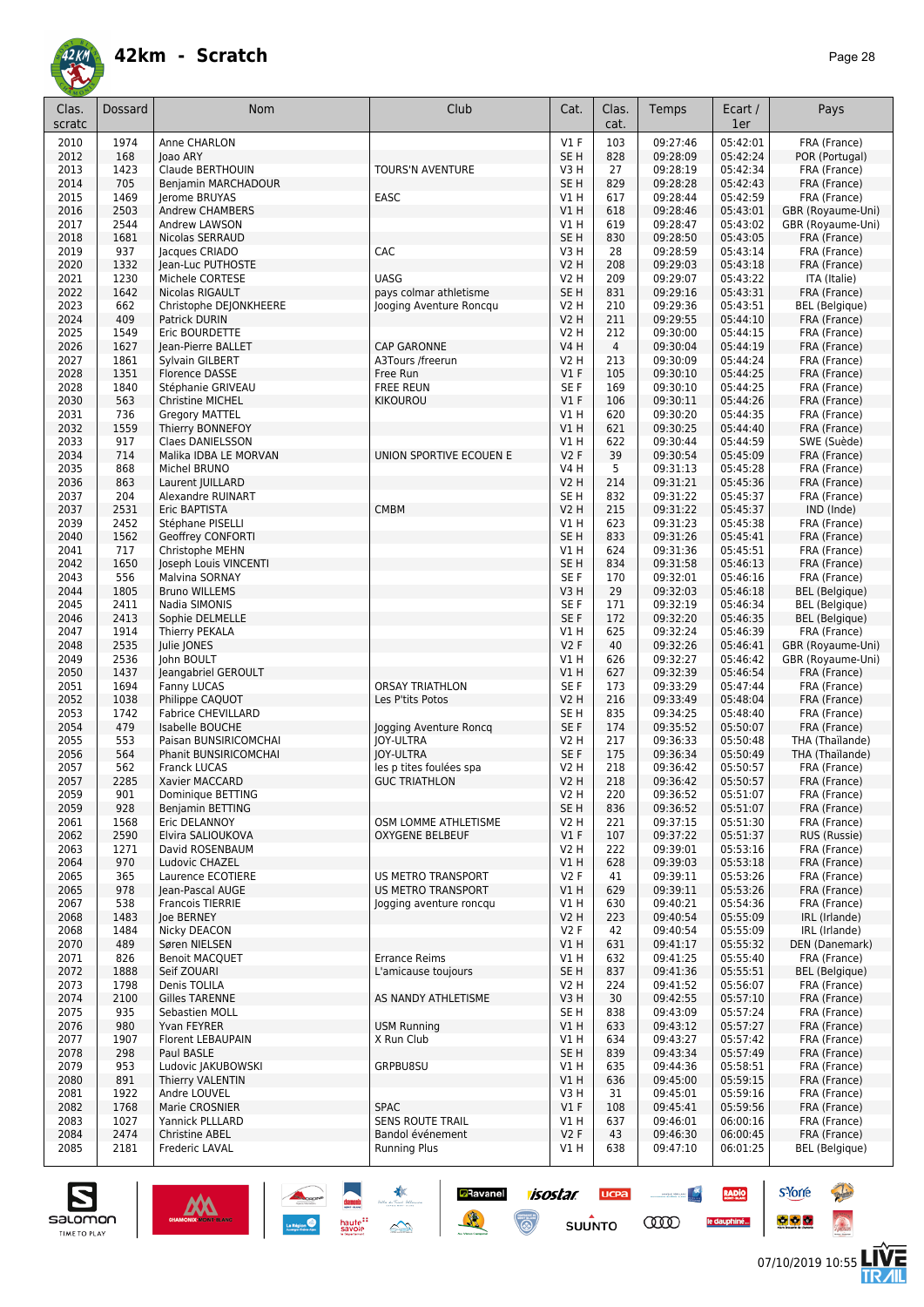

| Clas.<br>scratc | Dossard      | <b>Nom</b>                                            | Club                                   | Cat.                    | Clas.<br>cat.  | Temps                | Ecart /<br>1er       | Pays                               |
|-----------------|--------------|-------------------------------------------------------|----------------------------------------|-------------------------|----------------|----------------------|----------------------|------------------------------------|
| 2010            | 1974         | Anne CHARLON                                          |                                        | $VI$ F                  | 103            | 09:27:46             | 05:42:01             | FRA (France)                       |
| 2012            | 168          | loao ARY                                              |                                        | SE <sub>H</sub>         | 828            | 09:28:09             | 05:42:24             | POR (Portugal)                     |
| 2013<br>2014    | 1423<br>705  | Claude BERTHOUIN<br>Benjamin MARCHADOUR               | TOURS'N AVENTURE                       | V3 H<br>SE <sub>H</sub> | 27<br>829      | 09:28:19<br>09:28:28 | 05:42:34<br>05:42:43 | FRA (France)<br>FRA (France)       |
| 2015            | 1469         | Jerome BRUYAS                                         | EASC                                   | V1 H                    | 617            | 09:28:44             | 05:42:59             | FRA (France)                       |
| 2016            | 2503         | Andrew CHAMBERS                                       |                                        | V1H                     | 618            | 09:28:46             | 05:43:01             | GBR (Royaume-Uni)                  |
| 2017            | 2544         | Andrew LAWSON                                         |                                        | V1 H                    | 619            | 09:28:47             | 05:43:02             | GBR (Royaume-Uni)                  |
| 2018            | 1681         | Nicolas SERRAUD                                       |                                        | SE <sub>H</sub>         | 830            | 09:28:50             | 05:43:05             | FRA (France)                       |
| 2019            | 937          | Jacques CRIADO                                        | CAC                                    | V3H                     | 28             | 09:28:59             | 05:43:14             | FRA (France)                       |
| 2020            | 1332<br>1230 | Jean-Luc PUTHOSTE<br>Michele CORTESE                  | <b>UASG</b>                            | <b>V2 H</b>             | 208            | 09:29:03             | 05:43:18<br>05:43:22 | FRA (France)                       |
| 2021<br>2022    | 1642         | Nicolas RIGAULT                                       | pays colmar athletisme                 | V2 H<br>SE <sub>H</sub> | 209<br>831     | 09:29:07<br>09:29:16 | 05:43:31             | ITA (Italie)<br>FRA (France)       |
| 2023            | 662          | Christophe DEJONKHEERE                                | Jooging Aventure Roncqu                | <b>V2 H</b>             | 210            | 09:29:36             | 05:43:51             | BEL (Belgique)                     |
| 2024            | 409          | Patrick DURIN                                         |                                        | <b>V2 H</b>             | 211            | 09:29:55             | 05:44:10             | FRA (France)                       |
| 2025            | 1549         | Eric BOURDETTE                                        |                                        | <b>V2 H</b>             | 212            | 09:30:00             | 05:44:15             | FRA (France)                       |
| 2026            | 1627         | Jean-Pierre BALLET                                    | <b>CAP GARONNE</b>                     | <b>V4 H</b>             | $\overline{4}$ | 09:30:04             | 05:44:19             | FRA (France)                       |
| 2027<br>2028    | 1861<br>1351 | Sylvain GILBERT<br><b>Florence DASSE</b>              | A3Tours /freerun<br>Free Run           | <b>V2 H</b><br>$VI$ F   | 213<br>105     | 09:30:09<br>09:30:10 | 05:44:24<br>05:44:25 | FRA (France)<br>FRA (France)       |
| 2028            | 1840         | Stéphanie GRIVEAU                                     | <b>FREE REUN</b>                       | SE <sub>F</sub>         | 169            | 09:30:10             | 05:44:25             | FRA (France)                       |
| 2030            | 563          | <b>Christine MICHEL</b>                               | <b>KIKOUROU</b>                        | V1F                     | 106            | 09:30:11             | 05:44:26             | FRA (France)                       |
| 2031            | 736          | <b>Gregory MATTEL</b>                                 |                                        | V1 H                    | 620            | 09:30:20             | 05:44:35             | FRA (France)                       |
| 2032            | 1559         | Thierry BONNEFOY                                      |                                        | VIH                     | 621            | 09:30:25             | 05:44:40             | FRA (France)                       |
| 2033            | 917          | Claes DANIELSSON                                      |                                        | V1 H                    | 622            | 09:30:44             | 05:44:59             | SWE (Suède)                        |
| 2034            | 714          | Malika IDBA LE MORVAN<br>Michel BRUNO                 | UNION SPORTIVE ECOUEN E                | V2F<br>V4 H             | 39<br>5        | 09:30:54<br>09:31:13 | 05:45:09             | FRA (France)                       |
| 2035<br>2036    | 868<br>863   | Laurent JUILLARD                                      |                                        | <b>V2 H</b>             | 214            | 09:31:21             | 05:45:28<br>05:45:36 | FRA (France)<br>FRA (France)       |
| 2037            | 204          | <b>Alexandre RUINART</b>                              |                                        | SE <sub>H</sub>         | 832            | 09:31:22             | 05:45:37             | FRA (France)                       |
| 2037            | 2531         | Eric BAPTISTA                                         | <b>CMBM</b>                            | <b>V2 H</b>             | 215            | 09:31:22             | 05:45:37             | IND (Inde)                         |
| 2039            | 2452         | Stéphane PISELLI                                      |                                        | V1 H                    | 623            | 09:31:23             | 05:45:38             | FRA (France)                       |
| 2040            | 1562         | <b>Geoffrey CONFORTI</b>                              |                                        | SE <sub>H</sub>         | 833            | 09:31:26             | 05:45:41             | FRA (France)                       |
| 2041            | 717<br>1650  | Christophe MEHN                                       |                                        | V1 H<br>SE <sub>H</sub> | 624<br>834     | 09:31:36<br>09:31:58 | 05:45:51<br>05:46:13 | FRA (France)                       |
| 2042<br>2043    | 556          | Joseph Louis VINCENTI<br>Malvina SORNAY               |                                        | SE F                    | 170            | 09:32:01             | 05:46:16             | FRA (France)<br>FRA (France)       |
| 2044            | 1805         | <b>Bruno WILLEMS</b>                                  |                                        | V3H                     | 29             | 09:32:03             | 05:46:18             | <b>BEL</b> (Belgique)              |
| 2045            | 2411         | Nadia SIMONIS                                         |                                        | SE <sub>F</sub>         | 171            | 09:32:19             | 05:46:34             | <b>BEL</b> (Belgique)              |
| 2046            | 2413         | Sophie DELMELLE                                       |                                        | SE <sub>F</sub>         | 172            | 09:32:20             | 05:46:35             | BEL (Belgique)                     |
| 2047            | 1914         | <b>Thierry PEKALA</b>                                 |                                        | V1 H                    | 625            | 09:32:24             | 05:46:39             | FRA (France)                       |
| 2048<br>2049    | 2535<br>2536 | Julie JONES                                           |                                        | V2F<br>V1H              | 40             | 09:32:26<br>09:32:27 | 05:46:41<br>05:46:42 | GBR (Royaume-Uni)                  |
| 2050            | 1437         | John BOULT<br>Jeangabriel GEROULT                     |                                        | V1H                     | 626<br>627     | 09:32:39             | 05:46:54             | GBR (Royaume-Uni)<br>FRA (France)  |
| 2051            | 1694         | Fanny LUCAS                                           | <b>ORSAY TRIATHLON</b>                 | SE F                    | 173            | 09:33:29             | 05:47:44             | FRA (France)                       |
| 2052            | 1038         | Philippe CAQUOT                                       | Les P'tits Potos                       | <b>V2 H</b>             | 216            | 09:33:49             | 05:48:04             | FRA (France)                       |
| 2053            | 1742         | <b>Fabrice CHEVILLARD</b>                             |                                        | SE <sub>H</sub>         | 835            | 09:34:25             | 05:48:40             | FRA (France)                       |
| 2054            | 479          | Isabelle BOUCHE                                       | Jogging Aventure Roncq                 | SE F                    | 174            | 09:35:52             | 05:50:07             | FRA (France)                       |
| 2055<br>2056    | 553<br>564   | Paisan BUNSIRICOMCHAI<br><b>Phanit BUNSIRICOMCHAI</b> | <b>JOY-ULTRA</b><br><b>JOY-ULTRA</b>   | V2 H<br>SE F            | 217<br>175     | 09:36:33<br>09:36:34 | 05:50:48<br>05:50:49 | THA (Thaïlande)<br>THA (Thaïlande) |
| 2057            | 562          | <b>Franck LUCAS</b>                                   | les p tites foulées spa                | V2 H                    | 218            | 09:36:42             | 05:50:57             | FRA (France)                       |
| 2057            | 2285         | <b>Xavier MACCARD</b>                                 | <b>GUC TRIATHLON</b>                   | V2 H                    | 218            | 09:36:42             | 05:50:57             | FRA (France)                       |
| 2059            | 901          | Dominique BETTING                                     |                                        | V2 H                    | 220            | 09:36:52             | 05:51:07             | FRA (France)                       |
| 2059            | 928          | Benjamin BETTING                                      |                                        | SE <sub>H</sub>         | 836            | 09:36:52             | 05:51:07             | FRA (France)                       |
| 2061            | 1568         | Eric DELANNOY                                         | OSM LOMME ATHLETISME                   | V2 H                    | 221            | 09:37:15<br>09:37:22 | 05:51:30             | FRA (France)                       |
| 2062<br>2063    | 2590<br>1271 | Elvira SALIOUKOVA<br>David ROSENBAUM                  | <b>OXYGENE BELBEUF</b>                 | $VI$ F<br>V2 H          | 107<br>222     | 09:39:01             | 05:51:37<br>05:53:16 | RUS (Russie)<br>FRA (France)       |
| 2064            | 970          | Ludovic CHAZEL                                        |                                        | VIH                     | 628            | 09:39:03             | 05:53:18             | FRA (France)                       |
| 2065            | 365          | Laurence ECOTIERE                                     | <b>US METRO TRANSPORT</b>              | V2F                     | 41             | 09:39:11             | 05:53:26             | FRA (France)                       |
| 2065            | 978          | Jean-Pascal AUGE                                      | US METRO TRANSPORT                     | <b>V1 H</b>             | 629            | 09:39:11             | 05:53:26             | FRA (France)                       |
| 2067            | 538          | <b>Francois TIERRIE</b>                               | logging aventure roncqu                | V1 H                    | 630            | 09:40:21             | 05:54:36             | FRA (France)                       |
| 2068<br>2068    | 1483<br>1484 | loe BERNEY<br>Nicky DEACON                            |                                        | <b>V2 H</b><br>V2F      | 223<br>42      | 09:40:54<br>09:40:54 | 05:55:09<br>05:55:09 | IRL (Irlande)<br>IRL (Irlande)     |
| 2070            | 489          | Søren NIELSEN                                         |                                        | V1 H                    | 631            | 09:41:17             | 05:55:32             | DEN (Danemark)                     |
| 2071            | 826          | <b>Benoit MACQUET</b>                                 | <b>Errance Reims</b>                   | V1 H                    | 632            | 09:41:25             | 05:55:40             | FRA (France)                       |
| 2072            | 1888         | Seif ZOUARI                                           | L'amicause toujours                    | SE <sub>H</sub>         | 837            | 09:41:36             | 05:55:51             | BEL (Belgique)                     |
| 2073            | 1798         | Denis TOLILA                                          |                                        | V2 H                    | 224            | 09:41:52             | 05:56:07             | FRA (France)                       |
| 2074            | 2100         | <b>Gilles TARENNE</b>                                 | AS NANDY ATHLETISME                    | V3H                     | 30             | 09:42:55             | 05:57:10             | FRA (France)                       |
| 2075            | 935<br>980   | Sebastien MOLL<br>Yvan FEYRER                         |                                        | SE H                    | 838<br>633     | 09:43:09<br>09:43:12 | 05:57:24<br>05:57:27 | FRA (France)                       |
| 2076<br>2077    | 1907         | Florent LEBAUPAIN                                     | <b>USM Running</b><br>X Run Club       | V1H<br>V1 H             | 634            | 09:43:27             | 05:57:42             | FRA (France)<br>FRA (France)       |
| 2078            | 298          | Paul BASLE                                            |                                        | SE <sub>H</sub>         | 839            | 09:43:34             | 05:57:49             | FRA (France)                       |
| 2079            | 953          | Ludovic JAKUBOWSKI                                    | GRPBU8SU                               | V1 H                    | 635            | 09:44:36             | 05:58:51             | FRA (France)                       |
| 2080            | 891          | Thierry VALENTIN                                      |                                        | VIH                     | 636            | 09:45:00             | 05:59:15             | FRA (France)                       |
| 2081            | 1922         | Andre LOUVEL                                          |                                        | V3H                     | 31             | 09:45:01             | 05:59:16             | FRA (France)                       |
| 2082<br>2083    | 1768<br>1027 | Marie CROSNIER<br>Yannick PLLLARD                     | <b>SPAC</b><br><b>SENS ROUTE TRAIL</b> | $VI$ F<br>V1 H          | 108<br>637     | 09:45:41<br>09:46:01 | 05:59:56<br>06:00:16 | FRA (France)<br>FRA (France)       |
| 2084            | 2474         | Christine ABEL                                        | Bandol événement                       | V2F                     | 43             | 09:46:30             | 06:00:45             | FRA (France)                       |
| 2085            | 2181         | Frederic LAVAL                                        | <b>Running Plus</b>                    | V1 H                    | 638            | 09:47:10             | 06:01:25             | <b>BEL</b> (Belgique)              |

**Ravanel 1505tar** 

 $\odot$ 

送

**UCPA** 

 $s$ UUNTO

 $\begin{picture}(20,10) \put(0,0){\line(1,0){10}} \put(10,0){\line(1,0){10}} \put(10,0){\line(1,0){10}} \put(10,0){\line(1,0){10}} \put(10,0){\line(1,0){10}} \put(10,0){\line(1,0){10}} \put(10,0){\line(1,0){10}} \put(10,0){\line(1,0){10}} \put(10,0){\line(1,0){10}} \put(10,0){\line(1,0){10}} \put(10,0){\line(1,0){10}} \put(10,0){\line(1$ 

**COO** 

RADIO

le dauphiné...



**s**Yorre

 $\bullet$   $\bullet$   $\bullet$ 

**There**